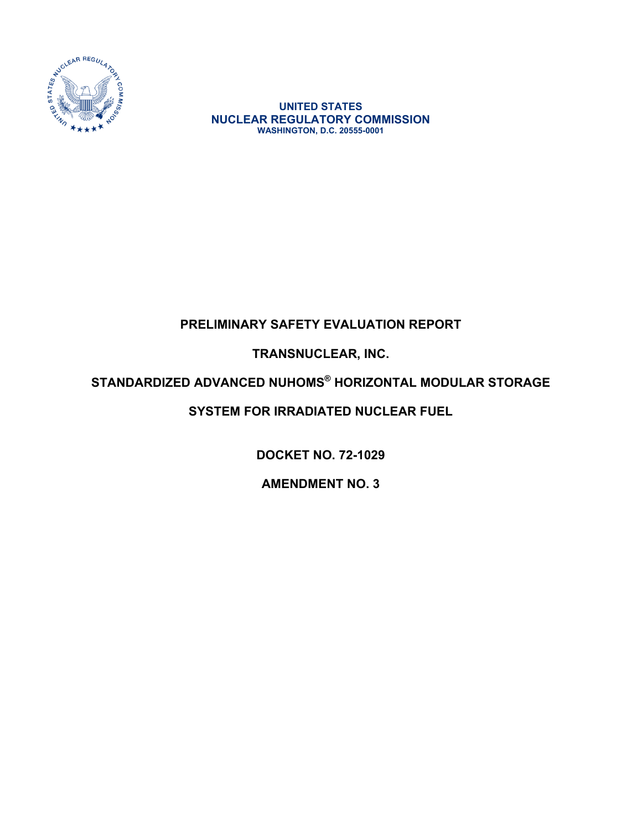

**UNITED STATES NUCLEAR REGULATORY COMMISSION WASHINGTON, D.C. 20555-0001** 

# **PRELIMINARY SAFETY EVALUATION REPORT**

**TRANSNUCLEAR, INC.** 

### **STANDARDIZED ADVANCED NUHOMS® HORIZONTAL MODULAR STORAGE**

# **SYSTEM FOR IRRADIATED NUCLEAR FUEL**

**DOCKET NO. 72-1029** 

**AMENDMENT NO. 3**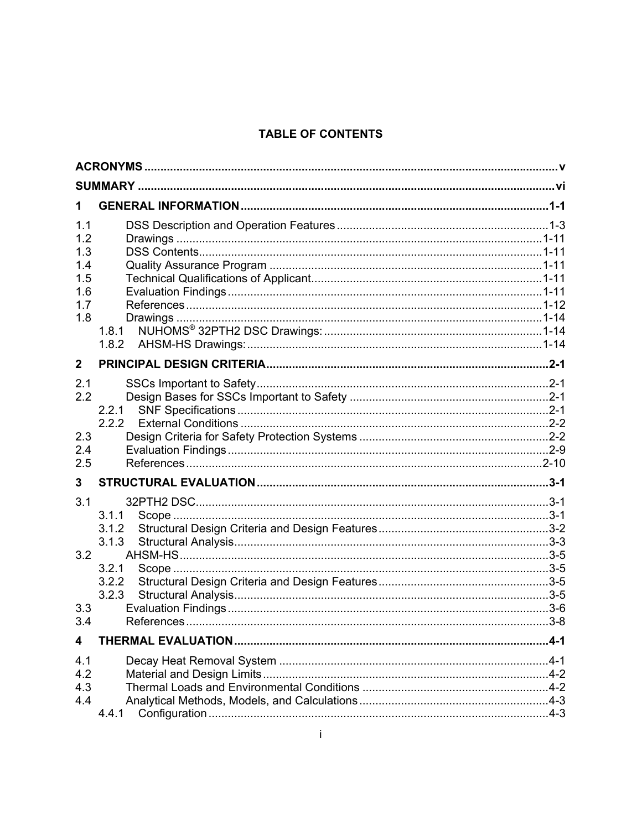### **TABLE OF CONTENTS**

| 1.1          |                |  |
|--------------|----------------|--|
| 1.2          |                |  |
| 1.3          |                |  |
| 1.4          |                |  |
| 1.5          |                |  |
| 1.6          |                |  |
| 1.7          |                |  |
| 1.8          | 1.8.1          |  |
|              | 1.8.2          |  |
| $\mathbf{2}$ |                |  |
|              |                |  |
| 2.1          |                |  |
| 2.2          |                |  |
|              | 2.2.1<br>2.2.2 |  |
| 2.3          |                |  |
| 2.4          |                |  |
| 2.5          |                |  |
| $\mathbf{3}$ |                |  |
| 3.1          |                |  |
|              | 3.1.1          |  |
|              | 3.1.2          |  |
|              | 3.1.3          |  |
| 3.2          |                |  |
|              | 3.2.1          |  |
|              | 3.2.2<br>3.2.3 |  |
| 3.3          |                |  |
| 3.4          |                |  |
| 4            |                |  |
| 4.1          |                |  |
| 4.2          |                |  |
| 4.3          |                |  |
| 4.4          |                |  |
|              | 4.4.1          |  |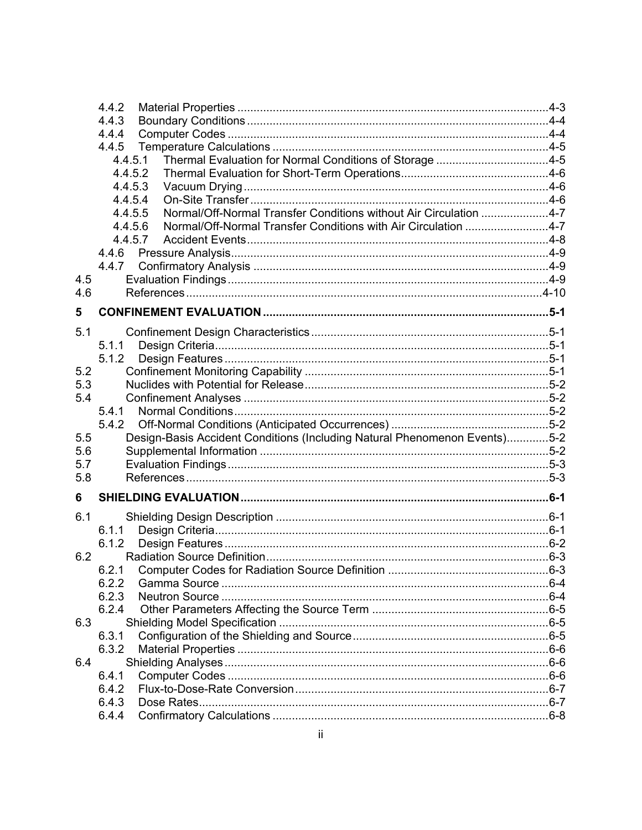|     | 4.4.2                                                                        |  |
|-----|------------------------------------------------------------------------------|--|
|     | 4.4.3                                                                        |  |
|     | 4.4.4                                                                        |  |
|     | 4.4.5                                                                        |  |
|     | Thermal Evaluation for Normal Conditions of Storage 4-5<br>4.4.5.1           |  |
|     | 4.4.5.2                                                                      |  |
|     | 4.4.5.3                                                                      |  |
|     | 4.4.5.4                                                                      |  |
|     | Normal/Off-Normal Transfer Conditions without Air Circulation 4-7<br>4.4.5.5 |  |
|     | Normal/Off-Normal Transfer Conditions with Air Circulation 4-7<br>4.4.5.6    |  |
|     | 4.4.5.7                                                                      |  |
|     | 4.4.6                                                                        |  |
|     | 4.4.7                                                                        |  |
| 4.5 |                                                                              |  |
| 4.6 |                                                                              |  |
|     |                                                                              |  |
| 5   |                                                                              |  |
| 5.1 |                                                                              |  |
|     | 5.1.1                                                                        |  |
|     | 5.1.2                                                                        |  |
| 5.2 |                                                                              |  |
| 5.3 |                                                                              |  |
| 5.4 |                                                                              |  |
|     | 5.4.1                                                                        |  |
|     | 5.4.2                                                                        |  |
| 5.5 | Design-Basis Accident Conditions (Including Natural Phenomenon Events)5-2    |  |
| 5.6 |                                                                              |  |
| 5.7 |                                                                              |  |
| 5.8 |                                                                              |  |
| 6   |                                                                              |  |
|     |                                                                              |  |
| 6.1 |                                                                              |  |
|     | 6.1.1                                                                        |  |
|     | 6.1.2                                                                        |  |
| 6.2 |                                                                              |  |
|     |                                                                              |  |
|     | 6.2.2                                                                        |  |
|     | 6.2.3                                                                        |  |
|     | 6.2.4                                                                        |  |
| 6.3 |                                                                              |  |
|     | 6.3.1                                                                        |  |
|     | 6.3.2                                                                        |  |
| 6.4 |                                                                              |  |
|     | 6.4.1                                                                        |  |
|     | 6.4.2                                                                        |  |
|     | 6.4.3                                                                        |  |
|     | 6.4.4                                                                        |  |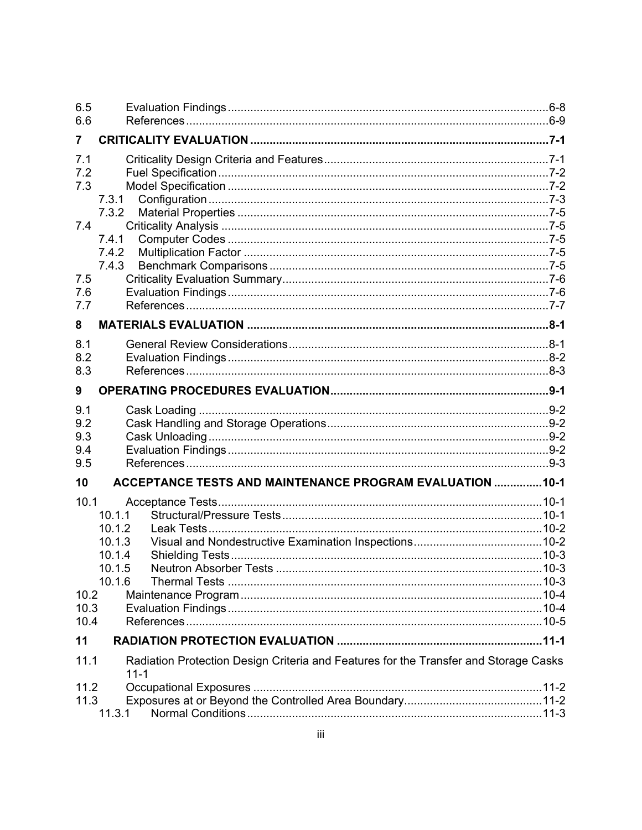| 6.5          |                                                                                                  |  |
|--------------|--------------------------------------------------------------------------------------------------|--|
| 6.6          |                                                                                                  |  |
| 7            |                                                                                                  |  |
| 7.1          |                                                                                                  |  |
| 7.2          |                                                                                                  |  |
| 7.3          |                                                                                                  |  |
|              | 7.3.1                                                                                            |  |
|              | 7.3.2                                                                                            |  |
| 7.4          |                                                                                                  |  |
|              | 7.4.1                                                                                            |  |
|              | 7.4.2                                                                                            |  |
|              | 7.4.3                                                                                            |  |
| 7.5<br>7.6   |                                                                                                  |  |
| 7.7          |                                                                                                  |  |
|              |                                                                                                  |  |
| 8            |                                                                                                  |  |
| 8.1          |                                                                                                  |  |
| 8.2          |                                                                                                  |  |
| 8.3          |                                                                                                  |  |
| 9            |                                                                                                  |  |
| 9.1          |                                                                                                  |  |
| 9.2          |                                                                                                  |  |
| 9.3          |                                                                                                  |  |
| 9.4          |                                                                                                  |  |
| 9.5          |                                                                                                  |  |
| 10           | ACCEPTANCE TESTS AND MAINTENANCE PROGRAM EVALUATION  10-1                                        |  |
| 10.1         |                                                                                                  |  |
|              | 10.1.1                                                                                           |  |
|              | 10.1.2                                                                                           |  |
|              | 10.1.3                                                                                           |  |
|              | 10.1.4                                                                                           |  |
|              | Neutron Absorber Tests<br>10 1 5                                                                 |  |
|              | 10.1.6                                                                                           |  |
| 10.2         |                                                                                                  |  |
| 10.3<br>10.4 |                                                                                                  |  |
|              |                                                                                                  |  |
| 11           |                                                                                                  |  |
| 11.1         | Radiation Protection Design Criteria and Features for the Transfer and Storage Casks<br>$11 - 1$ |  |
| 11.2         |                                                                                                  |  |
| 11.3         |                                                                                                  |  |
|              | 11.3.1                                                                                           |  |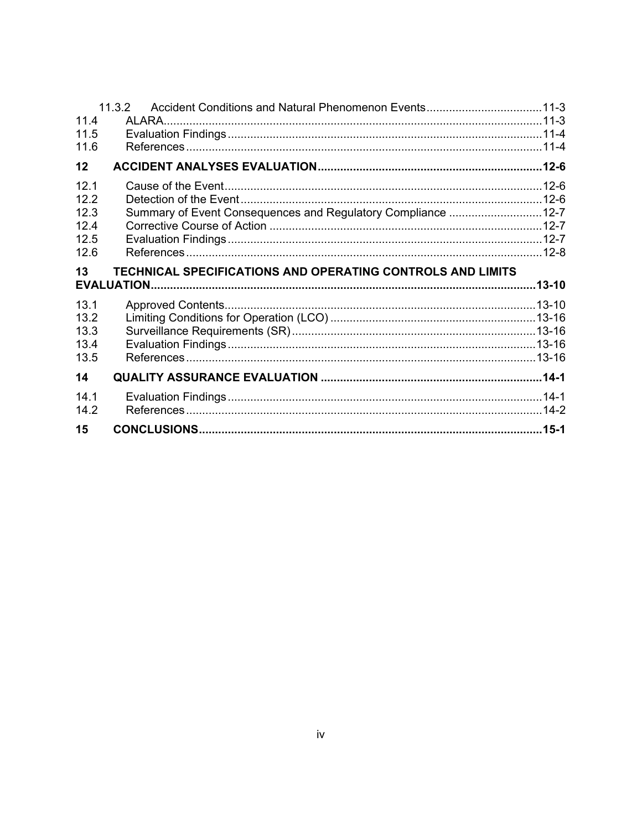| 15                           |                                                              |  |
|------------------------------|--------------------------------------------------------------|--|
| 14.1<br>14.2                 |                                                              |  |
| 14                           |                                                              |  |
| 13.2<br>13.3<br>13.4<br>13.5 |                                                              |  |
| 13.1                         |                                                              |  |
| 13                           | TECHNICAL SPECIFICATIONS AND OPERATING CONTROLS AND LIMITS   |  |
| 12.5<br>12.6                 |                                                              |  |
| 12.3<br>12.4                 | Summary of Event Consequences and Regulatory Compliance 12-7 |  |
| 12.1<br>12.2                 |                                                              |  |
| 12                           |                                                              |  |
| 11.6                         |                                                              |  |
| 11.4<br>11.5                 |                                                              |  |
|                              |                                                              |  |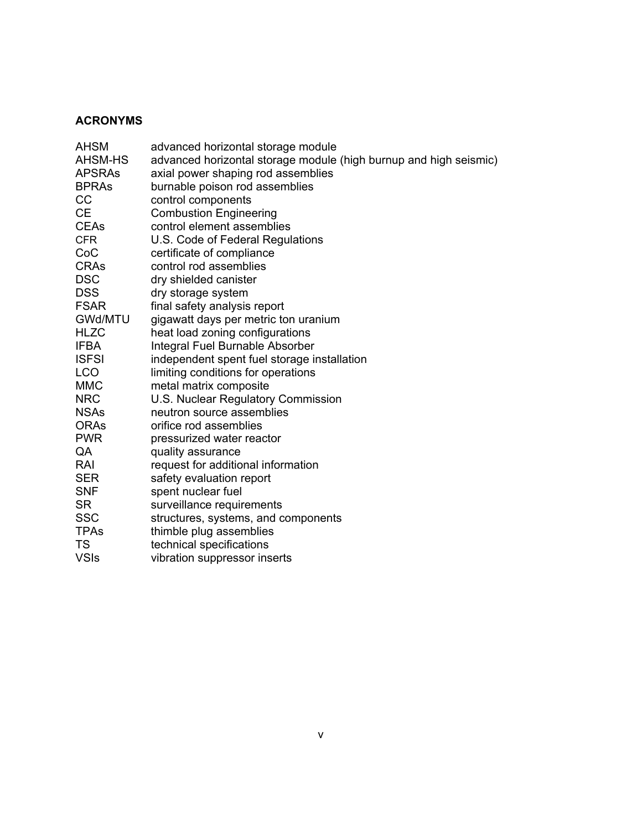#### **ACRONYMS**

| <b>AHSM</b>   | advanced horizontal storage module                                |
|---------------|-------------------------------------------------------------------|
| AHSM-HS       | advanced horizontal storage module (high burnup and high seismic) |
| <b>APSRAS</b> | axial power shaping rod assemblies                                |
| <b>BPRAs</b>  | burnable poison rod assemblies                                    |
| CC            | control components                                                |
| <b>CE</b>     | <b>Combustion Engineering</b>                                     |
| <b>CEAs</b>   | control element assemblies                                        |
| <b>CFR</b>    | U.S. Code of Federal Regulations                                  |
| CoC           | certificate of compliance                                         |
| <b>CRAs</b>   | control rod assemblies                                            |
| <b>DSC</b>    | dry shielded canister                                             |
| <b>DSS</b>    | dry storage system                                                |
| <b>FSAR</b>   | final safety analysis report                                      |
| GWd/MTU       | gigawatt days per metric ton uranium                              |
| <b>HLZC</b>   | heat load zoning configurations                                   |
| <b>IFBA</b>   | Integral Fuel Burnable Absorber                                   |
| <b>ISFSI</b>  | independent spent fuel storage installation                       |
| <b>LCO</b>    | limiting conditions for operations                                |
| <b>MMC</b>    | metal matrix composite                                            |
| <b>NRC</b>    | U.S. Nuclear Regulatory Commission                                |
| <b>NSAs</b>   | neutron source assemblies                                         |
| <b>ORAs</b>   | orifice rod assemblies                                            |
| <b>PWR</b>    | pressurized water reactor                                         |
| QA            | quality assurance                                                 |
| RAI           | request for additional information                                |
| <b>SER</b>    | safety evaluation report                                          |
| <b>SNF</b>    | spent nuclear fuel                                                |
| <b>SR</b>     | surveillance requirements                                         |
| <b>SSC</b>    | structures, systems, and components                               |
| <b>TPAs</b>   | thimble plug assemblies                                           |
| <b>TS</b>     | technical specifications                                          |
| <b>VSIs</b>   | vibration suppressor inserts                                      |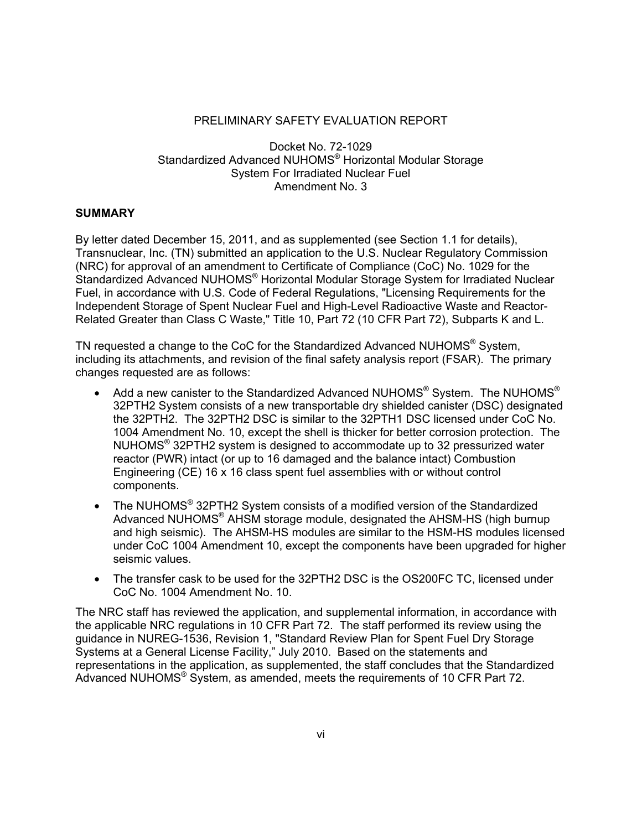#### PRELIMINARY SAFETY EVALUATION REPORT

Docket No. 72-1029 Standardized Advanced NUHOMS® Horizontal Modular Storage System For Irradiated Nuclear Fuel Amendment No. 3

#### **SUMMARY**

By letter dated December 15, 2011, and as supplemented (see Section 1.1 for details), Transnuclear, Inc. (TN) submitted an application to the U.S. Nuclear Regulatory Commission (NRC) for approval of an amendment to Certificate of Compliance (CoC) No. 1029 for the Standardized Advanced NUHOMS® Horizontal Modular Storage System for Irradiated Nuclear Fuel, in accordance with U.S. Code of Federal Regulations, "Licensing Requirements for the Independent Storage of Spent Nuclear Fuel and High-Level Radioactive Waste and Reactor-Related Greater than Class C Waste," Title 10, Part 72 (10 CFR Part 72), Subparts K and L.

TN requested a change to the CoC for the Standardized Advanced NUHOMS® Svstem. including its attachments, and revision of the final safety analysis report (FSAR). The primary changes requested are as follows:

- Add a new canister to the Standardized Advanced NUHOMS® System. The NUHOMS® 32PTH2 System consists of a new transportable dry shielded canister (DSC) designated the 32PTH2. The 32PTH2 DSC is similar to the 32PTH1 DSC licensed under CoC No. 1004 Amendment No. 10, except the shell is thicker for better corrosion protection. The NUHOMS $\degree$  32PTH2 system is designed to accommodate up to 32 pressurized water reactor (PWR) intact (or up to 16 damaged and the balance intact) Combustion Engineering (CE) 16 x 16 class spent fuel assemblies with or without control components.
- The NUHOMS<sup>®</sup> 32PTH2 System consists of a modified version of the Standardized Advanced NUHOMS® AHSM storage module, designated the AHSM-HS (high burnup and high seismic). The AHSM-HS modules are similar to the HSM-HS modules licensed under CoC 1004 Amendment 10, except the components have been upgraded for higher seismic values.
- The transfer cask to be used for the 32PTH2 DSC is the OS200FC TC, licensed under CoC No. 1004 Amendment No. 10.

The NRC staff has reviewed the application, and supplemental information, in accordance with the applicable NRC regulations in 10 CFR Part 72. The staff performed its review using the guidance in NUREG-1536, Revision 1, "Standard Review Plan for Spent Fuel Dry Storage Systems at a General License Facility," July 2010. Based on the statements and representations in the application, as supplemented, the staff concludes that the Standardized Advanced NUHOMS® System, as amended, meets the requirements of 10 CFR Part 72.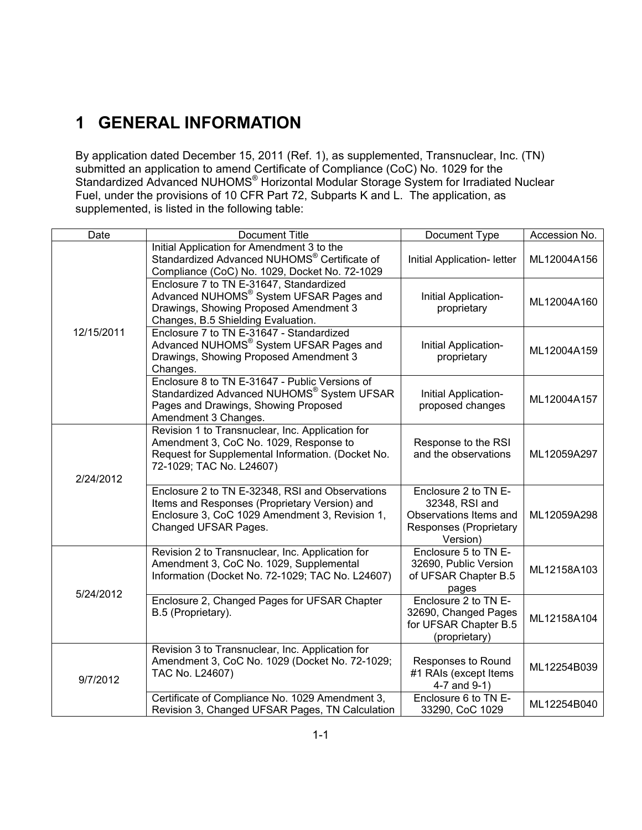# **1 GENERAL INFORMATION**

By application dated December 15, 2011 (Ref. 1), as supplemented, Transnuclear, Inc. (TN) submitted an application to amend Certificate of Compliance (CoC) No. 1029 for the Standardized Advanced NUHOMS® Horizontal Modular Storage System for Irradiated Nuclear Fuel, under the provisions of 10 CFR Part 72, Subparts K and L. The application, as supplemented, is listed in the following table:

| Date       | Document Title                                                                                                                                                              | Document Type                                                                                          | Accession No. |
|------------|-----------------------------------------------------------------------------------------------------------------------------------------------------------------------------|--------------------------------------------------------------------------------------------------------|---------------|
|            | Initial Application for Amendment 3 to the<br>Standardized Advanced NUHOMS <sup>®</sup> Certificate of<br>Compliance (CoC) No. 1029, Docket No. 72-1029                     | Initial Application- letter                                                                            | ML12004A156   |
|            | Enclosure 7 to TN E-31647, Standardized<br>Advanced NUHOMS® System UFSAR Pages and<br>Drawings, Showing Proposed Amendment 3<br>Changes, B.5 Shielding Evaluation.          | Initial Application-<br>proprietary                                                                    | ML12004A160   |
| 12/15/2011 | Enclosure 7 to TN E-31647 - Standardized<br>Advanced NUHOMS® System UFSAR Pages and<br>Drawings, Showing Proposed Amendment 3<br>Changes.                                   | Initial Application-<br>proprietary                                                                    | ML12004A159   |
|            | Enclosure 8 to TN E-31647 - Public Versions of<br>Standardized Advanced NUHOMS® System UFSAR<br>Pages and Drawings, Showing Proposed<br>Amendment 3 Changes.                | Initial Application-<br>proposed changes                                                               | ML12004A157   |
| 2/24/2012  | Revision 1 to Transnuclear, Inc. Application for<br>Amendment 3, CoC No. 1029, Response to<br>Request for Supplemental Information. (Docket No.<br>72-1029; TAC No. L24607) | Response to the RSI<br>and the observations                                                            | ML12059A297   |
|            | Enclosure 2 to TN E-32348, RSI and Observations<br>Items and Responses (Proprietary Version) and<br>Enclosure 3, CoC 1029 Amendment 3, Revision 1,<br>Changed UFSAR Pages.  | Enclosure 2 to TN E-<br>32348, RSI and<br>Observations Items and<br>Responses (Proprietary<br>Version) | ML12059A298   |
| 5/24/2012  | Revision 2 to Transnuclear, Inc. Application for<br>Amendment 3, CoC No. 1029, Supplemental<br>Information (Docket No. 72-1029; TAC No. L24607)                             | Enclosure 5 to TN E-<br>32690, Public Version<br>of UFSAR Chapter B.5<br>pages                         | ML12158A103   |
|            | Enclosure 2, Changed Pages for UFSAR Chapter<br>B.5 (Proprietary).                                                                                                          | Enclosure 2 to TN E-<br>32690, Changed Pages<br>for UFSAR Chapter B.5<br>(proprietary)                 | ML12158A104   |
| 9/7/2012   | Revision 3 to Transnuclear, Inc. Application for<br>Amendment 3, CoC No. 1029 (Docket No. 72-1029;<br>TAC No. L24607)                                                       | Responses to Round<br>#1 RAIs (except Items<br>4-7 and 9-1)                                            | ML12254B039   |
|            | Certificate of Compliance No. 1029 Amendment 3,<br>Revision 3, Changed UFSAR Pages, TN Calculation                                                                          | Enclosure 6 to TN E-<br>33290, CoC 1029                                                                | ML12254B040   |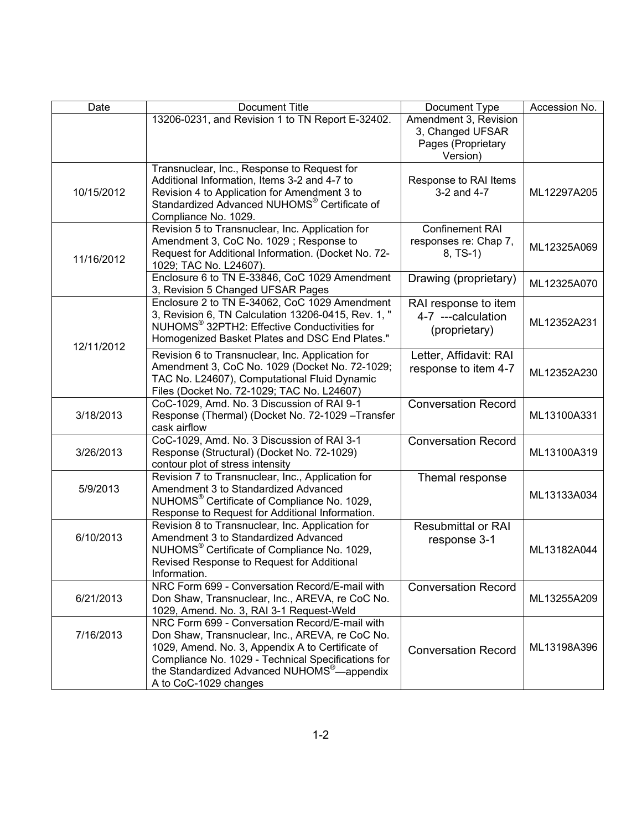| Date       | Document Title                                                                                                                                                                                                                                                                                  | Document Type                                                               | Accession No. |
|------------|-------------------------------------------------------------------------------------------------------------------------------------------------------------------------------------------------------------------------------------------------------------------------------------------------|-----------------------------------------------------------------------------|---------------|
|            | 13206-0231, and Revision 1 to TN Report E-32402.                                                                                                                                                                                                                                                | Amendment 3, Revision<br>3, Changed UFSAR<br>Pages (Proprietary<br>Version) |               |
| 10/15/2012 | Transnuclear, Inc., Response to Request for<br>Additional Information, Items 3-2 and 4-7 to<br>Revision 4 to Application for Amendment 3 to<br>Standardized Advanced NUHOMS <sup>®</sup> Certificate of<br>Compliance No. 1029.                                                                 | Response to RAI Items<br>3-2 and 4-7                                        | ML12297A205   |
| 11/16/2012 | Revision 5 to Transnuclear, Inc. Application for<br>Amendment 3, CoC No. 1029; Response to<br>Request for Additional Information. (Docket No. 72-<br>1029; TAC No. L24607).                                                                                                                     | <b>Confinement RAI</b><br>responses re: Chap 7,<br>$8, TS-1)$               | ML12325A069   |
|            | Enclosure 6 to TN E-33846, CoC 1029 Amendment<br>3, Revision 5 Changed UFSAR Pages                                                                                                                                                                                                              | Drawing (proprietary)                                                       | ML12325A070   |
| 12/11/2012 | Enclosure 2 to TN E-34062, CoC 1029 Amendment<br>3, Revision 6, TN Calculation 13206-0415, Rev. 1, "<br>NUHOMS® 32PTH2: Effective Conductivities for<br>Homogenized Basket Plates and DSC End Plates."                                                                                          | RAI response to item<br>4-7 ---calculation<br>(proprietary)                 | ML12352A231   |
|            | Revision 6 to Transnuclear, Inc. Application for<br>Amendment 3, CoC No. 1029 (Docket No. 72-1029;<br>TAC No. L24607), Computational Fluid Dynamic<br>Files (Docket No. 72-1029; TAC No. L24607)                                                                                                | Letter, Affidavit: RAI<br>response to item 4-7                              | ML12352A230   |
| 3/18/2013  | CoC-1029, Amd. No. 3 Discussion of RAI 9-1<br>Response (Thermal) (Docket No. 72-1029 - Transfer<br>cask airflow                                                                                                                                                                                 | <b>Conversation Record</b>                                                  | ML13100A331   |
| 3/26/2013  | CoC-1029, Amd. No. 3 Discussion of RAI 3-1<br>Response (Structural) (Docket No. 72-1029)<br>contour plot of stress intensity                                                                                                                                                                    | <b>Conversation Record</b>                                                  | ML13100A319   |
| 5/9/2013   | Revision 7 to Transnuclear, Inc., Application for<br>Amendment 3 to Standardized Advanced<br>NUHOMS <sup>®</sup> Certificate of Compliance No. 1029,<br>Response to Request for Additional Information.                                                                                         | Themal response                                                             | ML13133A034   |
| 6/10/2013  | Revision 8 to Transnuclear, Inc. Application for<br>Amendment 3 to Standardized Advanced<br>NUHOMS <sup>®</sup> Certificate of Compliance No. 1029,<br>Revised Response to Request for Additional<br>Information.                                                                               | <b>Resubmittal or RAI</b><br>response 3-1                                   | ML13182A044   |
| 6/21/2013  | NRC Form 699 - Conversation Record/E-mail with<br>Don Shaw, Transnuclear, Inc., AREVA, re CoC No.<br>1029, Amend. No. 3, RAI 3-1 Request-Weld                                                                                                                                                   | <b>Conversation Record</b>                                                  | ML13255A209   |
| 7/16/2013  | NRC Form 699 - Conversation Record/E-mail with<br>Don Shaw, Transnuclear, Inc., AREVA, re CoC No.<br>1029, Amend. No. 3, Appendix A to Certificate of<br>Compliance No. 1029 - Technical Specifications for<br>the Standardized Advanced NUHOMS <sup>®</sup> —appendix<br>A to CoC-1029 changes | <b>Conversation Record</b>                                                  | ML13198A396   |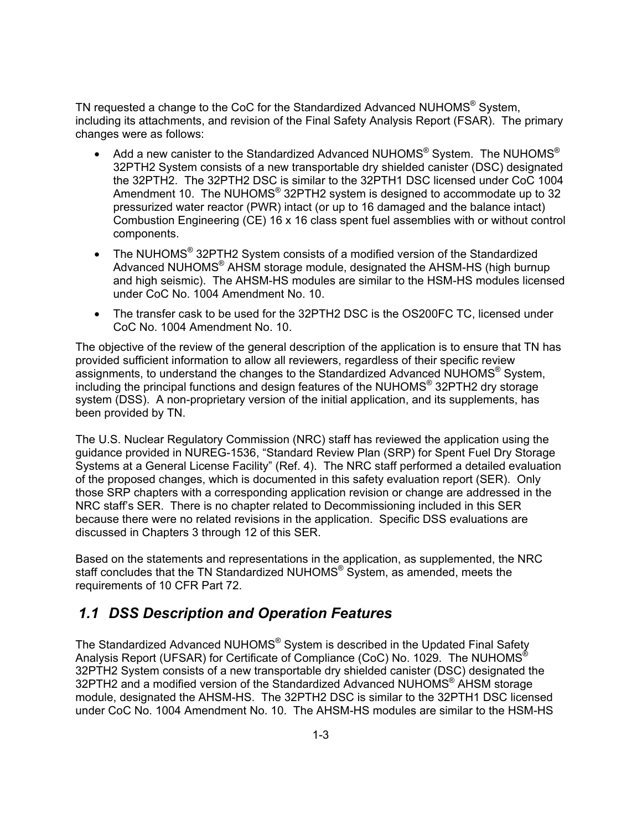TN requested a change to the CoC for the Standardized Advanced NUHOMS<sup>®</sup> System, including its attachments, and revision of the Final Safety Analysis Report (FSAR). The primary changes were as follows:

- Add a new canister to the Standardized Advanced NUHOMS<sup>®</sup> System. The NUHOMS<sup>®</sup> 32PTH2 System consists of a new transportable dry shielded canister (DSC) designated the 32PTH2. The 32PTH2 DSC is similar to the 32PTH1 DSC licensed under CoC 1004 Amendment 10. The NUHOMS<sup>®</sup> 32PTH2 system is designed to accommodate up to 32 pressurized water reactor (PWR) intact (or up to 16 damaged and the balance intact) Combustion Engineering (CE) 16 x 16 class spent fuel assemblies with or without control components.
- The NUHOMS<sup>®</sup> 32PTH2 System consists of a modified version of the Standardized Advanced NUHOMS® AHSM storage module, designated the AHSM-HS (high burnup and high seismic). The AHSM-HS modules are similar to the HSM-HS modules licensed under CoC No. 1004 Amendment No. 10.
- The transfer cask to be used for the 32PTH2 DSC is the OS200FC TC, licensed under CoC No. 1004 Amendment No. 10.

The objective of the review of the general description of the application is to ensure that TN has provided sufficient information to allow all reviewers, regardless of their specific review assignments, to understand the changes to the Standardized Advanced NUHOMS® System, including the principal functions and design features of the NUHOMS® 32PTH2 dry storage system (DSS). A non-proprietary version of the initial application, and its supplements, has been provided by TN.

The U.S. Nuclear Regulatory Commission (NRC) staff has reviewed the application using the guidance provided in NUREG-1536, "Standard Review Plan (SRP) for Spent Fuel Dry Storage Systems at a General License Facility" (Ref. 4). The NRC staff performed a detailed evaluation of the proposed changes, which is documented in this safety evaluation report (SER). Only those SRP chapters with a corresponding application revision or change are addressed in the NRC staff's SER. There is no chapter related to Decommissioning included in this SER because there were no related revisions in the application. Specific DSS evaluations are discussed in Chapters 3 through 12 of this SER.

Based on the statements and representations in the application, as supplemented, the NRC staff concludes that the TN Standardized NUHOMS® System, as amended, meets the requirements of 10 CFR Part 72.

### *1.1 DSS Description and Operation Features*

The Standardized Advanced NUHOMS<sup>®</sup> System is described in the Updated Final Safety Analysis Report (UFSAR) for Certificate of Compliance (CoC) No. 1029. The NUHOMS® 32PTH2 System consists of a new transportable dry shielded canister (DSC) designated the 32PTH2 and a modified version of the Standardized Advanced NUHOMS® AHSM storage module, designated the AHSM-HS. The 32PTH2 DSC is similar to the 32PTH1 DSC licensed under CoC No. 1004 Amendment No. 10. The AHSM-HS modules are similar to the HSM-HS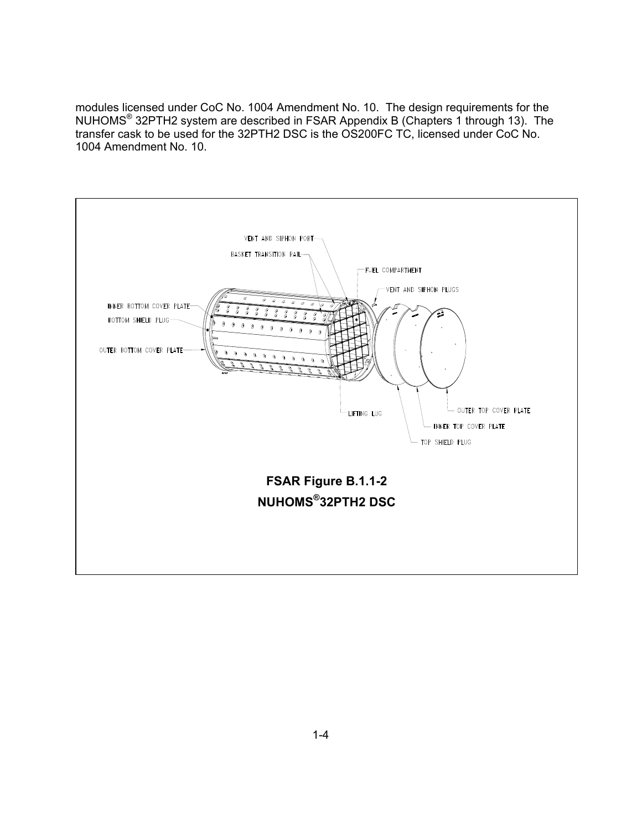modules licensed under CoC No. 1004 Amendment No. 10. The design requirements for the NUHOMS<sup>®</sup> 32PTH2 system are described in FSAR Appendix B (Chapters 1 through 13). The transfer cask to be used for the 32PTH2 DSC is the OS200FC TC, licensed under CoC No. 1004 Amendment No. 10.

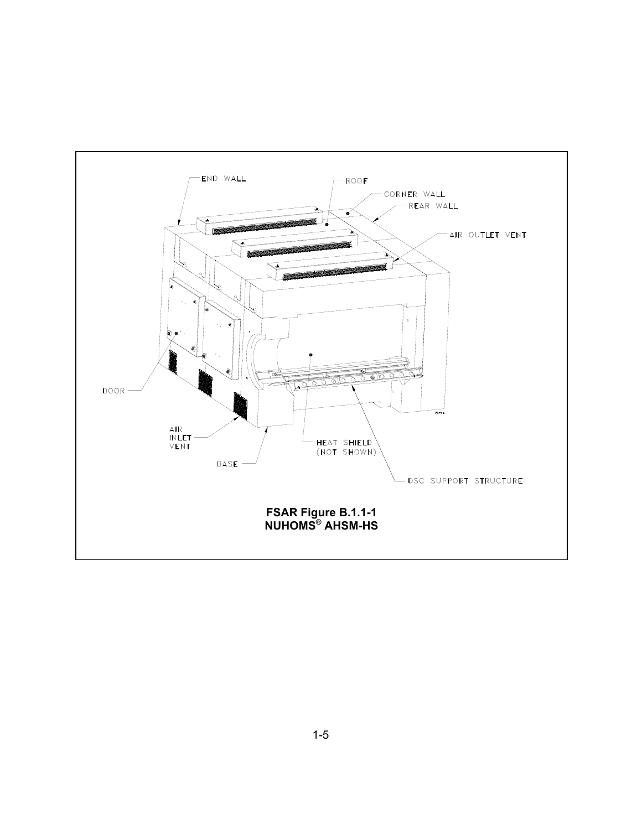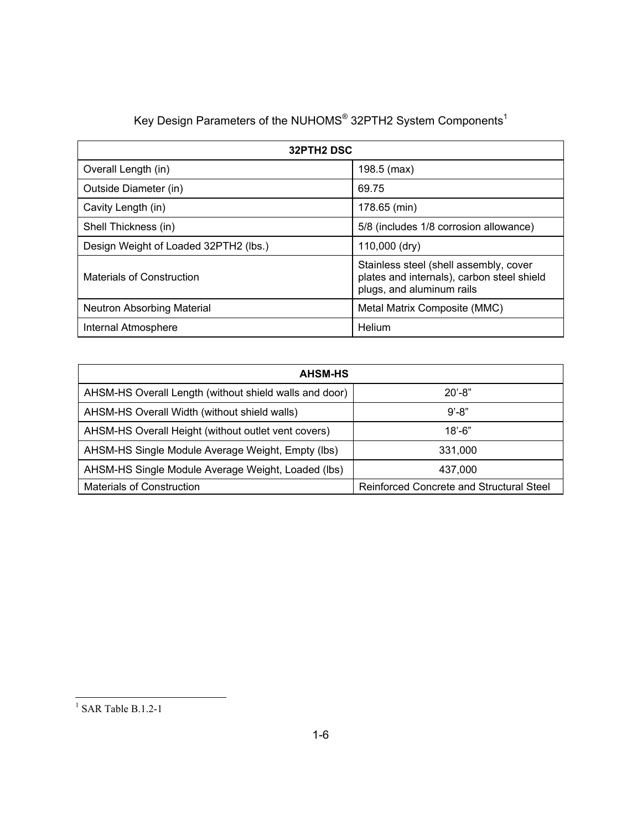| Key Design Parameters of the NUHOMS® 32PTH2 System Components <sup>1</sup> |  |  |  |  |  |
|----------------------------------------------------------------------------|--|--|--|--|--|
|----------------------------------------------------------------------------|--|--|--|--|--|

| 32PTH2 DSC                            |                                                                                                                   |  |
|---------------------------------------|-------------------------------------------------------------------------------------------------------------------|--|
| Overall Length (in)                   | 198.5 (max)                                                                                                       |  |
| Outside Diameter (in)                 | 69.75                                                                                                             |  |
| Cavity Length (in)                    | 178.65 (min)                                                                                                      |  |
| Shell Thickness (in)                  | 5/8 (includes 1/8 corrosion allowance)                                                                            |  |
| Design Weight of Loaded 32PTH2 (lbs.) | 110,000 (dry)                                                                                                     |  |
| <b>Materials of Construction</b>      | Stainless steel (shell assembly, cover<br>plates and internals), carbon steel shield<br>plugs, and aluminum rails |  |
| Neutron Absorbing Material            | Metal Matrix Composite (MMC)                                                                                      |  |
| Internal Atmosphere                   | Helium                                                                                                            |  |

| <b>AHSM-HS</b>                                         |                                          |
|--------------------------------------------------------|------------------------------------------|
| AHSM-HS Overall Length (without shield walls and door) | $20' - 8"$                               |
| AHSM-HS Overall Width (without shield walls)           | $9' - 8"$                                |
| AHSM-HS Overall Height (without outlet vent covers)    | $18' - 6"$                               |
| AHSM-HS Single Module Average Weight, Empty (lbs)      | 331,000                                  |
| AHSM-HS Single Module Average Weight, Loaded (lbs)     | 437,000                                  |
| <b>Materials of Construction</b>                       | Reinforced Concrete and Structural Steel |

 $\frac{1}{1}$  SAR Table B.1.2-1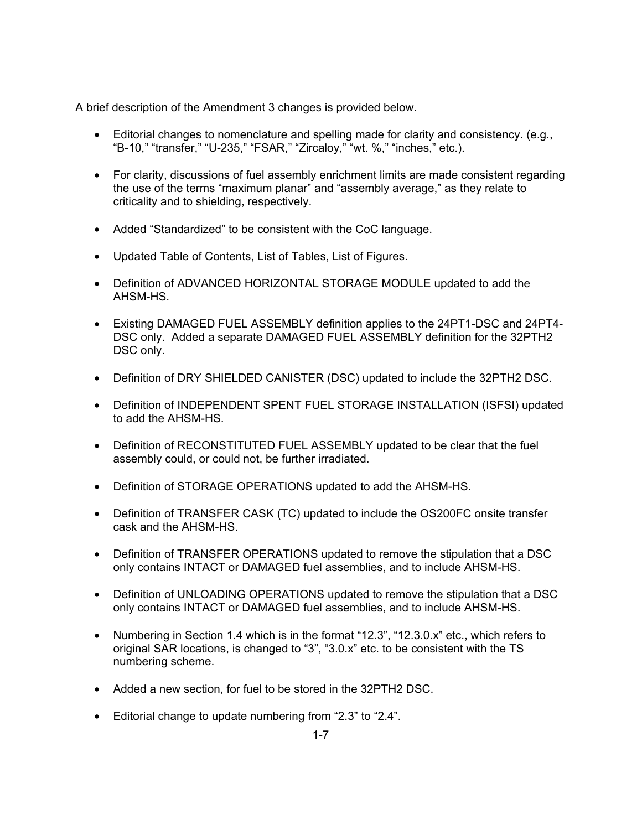A brief description of the Amendment 3 changes is provided below.

- Editorial changes to nomenclature and spelling made for clarity and consistency. (e.g., "B-10," "transfer," "U-235," "FSAR," "Zircaloy," "wt. %," "inches," etc.).
- For clarity, discussions of fuel assembly enrichment limits are made consistent regarding the use of the terms "maximum planar" and "assembly average," as they relate to criticality and to shielding, respectively.
- Added "Standardized" to be consistent with the CoC language.
- Updated Table of Contents, List of Tables, List of Figures.
- Definition of ADVANCED HORIZONTAL STORAGE MODULE updated to add the AHSM-HS.
- Existing DAMAGED FUEL ASSEMBLY definition applies to the 24PT1-DSC and 24PT4- DSC only. Added a separate DAMAGED FUEL ASSEMBLY definition for the 32PTH2 DSC only.
- Definition of DRY SHIELDED CANISTER (DSC) updated to include the 32PTH2 DSC.
- Definition of INDEPENDENT SPENT FUEL STORAGE INSTALLATION (ISFSI) updated to add the AHSM-HS.
- Definition of RECONSTITUTED FUEL ASSEMBLY updated to be clear that the fuel assembly could, or could not, be further irradiated.
- Definition of STORAGE OPERATIONS updated to add the AHSM-HS.
- Definition of TRANSFER CASK (TC) updated to include the OS200FC onsite transfer cask and the AHSM-HS.
- Definition of TRANSFER OPERATIONS updated to remove the stipulation that a DSC only contains INTACT or DAMAGED fuel assemblies, and to include AHSM-HS.
- Definition of UNLOADING OPERATIONS updated to remove the stipulation that a DSC only contains INTACT or DAMAGED fuel assemblies, and to include AHSM-HS.
- Numbering in Section 1.4 which is in the format "12.3", "12.3.0.x" etc., which refers to original SAR locations, is changed to "3", "3.0.x" etc. to be consistent with the TS numbering scheme.
- Added a new section, for fuel to be stored in the 32PTH2 DSC.
- Editorial change to update numbering from "2.3" to "2.4".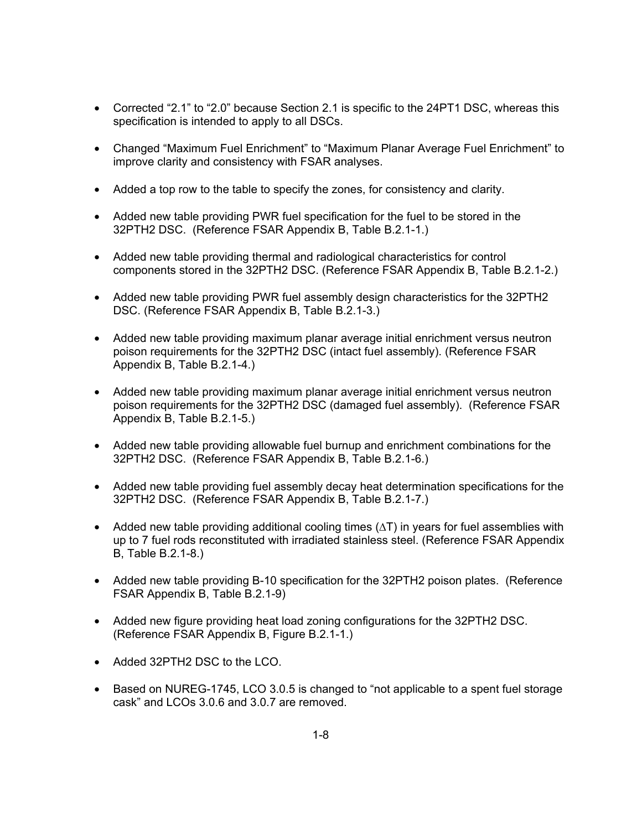- Corrected "2.1" to "2.0" because Section 2.1 is specific to the 24PT1 DSC, whereas this specification is intended to apply to all DSCs.
- Changed "Maximum Fuel Enrichment" to "Maximum Planar Average Fuel Enrichment" to improve clarity and consistency with FSAR analyses.
- Added a top row to the table to specify the zones, for consistency and clarity.
- Added new table providing PWR fuel specification for the fuel to be stored in the 32PTH2 DSC. (Reference FSAR Appendix B, Table B.2.1-1.)
- Added new table providing thermal and radiological characteristics for control components stored in the 32PTH2 DSC. (Reference FSAR Appendix B, Table B.2.1-2.)
- Added new table providing PWR fuel assembly design characteristics for the 32PTH2 DSC. (Reference FSAR Appendix B, Table B.2.1-3.)
- Added new table providing maximum planar average initial enrichment versus neutron poison requirements for the 32PTH2 DSC (intact fuel assembly). (Reference FSAR Appendix B, Table B.2.1-4.)
- Added new table providing maximum planar average initial enrichment versus neutron poison requirements for the 32PTH2 DSC (damaged fuel assembly). (Reference FSAR Appendix B, Table B.2.1-5.)
- Added new table providing allowable fuel burnup and enrichment combinations for the 32PTH2 DSC. (Reference FSAR Appendix B, Table B.2.1-6.)
- Added new table providing fuel assembly decay heat determination specifications for the 32PTH2 DSC. (Reference FSAR Appendix B, Table B.2.1-7.)
- Added new table providing additional cooling times (∆T) in years for fuel assemblies with up to 7 fuel rods reconstituted with irradiated stainless steel. (Reference FSAR Appendix B, Table B.2.1-8.)
- Added new table providing B-10 specification for the 32PTH2 poison plates. (Reference FSAR Appendix B, Table B.2.1-9)
- Added new figure providing heat load zoning configurations for the 32PTH2 DSC. (Reference FSAR Appendix B, Figure B.2.1-1.)
- Added 32PTH2 DSC to the LCO.
- Based on NUREG-1745, LCO 3.0.5 is changed to "not applicable to a spent fuel storage cask" and LCOs 3.0.6 and 3.0.7 are removed.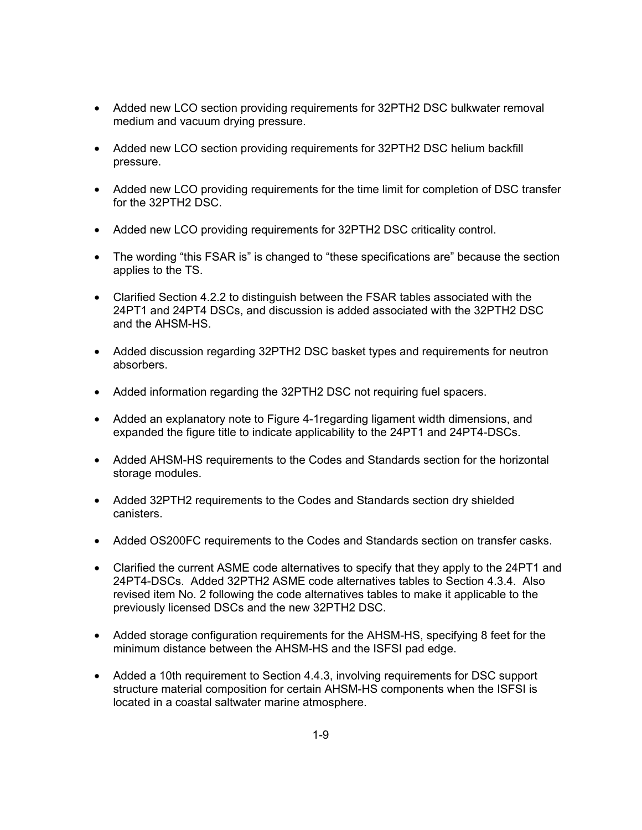- Added new LCO section providing requirements for 32PTH2 DSC bulkwater removal medium and vacuum drying pressure.
- Added new LCO section providing requirements for 32PTH2 DSC helium backfill pressure.
- Added new LCO providing requirements for the time limit for completion of DSC transfer for the 32PTH2 DSC.
- Added new LCO providing requirements for 32PTH2 DSC criticality control.
- The wording "this FSAR is" is changed to "these specifications are" because the section applies to the TS.
- Clarified Section 4.2.2 to distinguish between the FSAR tables associated with the 24PT1 and 24PT4 DSCs, and discussion is added associated with the 32PTH2 DSC and the AHSM-HS.
- Added discussion regarding 32PTH2 DSC basket types and requirements for neutron absorbers.
- Added information regarding the 32PTH2 DSC not requiring fuel spacers.
- Added an explanatory note to Figure 4-1regarding ligament width dimensions, and expanded the figure title to indicate applicability to the 24PT1 and 24PT4-DSCs.
- Added AHSM-HS requirements to the Codes and Standards section for the horizontal storage modules.
- Added 32PTH2 requirements to the Codes and Standards section dry shielded canisters.
- Added OS200FC requirements to the Codes and Standards section on transfer casks.
- Clarified the current ASME code alternatives to specify that they apply to the 24PT1 and 24PT4-DSCs. Added 32PTH2 ASME code alternatives tables to Section 4.3.4. Also revised item No. 2 following the code alternatives tables to make it applicable to the previously licensed DSCs and the new 32PTH2 DSC.
- Added storage configuration requirements for the AHSM-HS, specifying 8 feet for the minimum distance between the AHSM-HS and the ISFSI pad edge.
- Added a 10th requirement to Section 4.4.3, involving requirements for DSC support structure material composition for certain AHSM-HS components when the ISFSI is located in a coastal saltwater marine atmosphere.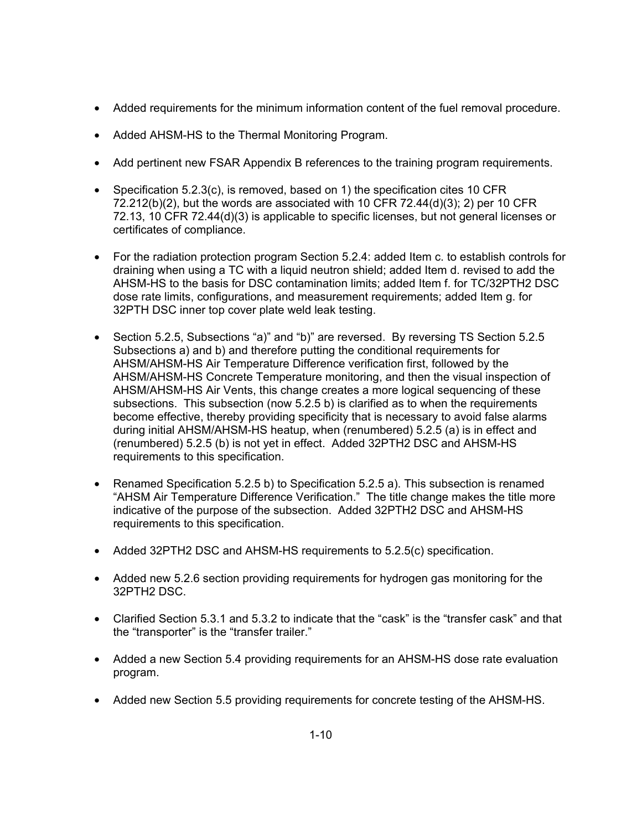- Added requirements for the minimum information content of the fuel removal procedure.
- Added AHSM-HS to the Thermal Monitoring Program.
- Add pertinent new FSAR Appendix B references to the training program requirements.
- Specification 5.2.3(c), is removed, based on 1) the specification cites 10 CFR  $72.212(b)(2)$ , but the words are associated with 10 CFR  $72.44(d)(3)$ ; 2) per 10 CFR 72.13, 10 CFR 72.44(d)(3) is applicable to specific licenses, but not general licenses or certificates of compliance.
- For the radiation protection program Section 5.2.4: added Item c. to establish controls for draining when using a TC with a liquid neutron shield; added Item d. revised to add the AHSM-HS to the basis for DSC contamination limits; added Item f. for TC/32PTH2 DSC dose rate limits, configurations, and measurement requirements; added Item g. for 32PTH DSC inner top cover plate weld leak testing.
- Section 5.2.5, Subsections "a)" and "b)" are reversed. By reversing TS Section 5.2.5 Subsections a) and b) and therefore putting the conditional requirements for AHSM/AHSM-HS Air Temperature Difference verification first, followed by the AHSM/AHSM-HS Concrete Temperature monitoring, and then the visual inspection of AHSM/AHSM-HS Air Vents, this change creates a more logical sequencing of these subsections. This subsection (now 5.2.5 b) is clarified as to when the requirements become effective, thereby providing specificity that is necessary to avoid false alarms during initial AHSM/AHSM-HS heatup, when (renumbered) 5.2.5 (a) is in effect and (renumbered) 5.2.5 (b) is not yet in effect. Added 32PTH2 DSC and AHSM-HS requirements to this specification.
- Renamed Specification 5.2.5 b) to Specification 5.2.5 a). This subsection is renamed "AHSM Air Temperature Difference Verification." The title change makes the title more indicative of the purpose of the subsection. Added 32PTH2 DSC and AHSM-HS requirements to this specification.
- Added 32PTH2 DSC and AHSM-HS requirements to 5.2.5(c) specification.
- Added new 5.2.6 section providing requirements for hydrogen gas monitoring for the 32PTH2 DSC.
- Clarified Section 5.3.1 and 5.3.2 to indicate that the "cask" is the "transfer cask" and that the "transporter" is the "transfer trailer."
- Added a new Section 5.4 providing requirements for an AHSM-HS dose rate evaluation program.
- Added new Section 5.5 providing requirements for concrete testing of the AHSM-HS.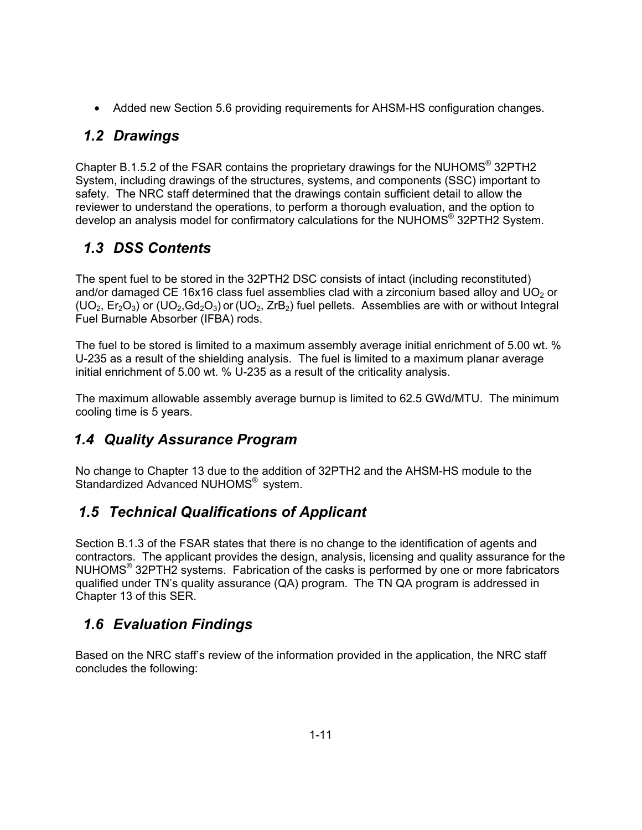• Added new Section 5.6 providing requirements for AHSM-HS configuration changes.

# *1.2 Drawings*

Chapter B.1.5.2 of the FSAR contains the proprietary drawings for the NUHOMS® 32PTH2 System, including drawings of the structures, systems, and components (SSC) important to safety. The NRC staff determined that the drawings contain sufficient detail to allow the reviewer to understand the operations, to perform a thorough evaluation, and the option to develop an analysis model for confirmatory calculations for the NUHOMS® 32PTH2 System.

# *1.3 DSS Contents*

The spent fuel to be stored in the 32PTH2 DSC consists of intact (including reconstituted) and/or damaged CE 16x16 class fuel assemblies clad with a zirconium based alloy and UO<sub>2</sub> or  $(UO_2, Er_2O_3)$  or  $(UO_2, Gd_2O_3)$  or  $(UO_2, ZrB_2)$  fuel pellets. Assemblies are with or without Integral Fuel Burnable Absorber (IFBA) rods.

The fuel to be stored is limited to a maximum assembly average initial enrichment of 5.00 wt. % U-235 as a result of the shielding analysis. The fuel is limited to a maximum planar average initial enrichment of 5.00 wt. % U-235 as a result of the criticality analysis.

The maximum allowable assembly average burnup is limited to 62.5 GWd/MTU. The minimum cooling time is 5 years.

# *1.4 Quality Assurance Program*

No change to Chapter 13 due to the addition of 32PTH2 and the AHSM-HS module to the Standardized Advanced NUHOMS<sup>®</sup> system.

# *1.5 Technical Qualifications of Applicant*

Section B.1.3 of the FSAR states that there is no change to the identification of agents and contractors. The applicant provides the design, analysis, licensing and quality assurance for the NUHOMS<sup>®</sup> 32PTH2 systems. Fabrication of the casks is performed by one or more fabricators qualified under TN's quality assurance (QA) program. The TN QA program is addressed in Chapter 13 of this SER.

# *1.6 Evaluation Findings*

Based on the NRC staff's review of the information provided in the application, the NRC staff concludes the following: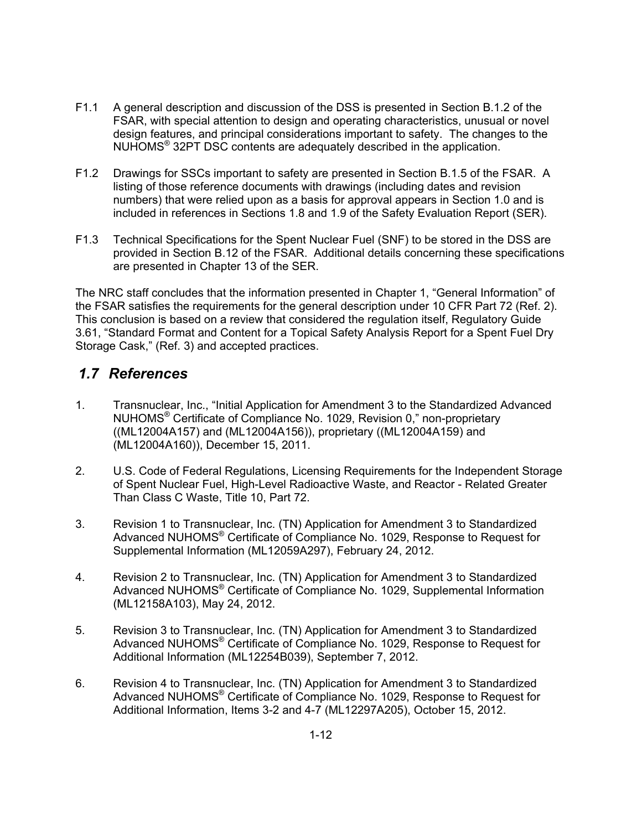- F1.1 A general description and discussion of the DSS is presented in Section B.1.2 of the FSAR, with special attention to design and operating characteristics, unusual or novel design features, and principal considerations important to safety. The changes to the NUHOMS® 32PT DSC contents are adequately described in the application.
- F1.2 Drawings for SSCs important to safety are presented in Section B.1.5 of the FSAR. A listing of those reference documents with drawings (including dates and revision numbers) that were relied upon as a basis for approval appears in Section 1.0 and is included in references in Sections 1.8 and 1.9 of the Safety Evaluation Report (SER).
- F1.3 Technical Specifications for the Spent Nuclear Fuel (SNF) to be stored in the DSS are provided in Section B.12 of the FSAR. Additional details concerning these specifications are presented in Chapter 13 of the SER.

The NRC staff concludes that the information presented in Chapter 1, "General Information" of the FSAR satisfies the requirements for the general description under 10 CFR Part 72 (Ref. 2). This conclusion is based on a review that considered the regulation itself, Regulatory Guide 3.61, "Standard Format and Content for a Topical Safety Analysis Report for a Spent Fuel Dry Storage Cask," (Ref. 3) and accepted practices.

## *1.7 References*

- 1. Transnuclear, Inc., "Initial Application for Amendment 3 to the Standardized Advanced NUHOMS® Certificate of Compliance No. 1029, Revision 0," non-proprietary ((ML12004A157) and (ML12004A156)), proprietary ((ML12004A159) and (ML12004A160)), December 15, 2011.
- 2. U.S. Code of Federal Regulations, Licensing Requirements for the Independent Storage of Spent Nuclear Fuel, High-Level Radioactive Waste, and Reactor - Related Greater Than Class C Waste, Title 10, Part 72.
- 3. Revision 1 to Transnuclear, Inc. (TN) Application for Amendment 3 to Standardized Advanced NUHOMS® Certificate of Compliance No. 1029, Response to Request for Supplemental Information (ML12059A297), February 24, 2012.
- 4. Revision 2 to Transnuclear, Inc. (TN) Application for Amendment 3 to Standardized Advanced NUHOMS® Certificate of Compliance No. 1029, Supplemental Information (ML12158A103), May 24, 2012.
- 5. Revision 3 to Transnuclear, Inc. (TN) Application for Amendment 3 to Standardized Advanced NUHOMS® Certificate of Compliance No. 1029, Response to Request for Additional Information (ML12254B039), September 7, 2012.
- 6. Revision 4 to Transnuclear, Inc. (TN) Application for Amendment 3 to Standardized Advanced NUHOMS® Certificate of Compliance No. 1029, Response to Request for Additional Information, Items 3-2 and 4-7 (ML12297A205), October 15, 2012.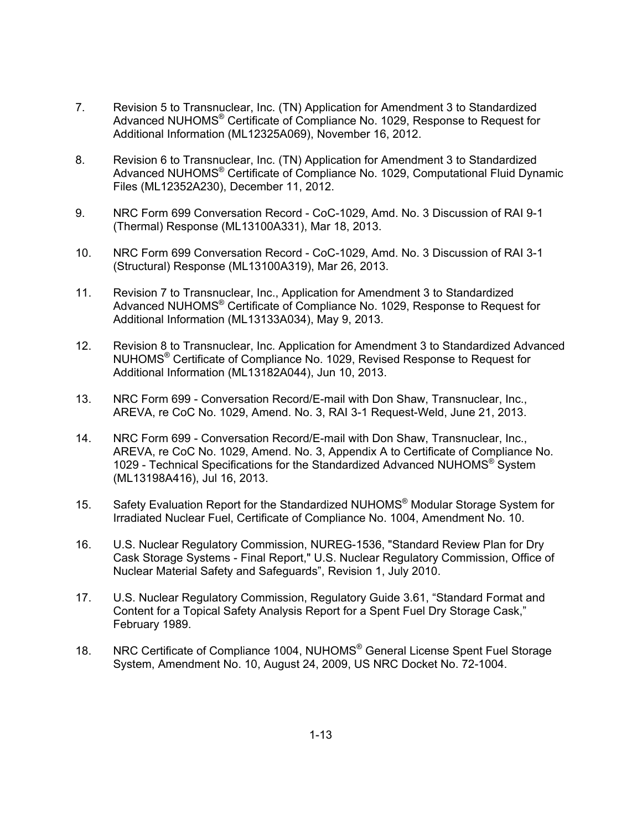- 7. Revision 5 to Transnuclear, Inc. (TN) Application for Amendment 3 to Standardized Advanced NUHOMS® Certificate of Compliance No. 1029, Response to Request for Additional Information (ML12325A069), November 16, 2012.
- 8. Revision 6 to Transnuclear, Inc. (TN) Application for Amendment 3 to Standardized Advanced NUHOMS® Certificate of Compliance No. 1029, Computational Fluid Dynamic Files (ML12352A230), December 11, 2012.
- 9. NRC Form 699 Conversation Record CoC-1029, Amd. No. 3 Discussion of RAI 9-1 (Thermal) Response (ML13100A331), Mar 18, 2013.
- 10. NRC Form 699 Conversation Record CoC-1029, Amd. No. 3 Discussion of RAI 3-1 (Structural) Response (ML13100A319), Mar 26, 2013.
- 11. Revision 7 to Transnuclear, Inc., Application for Amendment 3 to Standardized Advanced NUHOMS® Certificate of Compliance No. 1029, Response to Request for Additional Information (ML13133A034), May 9, 2013.
- 12. Revision 8 to Transnuclear, Inc. Application for Amendment 3 to Standardized Advanced NUHOMS® Certificate of Compliance No. 1029, Revised Response to Request for Additional Information (ML13182A044), Jun 10, 2013.
- 13. NRC Form 699 Conversation Record/E-mail with Don Shaw, Transnuclear, Inc., AREVA, re CoC No. 1029, Amend. No. 3, RAI 3-1 Request-Weld, June 21, 2013.
- 14. NRC Form 699 Conversation Record/E-mail with Don Shaw, Transnuclear, Inc., AREVA, re CoC No. 1029, Amend. No. 3, Appendix A to Certificate of Compliance No. 1029 - Technical Specifications for the Standardized Advanced NUHOMS<sup>®</sup> System (ML13198A416), Jul 16, 2013.
- 15. Safety Evaluation Report for the Standardized NUHOMS<sup>®</sup> Modular Storage System for Irradiated Nuclear Fuel, Certificate of Compliance No. 1004, Amendment No. 10.
- 16. U.S. Nuclear Regulatory Commission, NUREG-1536, "Standard Review Plan for Dry Cask Storage Systems - Final Report," U.S. Nuclear Regulatory Commission, Office of Nuclear Material Safety and Safeguards", Revision 1, July 2010.
- 17. U.S. Nuclear Regulatory Commission, Regulatory Guide 3.61, "Standard Format and Content for a Topical Safety Analysis Report for a Spent Fuel Dry Storage Cask," February 1989.
- 18. NRC Certificate of Compliance 1004, NUHOMS<sup>®</sup> General License Spent Fuel Storage System, Amendment No. 10, August 24, 2009, US NRC Docket No. 72-1004.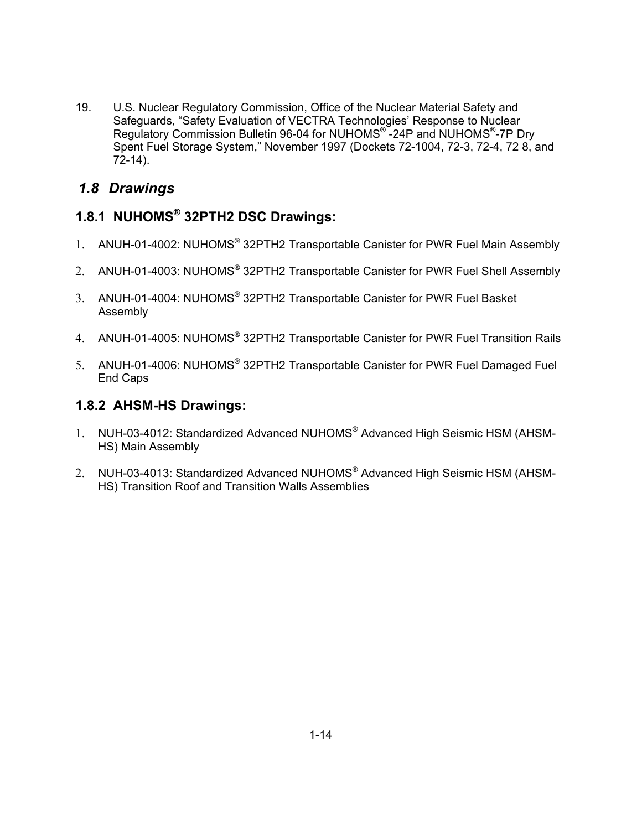19. U.S. Nuclear Regulatory Commission, Office of the Nuclear Material Safety and Safeguards, "Safety Evaluation of VECTRA Technologies' Response to Nuclear Regulatory Commission Bulletin 96-04 for NUHOMS® -24P and NUHOMS®-7P Dry Spent Fuel Storage System," November 1997 (Dockets 72-1004, 72-3, 72-4, 72 8, and 72-14).

# *1.8 Drawings*

## **1.8.1 NUHOMS® 32PTH2 DSC Drawings:**

- 1. ANUH-01-4002: NUHOMS® 32PTH2 Transportable Canister for PWR Fuel Main Assembly
- 2. ANUH-01-4003: NUHOMS<sup>®</sup> 32PTH2 Transportable Canister for PWR Fuel Shell Assembly
- 3. ANUH-01-4004: NUHOMS® 32PTH2 Transportable Canister for PWR Fuel Basket Assembly
- 4. ANUH-01-4005: NUHOMS® 32PTH2 Transportable Canister for PWR Fuel Transition Rails
- 5. ANUH-01-4006: NUHOMS® 32PTH2 Transportable Canister for PWR Fuel Damaged Fuel End Caps

### **1.8.2 AHSM-HS Drawings:**

- 1. NUH-03-4012: Standardized Advanced NUHOMS® Advanced High Seismic HSM (AHSM-HS) Main Assembly
- 2. NUH-03-4013: Standardized Advanced NUHOMS® Advanced High Seismic HSM (AHSM-HS) Transition Roof and Transition Walls Assemblies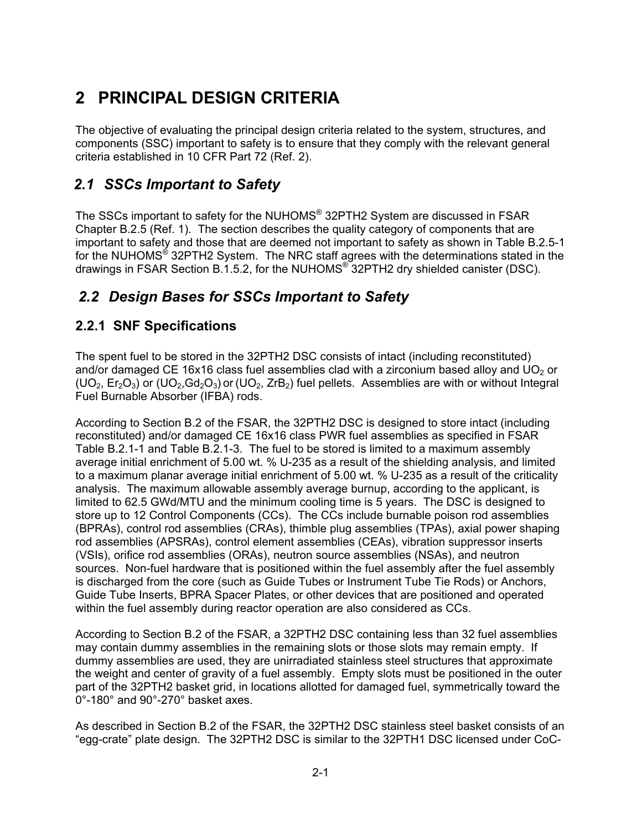# **2 PRINCIPAL DESIGN CRITERIA**

The objective of evaluating the principal design criteria related to the system, structures, and components (SSC) important to safety is to ensure that they comply with the relevant general criteria established in 10 CFR Part 72 (Ref. 2).

# *2.1 SSCs Important to Safety*

The SSCs important to safety for the NUHOMS® 32PTH2 System are discussed in FSAR Chapter B.2.5 (Ref. 1). The section describes the quality category of components that are important to safety and those that are deemed not important to safety as shown in Table B.2.5-1 for the NUHOMS® 32PTH2 System. The NRC staff agrees with the determinations stated in the drawings in FSAR Section B.1.5.2, for the NUHOMS® 32PTH2 dry shielded canister (DSC).

# *2.2 Design Bases for SSCs Important to Safety*

## **2.2.1 SNF Specifications**

The spent fuel to be stored in the 32PTH2 DSC consists of intact (including reconstituted) and/or damaged CE 16x16 class fuel assemblies clad with a zirconium based alloy and UO<sub>2</sub> or  $(UD_2, Er_2O_3)$  or  $(UD_2, Gd_2O_3)$  or  $(UD_2, ZrB_2)$  fuel pellets. Assemblies are with or without Integral Fuel Burnable Absorber (IFBA) rods.

According to Section B.2 of the FSAR, the 32PTH2 DSC is designed to store intact (including reconstituted) and/or damaged CE 16x16 class PWR fuel assemblies as specified in FSAR Table B.2.1-1 and Table B.2.1-3. The fuel to be stored is limited to a maximum assembly average initial enrichment of 5.00 wt. % U-235 as a result of the shielding analysis, and limited to a maximum planar average initial enrichment of 5.00 wt. % U-235 as a result of the criticality analysis. The maximum allowable assembly average burnup, according to the applicant, is limited to 62.5 GWd/MTU and the minimum cooling time is 5 years. The DSC is designed to store up to 12 Control Components (CCs). The CCs include burnable poison rod assemblies (BPRAs), control rod assemblies (CRAs), thimble plug assemblies (TPAs), axial power shaping rod assemblies (APSRAs), control element assemblies (CEAs), vibration suppressor inserts (VSIs), orifice rod assemblies (ORAs), neutron source assemblies (NSAs), and neutron sources. Non-fuel hardware that is positioned within the fuel assembly after the fuel assembly is discharged from the core (such as Guide Tubes or Instrument Tube Tie Rods) or Anchors, Guide Tube Inserts, BPRA Spacer Plates, or other devices that are positioned and operated within the fuel assembly during reactor operation are also considered as CCs.

According to Section B.2 of the FSAR, a 32PTH2 DSC containing less than 32 fuel assemblies may contain dummy assemblies in the remaining slots or those slots may remain empty. If dummy assemblies are used, they are unirradiated stainless steel structures that approximate the weight and center of gravity of a fuel assembly. Empty slots must be positioned in the outer part of the 32PTH2 basket grid, in locations allotted for damaged fuel, symmetrically toward the 0°-180° and 90°-270° basket axes.

As described in Section B.2 of the FSAR, the 32PTH2 DSC stainless steel basket consists of an "egg-crate" plate design. The 32PTH2 DSC is similar to the 32PTH1 DSC licensed under CoC-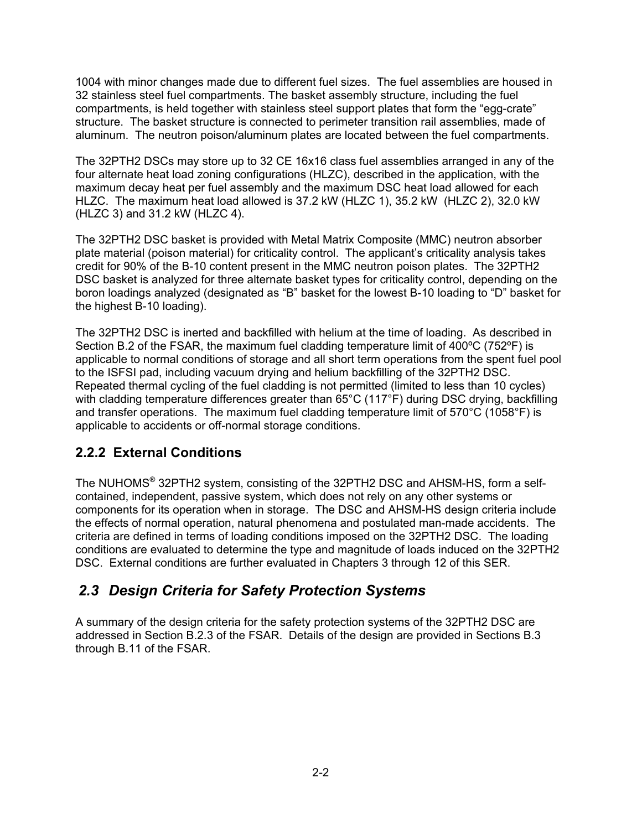1004 with minor changes made due to different fuel sizes. The fuel assemblies are housed in 32 stainless steel fuel compartments. The basket assembly structure, including the fuel compartments, is held together with stainless steel support plates that form the "egg-crate" structure. The basket structure is connected to perimeter transition rail assemblies, made of aluminum. The neutron poison/aluminum plates are located between the fuel compartments.

The 32PTH2 DSCs may store up to 32 CE 16x16 class fuel assemblies arranged in any of the four alternate heat load zoning configurations (HLZC), described in the application, with the maximum decay heat per fuel assembly and the maximum DSC heat load allowed for each HLZC. The maximum heat load allowed is 37.2 kW (HLZC 1), 35.2 kW (HLZC 2), 32.0 kW (HLZC 3) and 31.2 kW (HLZC 4).

The 32PTH2 DSC basket is provided with Metal Matrix Composite (MMC) neutron absorber plate material (poison material) for criticality control. The applicant's criticality analysis takes credit for 90% of the B-10 content present in the MMC neutron poison plates. The 32PTH2 DSC basket is analyzed for three alternate basket types for criticality control, depending on the boron loadings analyzed (designated as "B" basket for the lowest B-10 loading to "D" basket for the highest B-10 loading).

The 32PTH2 DSC is inerted and backfilled with helium at the time of loading. As described in Section B.2 of the FSAR, the maximum fuel cladding temperature limit of 400ºC (752ºF) is applicable to normal conditions of storage and all short term operations from the spent fuel pool to the ISFSI pad, including vacuum drying and helium backfilling of the 32PTH2 DSC. Repeated thermal cycling of the fuel cladding is not permitted (limited to less than 10 cycles) with cladding temperature differences greater than 65°C (117°F) during DSC drying, backfilling and transfer operations. The maximum fuel cladding temperature limit of 570°C (1058°F) is applicable to accidents or off-normal storage conditions.

# **2.2.2 External Conditions**

The NUHOMS® 32PTH2 system, consisting of the 32PTH2 DSC and AHSM-HS, form a selfcontained, independent, passive system, which does not rely on any other systems or components for its operation when in storage. The DSC and AHSM-HS design criteria include the effects of normal operation, natural phenomena and postulated man-made accidents. The criteria are defined in terms of loading conditions imposed on the 32PTH2 DSC. The loading conditions are evaluated to determine the type and magnitude of loads induced on the 32PTH2 DSC. External conditions are further evaluated in Chapters 3 through 12 of this SER.

# *2.3 Design Criteria for Safety Protection Systems*

A summary of the design criteria for the safety protection systems of the 32PTH2 DSC are addressed in Section B.2.3 of the FSAR. Details of the design are provided in Sections B.3 through B.11 of the FSAR.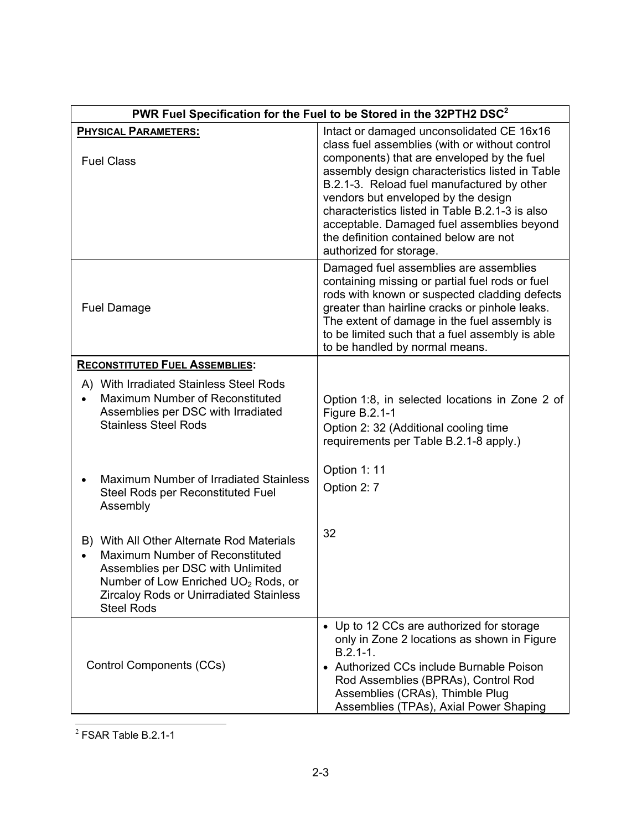| PWR Fuel Specification for the Fuel to be Stored in the 32PTH2 DSC <sup>2</sup>                                                                                                                                                             |                                                                                                                                                                                                                                                                                                                                                                                                                                                         |  |
|---------------------------------------------------------------------------------------------------------------------------------------------------------------------------------------------------------------------------------------------|---------------------------------------------------------------------------------------------------------------------------------------------------------------------------------------------------------------------------------------------------------------------------------------------------------------------------------------------------------------------------------------------------------------------------------------------------------|--|
| <b>PHYSICAL PARAMETERS:</b><br><b>Fuel Class</b>                                                                                                                                                                                            | Intact or damaged unconsolidated CE 16x16<br>class fuel assemblies (with or without control<br>components) that are enveloped by the fuel<br>assembly design characteristics listed in Table<br>B.2.1-3. Reload fuel manufactured by other<br>vendors but enveloped by the design<br>characteristics listed in Table B.2.1-3 is also<br>acceptable. Damaged fuel assemblies beyond<br>the definition contained below are not<br>authorized for storage. |  |
| <b>Fuel Damage</b>                                                                                                                                                                                                                          | Damaged fuel assemblies are assemblies<br>containing missing or partial fuel rods or fuel<br>rods with known or suspected cladding defects<br>greater than hairline cracks or pinhole leaks.<br>The extent of damage in the fuel assembly is<br>to be limited such that a fuel assembly is able<br>to be handled by normal means.                                                                                                                       |  |
| <b>RECONSTITUTED FUEL ASSEMBLIES:</b>                                                                                                                                                                                                       |                                                                                                                                                                                                                                                                                                                                                                                                                                                         |  |
| A) With Irradiated Stainless Steel Rods<br>Maximum Number of Reconstituted<br>Assemblies per DSC with Irradiated<br><b>Stainless Steel Rods</b>                                                                                             | Option 1:8, in selected locations in Zone 2 of<br>Figure B.2.1-1<br>Option 2: 32 (Additional cooling time<br>requirements per Table B.2.1-8 apply.)                                                                                                                                                                                                                                                                                                     |  |
| Maximum Number of Irradiated Stainless<br>Steel Rods per Reconstituted Fuel<br>Assembly                                                                                                                                                     | Option 1: 11<br>Option 2: 7                                                                                                                                                                                                                                                                                                                                                                                                                             |  |
| B) With All Other Alternate Rod Materials<br>Maximum Number of Reconstituted<br>Assemblies per DSC with Unlimited<br>Number of Low Enriched UO <sub>2</sub> Rods, or<br><b>Zircaloy Rods or Unirradiated Stainless</b><br><b>Steel Rods</b> | 32                                                                                                                                                                                                                                                                                                                                                                                                                                                      |  |
| Control Components (CCs)                                                                                                                                                                                                                    | • Up to 12 CCs are authorized for storage<br>only in Zone 2 locations as shown in Figure<br>$B.2.1 - 1.$<br>• Authorized CCs include Burnable Poison<br>Rod Assemblies (BPRAs), Control Rod<br>Assemblies (CRAs), Thimble Plug<br>Assemblies (TPAs), Axial Power Shaping                                                                                                                                                                                |  |

 $2$  FSAR Table B.2.1-1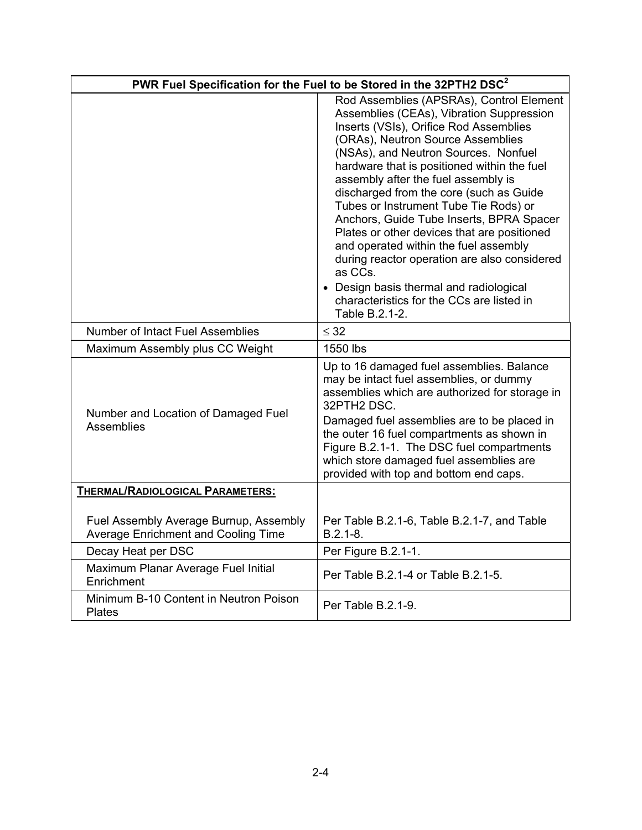|                                                                               | PWR Fuel Specification for the Fuel to be Stored in the 32PTH2 DSC <sup>2</sup>                                                                                                                                                                                                                                                                                                                                                                                                                                                                                                                                                                                                                |
|-------------------------------------------------------------------------------|------------------------------------------------------------------------------------------------------------------------------------------------------------------------------------------------------------------------------------------------------------------------------------------------------------------------------------------------------------------------------------------------------------------------------------------------------------------------------------------------------------------------------------------------------------------------------------------------------------------------------------------------------------------------------------------------|
|                                                                               | Rod Assemblies (APSRAs), Control Element<br>Assemblies (CEAs), Vibration Suppression<br>Inserts (VSIs), Orifice Rod Assemblies<br>(ORAs), Neutron Source Assemblies<br>(NSAs), and Neutron Sources. Nonfuel<br>hardware that is positioned within the fuel<br>assembly after the fuel assembly is<br>discharged from the core (such as Guide<br>Tubes or Instrument Tube Tie Rods) or<br>Anchors, Guide Tube Inserts, BPRA Spacer<br>Plates or other devices that are positioned<br>and operated within the fuel assembly<br>during reactor operation are also considered<br>as CCs.<br>• Design basis thermal and radiological<br>characteristics for the CCs are listed in<br>Table B.2.1-2. |
| <b>Number of Intact Fuel Assemblies</b>                                       | $\leq$ 32                                                                                                                                                                                                                                                                                                                                                                                                                                                                                                                                                                                                                                                                                      |
| Maximum Assembly plus CC Weight                                               | 1550 lbs                                                                                                                                                                                                                                                                                                                                                                                                                                                                                                                                                                                                                                                                                       |
| Number and Location of Damaged Fuel<br><b>Assemblies</b>                      | Up to 16 damaged fuel assemblies. Balance<br>may be intact fuel assemblies, or dummy<br>assemblies which are authorized for storage in<br>32PTH2 DSC.<br>Damaged fuel assemblies are to be placed in<br>the outer 16 fuel compartments as shown in<br>Figure B.2.1-1. The DSC fuel compartments<br>which store damaged fuel assemblies are<br>provided with top and bottom end caps.                                                                                                                                                                                                                                                                                                           |
| <b>THERMAL/RADIOLOGICAL PARAMETERS:</b>                                       |                                                                                                                                                                                                                                                                                                                                                                                                                                                                                                                                                                                                                                                                                                |
| Fuel Assembly Average Burnup, Assembly<br>Average Enrichment and Cooling Time | Per Table B.2.1-6, Table B.2.1-7, and Table<br>$B.2.1 - 8.$                                                                                                                                                                                                                                                                                                                                                                                                                                                                                                                                                                                                                                    |
| Decay Heat per DSC                                                            | Per Figure B.2.1-1.                                                                                                                                                                                                                                                                                                                                                                                                                                                                                                                                                                                                                                                                            |
| Maximum Planar Average Fuel Initial<br>Enrichment                             | Per Table B.2.1-4 or Table B.2.1-5.                                                                                                                                                                                                                                                                                                                                                                                                                                                                                                                                                                                                                                                            |
| Minimum B-10 Content in Neutron Poison<br><b>Plates</b>                       | Per Table B.2.1-9.                                                                                                                                                                                                                                                                                                                                                                                                                                                                                                                                                                                                                                                                             |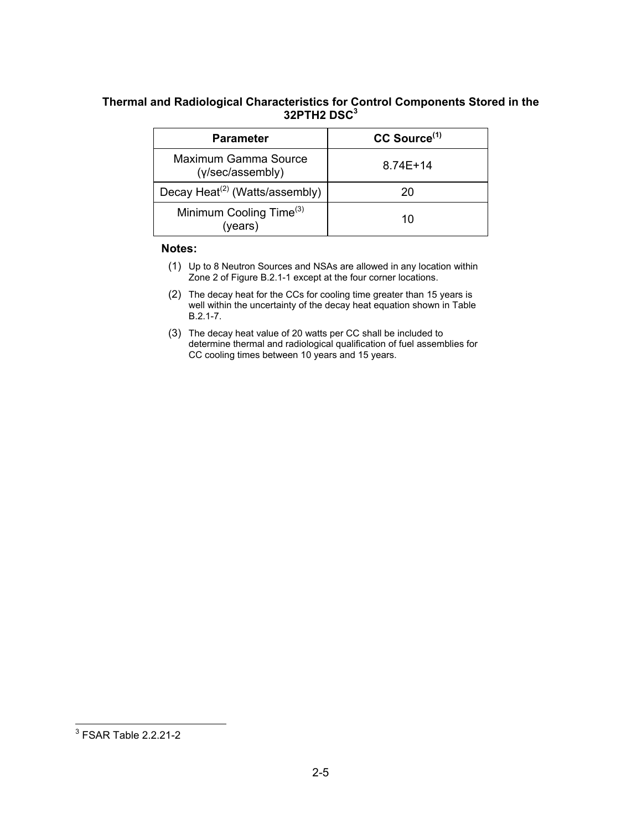### **Thermal and Radiological Characteristics for Control Components Stored in the 32PTH2 DSC3**

| <b>Parameter</b>                               | CC Source <sup>(1)</sup> |
|------------------------------------------------|--------------------------|
| Maximum Gamma Source<br>(y/sec/assembly)       | $8.74E + 14$             |
| Decay Heat <sup>(2)</sup> (Watts/assembly)     | 20                       |
| Minimum Cooling Time <sup>(3)</sup><br>(years) | 10                       |

#### **Notes:**

- (1) Up to 8 Neutron Sources and NSAs are allowed in any location within Zone 2 of Figure B.2.1-1 except at the four corner locations.
- (2) The decay heat for the CCs for cooling time greater than 15 years is well within the uncertainty of the decay heat equation shown in Table B.2.1-7.
- (3) The decay heat value of 20 watts per CC shall be included to determine thermal and radiological qualification of fuel assemblies for CC cooling times between 10 years and 15 years.

 3 FSAR Table 2.2.21-2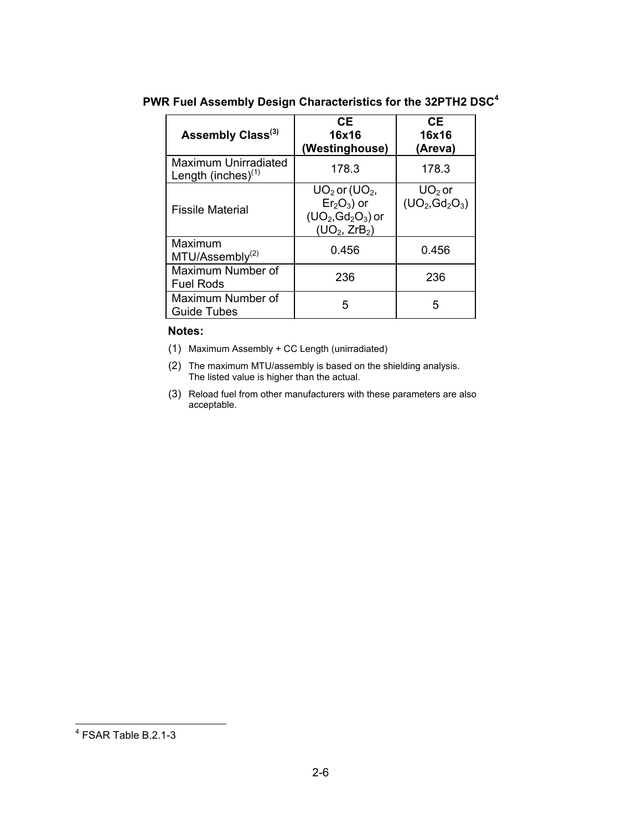| Assembly Class <sup>(3)</sup>                 | <b>CE</b><br>16x16<br>(Westinghouse)                                                                      | <b>CE</b><br>16x16<br>(Areva) |
|-----------------------------------------------|-----------------------------------------------------------------------------------------------------------|-------------------------------|
| Maximum Unirradiated<br>Length (inches) $(1)$ | 178.3                                                                                                     | 178.3                         |
| <b>Fissile Material</b>                       | $UO2$ or (UO <sub>2</sub> ,<br>$Er2O3$ ) or<br>$(UO2, Gd2O3)$ or<br>(UD <sub>2</sub> , ZrB <sub>2</sub> ) | $UO2$ or<br>$(UO_2, Gd_2O_3)$ |
| Maximum<br>MTU/Assembly <sup>(2)</sup>        | 0.456                                                                                                     | 0.456                         |
| Maximum Number of<br><b>Fuel Rods</b>         | 236                                                                                                       | 236                           |
| Maximum Number of<br><b>Guide Tubes</b>       | 5                                                                                                         | 5                             |

### **PWR Fuel Assembly Design Characteristics for the 32PTH2 DSC<sup>4</sup>**

### **Notes:**

- (1) Maximum Assembly + CC Length (unirradiated)
- (2) The maximum MTU/assembly is based on the shielding analysis. The listed value is higher than the actual.
- (3) Reload fuel from other manufacturers with these parameters are also acceptable.

 4 FSAR Table B.2.1-3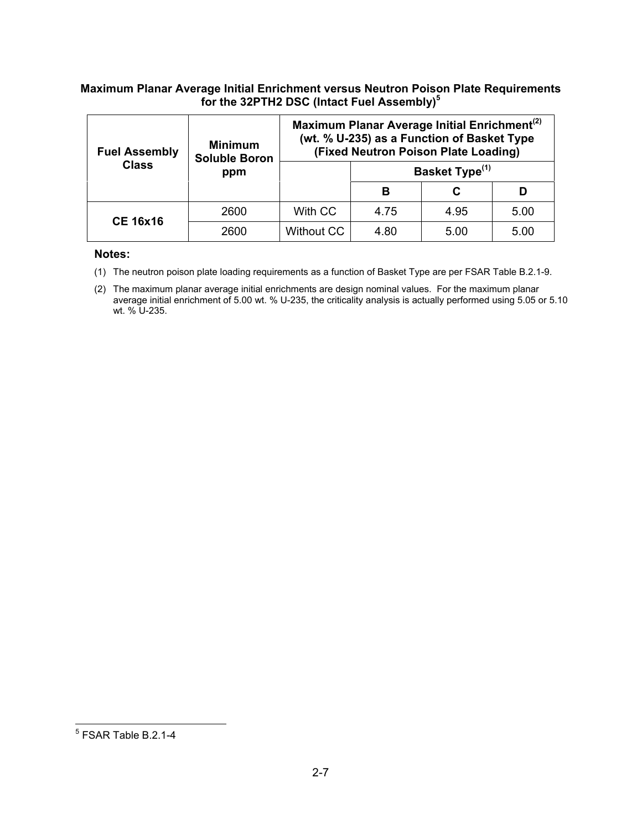### **Maximum Planar Average Initial Enrichment versus Neutron Poison Plate Requirements for the 32PTH2 DSC (Intact Fuel Assembly)<sup>5</sup>**

| <b>Fuel Assembly</b> | <b>Minimum</b><br><b>Soluble Boron</b> | Maximum Planar Average Initial Enrichment <sup>(2)</sup><br>(wt. % U-235) as a Function of Basket Type<br>(Fixed Neutron Poison Plate Loading) |      |                            |      |  |
|----------------------|----------------------------------------|------------------------------------------------------------------------------------------------------------------------------------------------|------|----------------------------|------|--|
| <b>Class</b>         | ppm                                    |                                                                                                                                                |      | Basket Type <sup>(1)</sup> |      |  |
|                      |                                        |                                                                                                                                                | в    |                            |      |  |
| <b>CE 16x16</b>      | 2600                                   | With CC                                                                                                                                        | 4.75 | 4.95                       | 5.00 |  |
|                      | 2600                                   | <b>Without CC</b>                                                                                                                              | 4.80 | 5.00                       | 5.00 |  |

#### **Notes:**

(1) The neutron poison plate loading requirements as a function of Basket Type are per FSAR Table B.2.1-9.

(2) The maximum planar average initial enrichments are design nominal values. For the maximum planar average initial enrichment of 5.00 wt. % U-235, the criticality analysis is actually performed using 5.05 or 5.10 wt. % U-235.

 5 FSAR Table B.2.1-4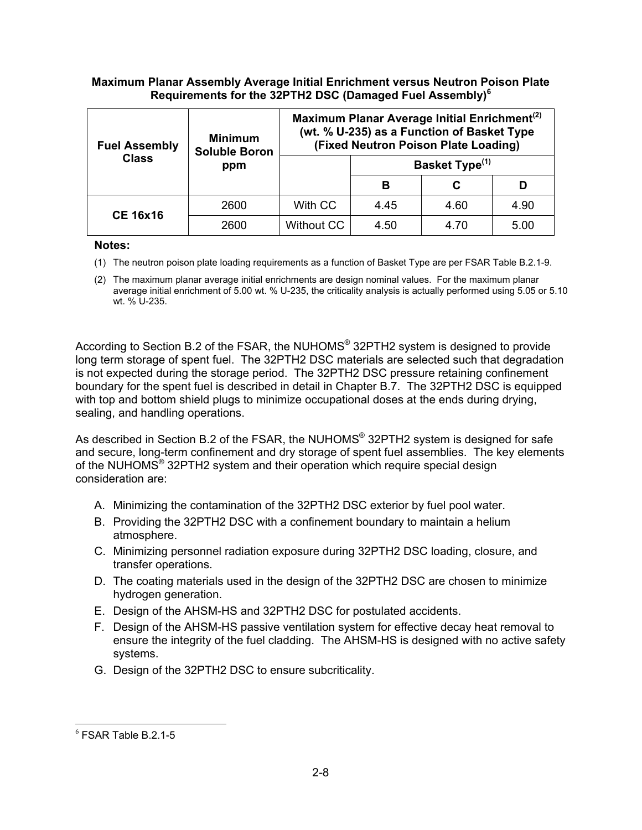### **Maximum Planar Assembly Average Initial Enrichment versus Neutron Poison Plate Requirements for the 32PTH2 DSC (Damaged Fuel Assembly)<sup>6</sup>**

| <b>Fuel Assembly</b> | <b>Minimum</b><br><b>Soluble Boron</b> | Maximum Planar Average Initial Enrichment <sup>(2)</sup><br>(wt. % U-235) as a Function of Basket Type<br>(Fixed Neutron Poison Plate Loading) |                            |      |      |
|----------------------|----------------------------------------|------------------------------------------------------------------------------------------------------------------------------------------------|----------------------------|------|------|
| <b>Class</b>         | ppm                                    |                                                                                                                                                | Basket Type <sup>(1)</sup> |      |      |
|                      |                                        |                                                                                                                                                | в                          |      |      |
| <b>CE 16x16</b>      | 2600                                   | With CC                                                                                                                                        | 4.45                       | 4.60 | 4.90 |
|                      | 2600                                   | Without CC                                                                                                                                     | 4.50                       | 4.70 | 5.00 |

#### **Notes:**

- (1) The neutron poison plate loading requirements as a function of Basket Type are per FSAR Table B.2.1-9.
- (2) The maximum planar average initial enrichments are design nominal values. For the maximum planar average initial enrichment of 5.00 wt. % U-235, the criticality analysis is actually performed using 5.05 or 5.10 wt. % U-235.

According to Section B.2 of the FSAR, the NUHOMS® 32PTH2 system is designed to provide long term storage of spent fuel. The 32PTH2 DSC materials are selected such that degradation is not expected during the storage period. The 32PTH2 DSC pressure retaining confinement boundary for the spent fuel is described in detail in Chapter B.7. The 32PTH2 DSC is equipped with top and bottom shield plugs to minimize occupational doses at the ends during drying, sealing, and handling operations.

As described in Section B.2 of the FSAR, the NUHOMS<sup>®</sup> 32PTH2 system is designed for safe and secure, long-term confinement and dry storage of spent fuel assemblies. The key elements of the NUHOMS® 32PTH2 system and their operation which require special design consideration are:

- A. Minimizing the contamination of the 32PTH2 DSC exterior by fuel pool water.
- B. Providing the 32PTH2 DSC with a confinement boundary to maintain a helium atmosphere.
- C. Minimizing personnel radiation exposure during 32PTH2 DSC loading, closure, and transfer operations.
- D. The coating materials used in the design of the 32PTH2 DSC are chosen to minimize hydrogen generation.
- E. Design of the AHSM-HS and 32PTH2 DSC for postulated accidents.
- F. Design of the AHSM-HS passive ventilation system for effective decay heat removal to ensure the integrity of the fuel cladding. The AHSM-HS is designed with no active safety systems.
- G. Design of the 32PTH2 DSC to ensure subcriticality.

<sup>6</sup> FSAR Table B.2.1-5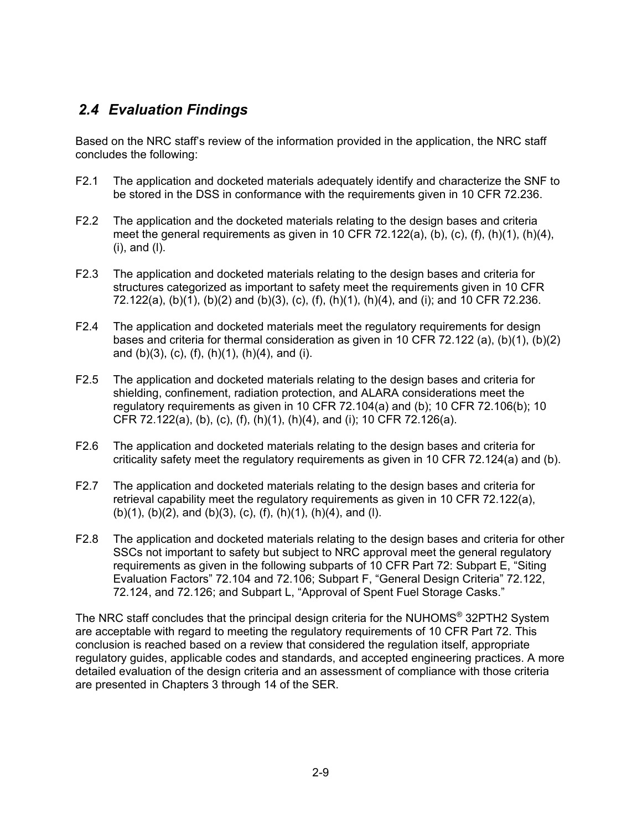# *2.4 Evaluation Findings*

Based on the NRC staff's review of the information provided in the application, the NRC staff concludes the following:

- F2.1 The application and docketed materials adequately identify and characterize the SNF to be stored in the DSS in conformance with the requirements given in 10 CFR 72.236.
- F2.2 The application and the docketed materials relating to the design bases and criteria meet the general requirements as given in 10 CFR 72.122(a), (b), (c), (f), (h)(1), (h)(4), (i), and (l).
- F2.3 The application and docketed materials relating to the design bases and criteria for structures categorized as important to safety meet the requirements given in 10 CFR 72.122(a), (b)(1), (b)(2) and (b)(3), (c), (f), (h)(1), (h)(4), and (i); and 10 CFR 72.236.
- F2.4 The application and docketed materials meet the regulatory requirements for design bases and criteria for thermal consideration as given in 10 CFR 72.122 (a),  $(b)(1)$ ,  $(b)(2)$ and (b)(3), (c), (f), (h)(1), (h)(4), and (i).
- F2.5 The application and docketed materials relating to the design bases and criteria for shielding, confinement, radiation protection, and ALARA considerations meet the regulatory requirements as given in 10 CFR 72.104(a) and (b); 10 CFR 72.106(b); 10 CFR 72.122(a), (b), (c), (f), (h)(1), (h)(4), and (i); 10 CFR 72.126(a).
- F2.6 The application and docketed materials relating to the design bases and criteria for criticality safety meet the regulatory requirements as given in 10 CFR 72.124(a) and (b).
- F2.7 The application and docketed materials relating to the design bases and criteria for retrieval capability meet the regulatory requirements as given in 10 CFR 72.122(a), (b)(1), (b)(2), and (b)(3), (c), (f), (h)(1), (h)(4), and (l).
- F2.8 The application and docketed materials relating to the design bases and criteria for other SSCs not important to safety but subject to NRC approval meet the general regulatory requirements as given in the following subparts of 10 CFR Part 72: Subpart E, "Siting Evaluation Factors" 72.104 and 72.106; Subpart F, "General Design Criteria" 72.122, 72.124, and 72.126; and Subpart L, "Approval of Spent Fuel Storage Casks."

The NRC staff concludes that the principal design criteria for the NUHOMS® 32PTH2 System are acceptable with regard to meeting the regulatory requirements of 10 CFR Part 72. This conclusion is reached based on a review that considered the regulation itself, appropriate regulatory guides, applicable codes and standards, and accepted engineering practices. A more detailed evaluation of the design criteria and an assessment of compliance with those criteria are presented in Chapters 3 through 14 of the SER.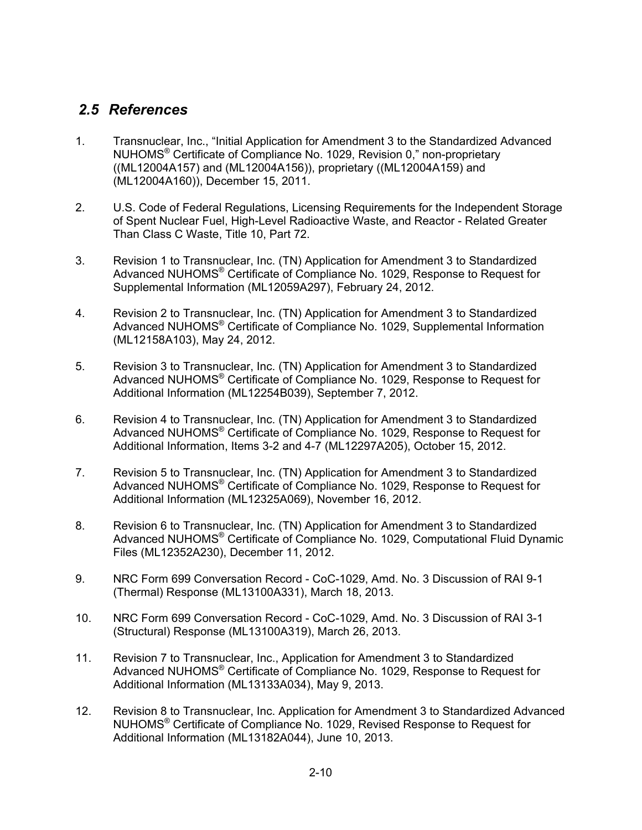### *2.5 References*

- 1. Transnuclear, Inc., "Initial Application for Amendment 3 to the Standardized Advanced NUHOMS® Certificate of Compliance No. 1029, Revision 0," non-proprietary ((ML12004A157) and (ML12004A156)), proprietary ((ML12004A159) and (ML12004A160)), December 15, 2011.
- 2. U.S. Code of Federal Regulations, Licensing Requirements for the Independent Storage of Spent Nuclear Fuel, High-Level Radioactive Waste, and Reactor - Related Greater Than Class C Waste, Title 10, Part 72.
- 3. Revision 1 to Transnuclear, Inc. (TN) Application for Amendment 3 to Standardized Advanced NUHOMS® Certificate of Compliance No. 1029, Response to Request for Supplemental Information (ML12059A297), February 24, 2012.
- 4. Revision 2 to Transnuclear, Inc. (TN) Application for Amendment 3 to Standardized Advanced NUHOMS® Certificate of Compliance No. 1029, Supplemental Information (ML12158A103), May 24, 2012.
- 5. Revision 3 to Transnuclear, Inc. (TN) Application for Amendment 3 to Standardized Advanced NUHOMS<sup>®</sup> Certificate of Compliance No. 1029, Response to Request for Additional Information (ML12254B039), September 7, 2012.
- 6. Revision 4 to Transnuclear, Inc. (TN) Application for Amendment 3 to Standardized Advanced NUHOMS® Certificate of Compliance No. 1029, Response to Request for Additional Information, Items 3-2 and 4-7 (ML12297A205), October 15, 2012.
- 7. Revision 5 to Transnuclear, Inc. (TN) Application for Amendment 3 to Standardized Advanced NUHOMS® Certificate of Compliance No. 1029, Response to Request for Additional Information (ML12325A069), November 16, 2012.
- 8. Revision 6 to Transnuclear, Inc. (TN) Application for Amendment 3 to Standardized Advanced NUHOMS® Certificate of Compliance No. 1029, Computational Fluid Dynamic Files (ML12352A230), December 11, 2012.
- 9. NRC Form 699 Conversation Record CoC-1029, Amd. No. 3 Discussion of RAI 9-1 (Thermal) Response (ML13100A331), March 18, 2013.
- 10. NRC Form 699 Conversation Record CoC-1029, Amd. No. 3 Discussion of RAI 3-1 (Structural) Response (ML13100A319), March 26, 2013.
- 11. Revision 7 to Transnuclear, Inc., Application for Amendment 3 to Standardized Advanced NUHOMS® Certificate of Compliance No. 1029, Response to Request for Additional Information (ML13133A034), May 9, 2013.
- 12. Revision 8 to Transnuclear, Inc. Application for Amendment 3 to Standardized Advanced NUHOMS® Certificate of Compliance No. 1029, Revised Response to Request for Additional Information (ML13182A044), June 10, 2013.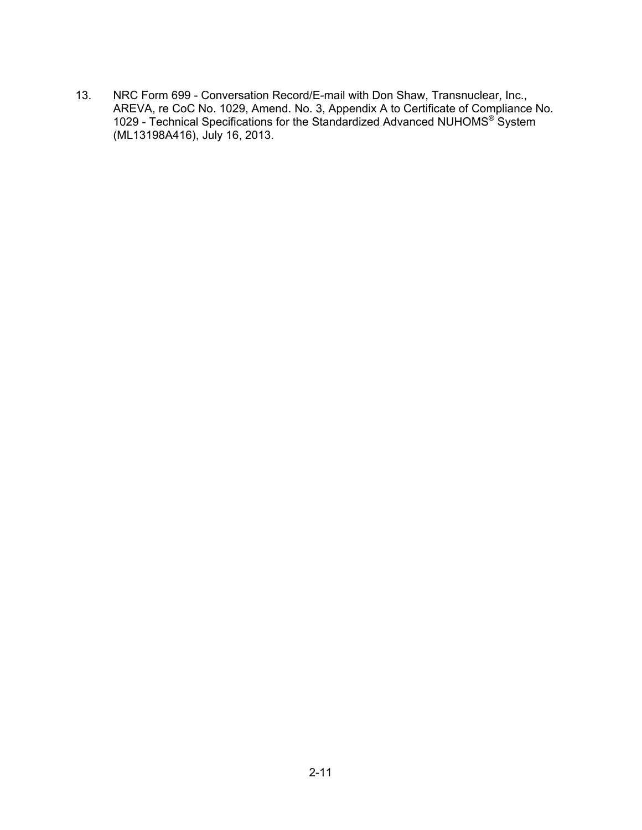13. NRC Form 699 - Conversation Record/E-mail with Don Shaw, Transnuclear, Inc., AREVA, re CoC No. 1029, Amend. No. 3, Appendix A to Certificate of Compliance No. 1029 - Technical Specifications for the Standardized Advanced NUHOMS® System (ML13198A416), July 16, 2013.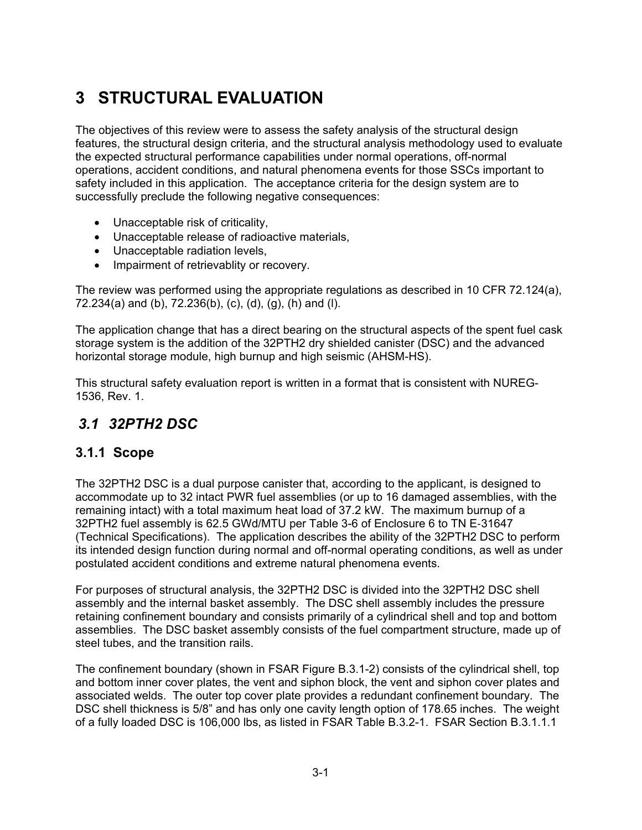# **3 STRUCTURAL EVALUATION**

The objectives of this review were to assess the safety analysis of the structural design features, the structural design criteria, and the structural analysis methodology used to evaluate the expected structural performance capabilities under normal operations, off-normal operations, accident conditions, and natural phenomena events for those SSCs important to safety included in this application. The acceptance criteria for the design system are to successfully preclude the following negative consequences:

- Unacceptable risk of criticality,
- Unacceptable release of radioactive materials,
- Unacceptable radiation levels,
- Impairment of retrievablity or recovery.

The review was performed using the appropriate regulations as described in 10 CFR 72.124(a), 72.234(a) and (b), 72.236(b), (c), (d), (g), (h) and (l).

The application change that has a direct bearing on the structural aspects of the spent fuel cask storage system is the addition of the 32PTH2 dry shielded canister (DSC) and the advanced horizontal storage module, high burnup and high seismic (AHSM-HS).

This structural safety evaluation report is written in a format that is consistent with NUREG-1536, Rev. 1.

# *3.1 32PTH2 DSC*

### **3.1.1 Scope**

The 32PTH2 DSC is a dual purpose canister that, according to the applicant, is designed to accommodate up to 32 intact PWR fuel assemblies (or up to 16 damaged assemblies, with the remaining intact) with a total maximum heat load of 37.2 kW. The maximum burnup of a 32PTH2 fuel assembly is 62.5 GWd/MTU per Table 3-6 of Enclosure 6 to TN E‐31647 (Technical Specifications). The application describes the ability of the 32PTH2 DSC to perform its intended design function during normal and off-normal operating conditions, as well as under postulated accident conditions and extreme natural phenomena events.

For purposes of structural analysis, the 32PTH2 DSC is divided into the 32PTH2 DSC shell assembly and the internal basket assembly. The DSC shell assembly includes the pressure retaining confinement boundary and consists primarily of a cylindrical shell and top and bottom assemblies. The DSC basket assembly consists of the fuel compartment structure, made up of steel tubes, and the transition rails.

The confinement boundary (shown in FSAR Figure B.3.1-2) consists of the cylindrical shell, top and bottom inner cover plates, the vent and siphon block, the vent and siphon cover plates and associated welds. The outer top cover plate provides a redundant confinement boundary. The DSC shell thickness is 5/8" and has only one cavity length option of 178.65 inches. The weight of a fully loaded DSC is 106,000 lbs, as listed in FSAR Table B.3.2-1. FSAR Section B.3.1.1.1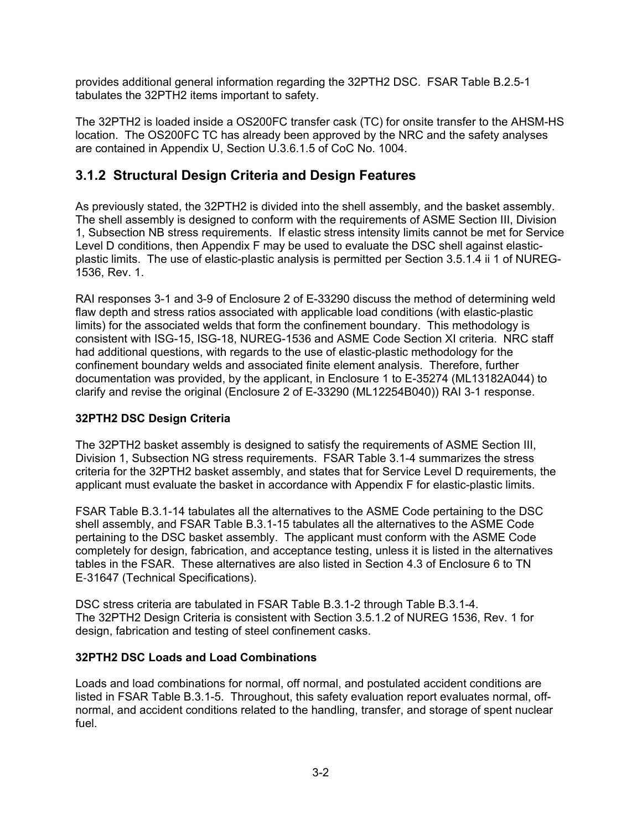provides additional general information regarding the 32PTH2 DSC. FSAR Table B.2.5-1 tabulates the 32PTH2 items important to safety.

The 32PTH2 is loaded inside a OS200FC transfer cask (TC) for onsite transfer to the AHSM-HS location. The OS200FC TC has already been approved by the NRC and the safety analyses are contained in Appendix U, Section U.3.6.1.5 of CoC No. 1004.

### **3.1.2 Structural Design Criteria and Design Features**

As previously stated, the 32PTH2 is divided into the shell assembly, and the basket assembly. The shell assembly is designed to conform with the requirements of ASME Section III, Division 1, Subsection NB stress requirements. If elastic stress intensity limits cannot be met for Service Level D conditions, then Appendix F may be used to evaluate the DSC shell against elasticplastic limits. The use of elastic-plastic analysis is permitted per Section 3.5.1.4 ii 1 of NUREG-1536, Rev. 1.

RAI responses 3-1 and 3-9 of Enclosure 2 of E-33290 discuss the method of determining weld flaw depth and stress ratios associated with applicable load conditions (with elastic-plastic limits) for the associated welds that form the confinement boundary. This methodology is consistent with ISG-15, ISG-18, NUREG-1536 and ASME Code Section XI criteria. NRC staff had additional questions, with regards to the use of elastic-plastic methodology for the confinement boundary welds and associated finite element analysis. Therefore, further documentation was provided, by the applicant, in Enclosure 1 to E-35274 (ML13182A044) to clarify and revise the original (Enclosure 2 of E-33290 (ML12254B040)) RAI 3-1 response.

### **32PTH2 DSC Design Criteria**

The 32PTH2 basket assembly is designed to satisfy the requirements of ASME Section III, Division 1, Subsection NG stress requirements. FSAR Table 3.1-4 summarizes the stress criteria for the 32PTH2 basket assembly, and states that for Service Level D requirements, the applicant must evaluate the basket in accordance with Appendix F for elastic-plastic limits.

FSAR Table B.3.1-14 tabulates all the alternatives to the ASME Code pertaining to the DSC shell assembly, and FSAR Table B.3.1-15 tabulates all the alternatives to the ASME Code pertaining to the DSC basket assembly. The applicant must conform with the ASME Code completely for design, fabrication, and acceptance testing, unless it is listed in the alternatives tables in the FSAR. These alternatives are also listed in Section 4.3 of Enclosure 6 to TN E‐31647 (Technical Specifications).

DSC stress criteria are tabulated in FSAR Table B.3.1-2 through Table B.3.1-4. The 32PTH2 Design Criteria is consistent with Section 3.5.1.2 of NUREG 1536, Rev. 1 for design, fabrication and testing of steel confinement casks.

### **32PTH2 DSC Loads and Load Combinations**

Loads and load combinations for normal, off normal, and postulated accident conditions are listed in FSAR Table B.3.1-5. Throughout, this safety evaluation report evaluates normal, offnormal, and accident conditions related to the handling, transfer, and storage of spent nuclear fuel.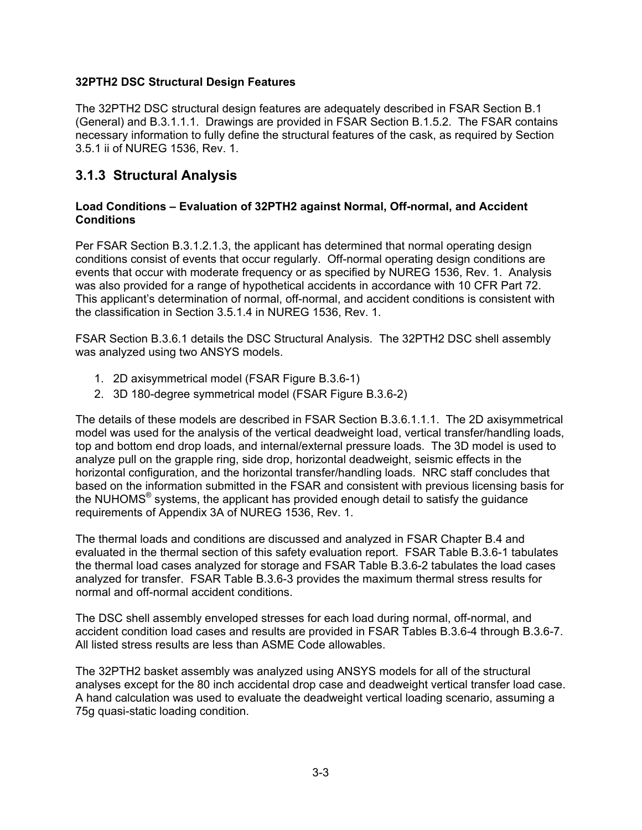### **32PTH2 DSC Structural Design Features**

The 32PTH2 DSC structural design features are adequately described in FSAR Section B.1 (General) and B.3.1.1.1. Drawings are provided in FSAR Section B.1.5.2. The FSAR contains necessary information to fully define the structural features of the cask, as required by Section 3.5.1 ii of NUREG 1536, Rev. 1.

### **3.1.3 Structural Analysis**

### **Load Conditions – Evaluation of 32PTH2 against Normal, Off-normal, and Accident Conditions**

Per FSAR Section B.3.1.2.1.3, the applicant has determined that normal operating design conditions consist of events that occur regularly. Off-normal operating design conditions are events that occur with moderate frequency or as specified by NUREG 1536, Rev. 1. Analysis was also provided for a range of hypothetical accidents in accordance with 10 CFR Part 72. This applicant's determination of normal, off-normal, and accident conditions is consistent with the classification in Section 3.5.1.4 in NUREG 1536, Rev. 1.

FSAR Section B.3.6.1 details the DSC Structural Analysis. The 32PTH2 DSC shell assembly was analyzed using two ANSYS models.

- 1. 2D axisymmetrical model (FSAR Figure B.3.6-1)
- 2. 3D 180-degree symmetrical model (FSAR Figure B.3.6-2)

The details of these models are described in FSAR Section B.3.6.1.1.1. The 2D axisymmetrical model was used for the analysis of the vertical deadweight load, vertical transfer/handling loads, top and bottom end drop loads, and internal/external pressure loads. The 3D model is used to analyze pull on the grapple ring, side drop, horizontal deadweight, seismic effects in the horizontal configuration, and the horizontal transfer/handling loads. NRC staff concludes that based on the information submitted in the FSAR and consistent with previous licensing basis for the NUHOMS $^{\circ}$  systems, the applicant has provided enough detail to satisfy the guidance requirements of Appendix 3A of NUREG 1536, Rev. 1.

The thermal loads and conditions are discussed and analyzed in FSAR Chapter B.4 and evaluated in the thermal section of this safety evaluation report. FSAR Table B.3.6-1 tabulates the thermal load cases analyzed for storage and FSAR Table B.3.6-2 tabulates the load cases analyzed for transfer. FSAR Table B.3.6-3 provides the maximum thermal stress results for normal and off-normal accident conditions.

The DSC shell assembly enveloped stresses for each load during normal, off-normal, and accident condition load cases and results are provided in FSAR Tables B.3.6-4 through B.3.6-7. All listed stress results are less than ASME Code allowables.

The 32PTH2 basket assembly was analyzed using ANSYS models for all of the structural analyses except for the 80 inch accidental drop case and deadweight vertical transfer load case. A hand calculation was used to evaluate the deadweight vertical loading scenario, assuming a 75g quasi-static loading condition.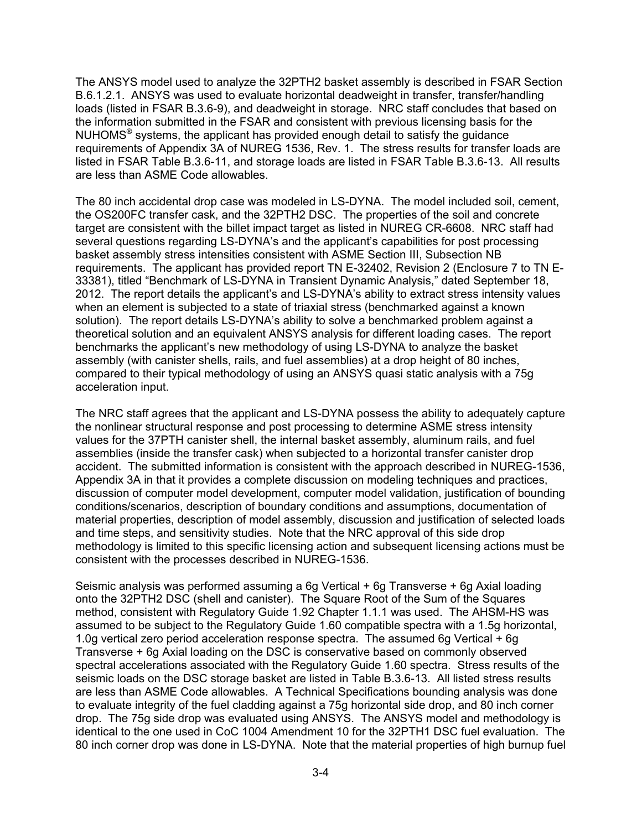The ANSYS model used to analyze the 32PTH2 basket assembly is described in FSAR Section B.6.1.2.1. ANSYS was used to evaluate horizontal deadweight in transfer, transfer/handling loads (listed in FSAR B.3.6-9), and deadweight in storage. NRC staff concludes that based on the information submitted in the FSAR and consistent with previous licensing basis for the NUHOMS® systems, the applicant has provided enough detail to satisfy the guidance requirements of Appendix 3A of NUREG 1536, Rev. 1. The stress results for transfer loads are listed in FSAR Table B.3.6-11, and storage loads are listed in FSAR Table B.3.6-13. All results are less than ASME Code allowables.

The 80 inch accidental drop case was modeled in LS-DYNA. The model included soil, cement, the OS200FC transfer cask, and the 32PTH2 DSC. The properties of the soil and concrete target are consistent with the billet impact target as listed in NUREG CR-6608. NRC staff had several questions regarding LS-DYNA's and the applicant's capabilities for post processing basket assembly stress intensities consistent with ASME Section III, Subsection NB requirements. The applicant has provided report TN E-32402, Revision 2 (Enclosure 7 to TN E-33381), titled "Benchmark of LS-DYNA in Transient Dynamic Analysis," dated September 18, 2012. The report details the applicant's and LS-DYNA's ability to extract stress intensity values when an element is subjected to a state of triaxial stress (benchmarked against a known solution). The report details LS-DYNA's ability to solve a benchmarked problem against a theoretical solution and an equivalent ANSYS analysis for different loading cases. The report benchmarks the applicant's new methodology of using LS-DYNA to analyze the basket assembly (with canister shells, rails, and fuel assemblies) at a drop height of 80 inches, compared to their typical methodology of using an ANSYS quasi static analysis with a 75g acceleration input.

The NRC staff agrees that the applicant and LS-DYNA possess the ability to adequately capture the nonlinear structural response and post processing to determine ASME stress intensity values for the 37PTH canister shell, the internal basket assembly, aluminum rails, and fuel assemblies (inside the transfer cask) when subjected to a horizontal transfer canister drop accident. The submitted information is consistent with the approach described in NUREG-1536, Appendix 3A in that it provides a complete discussion on modeling techniques and practices, discussion of computer model development, computer model validation, justification of bounding conditions/scenarios, description of boundary conditions and assumptions, documentation of material properties, description of model assembly, discussion and justification of selected loads and time steps, and sensitivity studies. Note that the NRC approval of this side drop methodology is limited to this specific licensing action and subsequent licensing actions must be consistent with the processes described in NUREG-1536.

Seismic analysis was performed assuming a 6g Vertical + 6g Transverse + 6g Axial loading onto the 32PTH2 DSC (shell and canister). The Square Root of the Sum of the Squares method, consistent with Regulatory Guide 1.92 Chapter 1.1.1 was used. The AHSM-HS was assumed to be subject to the Regulatory Guide 1.60 compatible spectra with a 1.5g horizontal, 1.0g vertical zero period acceleration response spectra. The assumed 6g Vertical + 6g Transverse + 6g Axial loading on the DSC is conservative based on commonly observed spectral accelerations associated with the Regulatory Guide 1.60 spectra. Stress results of the seismic loads on the DSC storage basket are listed in Table B.3.6-13. All listed stress results are less than ASME Code allowables. A Technical Specifications bounding analysis was done to evaluate integrity of the fuel cladding against a 75g horizontal side drop, and 80 inch corner drop. The 75g side drop was evaluated using ANSYS. The ANSYS model and methodology is identical to the one used in CoC 1004 Amendment 10 for the 32PTH1 DSC fuel evaluation. The 80 inch corner drop was done in LS-DYNA. Note that the material properties of high burnup fuel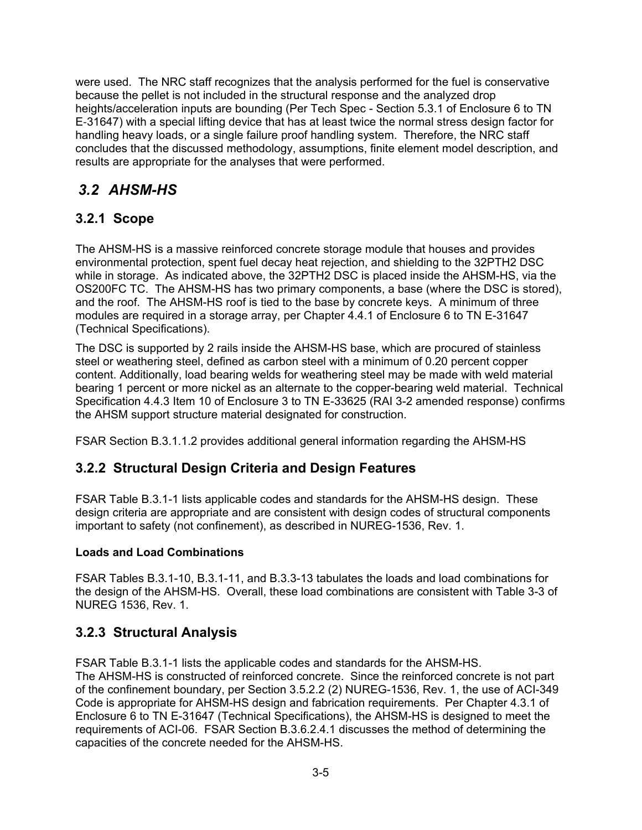were used. The NRC staff recognizes that the analysis performed for the fuel is conservative because the pellet is not included in the structural response and the analyzed drop heights/acceleration inputs are bounding (Per Tech Spec - Section 5.3.1 of Enclosure 6 to TN E‐31647) with a special lifting device that has at least twice the normal stress design factor for handling heavy loads, or a single failure proof handling system. Therefore, the NRC staff concludes that the discussed methodology, assumptions, finite element model description, and results are appropriate for the analyses that were performed.

# *3.2 AHSM-HS*

### **3.2.1 Scope**

The AHSM-HS is a massive reinforced concrete storage module that houses and provides environmental protection, spent fuel decay heat rejection, and shielding to the 32PTH2 DSC while in storage. As indicated above, the 32PTH2 DSC is placed inside the AHSM-HS, via the OS200FC TC. The AHSM-HS has two primary components, a base (where the DSC is stored), and the roof. The AHSM-HS roof is tied to the base by concrete keys. A minimum of three modules are required in a storage array, per Chapter 4.4.1 of Enclosure 6 to TN E-31647 (Technical Specifications).

The DSC is supported by 2 rails inside the AHSM-HS base, which are procured of stainless steel or weathering steel, defined as carbon steel with a minimum of 0.20 percent copper content. Additionally, load bearing welds for weathering steel may be made with weld material bearing 1 percent or more nickel as an alternate to the copper-bearing weld material. Technical Specification 4.4.3 Item 10 of Enclosure 3 to TN E-33625 (RAI 3-2 amended response) confirms the AHSM support structure material designated for construction.

FSAR Section B.3.1.1.2 provides additional general information regarding the AHSM-HS

### **3.2.2 Structural Design Criteria and Design Features**

FSAR Table B.3.1-1 lists applicable codes and standards for the AHSM-HS design. These design criteria are appropriate and are consistent with design codes of structural components important to safety (not confinement), as described in NUREG-1536, Rev. 1.

#### **Loads and Load Combinations**

FSAR Tables B.3.1-10, B.3.1-11, and B.3.3-13 tabulates the loads and load combinations for the design of the AHSM-HS. Overall, these load combinations are consistent with Table 3-3 of NUREG 1536, Rev. 1.

### **3.2.3 Structural Analysis**

FSAR Table B.3.1-1 lists the applicable codes and standards for the AHSM-HS. The AHSM-HS is constructed of reinforced concrete. Since the reinforced concrete is not part of the confinement boundary, per Section 3.5.2.2 (2) NUREG-1536, Rev. 1, the use of ACI-349 Code is appropriate for AHSM-HS design and fabrication requirements. Per Chapter 4.3.1 of Enclosure 6 to TN E-31647 (Technical Specifications), the AHSM-HS is designed to meet the requirements of ACI-06. FSAR Section B.3.6.2.4.1 discusses the method of determining the capacities of the concrete needed for the AHSM-HS.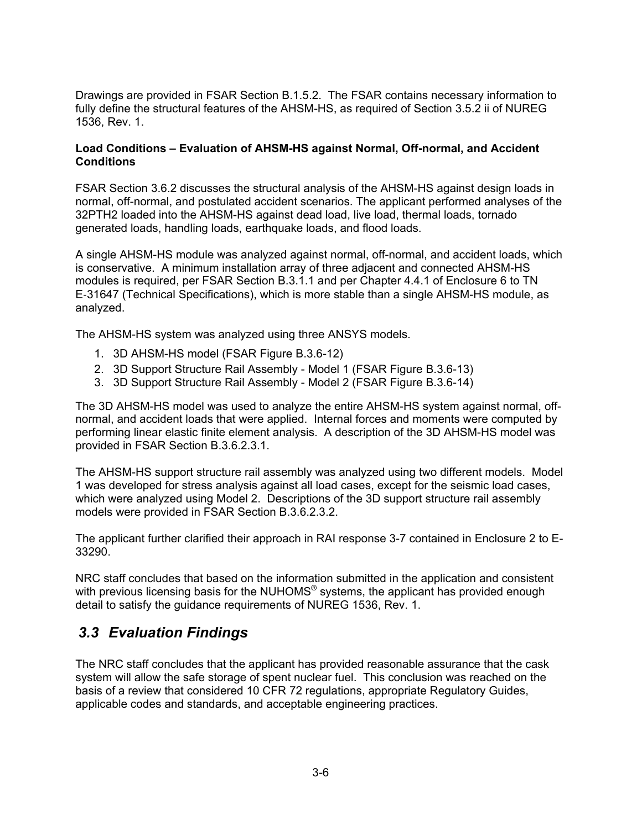Drawings are provided in FSAR Section B.1.5.2. The FSAR contains necessary information to fully define the structural features of the AHSM-HS, as required of Section 3.5.2 ii of NUREG 1536, Rev. 1.

#### **Load Conditions – Evaluation of AHSM-HS against Normal, Off-normal, and Accident Conditions**

FSAR Section 3.6.2 discusses the structural analysis of the AHSM-HS against design loads in normal, off-normal, and postulated accident scenarios. The applicant performed analyses of the 32PTH2 loaded into the AHSM-HS against dead load, live load, thermal loads, tornado generated loads, handling loads, earthquake loads, and flood loads.

A single AHSM-HS module was analyzed against normal, off-normal, and accident loads, which is conservative. A minimum installation array of three adjacent and connected AHSM-HS modules is required, per FSAR Section B.3.1.1 and per Chapter 4.4.1 of Enclosure 6 to TN E‐31647 (Technical Specifications), which is more stable than a single AHSM-HS module, as analyzed.

The AHSM-HS system was analyzed using three ANSYS models.

- 1. 3D AHSM-HS model (FSAR Figure B.3.6-12)
- 2. 3D Support Structure Rail Assembly Model 1 (FSAR Figure B.3.6-13)
- 3. 3D Support Structure Rail Assembly Model 2 (FSAR Figure B.3.6-14)

The 3D AHSM-HS model was used to analyze the entire AHSM-HS system against normal, offnormal, and accident loads that were applied. Internal forces and moments were computed by performing linear elastic finite element analysis. A description of the 3D AHSM-HS model was provided in FSAR Section B.3.6.2.3.1.

The AHSM-HS support structure rail assembly was analyzed using two different models. Model 1 was developed for stress analysis against all load cases, except for the seismic load cases, which were analyzed using Model 2. Descriptions of the 3D support structure rail assembly models were provided in FSAR Section B.3.6.2.3.2.

The applicant further clarified their approach in RAI response 3-7 contained in Enclosure 2 to E-33290.

NRC staff concludes that based on the information submitted in the application and consistent with previous licensing basis for the NUHOMS<sup>®</sup> systems, the applicant has provided enough detail to satisfy the guidance requirements of NUREG 1536, Rev. 1.

### *3.3 Evaluation Findings*

The NRC staff concludes that the applicant has provided reasonable assurance that the cask system will allow the safe storage of spent nuclear fuel. This conclusion was reached on the basis of a review that considered 10 CFR 72 regulations, appropriate Regulatory Guides, applicable codes and standards, and acceptable engineering practices.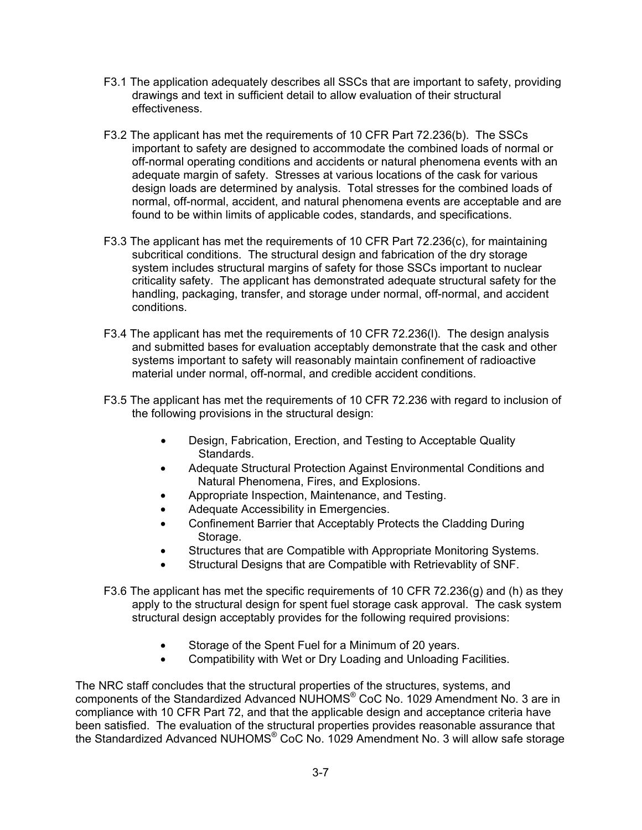- F3.1 The application adequately describes all SSCs that are important to safety, providing drawings and text in sufficient detail to allow evaluation of their structural effectiveness.
- F3.2 The applicant has met the requirements of 10 CFR Part 72.236(b). The SSCs important to safety are designed to accommodate the combined loads of normal or off-normal operating conditions and accidents or natural phenomena events with an adequate margin of safety. Stresses at various locations of the cask for various design loads are determined by analysis. Total stresses for the combined loads of normal, off-normal, accident, and natural phenomena events are acceptable and are found to be within limits of applicable codes, standards, and specifications.
- F3.3 The applicant has met the requirements of 10 CFR Part 72.236(c), for maintaining subcritical conditions. The structural design and fabrication of the dry storage system includes structural margins of safety for those SSCs important to nuclear criticality safety. The applicant has demonstrated adequate structural safety for the handling, packaging, transfer, and storage under normal, off-normal, and accident conditions.
- F3.4 The applicant has met the requirements of 10 CFR 72.236(l). The design analysis and submitted bases for evaluation acceptably demonstrate that the cask and other systems important to safety will reasonably maintain confinement of radioactive material under normal, off-normal, and credible accident conditions.
- F3.5 The applicant has met the requirements of 10 CFR 72.236 with regard to inclusion of the following provisions in the structural design:
	- Design, Fabrication, Erection, and Testing to Acceptable Quality Standards.
	- Adequate Structural Protection Against Environmental Conditions and Natural Phenomena, Fires, and Explosions.
	- Appropriate Inspection, Maintenance, and Testing.
	- Adequate Accessibility in Emergencies.
	- Confinement Barrier that Acceptably Protects the Cladding During Storage.
	- Structures that are Compatible with Appropriate Monitoring Systems.
	- Structural Designs that are Compatible with Retrievablity of SNF.
- F3.6 The applicant has met the specific requirements of 10 CFR 72.236(g) and (h) as they apply to the structural design for spent fuel storage cask approval. The cask system structural design acceptably provides for the following required provisions:
	- Storage of the Spent Fuel for a Minimum of 20 years.
	- Compatibility with Wet or Dry Loading and Unloading Facilities.

The NRC staff concludes that the structural properties of the structures, systems, and components of the Standardized Advanced NUHOMS® CoC No. 1029 Amendment No. 3 are in compliance with 10 CFR Part 72, and that the applicable design and acceptance criteria have been satisfied. The evaluation of the structural properties provides reasonable assurance that the Standardized Advanced NUHOMS® CoC No. 1029 Amendment No. 3 will allow safe storage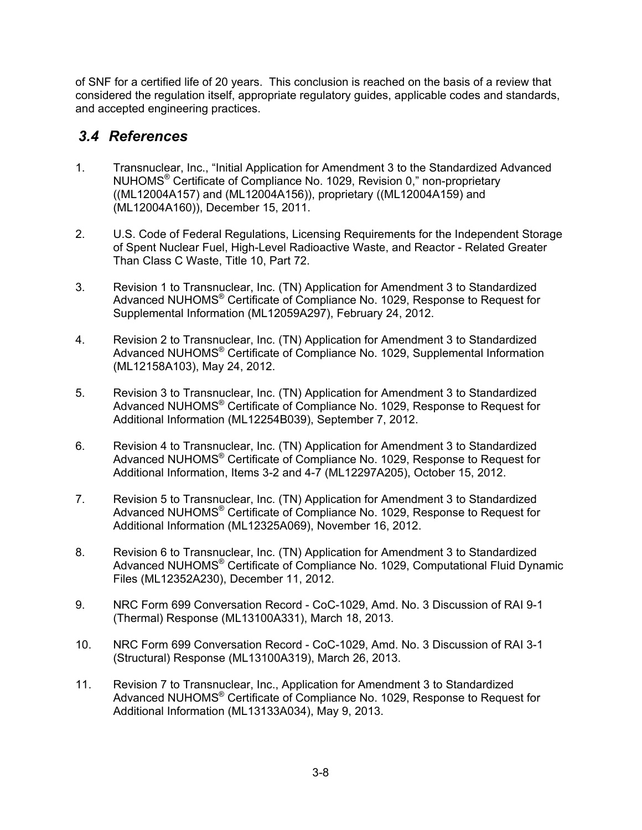of SNF for a certified life of 20 years. This conclusion is reached on the basis of a review that considered the regulation itself, appropriate regulatory guides, applicable codes and standards, and accepted engineering practices.

#### *3.4 References*

- 1. Transnuclear, Inc., "Initial Application for Amendment 3 to the Standardized Advanced NUHOMS® Certificate of Compliance No. 1029, Revision 0," non-proprietary ((ML12004A157) and (ML12004A156)), proprietary ((ML12004A159) and (ML12004A160)), December 15, 2011.
- 2. U.S. Code of Federal Regulations, Licensing Requirements for the Independent Storage of Spent Nuclear Fuel, High-Level Radioactive Waste, and Reactor - Related Greater Than Class C Waste, Title 10, Part 72.
- 3. Revision 1 to Transnuclear, Inc. (TN) Application for Amendment 3 to Standardized Advanced NUHOMS® Certificate of Compliance No. 1029, Response to Request for Supplemental Information (ML12059A297), February 24, 2012.
- 4. Revision 2 to Transnuclear, Inc. (TN) Application for Amendment 3 to Standardized Advanced NUHOMS® Certificate of Compliance No. 1029, Supplemental Information (ML12158A103), May 24, 2012.
- 5. Revision 3 to Transnuclear, Inc. (TN) Application for Amendment 3 to Standardized Advanced NUHOMS® Certificate of Compliance No. 1029, Response to Request for Additional Information (ML12254B039), September 7, 2012.
- 6. Revision 4 to Transnuclear, Inc. (TN) Application for Amendment 3 to Standardized Advanced NUHOMS® Certificate of Compliance No. 1029, Response to Request for Additional Information, Items 3-2 and 4-7 (ML12297A205), October 15, 2012.
- 7. Revision 5 to Transnuclear, Inc. (TN) Application for Amendment 3 to Standardized Advanced NUHOMS® Certificate of Compliance No. 1029, Response to Request for Additional Information (ML12325A069), November 16, 2012.
- 8. Revision 6 to Transnuclear, Inc. (TN) Application for Amendment 3 to Standardized Advanced NUHOMS® Certificate of Compliance No. 1029, Computational Fluid Dynamic Files (ML12352A230), December 11, 2012.
- 9. NRC Form 699 Conversation Record CoC-1029, Amd. No. 3 Discussion of RAI 9-1 (Thermal) Response (ML13100A331), March 18, 2013.
- 10. NRC Form 699 Conversation Record CoC-1029, Amd. No. 3 Discussion of RAI 3-1 (Structural) Response (ML13100A319), March 26, 2013.
- 11. Revision 7 to Transnuclear, Inc., Application for Amendment 3 to Standardized Advanced NUHOMS® Certificate of Compliance No. 1029, Response to Request for Additional Information (ML13133A034), May 9, 2013.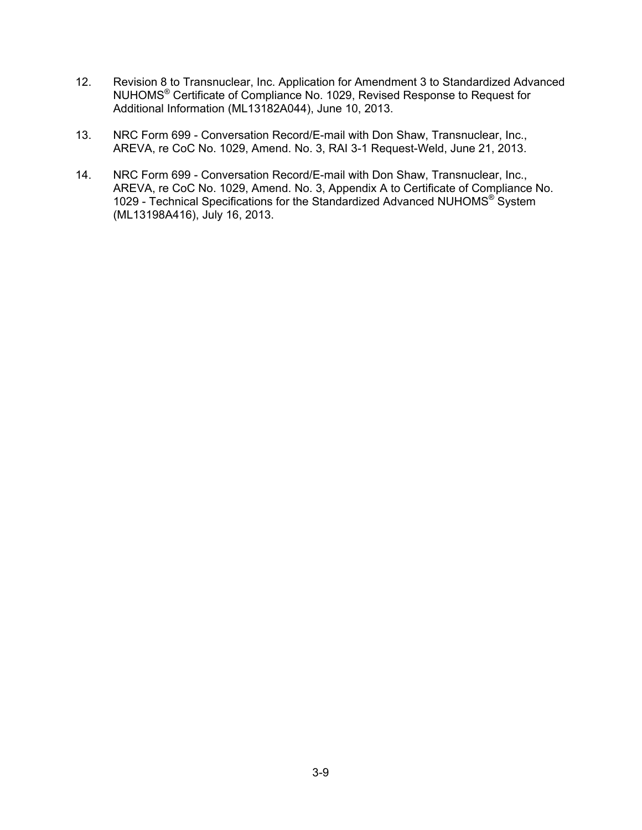- 12. Revision 8 to Transnuclear, Inc. Application for Amendment 3 to Standardized Advanced NUHOMS® Certificate of Compliance No. 1029, Revised Response to Request for Additional Information (ML13182A044), June 10, 2013.
- 13. NRC Form 699 Conversation Record/E-mail with Don Shaw, Transnuclear, Inc., AREVA, re CoC No. 1029, Amend. No. 3, RAI 3-1 Request-Weld, June 21, 2013.
- 14. NRC Form 699 Conversation Record/E-mail with Don Shaw, Transnuclear, Inc., AREVA, re CoC No. 1029, Amend. No. 3, Appendix A to Certificate of Compliance No. 1029 - Technical Specifications for the Standardized Advanced NUHOMS® System (ML13198A416), July 16, 2013.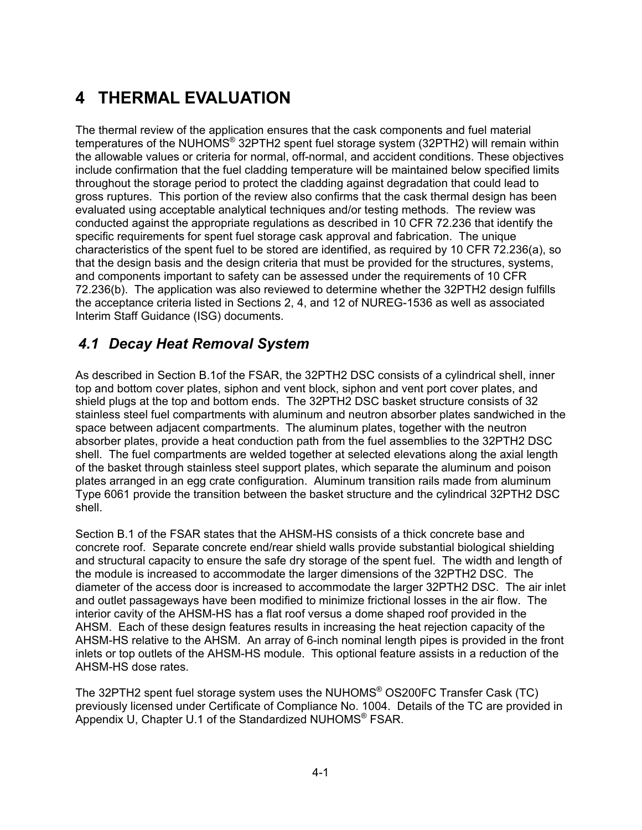# **4 THERMAL EVALUATION**

The thermal review of the application ensures that the cask components and fuel material temperatures of the NUHOMS<sup>®</sup> 32PTH2 spent fuel storage system (32PTH2) will remain within the allowable values or criteria for normal, off-normal, and accident conditions. These objectives include confirmation that the fuel cladding temperature will be maintained below specified limits throughout the storage period to protect the cladding against degradation that could lead to gross ruptures. This portion of the review also confirms that the cask thermal design has been evaluated using acceptable analytical techniques and/or testing methods. The review was conducted against the appropriate regulations as described in 10 CFR 72.236 that identify the specific requirements for spent fuel storage cask approval and fabrication. The unique characteristics of the spent fuel to be stored are identified, as required by 10 CFR 72.236(a), so that the design basis and the design criteria that must be provided for the structures, systems, and components important to safety can be assessed under the requirements of 10 CFR 72.236(b). The application was also reviewed to determine whether the 32PTH2 design fulfills the acceptance criteria listed in Sections 2, 4, and 12 of NUREG-1536 as well as associated Interim Staff Guidance (ISG) documents.

# *4.1 Decay Heat Removal System*

As described in Section B.1of the FSAR, the 32PTH2 DSC consists of a cylindrical shell, inner top and bottom cover plates, siphon and vent block, siphon and vent port cover plates, and shield plugs at the top and bottom ends. The 32PTH2 DSC basket structure consists of 32 stainless steel fuel compartments with aluminum and neutron absorber plates sandwiched in the space between adjacent compartments. The aluminum plates, together with the neutron absorber plates, provide a heat conduction path from the fuel assemblies to the 32PTH2 DSC shell. The fuel compartments are welded together at selected elevations along the axial length of the basket through stainless steel support plates, which separate the aluminum and poison plates arranged in an egg crate configuration. Aluminum transition rails made from aluminum Type 6061 provide the transition between the basket structure and the cylindrical 32PTH2 DSC shell.

Section B.1 of the FSAR states that the AHSM-HS consists of a thick concrete base and concrete roof. Separate concrete end/rear shield walls provide substantial biological shielding and structural capacity to ensure the safe dry storage of the spent fuel. The width and length of the module is increased to accommodate the larger dimensions of the 32PTH2 DSC. The diameter of the access door is increased to accommodate the larger 32PTH2 DSC. The air inlet and outlet passageways have been modified to minimize frictional losses in the air flow. The interior cavity of the AHSM-HS has a flat roof versus a dome shaped roof provided in the AHSM. Each of these design features results in increasing the heat rejection capacity of the AHSM-HS relative to the AHSM. An array of 6-inch nominal length pipes is provided in the front inlets or top outlets of the AHSM-HS module. This optional feature assists in a reduction of the AHSM-HS dose rates.

The 32PTH2 spent fuel storage system uses the NUHOMS® OS200FC Transfer Cask (TC) previously licensed under Certificate of Compliance No. 1004. Details of the TC are provided in Appendix U, Chapter U.1 of the Standardized NUHOMS® FSAR.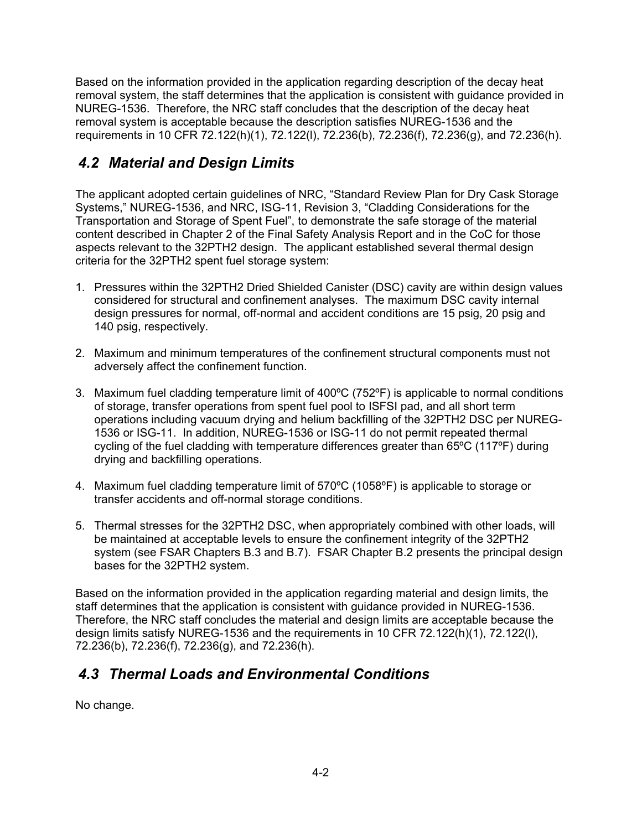Based on the information provided in the application regarding description of the decay heat removal system, the staff determines that the application is consistent with guidance provided in NUREG-1536. Therefore, the NRC staff concludes that the description of the decay heat removal system is acceptable because the description satisfies NUREG-1536 and the requirements in 10 CFR 72.122(h)(1), 72.122(l), 72.236(b), 72.236(f), 72.236(g), and 72.236(h).

# *4.2 Material and Design Limits*

The applicant adopted certain guidelines of NRC, "Standard Review Plan for Dry Cask Storage Systems," NUREG-1536, and NRC, ISG-11, Revision 3, "Cladding Considerations for the Transportation and Storage of Spent Fuel", to demonstrate the safe storage of the material content described in Chapter 2 of the Final Safety Analysis Report and in the CoC for those aspects relevant to the 32PTH2 design. The applicant established several thermal design criteria for the 32PTH2 spent fuel storage system:

- 1. Pressures within the 32PTH2 Dried Shielded Canister (DSC) cavity are within design values considered for structural and confinement analyses. The maximum DSC cavity internal design pressures for normal, off-normal and accident conditions are 15 psig, 20 psig and 140 psig, respectively.
- 2. Maximum and minimum temperatures of the confinement structural components must not adversely affect the confinement function.
- 3. Maximum fuel cladding temperature limit of 400ºC (752ºF) is applicable to normal conditions of storage, transfer operations from spent fuel pool to ISFSI pad, and all short term operations including vacuum drying and helium backfilling of the 32PTH2 DSC per NUREG-1536 or ISG-11. In addition, NUREG-1536 or ISG-11 do not permit repeated thermal cycling of the fuel cladding with temperature differences greater than 65ºC (117ºF) during drying and backfilling operations.
- 4. Maximum fuel cladding temperature limit of 570ºC (1058ºF) is applicable to storage or transfer accidents and off-normal storage conditions.
- 5. Thermal stresses for the 32PTH2 DSC, when appropriately combined with other loads, will be maintained at acceptable levels to ensure the confinement integrity of the 32PTH2 system (see FSAR Chapters B.3 and B.7). FSAR Chapter B.2 presents the principal design bases for the 32PTH2 system.

Based on the information provided in the application regarding material and design limits, the staff determines that the application is consistent with guidance provided in NUREG-1536. Therefore, the NRC staff concludes the material and design limits are acceptable because the design limits satisfy NUREG-1536 and the requirements in 10 CFR 72.122(h)(1), 72.122(l), 72.236(b), 72.236(f), 72.236(g), and 72.236(h).

### *4.3 Thermal Loads and Environmental Conditions*

No change.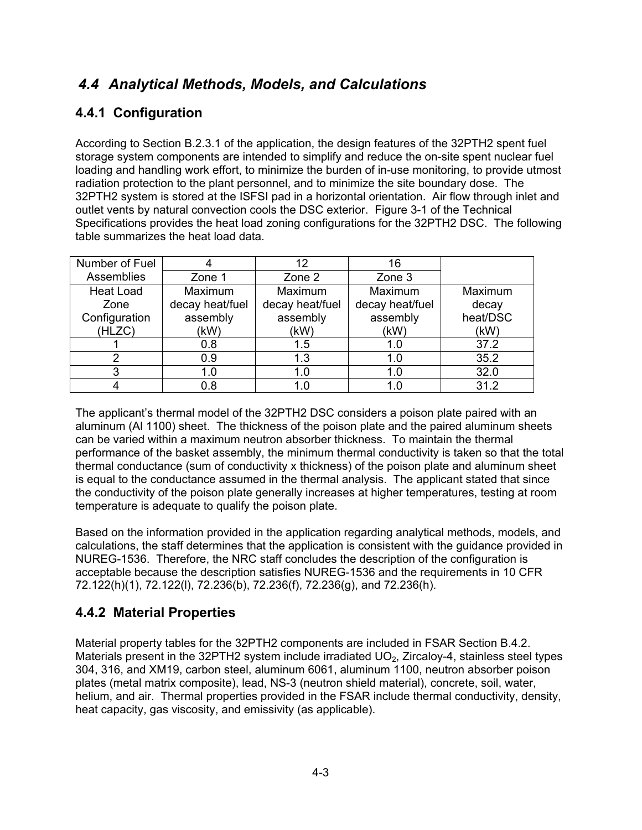### *4.4 Analytical Methods, Models, and Calculations*

### **4.4.1 Configuration**

According to Section B.2.3.1 of the application, the design features of the 32PTH2 spent fuel storage system components are intended to simplify and reduce the on-site spent nuclear fuel loading and handling work effort, to minimize the burden of in-use monitoring, to provide utmost radiation protection to the plant personnel, and to minimize the site boundary dose. The 32PTH2 system is stored at the ISFSI pad in a horizontal orientation. Air flow through inlet and outlet vents by natural convection cools the DSC exterior. Figure 3-1 of the Technical Specifications provides the heat load zoning configurations for the 32PTH2 DSC. The following table summarizes the heat load data.

| Number of Fuel   |                 | 12              | 16              |          |
|------------------|-----------------|-----------------|-----------------|----------|
| Assemblies       | Zone 1          | Zone 2          | Zone 3          |          |
| <b>Heat Load</b> | Maximum         | Maximum         | Maximum         | Maximum  |
| Zone             | decay heat/fuel | decay heat/fuel | decay heat/fuel | decay    |
| Configuration    | assembly        | assembly        | assembly        | heat/DSC |
| (HLZC)           | (kW)            | (kW)            | (kW)            | (kW)     |
|                  | 0.8             | 1.5             | 1.0             | 37.2     |
|                  | 0.9             | 1.3             | 1.0             | 35.2     |
|                  | 1.0             | 1.0             | 1.0             | 32.0     |
|                  | 0.8             |                 |                 | 312      |

The applicant's thermal model of the 32PTH2 DSC considers a poison plate paired with an aluminum (Al 1100) sheet. The thickness of the poison plate and the paired aluminum sheets can be varied within a maximum neutron absorber thickness. To maintain the thermal performance of the basket assembly, the minimum thermal conductivity is taken so that the total thermal conductance (sum of conductivity x thickness) of the poison plate and aluminum sheet is equal to the conductance assumed in the thermal analysis. The applicant stated that since the conductivity of the poison plate generally increases at higher temperatures, testing at room temperature is adequate to qualify the poison plate.

Based on the information provided in the application regarding analytical methods, models, and calculations, the staff determines that the application is consistent with the guidance provided in NUREG-1536. Therefore, the NRC staff concludes the description of the configuration is acceptable because the description satisfies NUREG-1536 and the requirements in 10 CFR 72.122(h)(1), 72.122(l), 72.236(b), 72.236(f), 72.236(g), and 72.236(h).

### **4.4.2 Material Properties**

Material property tables for the 32PTH2 components are included in FSAR Section B.4.2. Materials present in the 32PTH2 system include irradiated  $UO<sub>2</sub>$ , Zircaloy-4, stainless steel types 304, 316, and XM19, carbon steel, aluminum 6061, aluminum 1100, neutron absorber poison plates (metal matrix composite), lead, NS-3 (neutron shield material), concrete, soil, water, helium, and air. Thermal properties provided in the FSAR include thermal conductivity, density, heat capacity, gas viscosity, and emissivity (as applicable).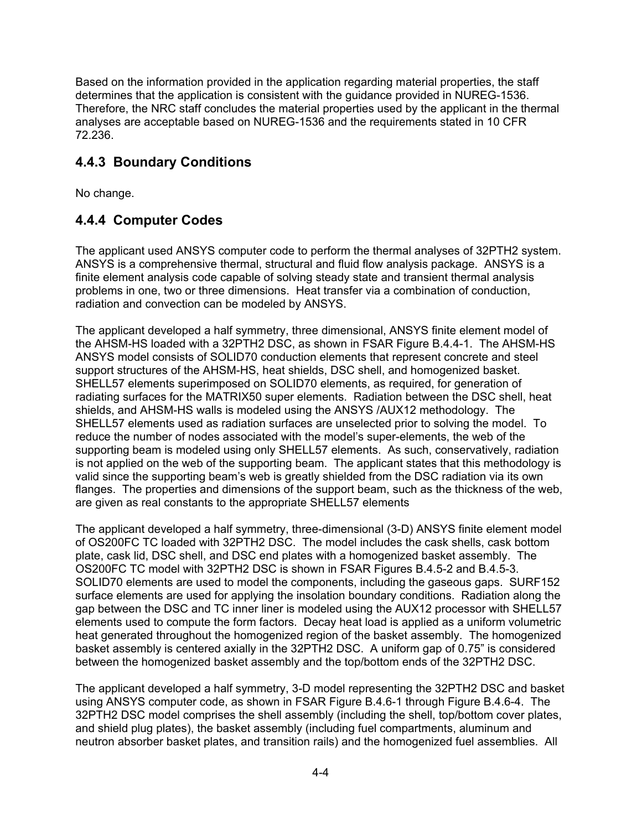Based on the information provided in the application regarding material properties, the staff determines that the application is consistent with the guidance provided in NUREG-1536. Therefore, the NRC staff concludes the material properties used by the applicant in the thermal analyses are acceptable based on NUREG-1536 and the requirements stated in 10 CFR 72.236.

### **4.4.3 Boundary Conditions**

No change.

### **4.4.4 Computer Codes**

The applicant used ANSYS computer code to perform the thermal analyses of 32PTH2 system. ANSYS is a comprehensive thermal, structural and fluid flow analysis package. ANSYS is a finite element analysis code capable of solving steady state and transient thermal analysis problems in one, two or three dimensions. Heat transfer via a combination of conduction, radiation and convection can be modeled by ANSYS.

The applicant developed a half symmetry, three dimensional, ANSYS finite element model of the AHSM-HS loaded with a 32PTH2 DSC, as shown in FSAR Figure B.4.4-1. The AHSM-HS ANSYS model consists of SOLID70 conduction elements that represent concrete and steel support structures of the AHSM-HS, heat shields, DSC shell, and homogenized basket. SHELL57 elements superimposed on SOLID70 elements, as required, for generation of radiating surfaces for the MATRIX50 super elements. Radiation between the DSC shell, heat shields, and AHSM-HS walls is modeled using the ANSYS /AUX12 methodology. The SHELL57 elements used as radiation surfaces are unselected prior to solving the model. To reduce the number of nodes associated with the model's super-elements, the web of the supporting beam is modeled using only SHELL57 elements. As such, conservatively, radiation is not applied on the web of the supporting beam. The applicant states that this methodology is valid since the supporting beam's web is greatly shielded from the DSC radiation via its own flanges. The properties and dimensions of the support beam, such as the thickness of the web, are given as real constants to the appropriate SHELL57 elements

The applicant developed a half symmetry, three-dimensional (3-D) ANSYS finite element model of OS200FC TC loaded with 32PTH2 DSC. The model includes the cask shells, cask bottom plate, cask lid, DSC shell, and DSC end plates with a homogenized basket assembly. The OS200FC TC model with 32PTH2 DSC is shown in FSAR Figures B.4.5-2 and B.4.5-3. SOLID70 elements are used to model the components, including the gaseous gaps. SURF152 surface elements are used for applying the insolation boundary conditions. Radiation along the gap between the DSC and TC inner liner is modeled using the AUX12 processor with SHELL57 elements used to compute the form factors. Decay heat load is applied as a uniform volumetric heat generated throughout the homogenized region of the basket assembly. The homogenized basket assembly is centered axially in the 32PTH2 DSC. A uniform gap of 0.75" is considered between the homogenized basket assembly and the top/bottom ends of the 32PTH2 DSC.

The applicant developed a half symmetry, 3-D model representing the 32PTH2 DSC and basket using ANSYS computer code, as shown in FSAR Figure B.4.6-1 through Figure B.4.6-4. The 32PTH2 DSC model comprises the shell assembly (including the shell, top/bottom cover plates, and shield plug plates), the basket assembly (including fuel compartments, aluminum and neutron absorber basket plates, and transition rails) and the homogenized fuel assemblies. All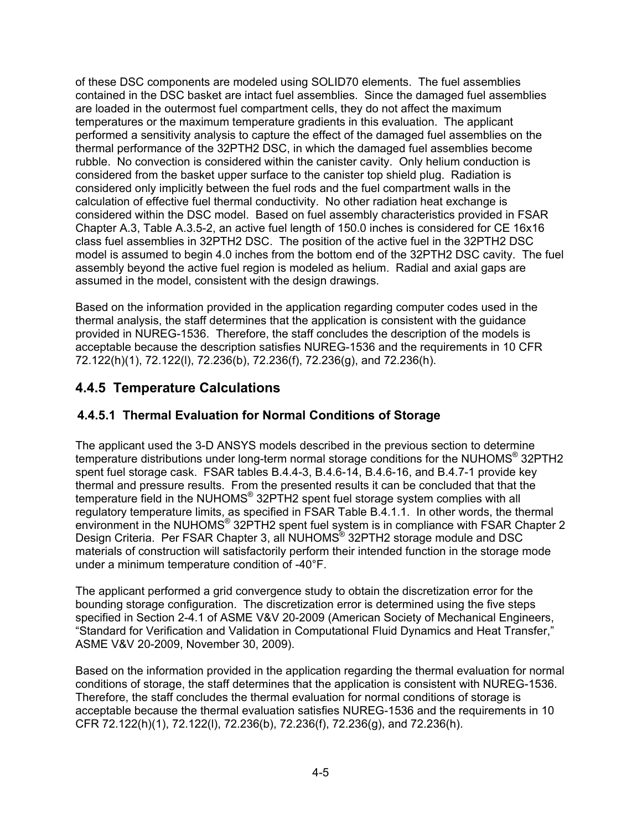of these DSC components are modeled using SOLID70 elements. The fuel assemblies contained in the DSC basket are intact fuel assemblies. Since the damaged fuel assemblies are loaded in the outermost fuel compartment cells, they do not affect the maximum temperatures or the maximum temperature gradients in this evaluation. The applicant performed a sensitivity analysis to capture the effect of the damaged fuel assemblies on the thermal performance of the 32PTH2 DSC, in which the damaged fuel assemblies become rubble. No convection is considered within the canister cavity. Only helium conduction is considered from the basket upper surface to the canister top shield plug. Radiation is considered only implicitly between the fuel rods and the fuel compartment walls in the calculation of effective fuel thermal conductivity. No other radiation heat exchange is considered within the DSC model. Based on fuel assembly characteristics provided in FSAR Chapter A.3, Table A.3.5-2, an active fuel length of 150.0 inches is considered for CE 16x16 class fuel assemblies in 32PTH2 DSC. The position of the active fuel in the 32PTH2 DSC model is assumed to begin 4.0 inches from the bottom end of the 32PTH2 DSC cavity. The fuel assembly beyond the active fuel region is modeled as helium. Radial and axial gaps are assumed in the model, consistent with the design drawings.

Based on the information provided in the application regarding computer codes used in the thermal analysis, the staff determines that the application is consistent with the guidance provided in NUREG-1536. Therefore, the staff concludes the description of the models is acceptable because the description satisfies NUREG-1536 and the requirements in 10 CFR 72.122(h)(1), 72.122(l), 72.236(b), 72.236(f), 72.236(g), and 72.236(h).

### **4.4.5 Temperature Calculations**

#### **4.4.5.1 Thermal Evaluation for Normal Conditions of Storage**

The applicant used the 3-D ANSYS models described in the previous section to determine temperature distributions under long-term normal storage conditions for the NUHOMS® 32PTH2 spent fuel storage cask. FSAR tables B.4.4-3, B.4.6-14, B.4.6-16, and B.4.7-1 provide key thermal and pressure results. From the presented results it can be concluded that that the temperature field in the NUHOMS<sup>®</sup> 32PTH2 spent fuel storage system complies with all regulatory temperature limits, as specified in FSAR Table B.4.1.1. In other words, the thermal environment in the NUHOMS® 32PTH2 spent fuel system is in compliance with FSAR Chapter 2 Design Criteria. Per FSAR Chapter 3, all NUHOMS<sup>®</sup> 32PTH2 storage module and DSC materials of construction will satisfactorily perform their intended function in the storage mode under a minimum temperature condition of -40°F.

The applicant performed a grid convergence study to obtain the discretization error for the bounding storage configuration. The discretization error is determined using the five steps specified in Section 2-4.1 of ASME V&V 20-2009 (American Society of Mechanical Engineers, "Standard for Verification and Validation in Computational Fluid Dynamics and Heat Transfer," ASME V&V 20-2009, November 30, 2009).

Based on the information provided in the application regarding the thermal evaluation for normal conditions of storage, the staff determines that the application is consistent with NUREG-1536. Therefore, the staff concludes the thermal evaluation for normal conditions of storage is acceptable because the thermal evaluation satisfies NUREG-1536 and the requirements in 10 CFR 72.122(h)(1), 72.122(l), 72.236(b), 72.236(f), 72.236(g), and 72.236(h).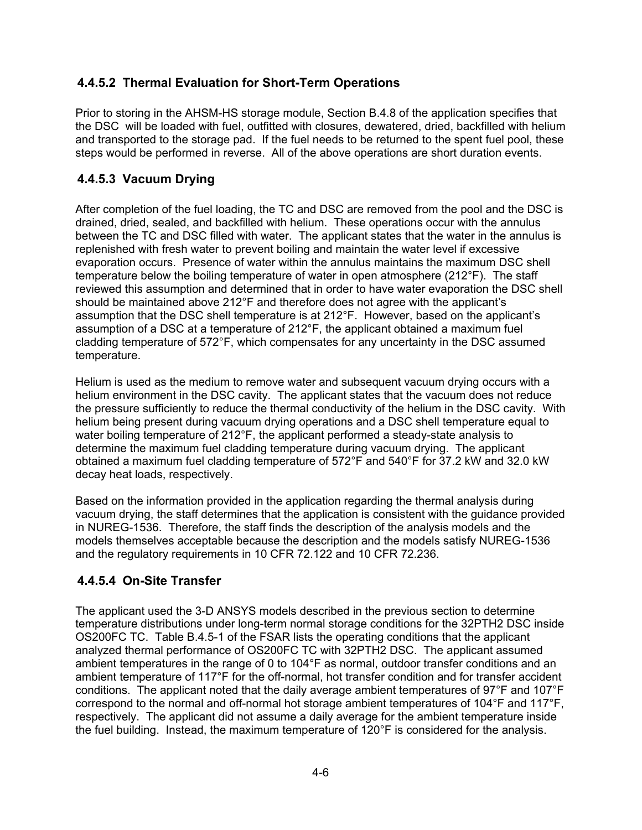#### **4.4.5.2 Thermal Evaluation for Short-Term Operations**

Prior to storing in the AHSM-HS storage module, Section B.4.8 of the application specifies that the DSC will be loaded with fuel, outfitted with closures, dewatered, dried, backfilled with helium and transported to the storage pad. If the fuel needs to be returned to the spent fuel pool, these steps would be performed in reverse. All of the above operations are short duration events.

#### **4.4.5.3 Vacuum Drying**

After completion of the fuel loading, the TC and DSC are removed from the pool and the DSC is drained, dried, sealed, and backfilled with helium. These operations occur with the annulus between the TC and DSC filled with water. The applicant states that the water in the annulus is replenished with fresh water to prevent boiling and maintain the water level if excessive evaporation occurs. Presence of water within the annulus maintains the maximum DSC shell temperature below the boiling temperature of water in open atmosphere (212°F). The staff reviewed this assumption and determined that in order to have water evaporation the DSC shell should be maintained above 212°F and therefore does not agree with the applicant's assumption that the DSC shell temperature is at 212°F. However, based on the applicant's assumption of a DSC at a temperature of 212°F, the applicant obtained a maximum fuel cladding temperature of 572°F, which compensates for any uncertainty in the DSC assumed temperature.

Helium is used as the medium to remove water and subsequent vacuum drying occurs with a helium environment in the DSC cavity. The applicant states that the vacuum does not reduce the pressure sufficiently to reduce the thermal conductivity of the helium in the DSC cavity. With helium being present during vacuum drying operations and a DSC shell temperature equal to water boiling temperature of 212°F, the applicant performed a steady-state analysis to determine the maximum fuel cladding temperature during vacuum drying. The applicant obtained a maximum fuel cladding temperature of 572°F and 540°F for 37.2 kW and 32.0 kW decay heat loads, respectively.

Based on the information provided in the application regarding the thermal analysis during vacuum drying, the staff determines that the application is consistent with the guidance provided in NUREG-1536. Therefore, the staff finds the description of the analysis models and the models themselves acceptable because the description and the models satisfy NUREG-1536 and the regulatory requirements in 10 CFR 72.122 and 10 CFR 72.236.

### **4.4.5.4 On-Site Transfer**

The applicant used the 3-D ANSYS models described in the previous section to determine temperature distributions under long-term normal storage conditions for the 32PTH2 DSC inside OS200FC TC. Table B.4.5-1 of the FSAR lists the operating conditions that the applicant analyzed thermal performance of OS200FC TC with 32PTH2 DSC. The applicant assumed ambient temperatures in the range of 0 to 104°F as normal, outdoor transfer conditions and an ambient temperature of 117°F for the off-normal, hot transfer condition and for transfer accident conditions. The applicant noted that the daily average ambient temperatures of 97°F and 107°F correspond to the normal and off-normal hot storage ambient temperatures of 104°F and 117°F, respectively. The applicant did not assume a daily average for the ambient temperature inside the fuel building. Instead, the maximum temperature of 120°F is considered for the analysis.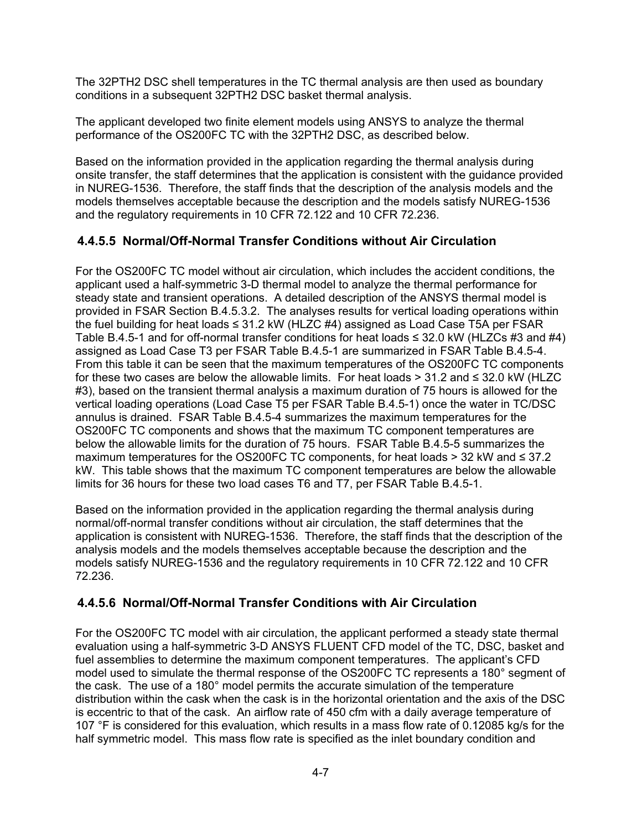The 32PTH2 DSC shell temperatures in the TC thermal analysis are then used as boundary conditions in a subsequent 32PTH2 DSC basket thermal analysis.

The applicant developed two finite element models using ANSYS to analyze the thermal performance of the OS200FC TC with the 32PTH2 DSC, as described below.

Based on the information provided in the application regarding the thermal analysis during onsite transfer, the staff determines that the application is consistent with the guidance provided in NUREG-1536. Therefore, the staff finds that the description of the analysis models and the models themselves acceptable because the description and the models satisfy NUREG-1536 and the regulatory requirements in 10 CFR 72.122 and 10 CFR 72.236.

#### **4.4.5.5 Normal/Off-Normal Transfer Conditions without Air Circulation**

For the OS200FC TC model without air circulation, which includes the accident conditions, the applicant used a half-symmetric 3-D thermal model to analyze the thermal performance for steady state and transient operations. A detailed description of the ANSYS thermal model is provided in FSAR Section B.4.5.3.2. The analyses results for vertical loading operations within the fuel building for heat loads  $\leq$  31.2 kW (HLZC #4) assigned as Load Case T5A per FSAR Table B.4.5-1 and for off-normal transfer conditions for heat loads  $\leq$  32.0 kW (HLZCs #3 and #4) assigned as Load Case T3 per FSAR Table B.4.5-1 are summarized in FSAR Table B.4.5-4. From this table it can be seen that the maximum temperatures of the OS200FC TC components for these two cases are below the allowable limits. For heat loads > 31.2 and  $\leq$  32.0 kW (HLZC #3), based on the transient thermal analysis a maximum duration of 75 hours is allowed for the vertical loading operations (Load Case T5 per FSAR Table B.4.5-1) once the water in TC/DSC annulus is drained. FSAR Table B.4.5-4 summarizes the maximum temperatures for the OS200FC TC components and shows that the maximum TC component temperatures are below the allowable limits for the duration of 75 hours. FSAR Table B.4.5-5 summarizes the maximum temperatures for the OS200FC TC components, for heat loads > 32 kW and ≤ 37.2 kW. This table shows that the maximum TC component temperatures are below the allowable limits for 36 hours for these two load cases T6 and T7, per FSAR Table B.4.5-1.

Based on the information provided in the application regarding the thermal analysis during normal/off-normal transfer conditions without air circulation, the staff determines that the application is consistent with NUREG-1536. Therefore, the staff finds that the description of the analysis models and the models themselves acceptable because the description and the models satisfy NUREG-1536 and the regulatory requirements in 10 CFR 72.122 and 10 CFR 72.236.

#### **4.4.5.6 Normal/Off-Normal Transfer Conditions with Air Circulation**

For the OS200FC TC model with air circulation, the applicant performed a steady state thermal evaluation using a half-symmetric 3-D ANSYS FLUENT CFD model of the TC, DSC, basket and fuel assemblies to determine the maximum component temperatures. The applicant's CFD model used to simulate the thermal response of the OS200FC TC represents a 180° segment of the cask. The use of a 180° model permits the accurate simulation of the temperature distribution within the cask when the cask is in the horizontal orientation and the axis of the DSC is eccentric to that of the cask. An airflow rate of 450 cfm with a daily average temperature of 107 °F is considered for this evaluation, which results in a mass flow rate of 0.12085 kg/s for the half symmetric model. This mass flow rate is specified as the inlet boundary condition and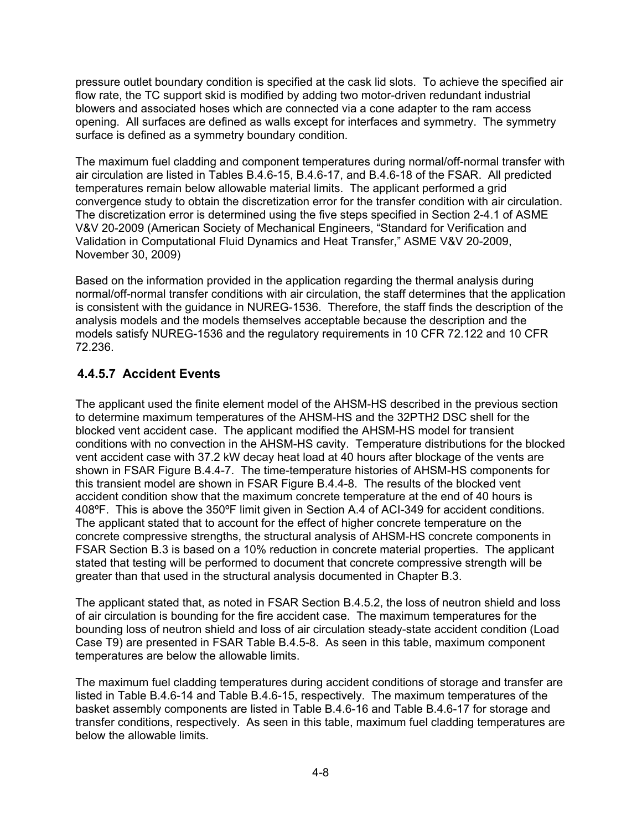pressure outlet boundary condition is specified at the cask lid slots. To achieve the specified air flow rate, the TC support skid is modified by adding two motor-driven redundant industrial blowers and associated hoses which are connected via a cone adapter to the ram access opening. All surfaces are defined as walls except for interfaces and symmetry. The symmetry surface is defined as a symmetry boundary condition.

The maximum fuel cladding and component temperatures during normal/off-normal transfer with air circulation are listed in Tables B.4.6-15, B.4.6-17, and B.4.6-18 of the FSAR. All predicted temperatures remain below allowable material limits. The applicant performed a grid convergence study to obtain the discretization error for the transfer condition with air circulation. The discretization error is determined using the five steps specified in Section 2-4.1 of ASME V&V 20-2009 (American Society of Mechanical Engineers, "Standard for Verification and Validation in Computational Fluid Dynamics and Heat Transfer," ASME V&V 20-2009, November 30, 2009)

Based on the information provided in the application regarding the thermal analysis during normal/off-normal transfer conditions with air circulation, the staff determines that the application is consistent with the guidance in NUREG-1536. Therefore, the staff finds the description of the analysis models and the models themselves acceptable because the description and the models satisfy NUREG-1536 and the regulatory requirements in 10 CFR 72.122 and 10 CFR 72.236.

#### **4.4.5.7 Accident Events**

The applicant used the finite element model of the AHSM-HS described in the previous section to determine maximum temperatures of the AHSM-HS and the 32PTH2 DSC shell for the blocked vent accident case. The applicant modified the AHSM-HS model for transient conditions with no convection in the AHSM-HS cavity. Temperature distributions for the blocked vent accident case with 37.2 kW decay heat load at 40 hours after blockage of the vents are shown in FSAR Figure B.4.4-7. The time-temperature histories of AHSM-HS components for this transient model are shown in FSAR Figure B.4.4-8. The results of the blocked vent accident condition show that the maximum concrete temperature at the end of 40 hours is 408ºF. This is above the 350ºF limit given in Section A.4 of ACI-349 for accident conditions. The applicant stated that to account for the effect of higher concrete temperature on the concrete compressive strengths, the structural analysis of AHSM-HS concrete components in FSAR Section B.3 is based on a 10% reduction in concrete material properties. The applicant stated that testing will be performed to document that concrete compressive strength will be greater than that used in the structural analysis documented in Chapter B.3.

The applicant stated that, as noted in FSAR Section B.4.5.2, the loss of neutron shield and loss of air circulation is bounding for the fire accident case. The maximum temperatures for the bounding loss of neutron shield and loss of air circulation steady-state accident condition (Load Case T9) are presented in FSAR Table B.4.5-8. As seen in this table, maximum component temperatures are below the allowable limits.

The maximum fuel cladding temperatures during accident conditions of storage and transfer are listed in Table B.4.6-14 and Table B.4.6-15, respectively. The maximum temperatures of the basket assembly components are listed in Table B.4.6-16 and Table B.4.6-17 for storage and transfer conditions, respectively. As seen in this table, maximum fuel cladding temperatures are below the allowable limits.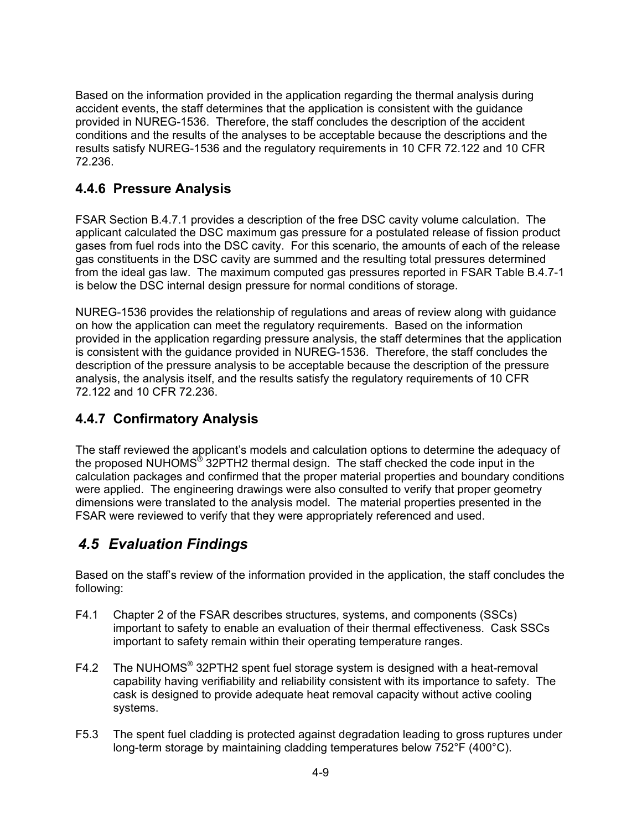Based on the information provided in the application regarding the thermal analysis during accident events, the staff determines that the application is consistent with the guidance provided in NUREG-1536. Therefore, the staff concludes the description of the accident conditions and the results of the analyses to be acceptable because the descriptions and the results satisfy NUREG-1536 and the regulatory requirements in 10 CFR 72.122 and 10 CFR 72.236.

### **4.4.6 Pressure Analysis**

FSAR Section B.4.7.1 provides a description of the free DSC cavity volume calculation. The applicant calculated the DSC maximum gas pressure for a postulated release of fission product gases from fuel rods into the DSC cavity. For this scenario, the amounts of each of the release gas constituents in the DSC cavity are summed and the resulting total pressures determined from the ideal gas law. The maximum computed gas pressures reported in FSAR Table B.4.7-1 is below the DSC internal design pressure for normal conditions of storage.

NUREG-1536 provides the relationship of regulations and areas of review along with guidance on how the application can meet the regulatory requirements. Based on the information provided in the application regarding pressure analysis, the staff determines that the application is consistent with the guidance provided in NUREG-1536. Therefore, the staff concludes the description of the pressure analysis to be acceptable because the description of the pressure analysis, the analysis itself, and the results satisfy the regulatory requirements of 10 CFR 72.122 and 10 CFR 72.236.

### **4.4.7 Confirmatory Analysis**

The staff reviewed the applicant's models and calculation options to determine the adequacy of the proposed NUHOMS® 32PTH2 thermal design. The staff checked the code input in the calculation packages and confirmed that the proper material properties and boundary conditions were applied. The engineering drawings were also consulted to verify that proper geometry dimensions were translated to the analysis model. The material properties presented in the FSAR were reviewed to verify that they were appropriately referenced and used.

# *4.5 Evaluation Findings*

Based on the staff's review of the information provided in the application, the staff concludes the following:

- F4.1 Chapter 2 of the FSAR describes structures, systems, and components (SSCs) important to safety to enable an evaluation of their thermal effectiveness. Cask SSCs important to safety remain within their operating temperature ranges.
- F4.2 The NUHOMS® 32PTH2 spent fuel storage system is designed with a heat-removal capability having verifiability and reliability consistent with its importance to safety. The cask is designed to provide adequate heat removal capacity without active cooling systems.
- F5.3 The spent fuel cladding is protected against degradation leading to gross ruptures under long-term storage by maintaining cladding temperatures below 752°F (400°C).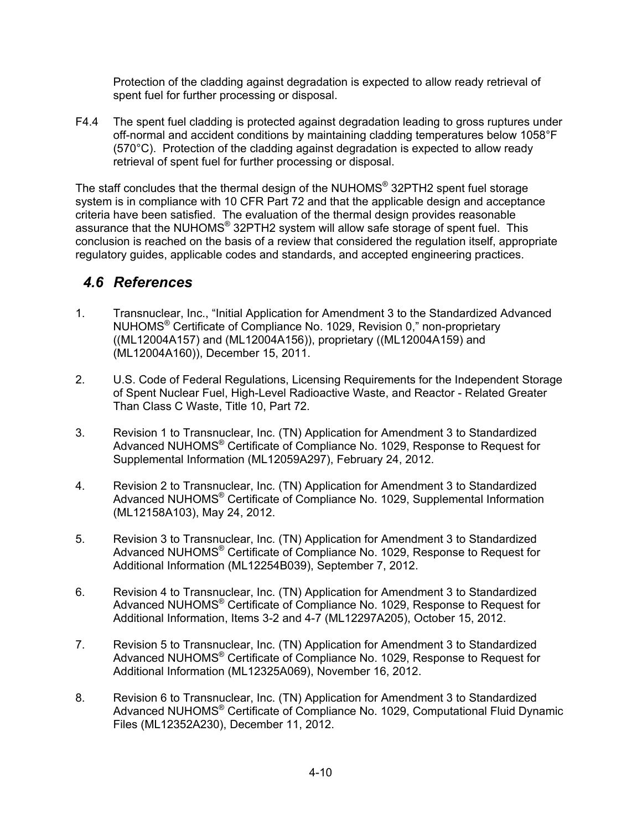Protection of the cladding against degradation is expected to allow ready retrieval of spent fuel for further processing or disposal.

F4.4 The spent fuel cladding is protected against degradation leading to gross ruptures under off-normal and accident conditions by maintaining cladding temperatures below 1058°F (570°C). Protection of the cladding against degradation is expected to allow ready retrieval of spent fuel for further processing or disposal.

The staff concludes that the thermal design of the NUHOMS® 32PTH2 spent fuel storage system is in compliance with 10 CFR Part 72 and that the applicable design and acceptance criteria have been satisfied. The evaluation of the thermal design provides reasonable assurance that the NUHOMS® 32PTH2 system will allow safe storage of spent fuel. This conclusion is reached on the basis of a review that considered the regulation itself, appropriate regulatory guides, applicable codes and standards, and accepted engineering practices.

### *4.6 References*

- 1. Transnuclear, Inc., "Initial Application for Amendment 3 to the Standardized Advanced NUHOMS® Certificate of Compliance No. 1029, Revision 0," non-proprietary ((ML12004A157) and (ML12004A156)), proprietary ((ML12004A159) and (ML12004A160)), December 15, 2011.
- 2. U.S. Code of Federal Regulations, Licensing Requirements for the Independent Storage of Spent Nuclear Fuel, High-Level Radioactive Waste, and Reactor - Related Greater Than Class C Waste, Title 10, Part 72.
- 3. Revision 1 to Transnuclear, Inc. (TN) Application for Amendment 3 to Standardized Advanced NUHOMS® Certificate of Compliance No. 1029, Response to Request for Supplemental Information (ML12059A297), February 24, 2012.
- 4. Revision 2 to Transnuclear, Inc. (TN) Application for Amendment 3 to Standardized Advanced NUHOMS® Certificate of Compliance No. 1029, Supplemental Information (ML12158A103), May 24, 2012.
- 5. Revision 3 to Transnuclear, Inc. (TN) Application for Amendment 3 to Standardized Advanced NUHOMS® Certificate of Compliance No. 1029, Response to Request for Additional Information (ML12254B039), September 7, 2012.
- 6. Revision 4 to Transnuclear, Inc. (TN) Application for Amendment 3 to Standardized Advanced NUHOMS® Certificate of Compliance No. 1029, Response to Request for Additional Information, Items 3-2 and 4-7 (ML12297A205), October 15, 2012.
- 7. Revision 5 to Transnuclear, Inc. (TN) Application for Amendment 3 to Standardized Advanced NUHOMS® Certificate of Compliance No. 1029, Response to Request for Additional Information (ML12325A069), November 16, 2012.
- 8. Revision 6 to Transnuclear, Inc. (TN) Application for Amendment 3 to Standardized Advanced NUHOMS<sup>®</sup> Certificate of Compliance No. 1029, Computational Fluid Dynamic Files (ML12352A230), December 11, 2012.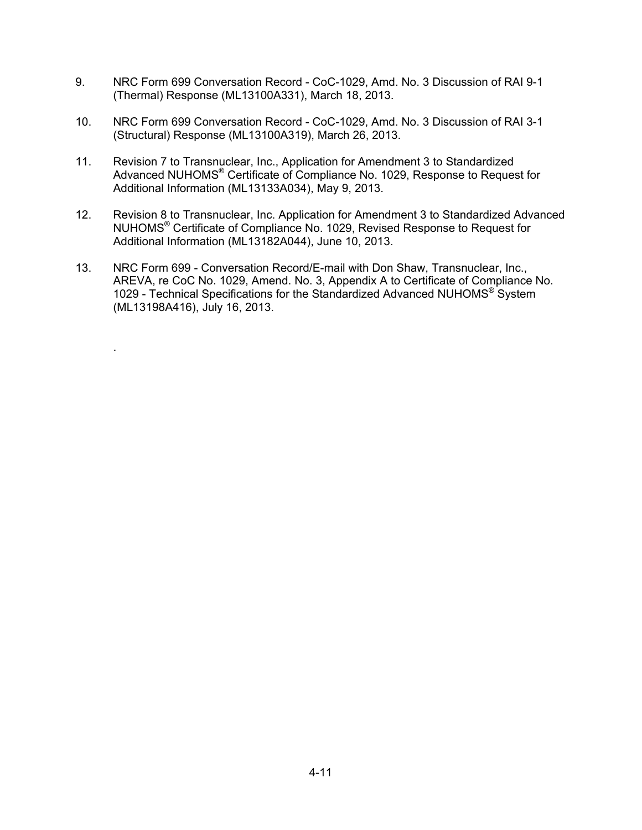- 9. NRC Form 699 Conversation Record CoC-1029, Amd. No. 3 Discussion of RAI 9-1 (Thermal) Response (ML13100A331), March 18, 2013.
- 10. NRC Form 699 Conversation Record CoC-1029, Amd. No. 3 Discussion of RAI 3-1 (Structural) Response (ML13100A319), March 26, 2013.
- 11. Revision 7 to Transnuclear, Inc., Application for Amendment 3 to Standardized Advanced NUHOMS® Certificate of Compliance No. 1029, Response to Request for Additional Information (ML13133A034), May 9, 2013.
- 12. Revision 8 to Transnuclear, Inc. Application for Amendment 3 to Standardized Advanced NUHOMS® Certificate of Compliance No. 1029, Revised Response to Request for Additional Information (ML13182A044), June 10, 2013.
- 13. NRC Form 699 Conversation Record/E-mail with Don Shaw, Transnuclear, Inc., AREVA, re CoC No. 1029, Amend. No. 3, Appendix A to Certificate of Compliance No. 1029 - Technical Specifications for the Standardized Advanced NUHOMS® System (ML13198A416), July 16, 2013.

.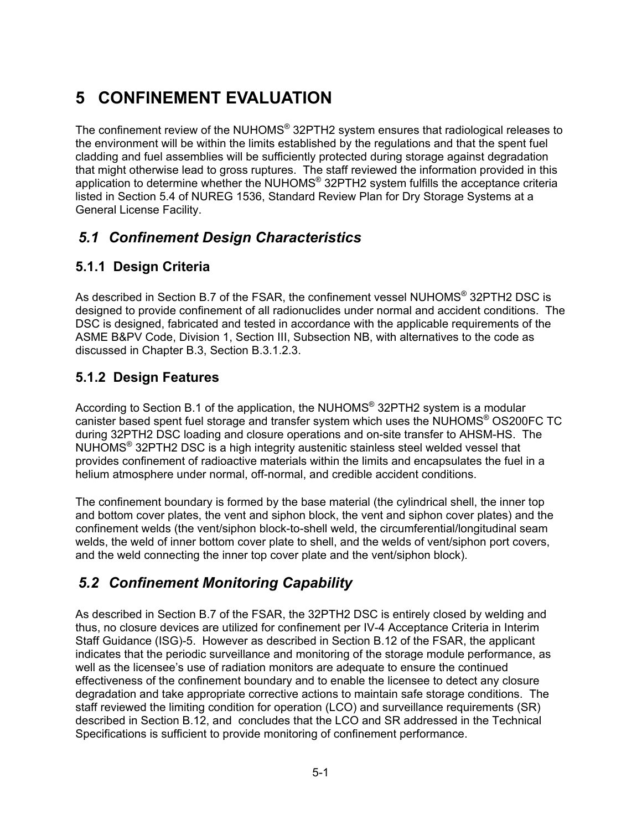# **5 CONFINEMENT EVALUATION**

The confinement review of the NUHOMS<sup>®</sup> 32PTH2 system ensures that radiological releases to the environment will be within the limits established by the regulations and that the spent fuel cladding and fuel assemblies will be sufficiently protected during storage against degradation that might otherwise lead to gross ruptures. The staff reviewed the information provided in this application to determine whether the NUHOMS® 32PTH2 system fulfills the acceptance criteria listed in Section 5.4 of NUREG 1536, Standard Review Plan for Dry Storage Systems at a General License Facility.

# *5.1 Confinement Design Characteristics*

### **5.1.1 Design Criteria**

As described in Section B.7 of the FSAR, the confinement vessel NUHOMS<sup>®</sup> 32PTH2 DSC is designed to provide confinement of all radionuclides under normal and accident conditions. The DSC is designed, fabricated and tested in accordance with the applicable requirements of the ASME B&PV Code, Division 1, Section III, Subsection NB, with alternatives to the code as discussed in Chapter B.3, Section B.3.1.2.3.

### **5.1.2 Design Features**

According to Section B.1 of the application, the NUHOMS<sup>®</sup> 32PTH2 system is a modular canister based spent fuel storage and transfer system which uses the NUHOMS® OS200FC TC during 32PTH2 DSC loading and closure operations and on-site transfer to AHSM-HS. The NUHOMS® 32PTH2 DSC is a high integrity austenitic stainless steel welded vessel that provides confinement of radioactive materials within the limits and encapsulates the fuel in a helium atmosphere under normal, off-normal, and credible accident conditions.

The confinement boundary is formed by the base material (the cylindrical shell, the inner top and bottom cover plates, the vent and siphon block, the vent and siphon cover plates) and the confinement welds (the vent/siphon block-to-shell weld, the circumferential/longitudinal seam welds, the weld of inner bottom cover plate to shell, and the welds of vent/siphon port covers, and the weld connecting the inner top cover plate and the vent/siphon block).

# *5.2 Confinement Monitoring Capability*

As described in Section B.7 of the FSAR, the 32PTH2 DSC is entirely closed by welding and thus, no closure devices are utilized for confinement per IV-4 Acceptance Criteria in Interim Staff Guidance (ISG)-5. However as described in Section B.12 of the FSAR, the applicant indicates that the periodic surveillance and monitoring of the storage module performance, as well as the licensee's use of radiation monitors are adequate to ensure the continued effectiveness of the confinement boundary and to enable the licensee to detect any closure degradation and take appropriate corrective actions to maintain safe storage conditions. The staff reviewed the limiting condition for operation (LCO) and surveillance requirements (SR) described in Section B.12, and concludes that the LCO and SR addressed in the Technical Specifications is sufficient to provide monitoring of confinement performance.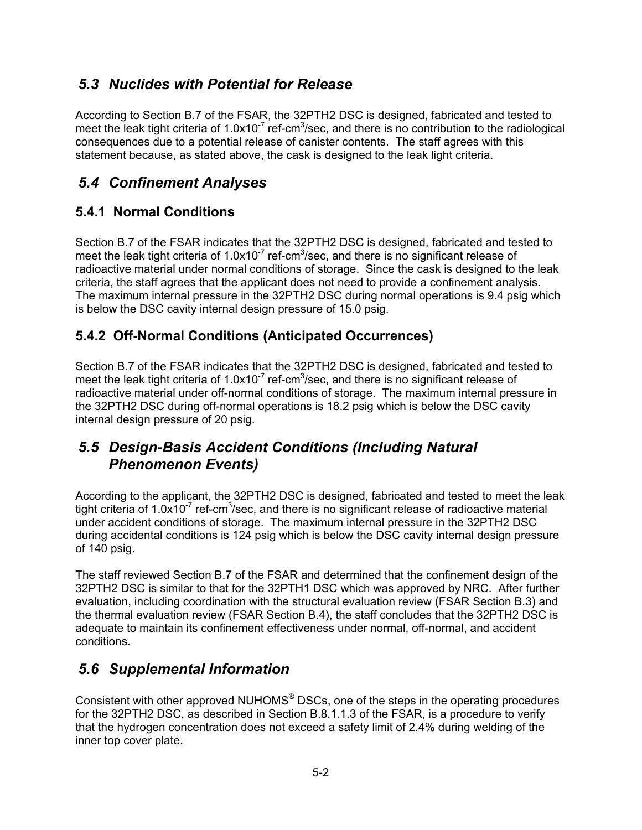### *5.3 Nuclides with Potential for Release*

According to Section B.7 of the FSAR, the 32PTH2 DSC is designed, fabricated and tested to meet the leak tight criteria of  $1.0x10^{-7}$  ref-cm<sup>3</sup>/sec, and there is no contribution to the radiological consequences due to a potential release of canister contents. The staff agrees with this statement because, as stated above, the cask is designed to the leak light criteria.

# *5.4 Confinement Analyses*

### **5.4.1 Normal Conditions**

Section B.7 of the FSAR indicates that the 32PTH2 DSC is designed, fabricated and tested to meet the leak tight criteria of  $1.0x10^{-7}$  ref-cm<sup>3</sup>/sec, and there is no significant release of radioactive material under normal conditions of storage. Since the cask is designed to the leak criteria, the staff agrees that the applicant does not need to provide a confinement analysis. The maximum internal pressure in the 32PTH2 DSC during normal operations is 9.4 psig which is below the DSC cavity internal design pressure of 15.0 psig.

### **5.4.2 Off-Normal Conditions (Anticipated Occurrences)**

Section B.7 of the FSAR indicates that the 32PTH2 DSC is designed, fabricated and tested to meet the leak tight criteria of  $1.0x10^{-7}$  ref-cm<sup>3</sup>/sec, and there is no significant release of radioactive material under off-normal conditions of storage. The maximum internal pressure in the 32PTH2 DSC during off-normal operations is 18.2 psig which is below the DSC cavity internal design pressure of 20 psig.

### *5.5 Design-Basis Accident Conditions (Including Natural Phenomenon Events)*

According to the applicant, the 32PTH2 DSC is designed, fabricated and tested to meet the leak tight criteria of 1.0x10<sup>-7</sup> ref-cm<sup>3</sup>/sec, and there is no significant release of radioactive material under accident conditions of storage. The maximum internal pressure in the 32PTH2 DSC during accidental conditions is 124 psig which is below the DSC cavity internal design pressure of 140 psig.

The staff reviewed Section B.7 of the FSAR and determined that the confinement design of the 32PTH2 DSC is similar to that for the 32PTH1 DSC which was approved by NRC. After further evaluation, including coordination with the structural evaluation review (FSAR Section B.3) and the thermal evaluation review (FSAR Section B.4), the staff concludes that the 32PTH2 DSC is adequate to maintain its confinement effectiveness under normal, off-normal, and accident conditions.

# *5.6 Supplemental Information*

Consistent with other approved NUHOMS® DSCs, one of the steps in the operating procedures for the 32PTH2 DSC, as described in Section B.8.1.1.3 of the FSAR, is a procedure to verify that the hydrogen concentration does not exceed a safety limit of 2.4% during welding of the inner top cover plate.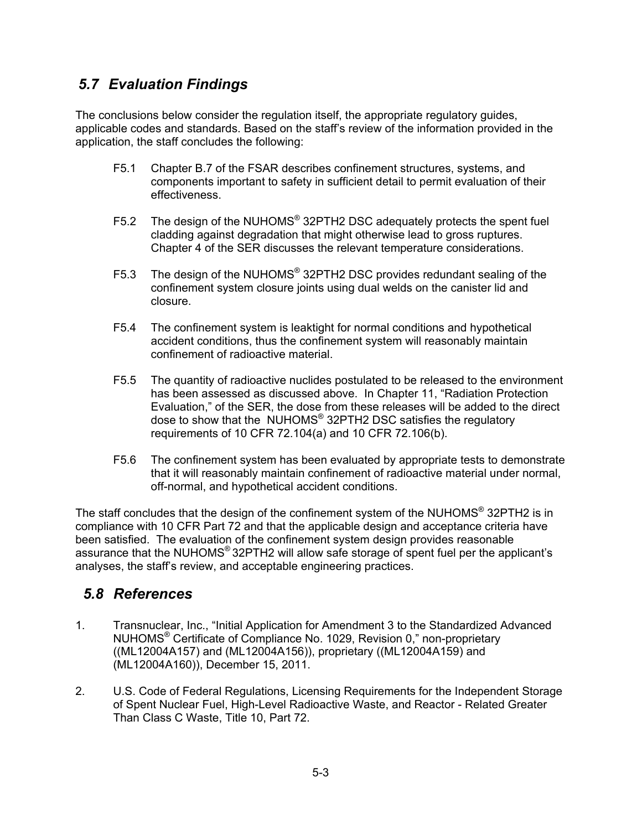### *5.7 Evaluation Findings*

The conclusions below consider the regulation itself, the appropriate regulatory guides, applicable codes and standards. Based on the staff's review of the information provided in the application, the staff concludes the following:

- F5.1 Chapter B.7 of the FSAR describes confinement structures, systems, and components important to safety in sufficient detail to permit evaluation of their effectiveness.
- F5.2 The design of the NUHOMS<sup>®</sup> 32PTH2 DSC adequately protects the spent fuel cladding against degradation that might otherwise lead to gross ruptures. Chapter 4 of the SER discusses the relevant temperature considerations.
- F5.3 The design of the NUHOMS® 32PTH2 DSC provides redundant sealing of the confinement system closure joints using dual welds on the canister lid and closure.
- F5.4 The confinement system is leaktight for normal conditions and hypothetical accident conditions, thus the confinement system will reasonably maintain confinement of radioactive material.
- F5.5 The quantity of radioactive nuclides postulated to be released to the environment has been assessed as discussed above. In Chapter 11, "Radiation Protection Evaluation," of the SER, the dose from these releases will be added to the direct dose to show that the NUHOMS® 32PTH2 DSC satisfies the regulatory requirements of 10 CFR 72.104(a) and 10 CFR 72.106(b).
- F5.6 The confinement system has been evaluated by appropriate tests to demonstrate that it will reasonably maintain confinement of radioactive material under normal, off-normal, and hypothetical accident conditions.

The staff concludes that the design of the confinement system of the NUHOMS® 32PTH2 is in compliance with 10 CFR Part 72 and that the applicable design and acceptance criteria have been satisfied. The evaluation of the confinement system design provides reasonable assurance that the NUHOMS® 32PTH2 will allow safe storage of spent fuel per the applicant's analyses, the staff's review, and acceptable engineering practices.

### *5.8 References*

- 1. Transnuclear, Inc., "Initial Application for Amendment 3 to the Standardized Advanced NUHOMS® Certificate of Compliance No. 1029, Revision 0," non-proprietary ((ML12004A157) and (ML12004A156)), proprietary ((ML12004A159) and (ML12004A160)), December 15, 2011.
- 2. U.S. Code of Federal Regulations, Licensing Requirements for the Independent Storage of Spent Nuclear Fuel, High-Level Radioactive Waste, and Reactor - Related Greater Than Class C Waste, Title 10, Part 72.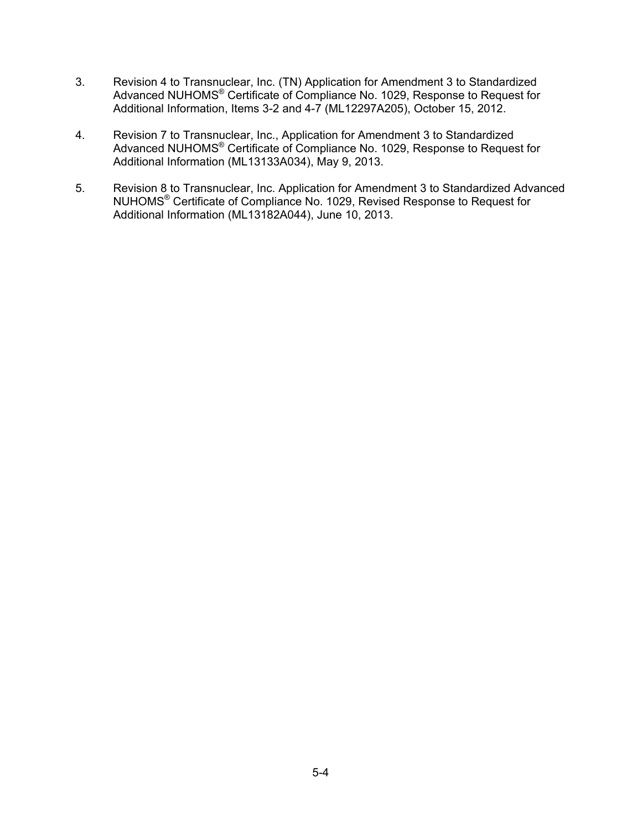- 3. Revision 4 to Transnuclear, Inc. (TN) Application for Amendment 3 to Standardized Advanced NUHOMS<sup>®</sup> Certificate of Compliance No. 1029, Response to Request for Additional Information, Items 3-2 and 4-7 (ML12297A205), October 15, 2012.
- 4. Revision 7 to Transnuclear, Inc., Application for Amendment 3 to Standardized Advanced NUHOMS® Certificate of Compliance No. 1029, Response to Request for Additional Information (ML13133A034), May 9, 2013.
- 5. Revision 8 to Transnuclear, Inc. Application for Amendment 3 to Standardized Advanced NUHOMS® Certificate of Compliance No. 1029, Revised Response to Request for Additional Information (ML13182A044), June 10, 2013.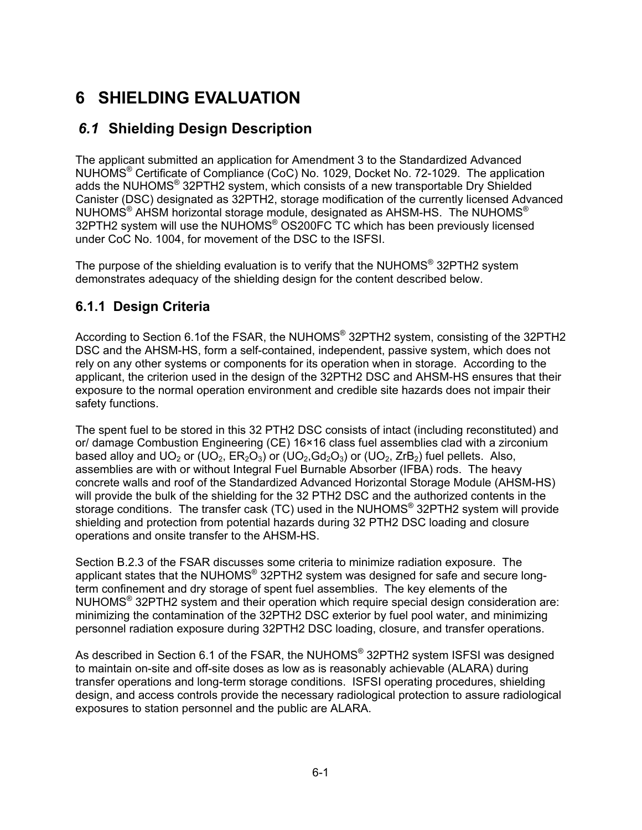# **6 SHIELDING EVALUATION**

# *6.1* **Shielding Design Description**

The applicant submitted an application for Amendment 3 to the Standardized Advanced NUHOMS® Certificate of Compliance (CoC) No. 1029, Docket No. 72-1029. The application adds the NUHOMS® 32PTH2 system, which consists of a new transportable Dry Shielded Canister (DSC) designated as 32PTH2, storage modification of the currently licensed Advanced NUHOMS<sup>®</sup> AHSM horizontal storage module, designated as AHSM-HS. The NUHOMS<sup>®</sup> 32PTH2 system will use the NUHOMS® OS200FC TC which has been previously licensed under CoC No. 1004, for movement of the DSC to the ISFSI.

The purpose of the shielding evaluation is to verify that the NUHOMS<sup>®</sup> 32PTH2 system demonstrates adequacy of the shielding design for the content described below.

### **6.1.1 Design Criteria**

According to Section 6.1of the FSAR, the NUHOMS® 32PTH2 system, consisting of the 32PTH2 DSC and the AHSM-HS, form a self-contained, independent, passive system, which does not rely on any other systems or components for its operation when in storage. According to the applicant, the criterion used in the design of the 32PTH2 DSC and AHSM-HS ensures that their exposure to the normal operation environment and credible site hazards does not impair their safety functions.

The spent fuel to be stored in this 32 PTH2 DSC consists of intact (including reconstituted) and or/ damage Combustion Engineering (CE) 16×16 class fuel assemblies clad with a zirconium based alloy and  $UO_2$  or ( $UO_2$ ,  $ER_2O_3$ ) or ( $UO_2$ ,  $Gd_2O_3$ ) or ( $UO_2$ ,  $ZrB_2$ ) fuel pellets. Also, assemblies are with or without Integral Fuel Burnable Absorber (IFBA) rods. The heavy concrete walls and roof of the Standardized Advanced Horizontal Storage Module (AHSM-HS) will provide the bulk of the shielding for the 32 PTH2 DSC and the authorized contents in the storage conditions. The transfer cask (TC) used in the NUHOMS<sup>®</sup> 32PTH2 system will provide shielding and protection from potential hazards during 32 PTH2 DSC loading and closure operations and onsite transfer to the AHSM-HS.

Section B.2.3 of the FSAR discusses some criteria to minimize radiation exposure. The applicant states that the NUHOMS® 32PTH2 system was designed for safe and secure longterm confinement and dry storage of spent fuel assemblies. The key elements of the NUHOMS® 32PTH2 system and their operation which require special design consideration are: minimizing the contamination of the 32PTH2 DSC exterior by fuel pool water, and minimizing personnel radiation exposure during 32PTH2 DSC loading, closure, and transfer operations.

As described in Section 6.1 of the FSAR, the NUHOMS® 32PTH2 system ISFSI was designed to maintain on-site and off-site doses as low as is reasonably achievable (ALARA) during transfer operations and long-term storage conditions. ISFSI operating procedures, shielding design, and access controls provide the necessary radiological protection to assure radiological exposures to station personnel and the public are ALARA.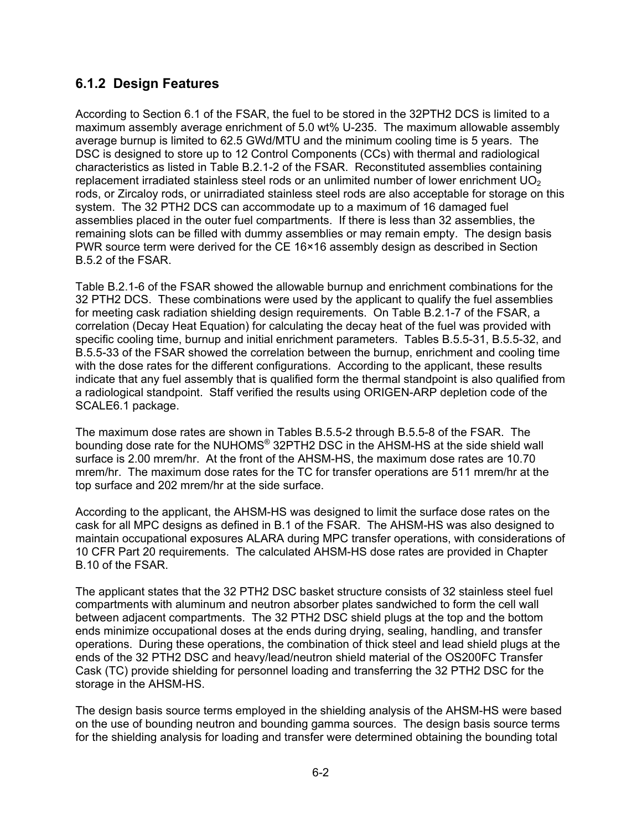### **6.1.2 Design Features**

According to Section 6.1 of the FSAR, the fuel to be stored in the 32PTH2 DCS is limited to a maximum assembly average enrichment of 5.0 wt% U-235. The maximum allowable assembly average burnup is limited to 62.5 GWd/MTU and the minimum cooling time is 5 years. The DSC is designed to store up to 12 Control Components (CCs) with thermal and radiological characteristics as listed in Table B.2.1-2 of the FSAR. Reconstituted assemblies containing replacement irradiated stainless steel rods or an unlimited number of lower enrichment  $UO<sub>2</sub>$ rods, or Zircaloy rods, or unirradiated stainless steel rods are also acceptable for storage on this system. The 32 PTH2 DCS can accommodate up to a maximum of 16 damaged fuel assemblies placed in the outer fuel compartments. If there is less than 32 assemblies, the remaining slots can be filled with dummy assemblies or may remain empty. The design basis PWR source term were derived for the CE 16×16 assembly design as described in Section B.5.2 of the FSAR.

Table B.2.1-6 of the FSAR showed the allowable burnup and enrichment combinations for the 32 PTH2 DCS. These combinations were used by the applicant to qualify the fuel assemblies for meeting cask radiation shielding design requirements. On Table B.2.1-7 of the FSAR, a correlation (Decay Heat Equation) for calculating the decay heat of the fuel was provided with specific cooling time, burnup and initial enrichment parameters. Tables B.5.5-31, B.5.5-32, and B.5.5-33 of the FSAR showed the correlation between the burnup, enrichment and cooling time with the dose rates for the different configurations. According to the applicant, these results indicate that any fuel assembly that is qualified form the thermal standpoint is also qualified from a radiological standpoint. Staff verified the results using ORIGEN-ARP depletion code of the SCALE6.1 package.

The maximum dose rates are shown in Tables B.5.5-2 through B.5.5-8 of the FSAR. The bounding dose rate for the NUHOMS® 32PTH2 DSC in the AHSM-HS at the side shield wall surface is 2.00 mrem/hr. At the front of the AHSM-HS, the maximum dose rates are 10.70 mrem/hr. The maximum dose rates for the TC for transfer operations are 511 mrem/hr at the top surface and 202 mrem/hr at the side surface.

According to the applicant, the AHSM-HS was designed to limit the surface dose rates on the cask for all MPC designs as defined in B.1 of the FSAR. The AHSM-HS was also designed to maintain occupational exposures ALARA during MPC transfer operations, with considerations of 10 CFR Part 20 requirements. The calculated AHSM-HS dose rates are provided in Chapter B.10 of the FSAR.

The applicant states that the 32 PTH2 DSC basket structure consists of 32 stainless steel fuel compartments with aluminum and neutron absorber plates sandwiched to form the cell wall between adjacent compartments. The 32 PTH2 DSC shield plugs at the top and the bottom ends minimize occupational doses at the ends during drying, sealing, handling, and transfer operations. During these operations, the combination of thick steel and lead shield plugs at the ends of the 32 PTH2 DSC and heavy/lead/neutron shield material of the OS200FC Transfer Cask (TC) provide shielding for personnel loading and transferring the 32 PTH2 DSC for the storage in the AHSM-HS.

The design basis source terms employed in the shielding analysis of the AHSM-HS were based on the use of bounding neutron and bounding gamma sources. The design basis source terms for the shielding analysis for loading and transfer were determined obtaining the bounding total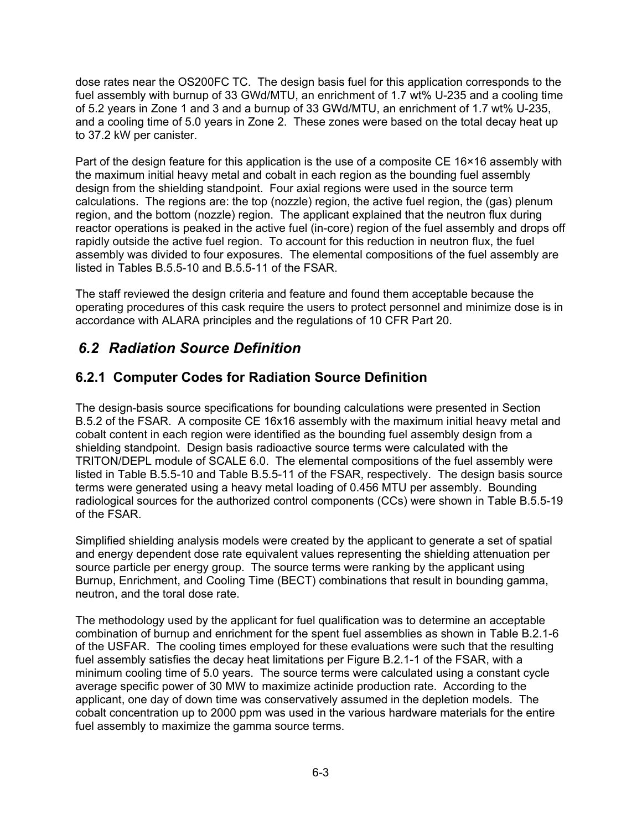dose rates near the OS200FC TC. The design basis fuel for this application corresponds to the fuel assembly with burnup of 33 GWd/MTU, an enrichment of 1.7 wt% U-235 and a cooling time of 5.2 years in Zone 1 and 3 and a burnup of 33 GWd/MTU, an enrichment of 1.7 wt% U-235, and a cooling time of 5.0 years in Zone 2. These zones were based on the total decay heat up to 37.2 kW per canister.

Part of the design feature for this application is the use of a composite CE 16×16 assembly with the maximum initial heavy metal and cobalt in each region as the bounding fuel assembly design from the shielding standpoint. Four axial regions were used in the source term calculations. The regions are: the top (nozzle) region, the active fuel region, the (gas) plenum region, and the bottom (nozzle) region. The applicant explained that the neutron flux during reactor operations is peaked in the active fuel (in-core) region of the fuel assembly and drops off rapidly outside the active fuel region. To account for this reduction in neutron flux, the fuel assembly was divided to four exposures. The elemental compositions of the fuel assembly are listed in Tables B.5.5-10 and B.5.5-11 of the FSAR.

The staff reviewed the design criteria and feature and found them acceptable because the operating procedures of this cask require the users to protect personnel and minimize dose is in accordance with ALARA principles and the regulations of 10 CFR Part 20.

### *6.2 Radiation Source Definition*

### **6.2.1 Computer Codes for Radiation Source Definition**

The design-basis source specifications for bounding calculations were presented in Section B.5.2 of the FSAR. A composite CE 16x16 assembly with the maximum initial heavy metal and cobalt content in each region were identified as the bounding fuel assembly design from a shielding standpoint. Design basis radioactive source terms were calculated with the TRITON/DEPL module of SCALE 6.0. The elemental compositions of the fuel assembly were listed in Table B.5.5-10 and Table B.5.5-11 of the FSAR, respectively. The design basis source terms were generated using a heavy metal loading of 0.456 MTU per assembly. Bounding radiological sources for the authorized control components (CCs) were shown in Table B.5.5-19 of the FSAR.

Simplified shielding analysis models were created by the applicant to generate a set of spatial and energy dependent dose rate equivalent values representing the shielding attenuation per source particle per energy group. The source terms were ranking by the applicant using Burnup, Enrichment, and Cooling Time (BECT) combinations that result in bounding gamma, neutron, and the toral dose rate.

The methodology used by the applicant for fuel qualification was to determine an acceptable combination of burnup and enrichment for the spent fuel assemblies as shown in Table B.2.1-6 of the USFAR. The cooling times employed for these evaluations were such that the resulting fuel assembly satisfies the decay heat limitations per Figure B.2.1-1 of the FSAR, with a minimum cooling time of 5.0 years. The source terms were calculated using a constant cycle average specific power of 30 MW to maximize actinide production rate. According to the applicant, one day of down time was conservatively assumed in the depletion models. The cobalt concentration up to 2000 ppm was used in the various hardware materials for the entire fuel assembly to maximize the gamma source terms.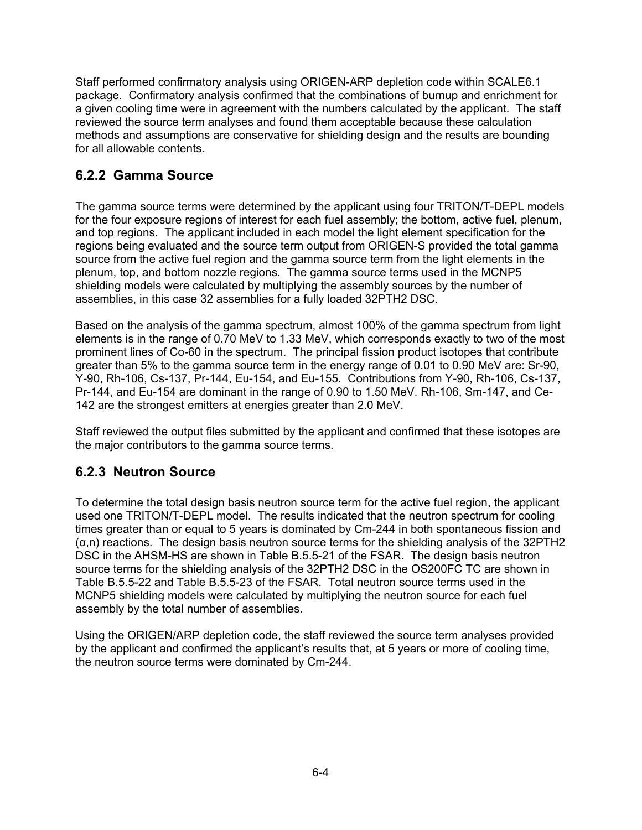Staff performed confirmatory analysis using ORIGEN-ARP depletion code within SCALE6.1 package. Confirmatory analysis confirmed that the combinations of burnup and enrichment for a given cooling time were in agreement with the numbers calculated by the applicant. The staff reviewed the source term analyses and found them acceptable because these calculation methods and assumptions are conservative for shielding design and the results are bounding for all allowable contents.

### **6.2.2 Gamma Source**

The gamma source terms were determined by the applicant using four TRITON/T-DEPL models for the four exposure regions of interest for each fuel assembly; the bottom, active fuel, plenum, and top regions. The applicant included in each model the light element specification for the regions being evaluated and the source term output from ORIGEN-S provided the total gamma source from the active fuel region and the gamma source term from the light elements in the plenum, top, and bottom nozzle regions. The gamma source terms used in the MCNP5 shielding models were calculated by multiplying the assembly sources by the number of assemblies, in this case 32 assemblies for a fully loaded 32PTH2 DSC.

Based on the analysis of the gamma spectrum, almost 100% of the gamma spectrum from light elements is in the range of 0.70 MeV to 1.33 MeV, which corresponds exactly to two of the most prominent lines of Co-60 in the spectrum. The principal fission product isotopes that contribute greater than 5% to the gamma source term in the energy range of 0.01 to 0.90 MeV are: Sr-90, Y-90, Rh-106, Cs-137, Pr-144, Eu-154, and Eu-155. Contributions from Y-90, Rh-106, Cs-137, Pr-144, and Eu-154 are dominant in the range of 0.90 to 1.50 MeV. Rh-106, Sm-147, and Ce-142 are the strongest emitters at energies greater than 2.0 MeV.

Staff reviewed the output files submitted by the applicant and confirmed that these isotopes are the major contributors to the gamma source terms.

### **6.2.3 Neutron Source**

To determine the total design basis neutron source term for the active fuel region, the applicant used one TRITON/T-DEPL model. The results indicated that the neutron spectrum for cooling times greater than or equal to 5 years is dominated by Cm-244 in both spontaneous fission and (α,n) reactions. The design basis neutron source terms for the shielding analysis of the 32PTH2 DSC in the AHSM-HS are shown in Table B.5.5-21 of the FSAR. The design basis neutron source terms for the shielding analysis of the 32PTH2 DSC in the OS200FC TC are shown in Table B.5.5-22 and Table B.5.5-23 of the FSAR. Total neutron source terms used in the MCNP5 shielding models were calculated by multiplying the neutron source for each fuel assembly by the total number of assemblies.

Using the ORIGEN/ARP depletion code, the staff reviewed the source term analyses provided by the applicant and confirmed the applicant's results that, at 5 years or more of cooling time, the neutron source terms were dominated by Cm-244.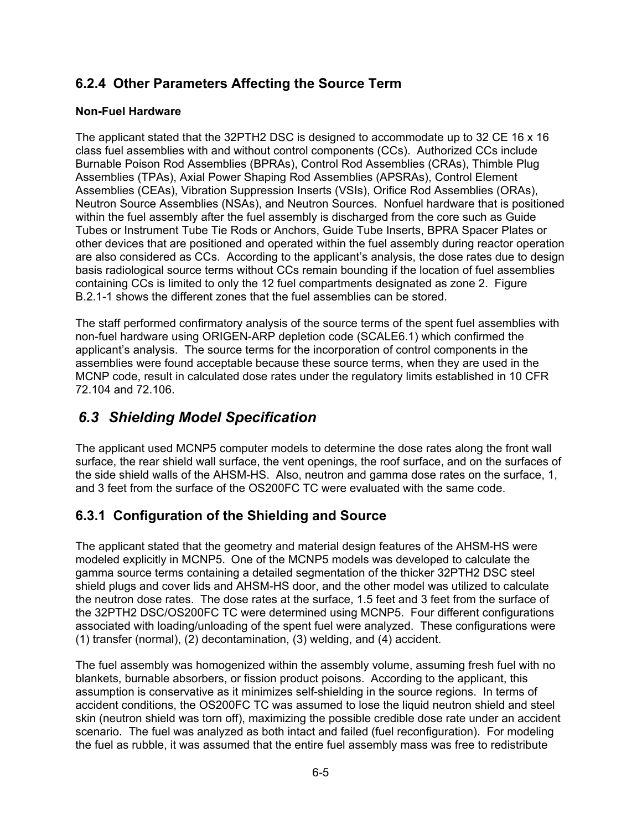### **6.2.4 Other Parameters Affecting the Source Term**

#### **Non-Fuel Hardware**

The applicant stated that the 32PTH2 DSC is designed to accommodate up to 32 CE 16 x 16 class fuel assemblies with and without control components (CCs). Authorized CCs include Burnable Poison Rod Assemblies (BPRAs), Control Rod Assemblies (CRAs), Thimble Plug Assemblies (TPAs), Axial Power Shaping Rod Assemblies (APSRAs), Control Element Assemblies (CEAs), Vibration Suppression Inserts (VSIs), Orifice Rod Assemblies (ORAs), Neutron Source Assemblies (NSAs), and Neutron Sources. Nonfuel hardware that is positioned within the fuel assembly after the fuel assembly is discharged from the core such as Guide Tubes or Instrument Tube Tie Rods or Anchors, Guide Tube Inserts, BPRA Spacer Plates or other devices that are positioned and operated within the fuel assembly during reactor operation are also considered as CCs. According to the applicant's analysis, the dose rates due to design basis radiological source terms without CCs remain bounding if the location of fuel assemblies containing CCs is limited to only the 12 fuel compartments designated as zone 2. Figure B.2.1-1 shows the different zones that the fuel assemblies can be stored.

The staff performed confirmatory analysis of the source terms of the spent fuel assemblies with non-fuel hardware using ORIGEN-ARP depletion code (SCALE6.1) which confirmed the applicant's analysis. The source terms for the incorporation of control components in the assemblies were found acceptable because these source terms, when they are used in the MCNP code, result in calculated dose rates under the regulatory limits established in 10 CFR 72.104 and 72.106.

### *6.3 Shielding Model Specification*

The applicant used MCNP5 computer models to determine the dose rates along the front wall surface, the rear shield wall surface, the vent openings, the roof surface, and on the surfaces of the side shield walls of the AHSM-HS. Also, neutron and gamma dose rates on the surface, 1, and 3 feet from the surface of the OS200FC TC were evaluated with the same code.

### **6.3.1 Configuration of the Shielding and Source**

The applicant stated that the geometry and material design features of the AHSM-HS were modeled explicitly in MCNP5. One of the MCNP5 models was developed to calculate the gamma source terms containing a detailed segmentation of the thicker 32PTH2 DSC steel shield plugs and cover lids and AHSM-HS door, and the other model was utilized to calculate the neutron dose rates. The dose rates at the surface, 1.5 feet and 3 feet from the surface of the 32PTH2 DSC/OS200FC TC were determined using MCNP5. Four different configurations associated with loading/unloading of the spent fuel were analyzed. These configurations were (1) transfer (normal), (2) decontamination, (3) welding, and (4) accident.

The fuel assembly was homogenized within the assembly volume, assuming fresh fuel with no blankets, burnable absorbers, or fission product poisons. According to the applicant, this assumption is conservative as it minimizes self-shielding in the source regions. In terms of accident conditions, the OS200FC TC was assumed to lose the liquid neutron shield and steel skin (neutron shield was torn off), maximizing the possible credible dose rate under an accident scenario. The fuel was analyzed as both intact and failed (fuel reconfiguration). For modeling the fuel as rubble, it was assumed that the entire fuel assembly mass was free to redistribute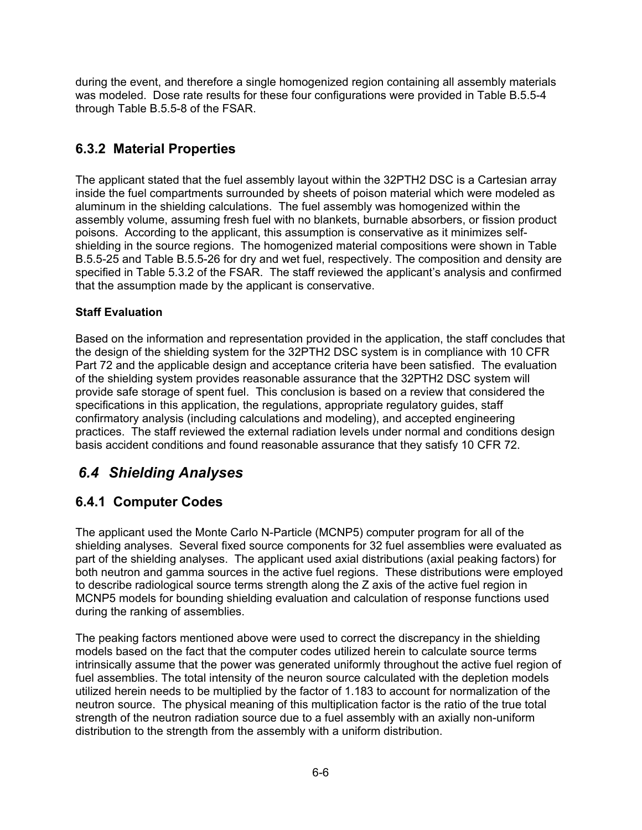during the event, and therefore a single homogenized region containing all assembly materials was modeled. Dose rate results for these four configurations were provided in Table B.5.5-4 through Table B.5.5-8 of the FSAR.

### **6.3.2 Material Properties**

The applicant stated that the fuel assembly layout within the 32PTH2 DSC is a Cartesian array inside the fuel compartments surrounded by sheets of poison material which were modeled as aluminum in the shielding calculations. The fuel assembly was homogenized within the assembly volume, assuming fresh fuel with no blankets, burnable absorbers, or fission product poisons. According to the applicant, this assumption is conservative as it minimizes selfshielding in the source regions. The homogenized material compositions were shown in Table B.5.5-25 and Table B.5.5-26 for dry and wet fuel, respectively. The composition and density are specified in Table 5.3.2 of the FSAR. The staff reviewed the applicant's analysis and confirmed that the assumption made by the applicant is conservative.

#### **Staff Evaluation**

Based on the information and representation provided in the application, the staff concludes that the design of the shielding system for the 32PTH2 DSC system is in compliance with 10 CFR Part 72 and the applicable design and acceptance criteria have been satisfied. The evaluation of the shielding system provides reasonable assurance that the 32PTH2 DSC system will provide safe storage of spent fuel. This conclusion is based on a review that considered the specifications in this application, the regulations, appropriate regulatory guides, staff confirmatory analysis (including calculations and modeling), and accepted engineering practices. The staff reviewed the external radiation levels under normal and conditions design basis accident conditions and found reasonable assurance that they satisfy 10 CFR 72.

### *6.4 Shielding Analyses*

### **6.4.1 Computer Codes**

The applicant used the Monte Carlo N-Particle (MCNP5) computer program for all of the shielding analyses. Several fixed source components for 32 fuel assemblies were evaluated as part of the shielding analyses. The applicant used axial distributions (axial peaking factors) for both neutron and gamma sources in the active fuel regions. These distributions were employed to describe radiological source terms strength along the Z axis of the active fuel region in MCNP5 models for bounding shielding evaluation and calculation of response functions used during the ranking of assemblies.

The peaking factors mentioned above were used to correct the discrepancy in the shielding models based on the fact that the computer codes utilized herein to calculate source terms intrinsically assume that the power was generated uniformly throughout the active fuel region of fuel assemblies. The total intensity of the neuron source calculated with the depletion models utilized herein needs to be multiplied by the factor of 1.183 to account for normalization of the neutron source. The physical meaning of this multiplication factor is the ratio of the true total strength of the neutron radiation source due to a fuel assembly with an axially non-uniform distribution to the strength from the assembly with a uniform distribution.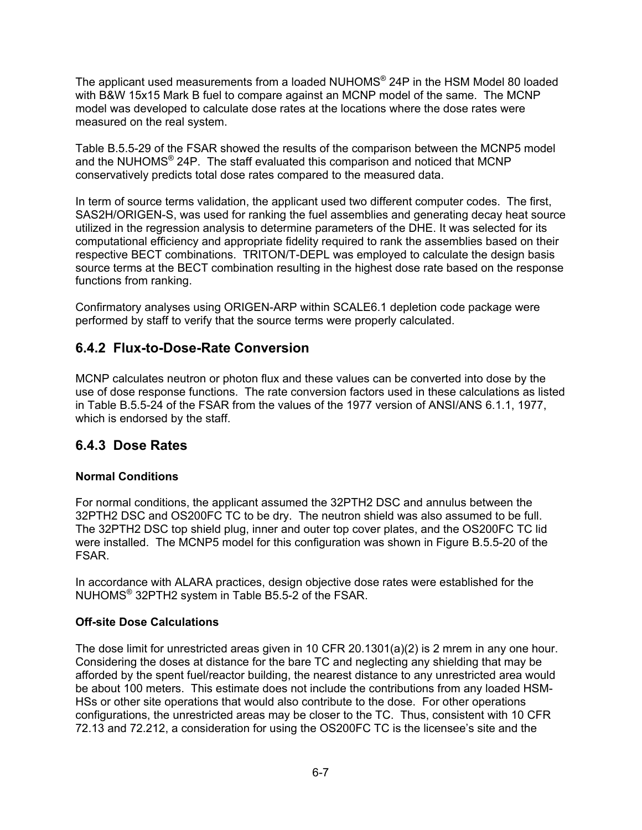The applicant used measurements from a loaded NUHOMS® 24P in the HSM Model 80 loaded with B&W 15x15 Mark B fuel to compare against an MCNP model of the same. The MCNP model was developed to calculate dose rates at the locations where the dose rates were measured on the real system.

Table B.5.5-29 of the FSAR showed the results of the comparison between the MCNP5 model and the NUHOMS<sup>®</sup> 24P. The staff evaluated this comparison and noticed that MCNP conservatively predicts total dose rates compared to the measured data.

In term of source terms validation, the applicant used two different computer codes. The first, SAS2H/ORIGEN-S, was used for ranking the fuel assemblies and generating decay heat source utilized in the regression analysis to determine parameters of the DHE. It was selected for its computational efficiency and appropriate fidelity required to rank the assemblies based on their respective BECT combinations. TRITON/T-DEPL was employed to calculate the design basis source terms at the BECT combination resulting in the highest dose rate based on the response functions from ranking.

Confirmatory analyses using ORIGEN-ARP within SCALE6.1 depletion code package were performed by staff to verify that the source terms were properly calculated.

### **6.4.2 Flux-to-Dose-Rate Conversion**

MCNP calculates neutron or photon flux and these values can be converted into dose by the use of dose response functions. The rate conversion factors used in these calculations as listed in Table B.5.5-24 of the FSAR from the values of the 1977 version of ANSI/ANS 6.1.1, 1977, which is endorsed by the staff.

### **6.4.3 Dose Rates**

#### **Normal Conditions**

For normal conditions, the applicant assumed the 32PTH2 DSC and annulus between the 32PTH2 DSC and OS200FC TC to be dry. The neutron shield was also assumed to be full. The 32PTH2 DSC top shield plug, inner and outer top cover plates, and the OS200FC TC lid were installed. The MCNP5 model for this configuration was shown in Figure B.5.5-20 of the FSAR.

In accordance with ALARA practices, design objective dose rates were established for the NUHOMS® 32PTH2 system in Table B5.5-2 of the FSAR.

#### **Off-site Dose Calculations**

The dose limit for unrestricted areas given in 10 CFR 20.1301(a)(2) is 2 mrem in any one hour. Considering the doses at distance for the bare TC and neglecting any shielding that may be afforded by the spent fuel/reactor building, the nearest distance to any unrestricted area would be about 100 meters. This estimate does not include the contributions from any loaded HSM-HSs or other site operations that would also contribute to the dose. For other operations configurations, the unrestricted areas may be closer to the TC. Thus, consistent with 10 CFR 72.13 and 72.212, a consideration for using the OS200FC TC is the licensee's site and the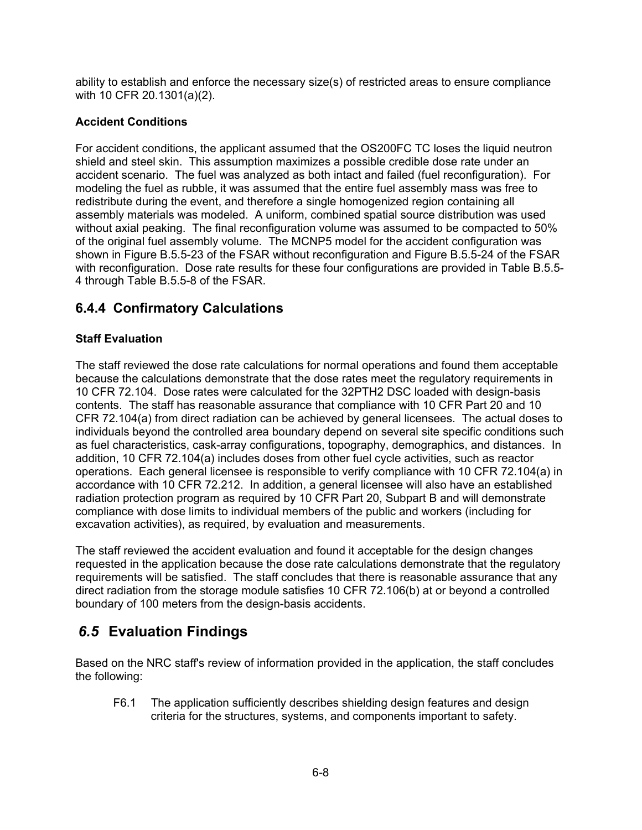ability to establish and enforce the necessary size(s) of restricted areas to ensure compliance with 10 CFR 20.1301(a)(2).

#### **Accident Conditions**

For accident conditions, the applicant assumed that the OS200FC TC loses the liquid neutron shield and steel skin. This assumption maximizes a possible credible dose rate under an accident scenario. The fuel was analyzed as both intact and failed (fuel reconfiguration). For modeling the fuel as rubble, it was assumed that the entire fuel assembly mass was free to redistribute during the event, and therefore a single homogenized region containing all assembly materials was modeled. A uniform, combined spatial source distribution was used without axial peaking. The final reconfiguration volume was assumed to be compacted to 50% of the original fuel assembly volume. The MCNP5 model for the accident configuration was shown in Figure B.5.5-23 of the FSAR without reconfiguration and Figure B.5.5-24 of the FSAR with reconfiguration. Dose rate results for these four configurations are provided in Table B.5.5- 4 through Table B.5.5-8 of the FSAR.

### **6.4.4 Confirmatory Calculations**

#### **Staff Evaluation**

The staff reviewed the dose rate calculations for normal operations and found them acceptable because the calculations demonstrate that the dose rates meet the regulatory requirements in 10 CFR 72.104. Dose rates were calculated for the 32PTH2 DSC loaded with design-basis contents. The staff has reasonable assurance that compliance with 10 CFR Part 20 and 10 CFR 72.104(a) from direct radiation can be achieved by general licensees. The actual doses to individuals beyond the controlled area boundary depend on several site specific conditions such as fuel characteristics, cask-array configurations, topography, demographics, and distances. In addition, 10 CFR 72.104(a) includes doses from other fuel cycle activities, such as reactor operations. Each general licensee is responsible to verify compliance with 10 CFR 72.104(a) in accordance with 10 CFR 72.212. In addition, a general licensee will also have an established radiation protection program as required by 10 CFR Part 20, Subpart B and will demonstrate compliance with dose limits to individual members of the public and workers (including for excavation activities), as required, by evaluation and measurements.

The staff reviewed the accident evaluation and found it acceptable for the design changes requested in the application because the dose rate calculations demonstrate that the regulatory requirements will be satisfied. The staff concludes that there is reasonable assurance that any direct radiation from the storage module satisfies 10 CFR 72.106(b) at or beyond a controlled boundary of 100 meters from the design-basis accidents.

### *6.5* **Evaluation Findings**

Based on the NRC staff's review of information provided in the application, the staff concludes the following:

F6.1 The application sufficiently describes shielding design features and design criteria for the structures, systems, and components important to safety.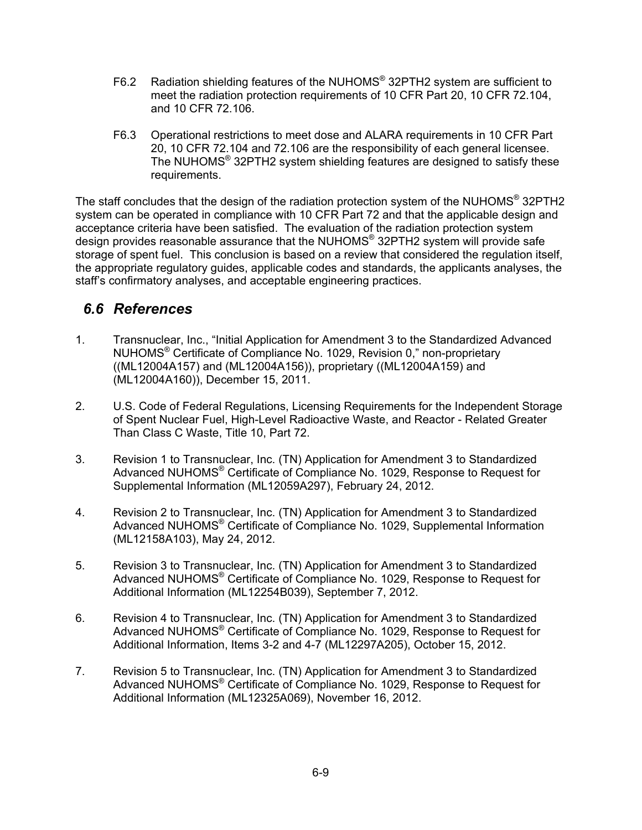- F6.2 Radiation shielding features of the NUHOMS® 32PTH2 system are sufficient to meet the radiation protection requirements of 10 CFR Part 20, 10 CFR 72.104, and 10 CFR 72.106.
- F6.3 Operational restrictions to meet dose and ALARA requirements in 10 CFR Part 20, 10 CFR 72.104 and 72.106 are the responsibility of each general licensee. The NUHOMS® 32PTH2 system shielding features are designed to satisfy these requirements.

The staff concludes that the design of the radiation protection system of the NUHOMS<sup>®</sup> 32PTH2 system can be operated in compliance with 10 CFR Part 72 and that the applicable design and acceptance criteria have been satisfied. The evaluation of the radiation protection system design provides reasonable assurance that the NUHOMS® 32PTH2 system will provide safe storage of spent fuel. This conclusion is based on a review that considered the regulation itself, the appropriate regulatory guides, applicable codes and standards, the applicants analyses, the staff's confirmatory analyses, and acceptable engineering practices.

### *6.6 References*

- 1. Transnuclear, Inc., "Initial Application for Amendment 3 to the Standardized Advanced NUHOMS® Certificate of Compliance No. 1029, Revision 0," non-proprietary ((ML12004A157) and (ML12004A156)), proprietary ((ML12004A159) and (ML12004A160)), December 15, 2011.
- 2. U.S. Code of Federal Regulations, Licensing Requirements for the Independent Storage of Spent Nuclear Fuel, High-Level Radioactive Waste, and Reactor - Related Greater Than Class C Waste, Title 10, Part 72.
- 3. Revision 1 to Transnuclear, Inc. (TN) Application for Amendment 3 to Standardized Advanced NUHOMS® Certificate of Compliance No. 1029, Response to Request for Supplemental Information (ML12059A297), February 24, 2012.
- 4. Revision 2 to Transnuclear, Inc. (TN) Application for Amendment 3 to Standardized Advanced NUHOMS® Certificate of Compliance No. 1029, Supplemental Information (ML12158A103), May 24, 2012.
- 5. Revision 3 to Transnuclear, Inc. (TN) Application for Amendment 3 to Standardized Advanced NUHOMS<sup>®</sup> Certificate of Compliance No. 1029, Response to Request for Additional Information (ML12254B039), September 7, 2012.
- 6. Revision 4 to Transnuclear, Inc. (TN) Application for Amendment 3 to Standardized Advanced NUHOMS® Certificate of Compliance No. 1029, Response to Request for Additional Information, Items 3-2 and 4-7 (ML12297A205), October 15, 2012.
- 7. Revision 5 to Transnuclear, Inc. (TN) Application for Amendment 3 to Standardized Advanced NUHOMS® Certificate of Compliance No. 1029, Response to Request for Additional Information (ML12325A069), November 16, 2012.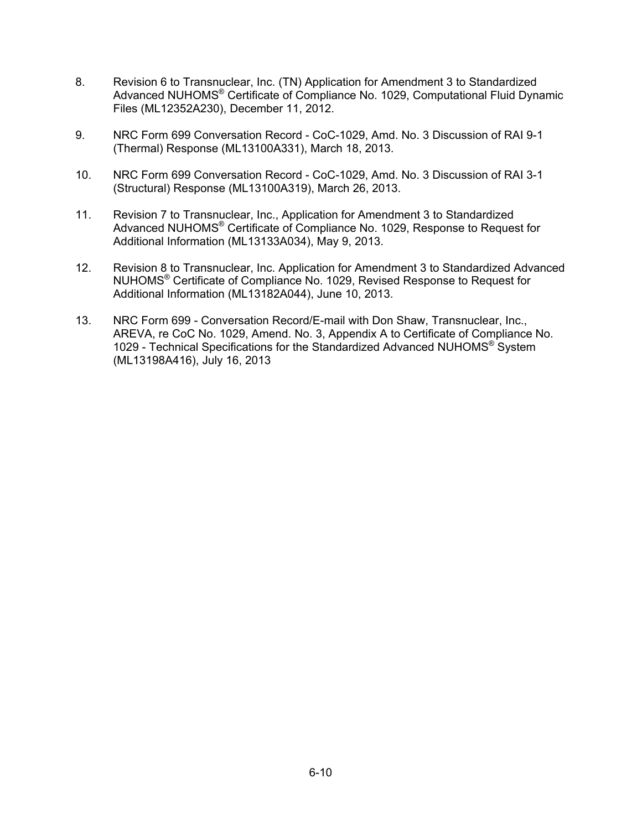- 8. Revision 6 to Transnuclear, Inc. (TN) Application for Amendment 3 to Standardized Advanced NUHOMS® Certificate of Compliance No. 1029, Computational Fluid Dynamic Files (ML12352A230), December 11, 2012.
- 9. NRC Form 699 Conversation Record CoC-1029, Amd. No. 3 Discussion of RAI 9-1 (Thermal) Response (ML13100A331), March 18, 2013.
- 10. NRC Form 699 Conversation Record CoC-1029, Amd. No. 3 Discussion of RAI 3-1 (Structural) Response (ML13100A319), March 26, 2013.
- 11. Revision 7 to Transnuclear, Inc., Application for Amendment 3 to Standardized Advanced NUHOMS® Certificate of Compliance No. 1029, Response to Request for Additional Information (ML13133A034), May 9, 2013.
- 12. Revision 8 to Transnuclear, Inc. Application for Amendment 3 to Standardized Advanced NUHOMS® Certificate of Compliance No. 1029, Revised Response to Request for Additional Information (ML13182A044), June 10, 2013.
- 13. NRC Form 699 Conversation Record/E-mail with Don Shaw, Transnuclear, Inc., AREVA, re CoC No. 1029, Amend. No. 3, Appendix A to Certificate of Compliance No. 1029 - Technical Specifications for the Standardized Advanced NUHOMS® System (ML13198A416), July 16, 2013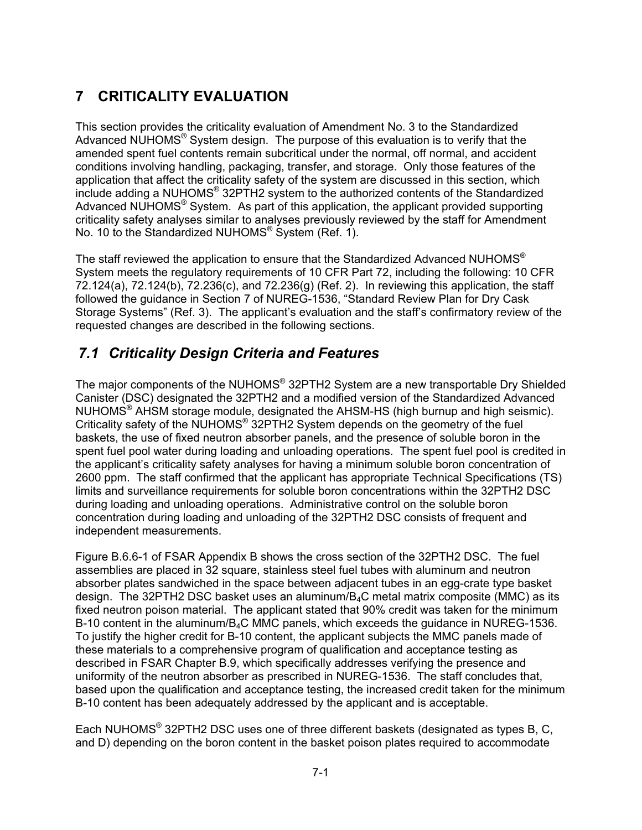# **7 CRITICALITY EVALUATION**

This section provides the criticality evaluation of Amendment No. 3 to the Standardized Advanced NUHOMS® System design. The purpose of this evaluation is to verify that the amended spent fuel contents remain subcritical under the normal, off normal, and accident conditions involving handling, packaging, transfer, and storage. Only those features of the application that affect the criticality safety of the system are discussed in this section, which include adding a NUHOMS® 32PTH2 system to the authorized contents of the Standardized Advanced NUHOMS<sup>®</sup> System. As part of this application, the applicant provided supporting criticality safety analyses similar to analyses previously reviewed by the staff for Amendment No. 10 to the Standardized NUHOMS® System (Ref. 1).

The staff reviewed the application to ensure that the Standardized Advanced NUHOMS® System meets the regulatory requirements of 10 CFR Part 72, including the following: 10 CFR 72.124(a), 72.124(b), 72.236(c), and 72.236(g) (Ref. 2). In reviewing this application, the staff followed the guidance in Section 7 of NUREG-1536, "Standard Review Plan for Dry Cask Storage Systems" (Ref. 3). The applicant's evaluation and the staff's confirmatory review of the requested changes are described in the following sections.

# *7.1 Criticality Design Criteria and Features*

The major components of the NUHOMS® 32PTH2 System are a new transportable Dry Shielded Canister (DSC) designated the 32PTH2 and a modified version of the Standardized Advanced NUHOMS® AHSM storage module, designated the AHSM-HS (high burnup and high seismic). Criticality safety of the NUHOMS® 32PTH2 System depends on the geometry of the fuel baskets, the use of fixed neutron absorber panels, and the presence of soluble boron in the spent fuel pool water during loading and unloading operations. The spent fuel pool is credited in the applicant's criticality safety analyses for having a minimum soluble boron concentration of 2600 ppm. The staff confirmed that the applicant has appropriate Technical Specifications (TS) limits and surveillance requirements for soluble boron concentrations within the 32PTH2 DSC during loading and unloading operations. Administrative control on the soluble boron concentration during loading and unloading of the 32PTH2 DSC consists of frequent and independent measurements.

Figure B.6.6-1 of FSAR Appendix B shows the cross section of the 32PTH2 DSC. The fuel assemblies are placed in 32 square, stainless steel fuel tubes with aluminum and neutron absorber plates sandwiched in the space between adjacent tubes in an egg-crate type basket design. The 32PTH2 DSC basket uses an aluminum/ $B_4C$  metal matrix composite (MMC) as its fixed neutron poison material. The applicant stated that 90% credit was taken for the minimum B-10 content in the aluminum/ $B_4C$  MMC panels, which exceeds the guidance in NUREG-1536. To justify the higher credit for B-10 content, the applicant subjects the MMC panels made of these materials to a comprehensive program of qualification and acceptance testing as described in FSAR Chapter B.9, which specifically addresses verifying the presence and uniformity of the neutron absorber as prescribed in NUREG-1536. The staff concludes that, based upon the qualification and acceptance testing, the increased credit taken for the minimum B-10 content has been adequately addressed by the applicant and is acceptable.

Each NUHOMS® 32PTH2 DSC uses one of three different baskets (designated as types B, C, and D) depending on the boron content in the basket poison plates required to accommodate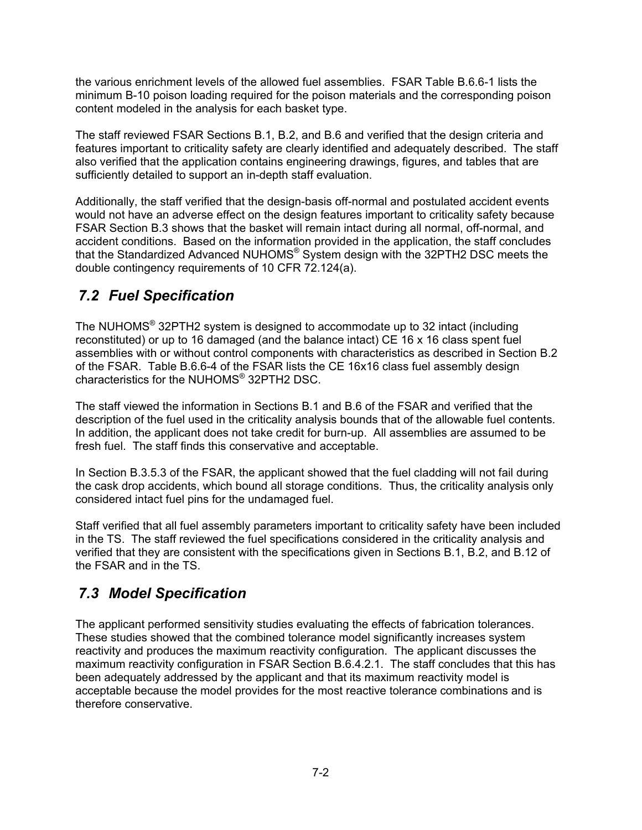the various enrichment levels of the allowed fuel assemblies. FSAR Table B.6.6-1 lists the minimum B-10 poison loading required for the poison materials and the corresponding poison content modeled in the analysis for each basket type.

The staff reviewed FSAR Sections B.1, B.2, and B.6 and verified that the design criteria and features important to criticality safety are clearly identified and adequately described. The staff also verified that the application contains engineering drawings, figures, and tables that are sufficiently detailed to support an in-depth staff evaluation.

Additionally, the staff verified that the design-basis off-normal and postulated accident events would not have an adverse effect on the design features important to criticality safety because FSAR Section B.3 shows that the basket will remain intact during all normal, off-normal, and accident conditions. Based on the information provided in the application, the staff concludes that the Standardized Advanced NUHOMS® System design with the 32PTH2 DSC meets the double contingency requirements of 10 CFR 72.124(a).

# *7.2 Fuel Specification*

The NUHOMS® 32PTH2 system is designed to accommodate up to 32 intact (including reconstituted) or up to 16 damaged (and the balance intact) CE 16 x 16 class spent fuel assemblies with or without control components with characteristics as described in Section B.2 of the FSAR. Table B.6.6-4 of the FSAR lists the CE 16x16 class fuel assembly design characteristics for the NUHOMS® 32PTH2 DSC.

The staff viewed the information in Sections B.1 and B.6 of the FSAR and verified that the description of the fuel used in the criticality analysis bounds that of the allowable fuel contents. In addition, the applicant does not take credit for burn-up. All assemblies are assumed to be fresh fuel. The staff finds this conservative and acceptable.

In Section B.3.5.3 of the FSAR, the applicant showed that the fuel cladding will not fail during the cask drop accidents, which bound all storage conditions. Thus, the criticality analysis only considered intact fuel pins for the undamaged fuel.

Staff verified that all fuel assembly parameters important to criticality safety have been included in the TS. The staff reviewed the fuel specifications considered in the criticality analysis and verified that they are consistent with the specifications given in Sections B.1, B.2, and B.12 of the FSAR and in the TS.

# *7.3 Model Specification*

The applicant performed sensitivity studies evaluating the effects of fabrication tolerances. These studies showed that the combined tolerance model significantly increases system reactivity and produces the maximum reactivity configuration. The applicant discusses the maximum reactivity configuration in FSAR Section B.6.4.2.1. The staff concludes that this has been adequately addressed by the applicant and that its maximum reactivity model is acceptable because the model provides for the most reactive tolerance combinations and is therefore conservative.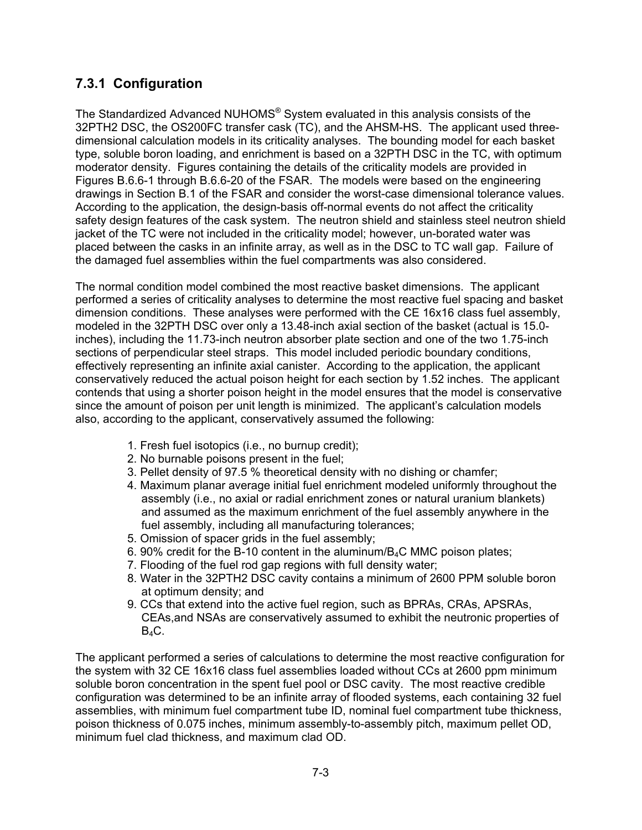### **7.3.1 Configuration**

The Standardized Advanced NUHOMS® System evaluated in this analysis consists of the 32PTH2 DSC, the OS200FC transfer cask (TC), and the AHSM-HS. The applicant used threedimensional calculation models in its criticality analyses. The bounding model for each basket type, soluble boron loading, and enrichment is based on a 32PTH DSC in the TC, with optimum moderator density. Figures containing the details of the criticality models are provided in Figures B.6.6-1 through B.6.6-20 of the FSAR. The models were based on the engineering drawings in Section B.1 of the FSAR and consider the worst-case dimensional tolerance values. According to the application, the design-basis off-normal events do not affect the criticality safety design features of the cask system. The neutron shield and stainless steel neutron shield jacket of the TC were not included in the criticality model; however, un-borated water was placed between the casks in an infinite array, as well as in the DSC to TC wall gap. Failure of the damaged fuel assemblies within the fuel compartments was also considered.

The normal condition model combined the most reactive basket dimensions. The applicant performed a series of criticality analyses to determine the most reactive fuel spacing and basket dimension conditions. These analyses were performed with the CE 16x16 class fuel assembly, modeled in the 32PTH DSC over only a 13.48-inch axial section of the basket (actual is 15.0 inches), including the 11.73-inch neutron absorber plate section and one of the two 1.75-inch sections of perpendicular steel straps. This model included periodic boundary conditions, effectively representing an infinite axial canister. According to the application, the applicant conservatively reduced the actual poison height for each section by 1.52 inches. The applicant contends that using a shorter poison height in the model ensures that the model is conservative since the amount of poison per unit length is minimized. The applicant's calculation models also, according to the applicant, conservatively assumed the following:

- 1. Fresh fuel isotopics (i.e., no burnup credit);
- 2. No burnable poisons present in the fuel;
- 3. Pellet density of 97.5 % theoretical density with no dishing or chamfer;
- 4. Maximum planar average initial fuel enrichment modeled uniformly throughout the assembly (i.e., no axial or radial enrichment zones or natural uranium blankets) and assumed as the maximum enrichment of the fuel assembly anywhere in the fuel assembly, including all manufacturing tolerances;
- 5. Omission of spacer grids in the fuel assembly;
- 6. 90% credit for the B-10 content in the aluminum/ $B_4C$  MMC poison plates;
- 7. Flooding of the fuel rod gap regions with full density water;
- 8. Water in the 32PTH2 DSC cavity contains a minimum of 2600 PPM soluble boron at optimum density; and
- 9. CCs that extend into the active fuel region, such as BPRAs, CRAs, APSRAs, CEAs,and NSAs are conservatively assumed to exhibit the neutronic properties of  $B_4C$ .

The applicant performed a series of calculations to determine the most reactive configuration for the system with 32 CE 16x16 class fuel assemblies loaded without CCs at 2600 ppm minimum soluble boron concentration in the spent fuel pool or DSC cavity. The most reactive credible configuration was determined to be an infinite array of flooded systems, each containing 32 fuel assemblies, with minimum fuel compartment tube ID, nominal fuel compartment tube thickness, poison thickness of 0.075 inches, minimum assembly-to-assembly pitch, maximum pellet OD, minimum fuel clad thickness, and maximum clad OD.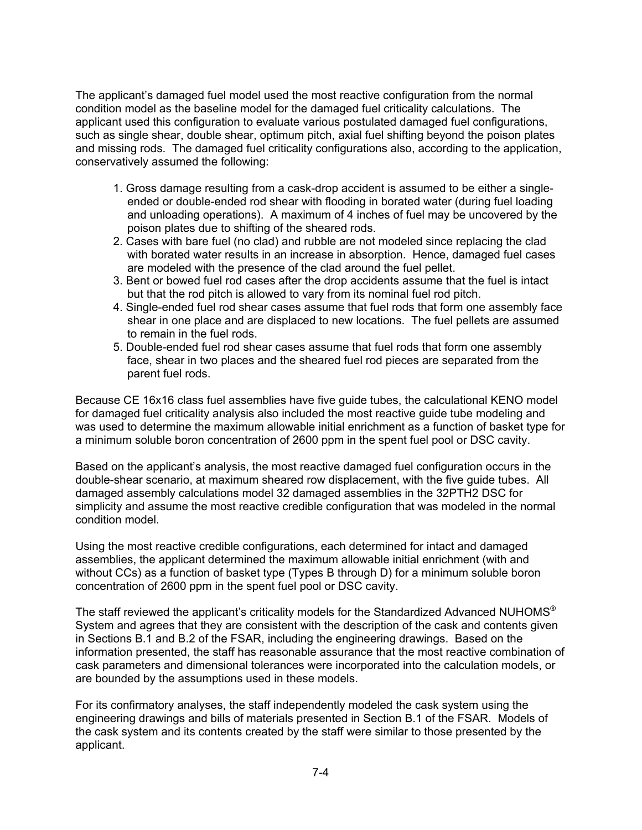The applicant's damaged fuel model used the most reactive configuration from the normal condition model as the baseline model for the damaged fuel criticality calculations. The applicant used this configuration to evaluate various postulated damaged fuel configurations, such as single shear, double shear, optimum pitch, axial fuel shifting beyond the poison plates and missing rods. The damaged fuel criticality configurations also, according to the application, conservatively assumed the following:

- 1. Gross damage resulting from a cask-drop accident is assumed to be either a singleended or double-ended rod shear with flooding in borated water (during fuel loading and unloading operations). A maximum of 4 inches of fuel may be uncovered by the poison plates due to shifting of the sheared rods.
- 2. Cases with bare fuel (no clad) and rubble are not modeled since replacing the clad with borated water results in an increase in absorption. Hence, damaged fuel cases are modeled with the presence of the clad around the fuel pellet.
- 3. Bent or bowed fuel rod cases after the drop accidents assume that the fuel is intact but that the rod pitch is allowed to vary from its nominal fuel rod pitch.
- 4. Single-ended fuel rod shear cases assume that fuel rods that form one assembly face shear in one place and are displaced to new locations. The fuel pellets are assumed to remain in the fuel rods.
- 5. Double-ended fuel rod shear cases assume that fuel rods that form one assembly face, shear in two places and the sheared fuel rod pieces are separated from the parent fuel rods.

Because CE 16x16 class fuel assemblies have five guide tubes, the calculational KENO model for damaged fuel criticality analysis also included the most reactive guide tube modeling and was used to determine the maximum allowable initial enrichment as a function of basket type for a minimum soluble boron concentration of 2600 ppm in the spent fuel pool or DSC cavity.

Based on the applicant's analysis, the most reactive damaged fuel configuration occurs in the double-shear scenario, at maximum sheared row displacement, with the five guide tubes. All damaged assembly calculations model 32 damaged assemblies in the 32PTH2 DSC for simplicity and assume the most reactive credible configuration that was modeled in the normal condition model.

Using the most reactive credible configurations, each determined for intact and damaged assemblies, the applicant determined the maximum allowable initial enrichment (with and without CCs) as a function of basket type (Types B through D) for a minimum soluble boron concentration of 2600 ppm in the spent fuel pool or DSC cavity.

The staff reviewed the applicant's criticality models for the Standardized Advanced NUHOMS® System and agrees that they are consistent with the description of the cask and contents given in Sections B.1 and B.2 of the FSAR, including the engineering drawings. Based on the information presented, the staff has reasonable assurance that the most reactive combination of cask parameters and dimensional tolerances were incorporated into the calculation models, or are bounded by the assumptions used in these models.

For its confirmatory analyses, the staff independently modeled the cask system using the engineering drawings and bills of materials presented in Section B.1 of the FSAR. Models of the cask system and its contents created by the staff were similar to those presented by the applicant.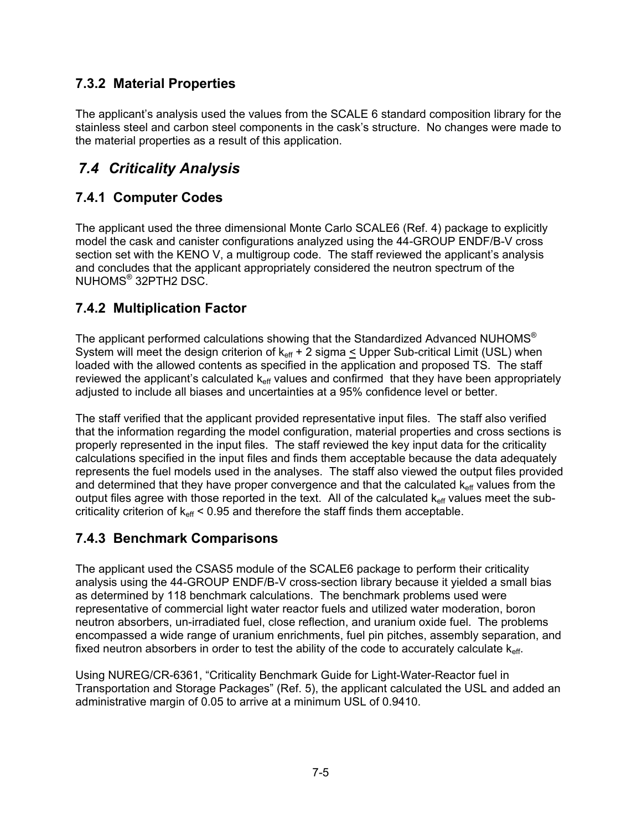### **7.3.2 Material Properties**

The applicant's analysis used the values from the SCALE 6 standard composition library for the stainless steel and carbon steel components in the cask's structure. No changes were made to the material properties as a result of this application.

### *7.4 Criticality Analysis*

### **7.4.1 Computer Codes**

The applicant used the three dimensional Monte Carlo SCALE6 (Ref. 4) package to explicitly model the cask and canister configurations analyzed using the 44-GROUP ENDF/B-V cross section set with the KENO V, a multigroup code. The staff reviewed the applicant's analysis and concludes that the applicant appropriately considered the neutron spectrum of the NUHOMS® 32PTH2 DSC.

### **7.4.2 Multiplication Factor**

The applicant performed calculations showing that the Standardized Advanced NUHOMS® System will meet the design criterion of  $k_{\text{eff}}$  + 2 sigma  $\leq$  Upper Sub-critical Limit (USL) when loaded with the allowed contents as specified in the application and proposed TS. The staff reviewed the applicant's calculated  $k_{\text{eff}}$  values and confirmed that they have been appropriately adjusted to include all biases and uncertainties at a 95% confidence level or better.

The staff verified that the applicant provided representative input files. The staff also verified that the information regarding the model configuration, material properties and cross sections is properly represented in the input files. The staff reviewed the key input data for the criticality calculations specified in the input files and finds them acceptable because the data adequately represents the fuel models used in the analyses. The staff also viewed the output files provided and determined that they have proper convergence and that the calculated  $k_{\text{eff}}$  values from the output files agree with those reported in the text. All of the calculated  $k_{\text{eff}}$  values meet the subcriticality criterion of  $k_{\text{eff}}$  < 0.95 and therefore the staff finds them acceptable.

### **7.4.3 Benchmark Comparisons**

The applicant used the CSAS5 module of the SCALE6 package to perform their criticality analysis using the 44-GROUP ENDF/B-V cross-section library because it yielded a small bias as determined by 118 benchmark calculations. The benchmark problems used were representative of commercial light water reactor fuels and utilized water moderation, boron neutron absorbers, un-irradiated fuel, close reflection, and uranium oxide fuel. The problems encompassed a wide range of uranium enrichments, fuel pin pitches, assembly separation, and fixed neutron absorbers in order to test the ability of the code to accurately calculate  $k_{\text{eff}}$ .

Using NUREG/CR-6361, "Criticality Benchmark Guide for Light-Water-Reactor fuel in Transportation and Storage Packages" (Ref. 5), the applicant calculated the USL and added an administrative margin of 0.05 to arrive at a minimum USL of 0.9410.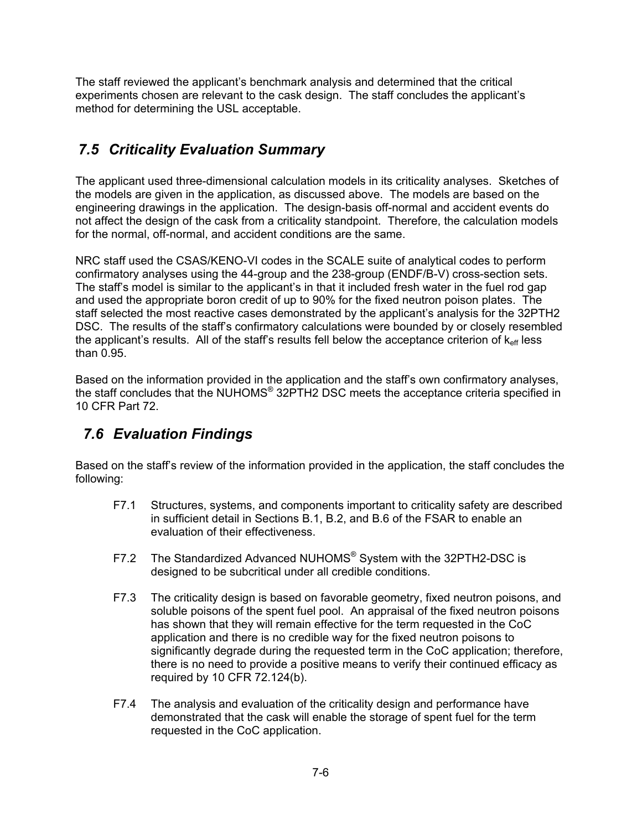The staff reviewed the applicant's benchmark analysis and determined that the critical experiments chosen are relevant to the cask design. The staff concludes the applicant's method for determining the USL acceptable.

# *7.5 Criticality Evaluation Summary*

The applicant used three-dimensional calculation models in its criticality analyses. Sketches of the models are given in the application, as discussed above. The models are based on the engineering drawings in the application. The design-basis off-normal and accident events do not affect the design of the cask from a criticality standpoint. Therefore, the calculation models for the normal, off-normal, and accident conditions are the same.

NRC staff used the CSAS/KENO-VI codes in the SCALE suite of analytical codes to perform confirmatory analyses using the 44-group and the 238-group (ENDF/B-V) cross-section sets. The staff's model is similar to the applicant's in that it included fresh water in the fuel rod gap and used the appropriate boron credit of up to 90% for the fixed neutron poison plates. The staff selected the most reactive cases demonstrated by the applicant's analysis for the 32PTH2 DSC. The results of the staff's confirmatory calculations were bounded by or closely resembled the applicant's results. All of the staff's results fell below the acceptance criterion of  $k_{\text{eff}}$  less than 0.95.

Based on the information provided in the application and the staff's own confirmatory analyses, the staff concludes that the NUHOMS® 32PTH2 DSC meets the acceptance criteria specified in 10 CFR Part 72.

### *7.6 Evaluation Findings*

Based on the staff's review of the information provided in the application, the staff concludes the following:

- F7.1 Structures, systems, and components important to criticality safety are described in sufficient detail in Sections B.1, B.2, and B.6 of the FSAR to enable an evaluation of their effectiveness.
- F7.2 The Standardized Advanced NUHOMS® System with the 32PTH2-DSC is designed to be subcritical under all credible conditions.
- F7.3 The criticality design is based on favorable geometry, fixed neutron poisons, and soluble poisons of the spent fuel pool. An appraisal of the fixed neutron poisons has shown that they will remain effective for the term requested in the CoC application and there is no credible way for the fixed neutron poisons to significantly degrade during the requested term in the CoC application; therefore, there is no need to provide a positive means to verify their continued efficacy as required by 10 CFR 72.124(b).
- F7.4 The analysis and evaluation of the criticality design and performance have demonstrated that the cask will enable the storage of spent fuel for the term requested in the CoC application.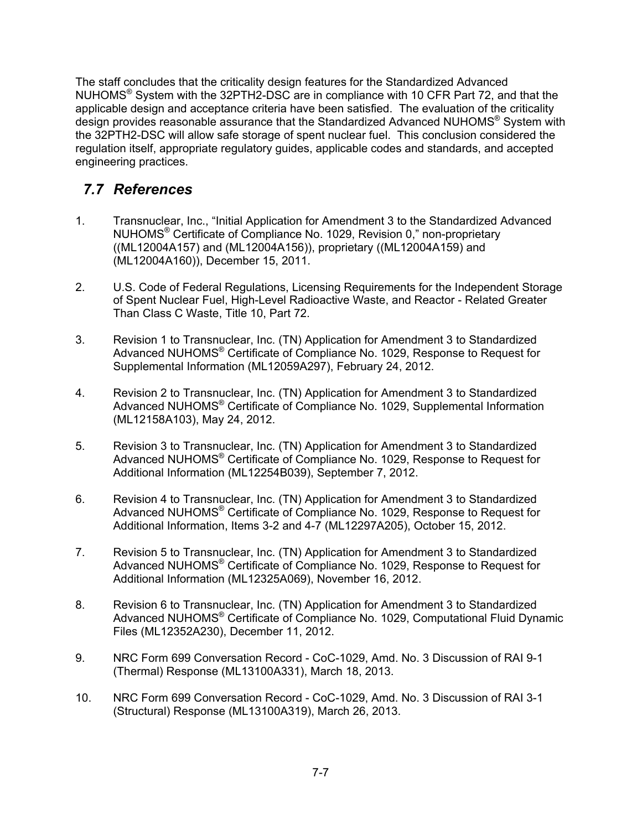The staff concludes that the criticality design features for the Standardized Advanced NUHOMS® System with the 32PTH2-DSC are in compliance with 10 CFR Part 72, and that the applicable design and acceptance criteria have been satisfied. The evaluation of the criticality design provides reasonable assurance that the Standardized Advanced NUHOMS® System with the 32PTH2-DSC will allow safe storage of spent nuclear fuel. This conclusion considered the regulation itself, appropriate regulatory guides, applicable codes and standards, and accepted engineering practices.

## *7.7 References*

- 1. Transnuclear, Inc., "Initial Application for Amendment 3 to the Standardized Advanced NUHOMS® Certificate of Compliance No. 1029, Revision 0," non-proprietary ((ML12004A157) and (ML12004A156)), proprietary ((ML12004A159) and (ML12004A160)), December 15, 2011.
- 2. U.S. Code of Federal Regulations, Licensing Requirements for the Independent Storage of Spent Nuclear Fuel, High-Level Radioactive Waste, and Reactor - Related Greater Than Class C Waste, Title 10, Part 72.
- 3. Revision 1 to Transnuclear, Inc. (TN) Application for Amendment 3 to Standardized Advanced NUHOMS® Certificate of Compliance No. 1029, Response to Request for Supplemental Information (ML12059A297), February 24, 2012.
- 4. Revision 2 to Transnuclear, Inc. (TN) Application for Amendment 3 to Standardized Advanced NUHOMS® Certificate of Compliance No. 1029, Supplemental Information (ML12158A103), May 24, 2012.
- 5. Revision 3 to Transnuclear, Inc. (TN) Application for Amendment 3 to Standardized Advanced NUHOMS® Certificate of Compliance No. 1029, Response to Request for Additional Information (ML12254B039), September 7, 2012.
- 6. Revision 4 to Transnuclear, Inc. (TN) Application for Amendment 3 to Standardized Advanced NUHOMS® Certificate of Compliance No. 1029, Response to Request for Additional Information, Items 3-2 and 4-7 (ML12297A205), October 15, 2012.
- 7. Revision 5 to Transnuclear, Inc. (TN) Application for Amendment 3 to Standardized Advanced NUHOMS® Certificate of Compliance No. 1029, Response to Request for Additional Information (ML12325A069), November 16, 2012.
- 8. Revision 6 to Transnuclear, Inc. (TN) Application for Amendment 3 to Standardized Advanced NUHOMS® Certificate of Compliance No. 1029, Computational Fluid Dynamic Files (ML12352A230), December 11, 2012.
- 9. NRC Form 699 Conversation Record CoC-1029, Amd. No. 3 Discussion of RAI 9-1 (Thermal) Response (ML13100A331), March 18, 2013.
- 10. NRC Form 699 Conversation Record CoC-1029, Amd. No. 3 Discussion of RAI 3-1 (Structural) Response (ML13100A319), March 26, 2013.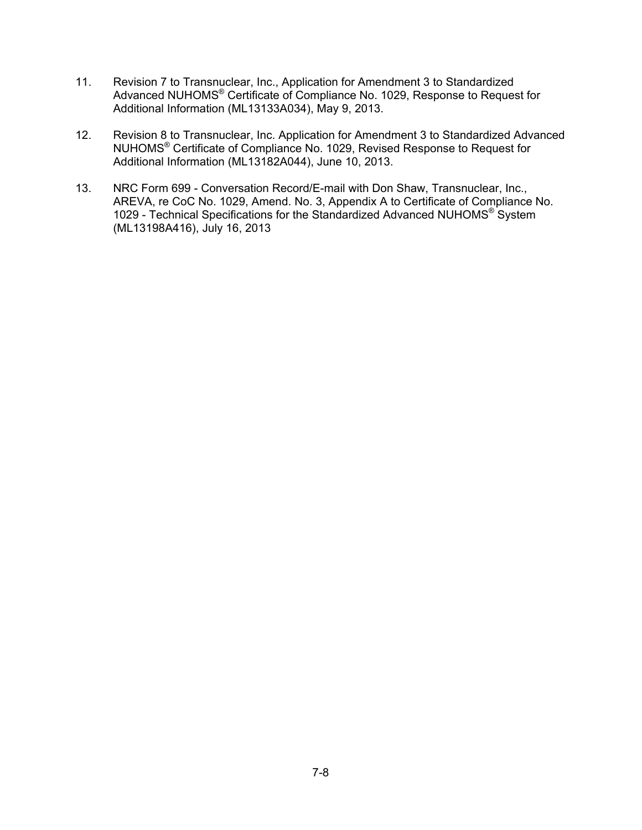- 11. Revision 7 to Transnuclear, Inc., Application for Amendment 3 to Standardized Advanced NUHOMS® Certificate of Compliance No. 1029, Response to Request for Additional Information (ML13133A034), May 9, 2013.
- 12. Revision 8 to Transnuclear, Inc. Application for Amendment 3 to Standardized Advanced NUHOMS® Certificate of Compliance No. 1029, Revised Response to Request for Additional Information (ML13182A044), June 10, 2013.
- 13. NRC Form 699 Conversation Record/E-mail with Don Shaw, Transnuclear, Inc., AREVA, re CoC No. 1029, Amend. No. 3, Appendix A to Certificate of Compliance No. 1029 - Technical Specifications for the Standardized Advanced NUHOMS® System (ML13198A416), July 16, 2013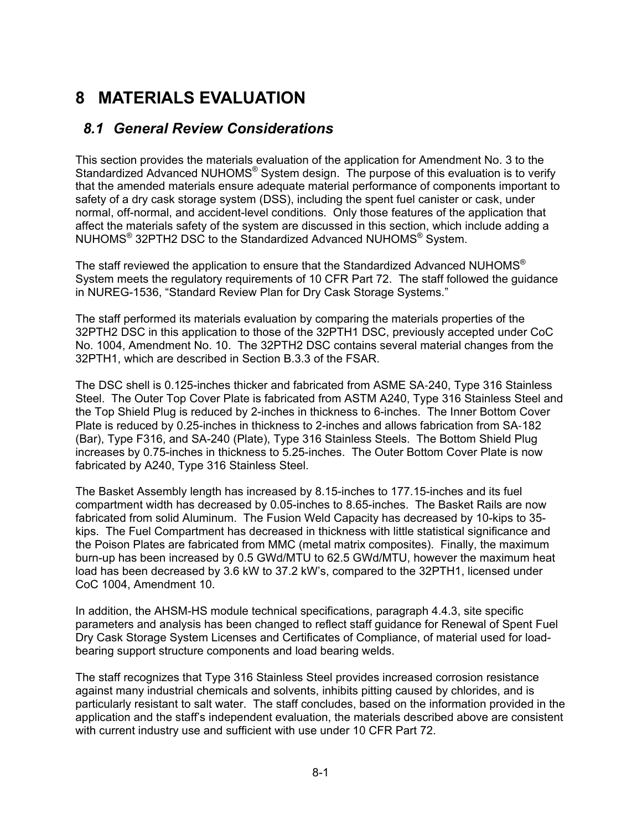# **8 MATERIALS EVALUATION**

#### *8.1 General Review Considerations*

This section provides the materials evaluation of the application for Amendment No. 3 to the Standardized Advanced NUHOMS<sup>®</sup> System design. The purpose of this evaluation is to verify that the amended materials ensure adequate material performance of components important to safety of a dry cask storage system (DSS), including the spent fuel canister or cask, under normal, off-normal, and accident-level conditions. Only those features of the application that affect the materials safety of the system are discussed in this section, which include adding a NUHOMS® 32PTH2 DSC to the Standardized Advanced NUHOMS® System.

The staff reviewed the application to ensure that the Standardized Advanced NUHOMS® System meets the regulatory requirements of 10 CFR Part 72. The staff followed the guidance in NUREG-1536, "Standard Review Plan for Dry Cask Storage Systems."

The staff performed its materials evaluation by comparing the materials properties of the 32PTH2 DSC in this application to those of the 32PTH1 DSC, previously accepted under CoC No. 1004, Amendment No. 10. The 32PTH2 DSC contains several material changes from the 32PTH1, which are described in Section B.3.3 of the FSAR.

The DSC shell is 0.125-inches thicker and fabricated from ASME SA‐240, Type 316 Stainless Steel. The Outer Top Cover Plate is fabricated from ASTM A240, Type 316 Stainless Steel and the Top Shield Plug is reduced by 2-inches in thickness to 6-inches. The Inner Bottom Cover Plate is reduced by 0.25-inches in thickness to 2-inches and allows fabrication from SA‐182 (Bar), Type F316, and SA-240 (Plate), Type 316 Stainless Steels. The Bottom Shield Plug increases by 0.75-inches in thickness to 5.25-inches. The Outer Bottom Cover Plate is now fabricated by A240, Type 316 Stainless Steel.

The Basket Assembly length has increased by 8.15-inches to 177.15-inches and its fuel compartment width has decreased by 0.05-inches to 8.65-inches. The Basket Rails are now fabricated from solid Aluminum. The Fusion Weld Capacity has decreased by 10-kips to 35 kips. The Fuel Compartment has decreased in thickness with little statistical significance and the Poison Plates are fabricated from MMC (metal matrix composites). Finally, the maximum burn-up has been increased by 0.5 GWd/MTU to 62.5 GWd/MTU, however the maximum heat load has been decreased by 3.6 kW to 37.2 kW's, compared to the 32PTH1, licensed under CoC 1004, Amendment 10.

In addition, the AHSM-HS module technical specifications, paragraph 4.4.3, site specific parameters and analysis has been changed to reflect staff guidance for Renewal of Spent Fuel Dry Cask Storage System Licenses and Certificates of Compliance, of material used for loadbearing support structure components and load bearing welds.

The staff recognizes that Type 316 Stainless Steel provides increased corrosion resistance against many industrial chemicals and solvents, inhibits pitting caused by chlorides, and is particularly resistant to salt water. The staff concludes, based on the information provided in the application and the staff's independent evaluation, the materials described above are consistent with current industry use and sufficient with use under 10 CFR Part 72.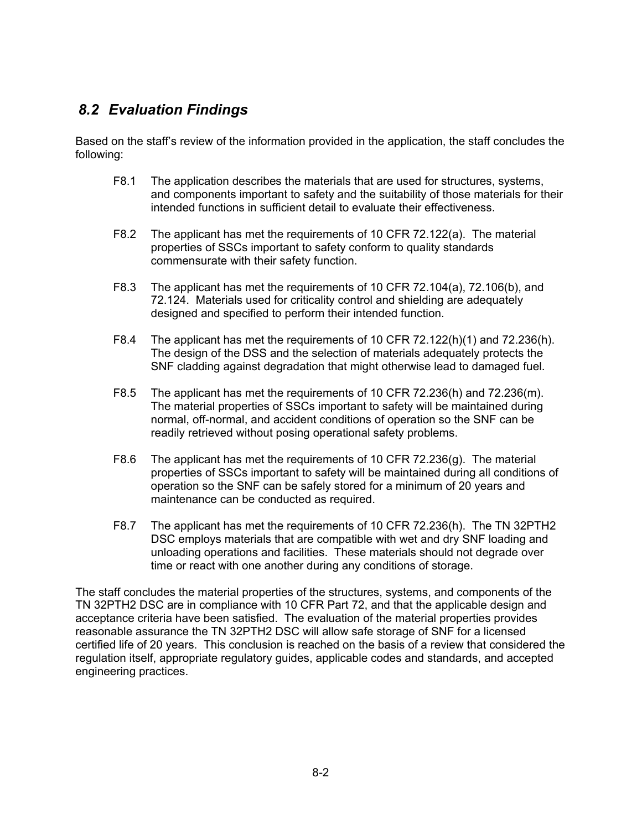#### *8.2 Evaluation Findings*

Based on the staff's review of the information provided in the application, the staff concludes the following:

- F8.1 The application describes the materials that are used for structures, systems, and components important to safety and the suitability of those materials for their intended functions in sufficient detail to evaluate their effectiveness.
- F8.2 The applicant has met the requirements of 10 CFR 72.122(a). The material properties of SSCs important to safety conform to quality standards commensurate with their safety function.
- F8.3 The applicant has met the requirements of 10 CFR 72.104(a), 72.106(b), and 72.124. Materials used for criticality control and shielding are adequately designed and specified to perform their intended function.
- F8.4 The applicant has met the requirements of 10 CFR 72.122(h)(1) and 72.236(h). The design of the DSS and the selection of materials adequately protects the SNF cladding against degradation that might otherwise lead to damaged fuel.
- F8.5 The applicant has met the requirements of 10 CFR 72.236(h) and 72.236(m). The material properties of SSCs important to safety will be maintained during normal, off-normal, and accident conditions of operation so the SNF can be readily retrieved without posing operational safety problems.
- F8.6 The applicant has met the requirements of 10 CFR 72.236(g). The material properties of SSCs important to safety will be maintained during all conditions of operation so the SNF can be safely stored for a minimum of 20 years and maintenance can be conducted as required.
- F8.7 The applicant has met the requirements of 10 CFR 72.236(h). The TN 32PTH2 DSC employs materials that are compatible with wet and dry SNF loading and unloading operations and facilities. These materials should not degrade over time or react with one another during any conditions of storage.

The staff concludes the material properties of the structures, systems, and components of the TN 32PTH2 DSC are in compliance with 10 CFR Part 72, and that the applicable design and acceptance criteria have been satisfied. The evaluation of the material properties provides reasonable assurance the TN 32PTH2 DSC will allow safe storage of SNF for a licensed certified life of 20 years. This conclusion is reached on the basis of a review that considered the regulation itself, appropriate regulatory guides, applicable codes and standards, and accepted engineering practices.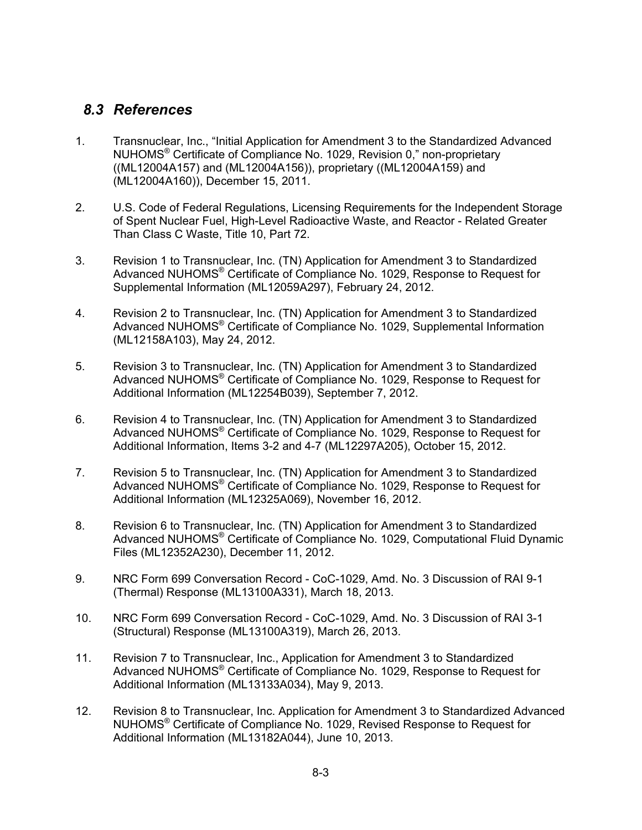#### *8.3 References*

- 1. Transnuclear, Inc., "Initial Application for Amendment 3 to the Standardized Advanced NUHOMS® Certificate of Compliance No. 1029, Revision 0," non-proprietary ((ML12004A157) and (ML12004A156)), proprietary ((ML12004A159) and (ML12004A160)), December 15, 2011.
- 2. U.S. Code of Federal Regulations, Licensing Requirements for the Independent Storage of Spent Nuclear Fuel, High-Level Radioactive Waste, and Reactor - Related Greater Than Class C Waste, Title 10, Part 72.
- 3. Revision 1 to Transnuclear, Inc. (TN) Application for Amendment 3 to Standardized Advanced NUHOMS® Certificate of Compliance No. 1029, Response to Request for Supplemental Information (ML12059A297), February 24, 2012.
- 4. Revision 2 to Transnuclear, Inc. (TN) Application for Amendment 3 to Standardized Advanced NUHOMS® Certificate of Compliance No. 1029, Supplemental Information (ML12158A103), May 24, 2012.
- 5. Revision 3 to Transnuclear, Inc. (TN) Application for Amendment 3 to Standardized Advanced NUHOMS® Certificate of Compliance No. 1029, Response to Request for Additional Information (ML12254B039), September 7, 2012.
- 6. Revision 4 to Transnuclear, Inc. (TN) Application for Amendment 3 to Standardized Advanced NUHOMS® Certificate of Compliance No. 1029, Response to Request for Additional Information, Items 3-2 and 4-7 (ML12297A205), October 15, 2012.
- 7. Revision 5 to Transnuclear, Inc. (TN) Application for Amendment 3 to Standardized Advanced NUHOMS® Certificate of Compliance No. 1029, Response to Request for Additional Information (ML12325A069), November 16, 2012.
- 8. Revision 6 to Transnuclear, Inc. (TN) Application for Amendment 3 to Standardized Advanced NUHOMS® Certificate of Compliance No. 1029, Computational Fluid Dynamic Files (ML12352A230), December 11, 2012.
- 9. NRC Form 699 Conversation Record CoC-1029, Amd. No. 3 Discussion of RAI 9-1 (Thermal) Response (ML13100A331), March 18, 2013.
- 10. NRC Form 699 Conversation Record CoC-1029, Amd. No. 3 Discussion of RAI 3-1 (Structural) Response (ML13100A319), March 26, 2013.
- 11. Revision 7 to Transnuclear, Inc., Application for Amendment 3 to Standardized Advanced NUHOMS® Certificate of Compliance No. 1029, Response to Request for Additional Information (ML13133A034), May 9, 2013.
- 12. Revision 8 to Transnuclear, Inc. Application for Amendment 3 to Standardized Advanced NUHOMS® Certificate of Compliance No. 1029, Revised Response to Request for Additional Information (ML13182A044), June 10, 2013.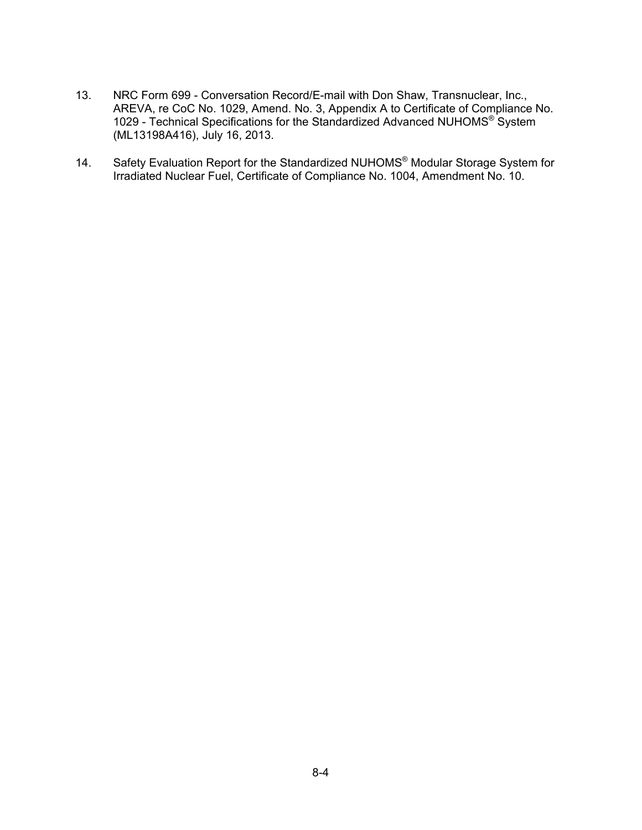- 13. NRC Form 699 Conversation Record/E-mail with Don Shaw, Transnuclear, Inc., AREVA, re CoC No. 1029, Amend. No. 3, Appendix A to Certificate of Compliance No. 1029 - Technical Specifications for the Standardized Advanced NUHOMS® System (ML13198A416), July 16, 2013.
- 14. Safety Evaluation Report for the Standardized NUHOMS<sup>®</sup> Modular Storage System for Irradiated Nuclear Fuel, Certificate of Compliance No. 1004, Amendment No. 10.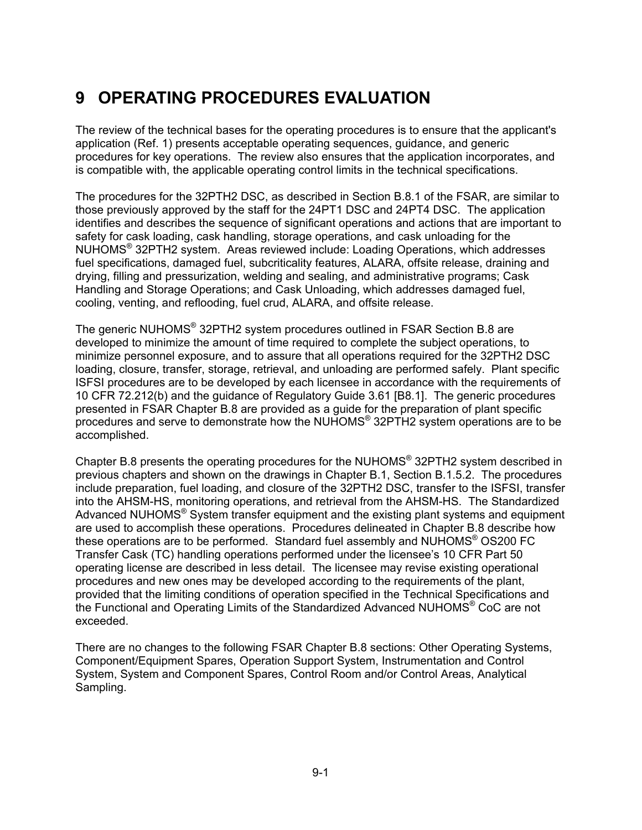# **9 OPERATING PROCEDURES EVALUATION**

The review of the technical bases for the operating procedures is to ensure that the applicant's application (Ref. 1) presents acceptable operating sequences, guidance, and generic procedures for key operations. The review also ensures that the application incorporates, and is compatible with, the applicable operating control limits in the technical specifications.

The procedures for the 32PTH2 DSC, as described in Section B.8.1 of the FSAR, are similar to those previously approved by the staff for the 24PT1 DSC and 24PT4 DSC. The application identifies and describes the sequence of significant operations and actions that are important to safety for cask loading, cask handling, storage operations, and cask unloading for the NUHOMS® 32PTH2 system. Areas reviewed include: Loading Operations, which addresses fuel specifications, damaged fuel, subcriticality features, ALARA, offsite release, draining and drying, filling and pressurization, welding and sealing, and administrative programs; Cask Handling and Storage Operations; and Cask Unloading, which addresses damaged fuel, cooling, venting, and reflooding, fuel crud, ALARA, and offsite release.

The generic NUHOMS® 32PTH2 system procedures outlined in FSAR Section B.8 are developed to minimize the amount of time required to complete the subject operations, to minimize personnel exposure, and to assure that all operations required for the 32PTH2 DSC loading, closure, transfer, storage, retrieval, and unloading are performed safely. Plant specific ISFSI procedures are to be developed by each licensee in accordance with the requirements of 10 CFR 72.212(b) and the guidance of Regulatory Guide 3.61 [B8.1]. The generic procedures presented in FSAR Chapter B.8 are provided as a guide for the preparation of plant specific procedures and serve to demonstrate how the NUHOMS® 32PTH2 system operations are to be accomplished.

Chapter B.8 presents the operating procedures for the NUHOMS® 32PTH2 system described in previous chapters and shown on the drawings in Chapter B.1, Section B.1.5.2. The procedures include preparation, fuel loading, and closure of the 32PTH2 DSC, transfer to the ISFSI, transfer into the AHSM-HS, monitoring operations, and retrieval from the AHSM-HS. The Standardized Advanced NUHOMS<sup>®</sup> System transfer equipment and the existing plant systems and equipment are used to accomplish these operations. Procedures delineated in Chapter B.8 describe how these operations are to be performed. Standard fuel assembly and NUHOMS® OS200 FC Transfer Cask (TC) handling operations performed under the licensee's 10 CFR Part 50 operating license are described in less detail. The licensee may revise existing operational procedures and new ones may be developed according to the requirements of the plant, provided that the limiting conditions of operation specified in the Technical Specifications and the Functional and Operating Limits of the Standardized Advanced NUHOMS® CoC are not exceeded.

There are no changes to the following FSAR Chapter B.8 sections: Other Operating Systems, Component/Equipment Spares, Operation Support System, Instrumentation and Control System, System and Component Spares, Control Room and/or Control Areas, Analytical Sampling.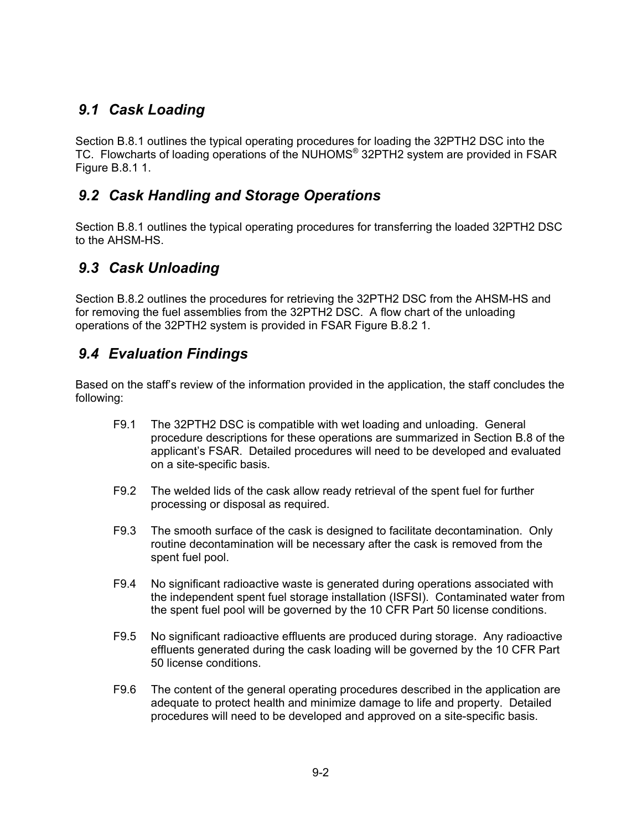### *9.1 Cask Loading*

Section B.8.1 outlines the typical operating procedures for loading the 32PTH2 DSC into the TC. Flowcharts of loading operations of the NUHOMS<sup>®</sup> 32PTH2 system are provided in FSAR Figure B.8.1 1.

### *9.2 Cask Handling and Storage Operations*

Section B.8.1 outlines the typical operating procedures for transferring the loaded 32PTH2 DSC to the AHSM-HS.

## *9.3 Cask Unloading*

Section B.8.2 outlines the procedures for retrieving the 32PTH2 DSC from the AHSM-HS and for removing the fuel assemblies from the 32PTH2 DSC. A flow chart of the unloading operations of the 32PTH2 system is provided in FSAR Figure B.8.2 1.

#### *9.4 Evaluation Findings*

Based on the staff's review of the information provided in the application, the staff concludes the following:

- F9.1 The 32PTH2 DSC is compatible with wet loading and unloading. General procedure descriptions for these operations are summarized in Section B.8 of the applicant's FSAR. Detailed procedures will need to be developed and evaluated on a site-specific basis.
- F9.2 The welded lids of the cask allow ready retrieval of the spent fuel for further processing or disposal as required.
- F9.3 The smooth surface of the cask is designed to facilitate decontamination. Only routine decontamination will be necessary after the cask is removed from the spent fuel pool.
- F9.4 No significant radioactive waste is generated during operations associated with the independent spent fuel storage installation (ISFSI). Contaminated water from the spent fuel pool will be governed by the 10 CFR Part 50 license conditions.
- F9.5 No significant radioactive effluents are produced during storage. Any radioactive effluents generated during the cask loading will be governed by the 10 CFR Part 50 license conditions.
- F9.6 The content of the general operating procedures described in the application are adequate to protect health and minimize damage to life and property. Detailed procedures will need to be developed and approved on a site-specific basis.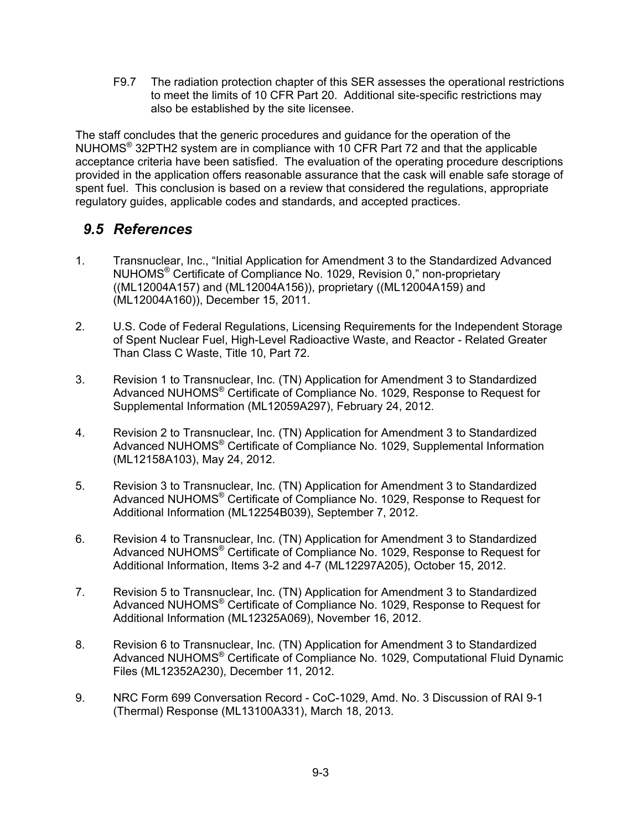F9.7 The radiation protection chapter of this SER assesses the operational restrictions to meet the limits of 10 CFR Part 20. Additional site-specific restrictions may also be established by the site licensee.

The staff concludes that the generic procedures and guidance for the operation of the NUHOMS® 32PTH2 system are in compliance with 10 CFR Part 72 and that the applicable acceptance criteria have been satisfied. The evaluation of the operating procedure descriptions provided in the application offers reasonable assurance that the cask will enable safe storage of spent fuel. This conclusion is based on a review that considered the regulations, appropriate regulatory guides, applicable codes and standards, and accepted practices.

#### *9.5 References*

- 1. Transnuclear, Inc., "Initial Application for Amendment 3 to the Standardized Advanced NUHOMS® Certificate of Compliance No. 1029, Revision 0," non-proprietary ((ML12004A157) and (ML12004A156)), proprietary ((ML12004A159) and (ML12004A160)), December 15, 2011.
- 2. U.S. Code of Federal Regulations, Licensing Requirements for the Independent Storage of Spent Nuclear Fuel, High-Level Radioactive Waste, and Reactor - Related Greater Than Class C Waste, Title 10, Part 72.
- 3. Revision 1 to Transnuclear, Inc. (TN) Application for Amendment 3 to Standardized Advanced NUHOMS® Certificate of Compliance No. 1029, Response to Request for Supplemental Information (ML12059A297), February 24, 2012.
- 4. Revision 2 to Transnuclear, Inc. (TN) Application for Amendment 3 to Standardized Advanced NUHOMS® Certificate of Compliance No. 1029, Supplemental Information (ML12158A103), May 24, 2012.
- 5. Revision 3 to Transnuclear, Inc. (TN) Application for Amendment 3 to Standardized Advanced NUHOMS® Certificate of Compliance No. 1029, Response to Request for Additional Information (ML12254B039), September 7, 2012.
- 6. Revision 4 to Transnuclear, Inc. (TN) Application for Amendment 3 to Standardized Advanced NUHOMS® Certificate of Compliance No. 1029, Response to Request for Additional Information, Items 3-2 and 4-7 (ML12297A205), October 15, 2012.
- 7. Revision 5 to Transnuclear, Inc. (TN) Application for Amendment 3 to Standardized Advanced NUHOMS® Certificate of Compliance No. 1029, Response to Request for Additional Information (ML12325A069), November 16, 2012.
- 8. Revision 6 to Transnuclear, Inc. (TN) Application for Amendment 3 to Standardized Advanced NUHOMS® Certificate of Compliance No. 1029, Computational Fluid Dynamic Files (ML12352A230), December 11, 2012.
- 9. NRC Form 699 Conversation Record CoC-1029, Amd. No. 3 Discussion of RAI 9-1 (Thermal) Response (ML13100A331), March 18, 2013.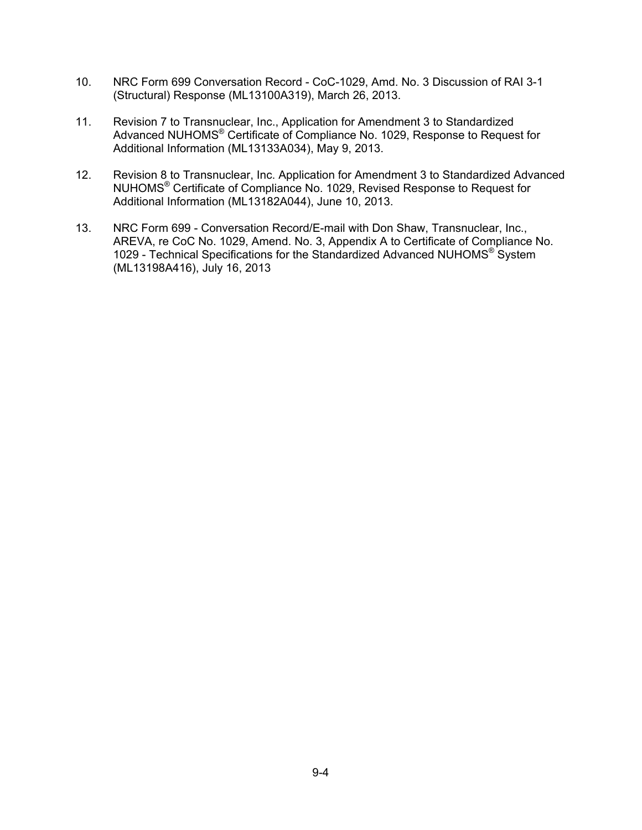- 10. NRC Form 699 Conversation Record CoC-1029, Amd. No. 3 Discussion of RAI 3-1 (Structural) Response (ML13100A319), March 26, 2013.
- 11. Revision 7 to Transnuclear, Inc., Application for Amendment 3 to Standardized Advanced NUHOMS® Certificate of Compliance No. 1029, Response to Request for Additional Information (ML13133A034), May 9, 2013.
- 12. Revision 8 to Transnuclear, Inc. Application for Amendment 3 to Standardized Advanced NUHOMS® Certificate of Compliance No. 1029, Revised Response to Request for Additional Information (ML13182A044), June 10, 2013.
- 13. NRC Form 699 Conversation Record/E-mail with Don Shaw, Transnuclear, Inc., AREVA, re CoC No. 1029, Amend. No. 3, Appendix A to Certificate of Compliance No. 1029 - Technical Specifications for the Standardized Advanced NUHOMS® System (ML13198A416), July 16, 2013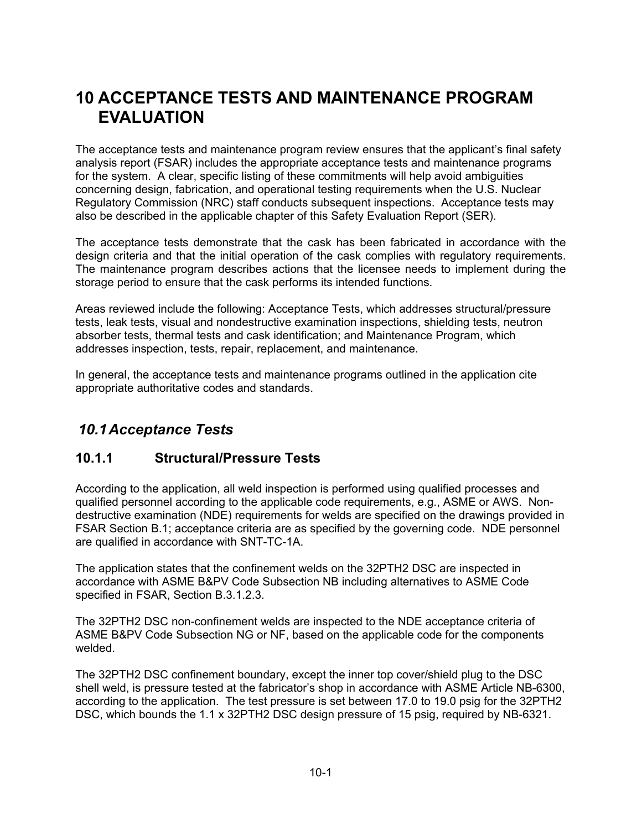# **10 ACCEPTANCE TESTS AND MAINTENANCE PROGRAM EVALUATION**

The acceptance tests and maintenance program review ensures that the applicant's final safety analysis report (FSAR) includes the appropriate acceptance tests and maintenance programs for the system. A clear, specific listing of these commitments will help avoid ambiguities concerning design, fabrication, and operational testing requirements when the U.S. Nuclear Regulatory Commission (NRC) staff conducts subsequent inspections. Acceptance tests may also be described in the applicable chapter of this Safety Evaluation Report (SER).

The acceptance tests demonstrate that the cask has been fabricated in accordance with the design criteria and that the initial operation of the cask complies with regulatory requirements. The maintenance program describes actions that the licensee needs to implement during the storage period to ensure that the cask performs its intended functions.

Areas reviewed include the following: Acceptance Tests, which addresses structural/pressure tests, leak tests, visual and nondestructive examination inspections, shielding tests, neutron absorber tests, thermal tests and cask identification; and Maintenance Program, which addresses inspection, tests, repair, replacement, and maintenance.

In general, the acceptance tests and maintenance programs outlined in the application cite appropriate authoritative codes and standards.

#### *10.1 Acceptance Tests*

#### **10.1.1 Structural/Pressure Tests**

According to the application, all weld inspection is performed using qualified processes and qualified personnel according to the applicable code requirements, e.g., ASME or AWS. Nondestructive examination (NDE) requirements for welds are specified on the drawings provided in FSAR Section B.1; acceptance criteria are as specified by the governing code. NDE personnel are qualified in accordance with SNT-TC-1A.

The application states that the confinement welds on the 32PTH2 DSC are inspected in accordance with ASME B&PV Code Subsection NB including alternatives to ASME Code specified in FSAR, Section B.3.1.2.3.

The 32PTH2 DSC non-confinement welds are inspected to the NDE acceptance criteria of ASME B&PV Code Subsection NG or NF, based on the applicable code for the components welded.

The 32PTH2 DSC confinement boundary, except the inner top cover/shield plug to the DSC shell weld, is pressure tested at the fabricator's shop in accordance with ASME Article NB-6300, according to the application. The test pressure is set between 17.0 to 19.0 psig for the 32PTH2 DSC, which bounds the 1.1 x 32PTH2 DSC design pressure of 15 psig, required by NB-6321.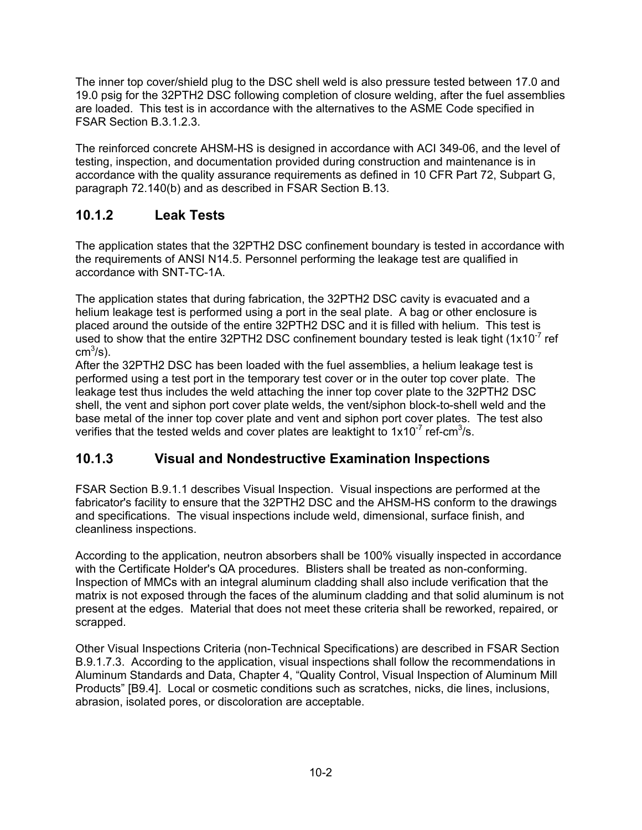The inner top cover/shield plug to the DSC shell weld is also pressure tested between 17.0 and 19.0 psig for the 32PTH2 DSC following completion of closure welding, after the fuel assemblies are loaded. This test is in accordance with the alternatives to the ASME Code specified in FSAR Section B.3.1.2.3.

The reinforced concrete AHSM-HS is designed in accordance with ACI 349-06, and the level of testing, inspection, and documentation provided during construction and maintenance is in accordance with the quality assurance requirements as defined in 10 CFR Part 72, Subpart G, paragraph 72.140(b) and as described in FSAR Section B.13.

#### **10.1.2 Leak Tests**

The application states that the 32PTH2 DSC confinement boundary is tested in accordance with the requirements of ANSI N14.5. Personnel performing the leakage test are qualified in accordance with SNT-TC-1A.

The application states that during fabrication, the 32PTH2 DSC cavity is evacuated and a helium leakage test is performed using a port in the seal plate. A bag or other enclosure is placed around the outside of the entire 32PTH2 DSC and it is filled with helium. This test is used to show that the entire 32PTH2 DSC confinement boundary tested is leak tight  $(1x10<sup>-7</sup>$  ref cm $^3$ /s).

After the 32PTH2 DSC has been loaded with the fuel assemblies, a helium leakage test is performed using a test port in the temporary test cover or in the outer top cover plate. The leakage test thus includes the weld attaching the inner top cover plate to the 32PTH2 DSC shell, the vent and siphon port cover plate welds, the vent/siphon block-to-shell weld and the base metal of the inner top cover plate and vent and siphon port cover plates. The test also verifies that the tested welds and cover plates are leaktight to  $1x10^{-7}$  ref-cm<sup>3</sup>/s.

#### **10.1.3 Visual and Nondestructive Examination Inspections**

FSAR Section B.9.1.1 describes Visual Inspection. Visual inspections are performed at the fabricator's facility to ensure that the 32PTH2 DSC and the AHSM-HS conform to the drawings and specifications. The visual inspections include weld, dimensional, surface finish, and cleanliness inspections.

According to the application, neutron absorbers shall be 100% visually inspected in accordance with the Certificate Holder's QA procedures. Blisters shall be treated as non-conforming. Inspection of MMCs with an integral aluminum cladding shall also include verification that the matrix is not exposed through the faces of the aluminum cladding and that solid aluminum is not present at the edges. Material that does not meet these criteria shall be reworked, repaired, or scrapped.

Other Visual Inspections Criteria (non-Technical Specifications) are described in FSAR Section B.9.1.7.3. According to the application, visual inspections shall follow the recommendations in Aluminum Standards and Data, Chapter 4, "Quality Control, Visual Inspection of Aluminum Mill Products" [B9.4]. Local or cosmetic conditions such as scratches, nicks, die lines, inclusions, abrasion, isolated pores, or discoloration are acceptable.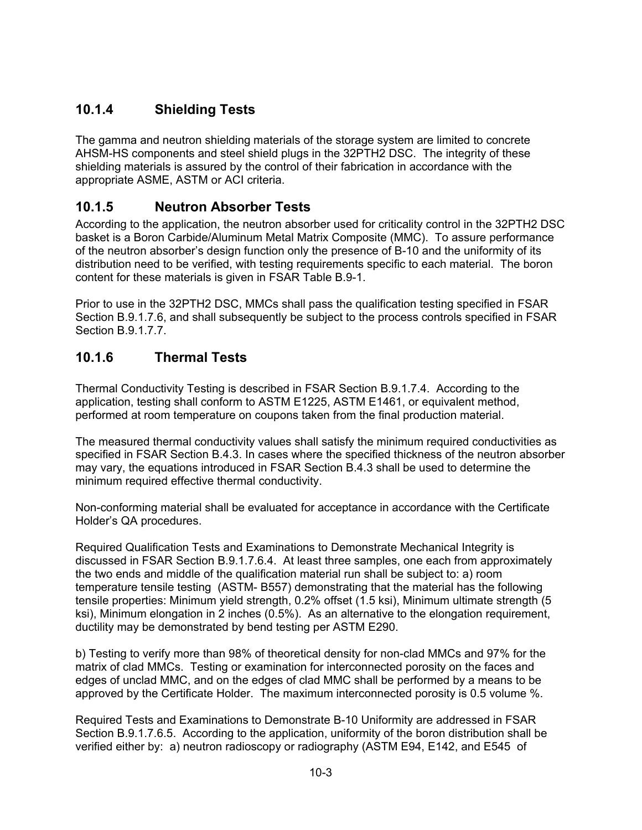#### **10.1.4 Shielding Tests**

The gamma and neutron shielding materials of the storage system are limited to concrete AHSM-HS components and steel shield plugs in the 32PTH2 DSC. The integrity of these shielding materials is assured by the control of their fabrication in accordance with the appropriate ASME, ASTM or ACI criteria.

#### **10.1.5 Neutron Absorber Tests**

According to the application, the neutron absorber used for criticality control in the 32PTH2 DSC basket is a Boron Carbide/Aluminum Metal Matrix Composite (MMC). To assure performance of the neutron absorber's design function only the presence of B-10 and the uniformity of its distribution need to be verified, with testing requirements specific to each material. The boron content for these materials is given in FSAR Table B.9-1.

Prior to use in the 32PTH2 DSC, MMCs shall pass the qualification testing specified in FSAR Section B.9.1.7.6, and shall subsequently be subject to the process controls specified in FSAR Section B.9.1.7.7.

#### **10.1.6 Thermal Tests**

Thermal Conductivity Testing is described in FSAR Section B.9.1.7.4. According to the application, testing shall conform to ASTM E1225, ASTM E1461, or equivalent method, performed at room temperature on coupons taken from the final production material.

The measured thermal conductivity values shall satisfy the minimum required conductivities as specified in FSAR Section B.4.3. In cases where the specified thickness of the neutron absorber may vary, the equations introduced in FSAR Section B.4.3 shall be used to determine the minimum required effective thermal conductivity.

Non-conforming material shall be evaluated for acceptance in accordance with the Certificate Holder's QA procedures.

Required Qualification Tests and Examinations to Demonstrate Mechanical Integrity is discussed in FSAR Section B.9.1.7.6.4. At least three samples, one each from approximately the two ends and middle of the qualification material run shall be subject to: a) room temperature tensile testing (ASTM- B557) demonstrating that the material has the following tensile properties: Minimum yield strength, 0.2% offset (1.5 ksi), Minimum ultimate strength (5 ksi), Minimum elongation in 2 inches (0.5%). As an alternative to the elongation requirement, ductility may be demonstrated by bend testing per ASTM E290.

b) Testing to verify more than 98% of theoretical density for non-clad MMCs and 97% for the matrix of clad MMCs. Testing or examination for interconnected porosity on the faces and edges of unclad MMC, and on the edges of clad MMC shall be performed by a means to be approved by the Certificate Holder. The maximum interconnected porosity is 0.5 volume %.

Required Tests and Examinations to Demonstrate B-10 Uniformity are addressed in FSAR Section B.9.1.7.6.5. According to the application, uniformity of the boron distribution shall be verified either by: a) neutron radioscopy or radiography (ASTM E94, E142, and E545 of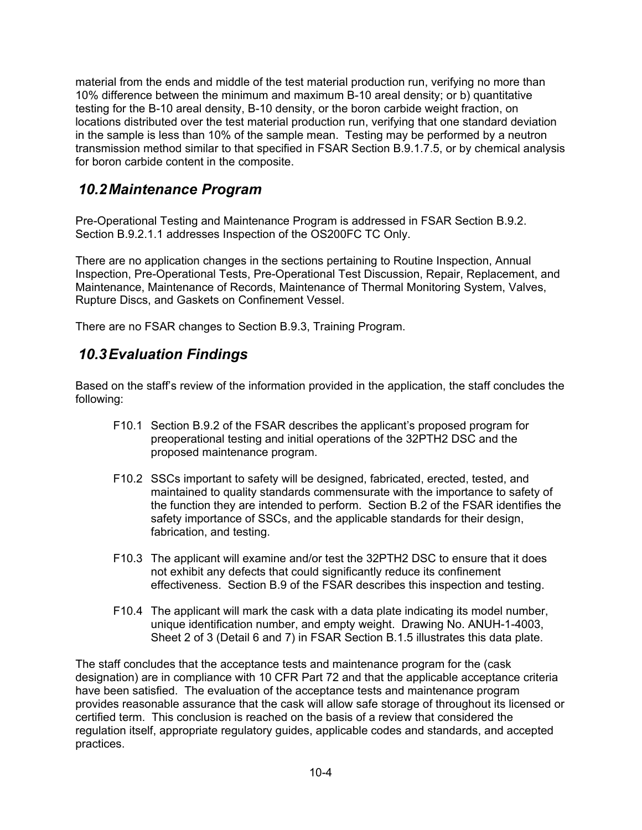material from the ends and middle of the test material production run, verifying no more than 10% difference between the minimum and maximum B-10 areal density; or b) quantitative testing for the B-10 areal density, B-10 density, or the boron carbide weight fraction, on locations distributed over the test material production run, verifying that one standard deviation in the sample is less than 10% of the sample mean. Testing may be performed by a neutron transmission method similar to that specified in FSAR Section B.9.1.7.5, or by chemical analysis for boron carbide content in the composite.

### *10.2 Maintenance Program*

Pre-Operational Testing and Maintenance Program is addressed in FSAR Section B.9.2. Section B.9.2.1.1 addresses Inspection of the OS200FC TC Only.

There are no application changes in the sections pertaining to Routine Inspection, Annual Inspection, Pre-Operational Tests, Pre-Operational Test Discussion, Repair, Replacement, and Maintenance, Maintenance of Records, Maintenance of Thermal Monitoring System, Valves, Rupture Discs, and Gaskets on Confinement Vessel.

There are no FSAR changes to Section B.9.3, Training Program.

#### *10.3 Evaluation Findings*

Based on the staff's review of the information provided in the application, the staff concludes the following:

- F10.1 Section B.9.2 of the FSAR describes the applicant's proposed program for preoperational testing and initial operations of the 32PTH2 DSC and the proposed maintenance program.
- F10.2 SSCs important to safety will be designed, fabricated, erected, tested, and maintained to quality standards commensurate with the importance to safety of the function they are intended to perform. Section B.2 of the FSAR identifies the safety importance of SSCs, and the applicable standards for their design, fabrication, and testing.
- F10.3 The applicant will examine and/or test the 32PTH2 DSC to ensure that it does not exhibit any defects that could significantly reduce its confinement effectiveness. Section B.9 of the FSAR describes this inspection and testing.
- F10.4 The applicant will mark the cask with a data plate indicating its model number, unique identification number, and empty weight. Drawing No. ANUH-1-4003, Sheet 2 of 3 (Detail 6 and 7) in FSAR Section B.1.5 illustrates this data plate.

The staff concludes that the acceptance tests and maintenance program for the (cask designation) are in compliance with 10 CFR Part 72 and that the applicable acceptance criteria have been satisfied. The evaluation of the acceptance tests and maintenance program provides reasonable assurance that the cask will allow safe storage of throughout its licensed or certified term. This conclusion is reached on the basis of a review that considered the regulation itself, appropriate regulatory guides, applicable codes and standards, and accepted practices.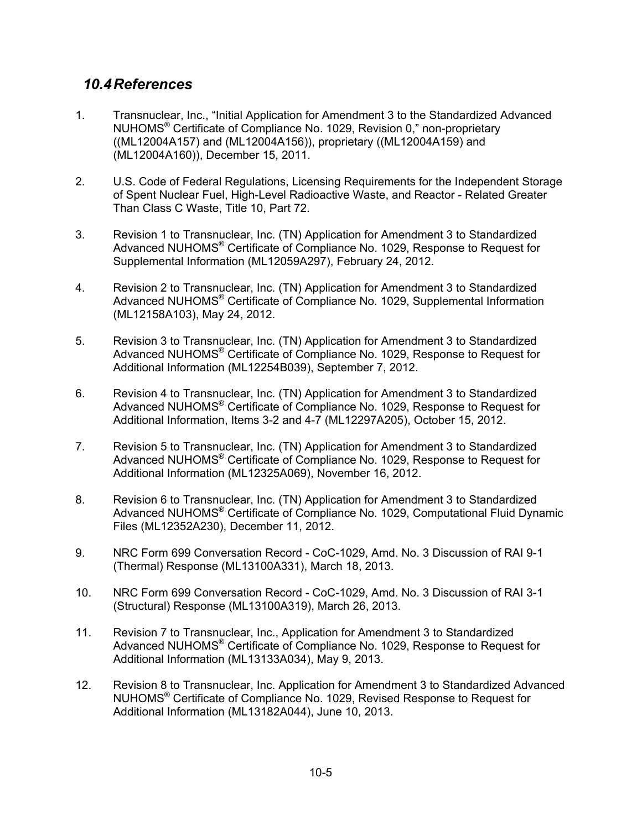#### *10.4 References*

- 1. Transnuclear, Inc., "Initial Application for Amendment 3 to the Standardized Advanced NUHOMS® Certificate of Compliance No. 1029, Revision 0," non-proprietary ((ML12004A157) and (ML12004A156)), proprietary ((ML12004A159) and (ML12004A160)), December 15, 2011.
- 2. U.S. Code of Federal Regulations, Licensing Requirements for the Independent Storage of Spent Nuclear Fuel, High-Level Radioactive Waste, and Reactor - Related Greater Than Class C Waste, Title 10, Part 72.
- 3. Revision 1 to Transnuclear, Inc. (TN) Application for Amendment 3 to Standardized Advanced NUHOMS® Certificate of Compliance No. 1029, Response to Request for Supplemental Information (ML12059A297), February 24, 2012.
- 4. Revision 2 to Transnuclear, Inc. (TN) Application for Amendment 3 to Standardized Advanced NUHOMS® Certificate of Compliance No. 1029, Supplemental Information (ML12158A103), May 24, 2012.
- 5. Revision 3 to Transnuclear, Inc. (TN) Application for Amendment 3 to Standardized Advanced NUHOMS® Certificate of Compliance No. 1029, Response to Request for Additional Information (ML12254B039), September 7, 2012.
- 6. Revision 4 to Transnuclear, Inc. (TN) Application for Amendment 3 to Standardized Advanced NUHOMS® Certificate of Compliance No. 1029, Response to Request for Additional Information, Items 3-2 and 4-7 (ML12297A205), October 15, 2012.
- 7. Revision 5 to Transnuclear, Inc. (TN) Application for Amendment 3 to Standardized Advanced NUHOMS® Certificate of Compliance No. 1029, Response to Request for Additional Information (ML12325A069), November 16, 2012.
- 8. Revision 6 to Transnuclear, Inc. (TN) Application for Amendment 3 to Standardized Advanced NUHOMS® Certificate of Compliance No. 1029, Computational Fluid Dynamic Files (ML12352A230), December 11, 2012.
- 9. NRC Form 699 Conversation Record CoC-1029, Amd. No. 3 Discussion of RAI 9-1 (Thermal) Response (ML13100A331), March 18, 2013.
- 10. NRC Form 699 Conversation Record CoC-1029, Amd. No. 3 Discussion of RAI 3-1 (Structural) Response (ML13100A319), March 26, 2013.
- 11. Revision 7 to Transnuclear, Inc., Application for Amendment 3 to Standardized Advanced NUHOMS® Certificate of Compliance No. 1029, Response to Request for Additional Information (ML13133A034), May 9, 2013.
- 12. Revision 8 to Transnuclear, Inc. Application for Amendment 3 to Standardized Advanced NUHOMS® Certificate of Compliance No. 1029, Revised Response to Request for Additional Information (ML13182A044), June 10, 2013.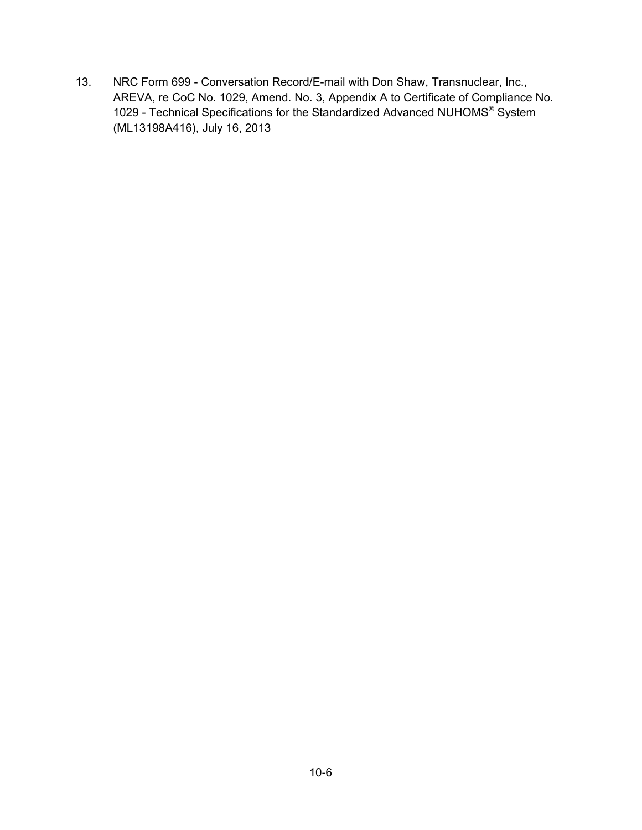13. NRC Form 699 - Conversation Record/E-mail with Don Shaw, Transnuclear, Inc., AREVA, re CoC No. 1029, Amend. No. 3, Appendix A to Certificate of Compliance No. 1029 - Technical Specifications for the Standardized Advanced NUHOMS® System (ML13198A416), July 16, 2013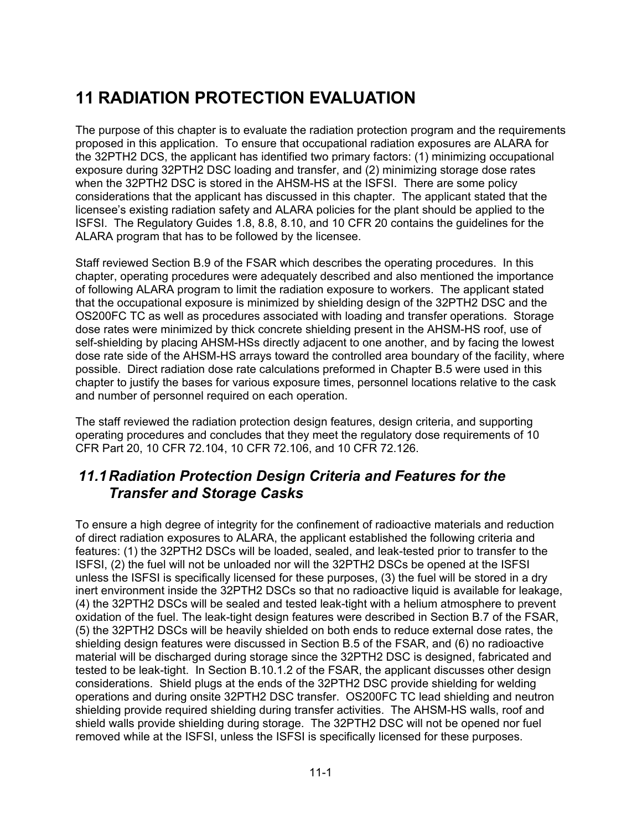# **11 RADIATION PROTECTION EVALUATION**

The purpose of this chapter is to evaluate the radiation protection program and the requirements proposed in this application. To ensure that occupational radiation exposures are ALARA for the 32PTH2 DCS, the applicant has identified two primary factors: (1) minimizing occupational exposure during 32PTH2 DSC loading and transfer, and (2) minimizing storage dose rates when the 32PTH2 DSC is stored in the AHSM-HS at the ISFSI. There are some policy considerations that the applicant has discussed in this chapter. The applicant stated that the licensee's existing radiation safety and ALARA policies for the plant should be applied to the ISFSI. The Regulatory Guides 1.8, 8.8, 8.10, and 10 CFR 20 contains the guidelines for the ALARA program that has to be followed by the licensee.

Staff reviewed Section B.9 of the FSAR which describes the operating procedures. In this chapter, operating procedures were adequately described and also mentioned the importance of following ALARA program to limit the radiation exposure to workers. The applicant stated that the occupational exposure is minimized by shielding design of the 32PTH2 DSC and the OS200FC TC as well as procedures associated with loading and transfer operations. Storage dose rates were minimized by thick concrete shielding present in the AHSM-HS roof, use of self-shielding by placing AHSM-HSs directly adjacent to one another, and by facing the lowest dose rate side of the AHSM-HS arrays toward the controlled area boundary of the facility, where possible. Direct radiation dose rate calculations preformed in Chapter B.5 were used in this chapter to justify the bases for various exposure times, personnel locations relative to the cask and number of personnel required on each operation.

The staff reviewed the radiation protection design features, design criteria, and supporting operating procedures and concludes that they meet the regulatory dose requirements of 10 CFR Part 20, 10 CFR 72.104, 10 CFR 72.106, and 10 CFR 72.126.

#### *11.1 Radiation Protection Design Criteria and Features for the Transfer and Storage Casks*

To ensure a high degree of integrity for the confinement of radioactive materials and reduction of direct radiation exposures to ALARA, the applicant established the following criteria and features: (1) the 32PTH2 DSCs will be loaded, sealed, and leak-tested prior to transfer to the ISFSI, (2) the fuel will not be unloaded nor will the 32PTH2 DSCs be opened at the ISFSI unless the ISFSI is specifically licensed for these purposes, (3) the fuel will be stored in a dry inert environment inside the 32PTH2 DSCs so that no radioactive liquid is available for leakage, (4) the 32PTH2 DSCs will be sealed and tested leak-tight with a helium atmosphere to prevent oxidation of the fuel. The leak-tight design features were described in Section B.7 of the FSAR, (5) the 32PTH2 DSCs will be heavily shielded on both ends to reduce external dose rates, the shielding design features were discussed in Section B.5 of the FSAR, and (6) no radioactive material will be discharged during storage since the 32PTH2 DSC is designed, fabricated and tested to be leak-tight. In Section B.10.1.2 of the FSAR, the applicant discusses other design considerations. Shield plugs at the ends of the 32PTH2 DSC provide shielding for welding operations and during onsite 32PTH2 DSC transfer. OS200FC TC lead shielding and neutron shielding provide required shielding during transfer activities. The AHSM-HS walls, roof and shield walls provide shielding during storage. The 32PTH2 DSC will not be opened nor fuel removed while at the ISFSI, unless the ISFSI is specifically licensed for these purposes.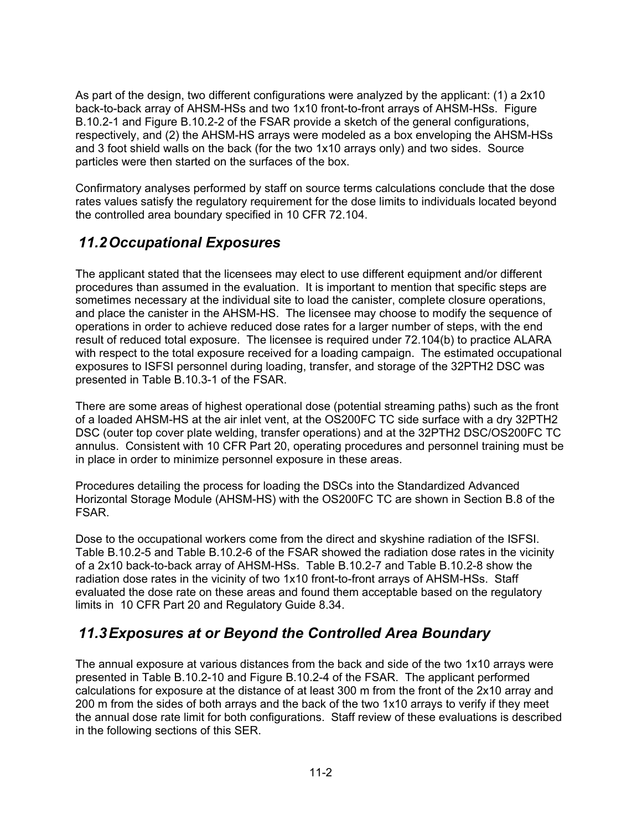As part of the design, two different configurations were analyzed by the applicant: (1) a 2x10 back-to-back array of AHSM-HSs and two 1x10 front-to-front arrays of AHSM-HSs. Figure B.10.2-1 and Figure B.10.2-2 of the FSAR provide a sketch of the general configurations, respectively, and (2) the AHSM-HS arrays were modeled as a box enveloping the AHSM-HSs and 3 foot shield walls on the back (for the two 1x10 arrays only) and two sides. Source particles were then started on the surfaces of the box.

Confirmatory analyses performed by staff on source terms calculations conclude that the dose rates values satisfy the regulatory requirement for the dose limits to individuals located beyond the controlled area boundary specified in 10 CFR 72.104.

### *11.2 Occupational Exposures*

The applicant stated that the licensees may elect to use different equipment and/or different procedures than assumed in the evaluation. It is important to mention that specific steps are sometimes necessary at the individual site to load the canister, complete closure operations, and place the canister in the AHSM-HS. The licensee may choose to modify the sequence of operations in order to achieve reduced dose rates for a larger number of steps, with the end result of reduced total exposure. The licensee is required under 72.104(b) to practice ALARA with respect to the total exposure received for a loading campaign. The estimated occupational exposures to ISFSI personnel during loading, transfer, and storage of the 32PTH2 DSC was presented in Table B.10.3-1 of the FSAR.

There are some areas of highest operational dose (potential streaming paths) such as the front of a loaded AHSM-HS at the air inlet vent, at the OS200FC TC side surface with a dry 32PTH2 DSC (outer top cover plate welding, transfer operations) and at the 32PTH2 DSC/OS200FC TC annulus. Consistent with 10 CFR Part 20, operating procedures and personnel training must be in place in order to minimize personnel exposure in these areas.

Procedures detailing the process for loading the DSCs into the Standardized Advanced Horizontal Storage Module (AHSM-HS) with the OS200FC TC are shown in Section B.8 of the FSAR.

Dose to the occupational workers come from the direct and skyshine radiation of the ISFSI. Table B.10.2-5 and Table B.10.2-6 of the FSAR showed the radiation dose rates in the vicinity of a 2x10 back-to-back array of AHSM-HSs. Table B.10.2-7 and Table B.10.2-8 show the radiation dose rates in the vicinity of two 1x10 front-to-front arrays of AHSM-HSs. Staff evaluated the dose rate on these areas and found them acceptable based on the regulatory limits in 10 CFR Part 20 and Regulatory Guide 8.34.

## *11.3 Exposures at or Beyond the Controlled Area Boundary*

The annual exposure at various distances from the back and side of the two 1x10 arrays were presented in Table B.10.2-10 and Figure B.10.2-4 of the FSAR. The applicant performed calculations for exposure at the distance of at least 300 m from the front of the 2x10 array and 200 m from the sides of both arrays and the back of the two 1x10 arrays to verify if they meet the annual dose rate limit for both configurations. Staff review of these evaluations is described in the following sections of this SER.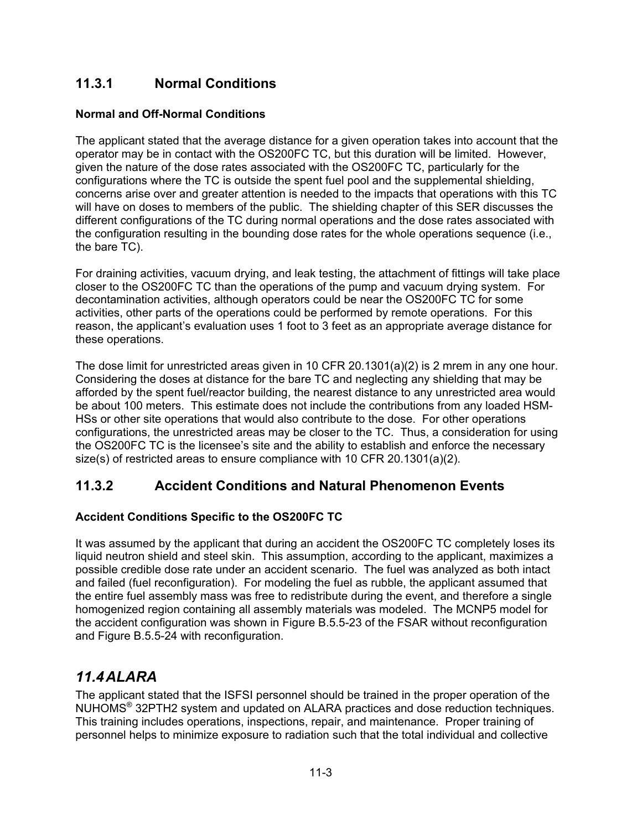#### **11.3.1 Normal Conditions**

#### **Normal and Off-Normal Conditions**

The applicant stated that the average distance for a given operation takes into account that the operator may be in contact with the OS200FC TC, but this duration will be limited. However, given the nature of the dose rates associated with the OS200FC TC, particularly for the configurations where the TC is outside the spent fuel pool and the supplemental shielding, concerns arise over and greater attention is needed to the impacts that operations with this TC will have on doses to members of the public. The shielding chapter of this SER discusses the different configurations of the TC during normal operations and the dose rates associated with the configuration resulting in the bounding dose rates for the whole operations sequence (i.e., the bare TC).

For draining activities, vacuum drying, and leak testing, the attachment of fittings will take place closer to the OS200FC TC than the operations of the pump and vacuum drying system. For decontamination activities, although operators could be near the OS200FC TC for some activities, other parts of the operations could be performed by remote operations. For this reason, the applicant's evaluation uses 1 foot to 3 feet as an appropriate average distance for these operations.

The dose limit for unrestricted areas given in 10 CFR 20.1301(a)(2) is 2 mrem in any one hour. Considering the doses at distance for the bare TC and neglecting any shielding that may be afforded by the spent fuel/reactor building, the nearest distance to any unrestricted area would be about 100 meters. This estimate does not include the contributions from any loaded HSM-HSs or other site operations that would also contribute to the dose. For other operations configurations, the unrestricted areas may be closer to the TC. Thus, a consideration for using the OS200FC TC is the licensee's site and the ability to establish and enforce the necessary size(s) of restricted areas to ensure compliance with 10 CFR 20.1301(a)(2).

#### **11.3.2 Accident Conditions and Natural Phenomenon Events**

#### **Accident Conditions Specific to the OS200FC TC**

It was assumed by the applicant that during an accident the OS200FC TC completely loses its liquid neutron shield and steel skin. This assumption, according to the applicant, maximizes a possible credible dose rate under an accident scenario. The fuel was analyzed as both intact and failed (fuel reconfiguration). For modeling the fuel as rubble, the applicant assumed that the entire fuel assembly mass was free to redistribute during the event, and therefore a single homogenized region containing all assembly materials was modeled. The MCNP5 model for the accident configuration was shown in Figure B.5.5-23 of the FSAR without reconfiguration and Figure B.5.5-24 with reconfiguration.

#### *11.4 ALARA*

The applicant stated that the ISFSI personnel should be trained in the proper operation of the NUHOMS® 32PTH2 system and updated on ALARA practices and dose reduction techniques. This training includes operations, inspections, repair, and maintenance. Proper training of personnel helps to minimize exposure to radiation such that the total individual and collective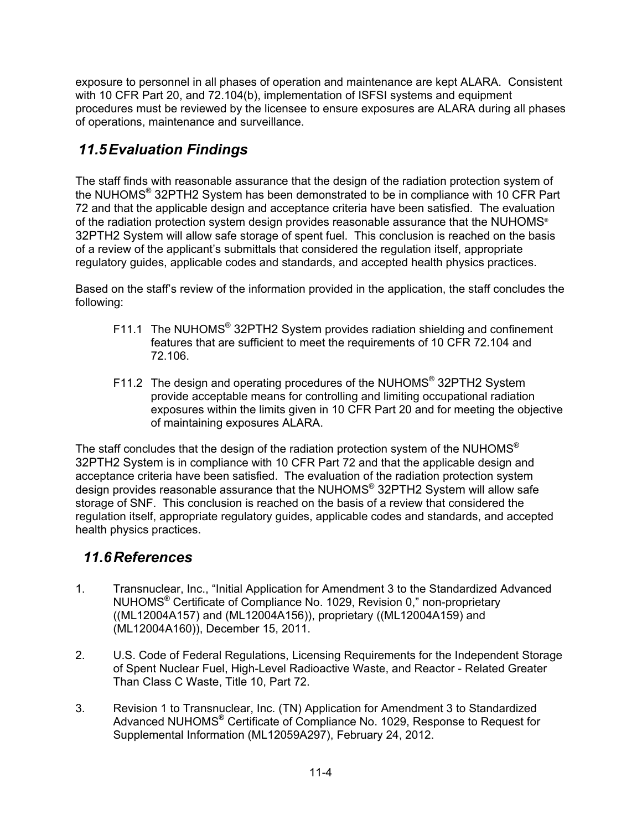exposure to personnel in all phases of operation and maintenance are kept ALARA. Consistent with 10 CFR Part 20, and 72.104(b), implementation of ISFSI systems and equipment procedures must be reviewed by the licensee to ensure exposures are ALARA during all phases of operations, maintenance and surveillance.

# *11.5 Evaluation Findings*

The staff finds with reasonable assurance that the design of the radiation protection system of the NUHOMS® 32PTH2 System has been demonstrated to be in compliance with 10 CFR Part 72 and that the applicable design and acceptance criteria have been satisfied. The evaluation of the radiation protection system design provides reasonable assurance that the NUHOMS<sup>®</sup> 32PTH2 System will allow safe storage of spent fuel. This conclusion is reached on the basis of a review of the applicant's submittals that considered the regulation itself, appropriate regulatory guides, applicable codes and standards, and accepted health physics practices.

Based on the staff's review of the information provided in the application, the staff concludes the following:

- F11.1 The NUHOMS<sup>®</sup> 32PTH2 System provides radiation shielding and confinement features that are sufficient to meet the requirements of 10 CFR 72.104 and 72.106.
- F11.2 The design and operating procedures of the NUHOMS® 32PTH2 System provide acceptable means for controlling and limiting occupational radiation exposures within the limits given in 10 CFR Part 20 and for meeting the objective of maintaining exposures ALARA.

The staff concludes that the design of the radiation protection system of the NUHOMS<sup>®</sup> 32PTH2 System is in compliance with 10 CFR Part 72 and that the applicable design and acceptance criteria have been satisfied. The evaluation of the radiation protection system design provides reasonable assurance that the NUHOMS<sup>®</sup> 32PTH2 System will allow safe storage of SNF. This conclusion is reached on the basis of a review that considered the regulation itself, appropriate regulatory guides, applicable codes and standards, and accepted health physics practices.

#### *11.6 References*

- 1. Transnuclear, Inc., "Initial Application for Amendment 3 to the Standardized Advanced NUHOMS® Certificate of Compliance No. 1029, Revision 0," non-proprietary ((ML12004A157) and (ML12004A156)), proprietary ((ML12004A159) and (ML12004A160)), December 15, 2011.
- 2. U.S. Code of Federal Regulations, Licensing Requirements for the Independent Storage of Spent Nuclear Fuel, High-Level Radioactive Waste, and Reactor - Related Greater Than Class C Waste, Title 10, Part 72.
- 3. Revision 1 to Transnuclear, Inc. (TN) Application for Amendment 3 to Standardized Advanced NUHOMS® Certificate of Compliance No. 1029, Response to Request for Supplemental Information (ML12059A297), February 24, 2012.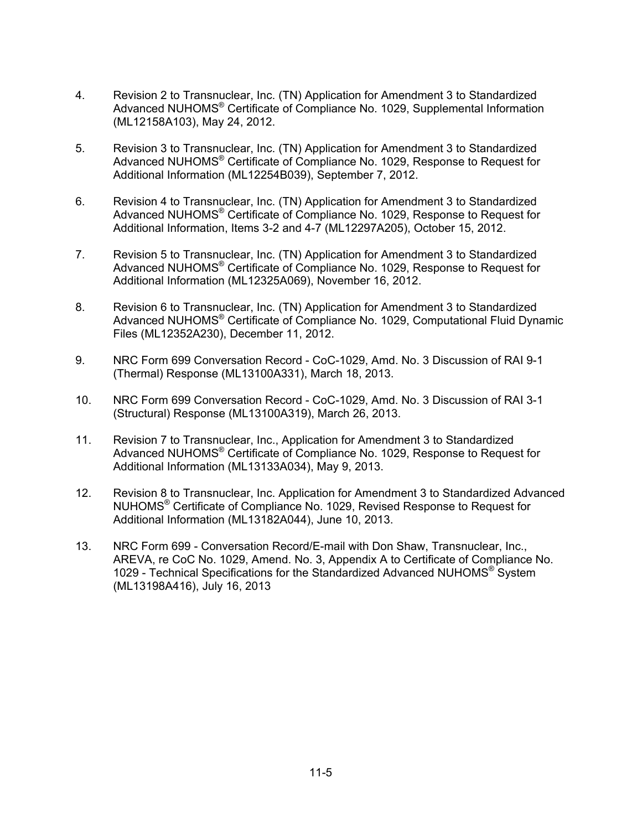- 4. Revision 2 to Transnuclear, Inc. (TN) Application for Amendment 3 to Standardized Advanced NUHOMS® Certificate of Compliance No. 1029, Supplemental Information (ML12158A103), May 24, 2012.
- 5. Revision 3 to Transnuclear, Inc. (TN) Application for Amendment 3 to Standardized Advanced NUHOMS® Certificate of Compliance No. 1029, Response to Request for Additional Information (ML12254B039), September 7, 2012.
- 6. Revision 4 to Transnuclear, Inc. (TN) Application for Amendment 3 to Standardized Advanced NUHOMS® Certificate of Compliance No. 1029, Response to Request for Additional Information, Items 3-2 and 4-7 (ML12297A205), October 15, 2012.
- 7. Revision 5 to Transnuclear, Inc. (TN) Application for Amendment 3 to Standardized Advanced NUHOMS® Certificate of Compliance No. 1029, Response to Request for Additional Information (ML12325A069), November 16, 2012.
- 8. Revision 6 to Transnuclear, Inc. (TN) Application for Amendment 3 to Standardized Advanced NUHOMS® Certificate of Compliance No. 1029, Computational Fluid Dynamic Files (ML12352A230), December 11, 2012.
- 9. NRC Form 699 Conversation Record CoC-1029, Amd. No. 3 Discussion of RAI 9-1 (Thermal) Response (ML13100A331), March 18, 2013.
- 10. NRC Form 699 Conversation Record CoC-1029, Amd. No. 3 Discussion of RAI 3-1 (Structural) Response (ML13100A319), March 26, 2013.
- 11. Revision 7 to Transnuclear, Inc., Application for Amendment 3 to Standardized Advanced NUHOMS® Certificate of Compliance No. 1029, Response to Request for Additional Information (ML13133A034), May 9, 2013.
- 12. Revision 8 to Transnuclear, Inc. Application for Amendment 3 to Standardized Advanced NUHOMS® Certificate of Compliance No. 1029, Revised Response to Request for Additional Information (ML13182A044), June 10, 2013.
- 13. NRC Form 699 Conversation Record/E-mail with Don Shaw, Transnuclear, Inc., AREVA, re CoC No. 1029, Amend. No. 3, Appendix A to Certificate of Compliance No. 1029 - Technical Specifications for the Standardized Advanced NUHOMS® System (ML13198A416), July 16, 2013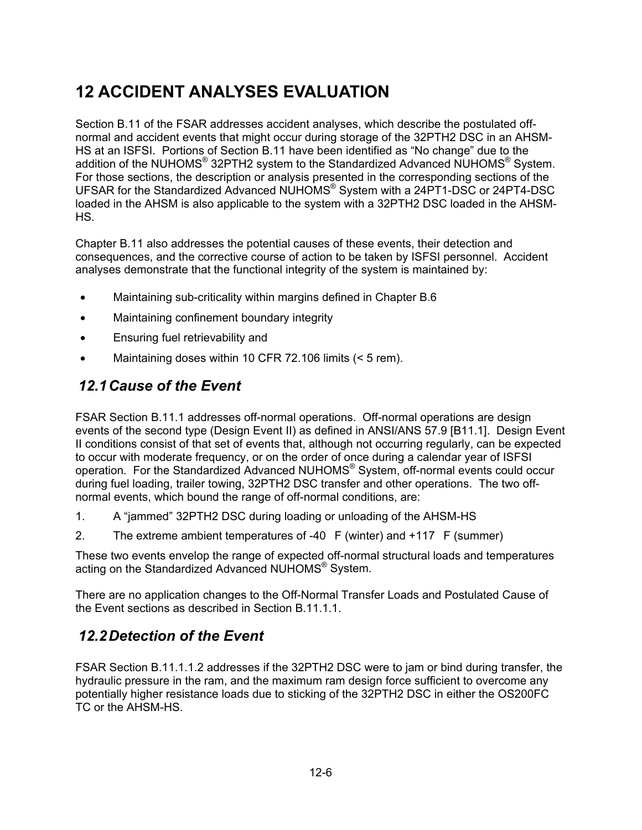# **12 ACCIDENT ANALYSES EVALUATION**

Section B.11 of the FSAR addresses accident analyses, which describe the postulated offnormal and accident events that might occur during storage of the 32PTH2 DSC in an AHSM-HS at an ISFSI. Portions of Section B.11 have been identified as "No change" due to the addition of the NUHOMS<sup>®</sup> 32PTH2 system to the Standardized Advanced NUHOMS<sup>®</sup> System. For those sections, the description or analysis presented in the corresponding sections of the UFSAR for the Standardized Advanced NUHOMS® System with a 24PT1-DSC or 24PT4-DSC loaded in the AHSM is also applicable to the system with a 32PTH2 DSC loaded in the AHSM-HS.

Chapter B.11 also addresses the potential causes of these events, their detection and consequences, and the corrective course of action to be taken by ISFSI personnel. Accident analyses demonstrate that the functional integrity of the system is maintained by:

- Maintaining sub-criticality within margins defined in Chapter B.6
- Maintaining confinement boundary integrity
- Ensuring fuel retrievability and
- Maintaining doses within 10 CFR 72.106 limits (< 5 rem).

#### *12.1 Cause of the Event*

FSAR Section B.11.1 addresses off-normal operations. Off-normal operations are design events of the second type (Design Event II) as defined in ANSI/ANS 57.9 [B11.1]. Design Event II conditions consist of that set of events that, although not occurring regularly, can be expected to occur with moderate frequency, or on the order of once during a calendar year of ISFSI operation. For the Standardized Advanced NUHOMS® System, off-normal events could occur during fuel loading, trailer towing, 32PTH2 DSC transfer and other operations. The two offnormal events, which bound the range of off-normal conditions, are:

- 1. A "jammed" 32PTH2 DSC during loading or unloading of the AHSM-HS
- 2. The extreme ambient temperatures of -40  $F$  (winter) and +117  $F$  (summer)

These two events envelop the range of expected off-normal structural loads and temperatures acting on the Standardized Advanced NUHOMS® System.

There are no application changes to the Off-Normal Transfer Loads and Postulated Cause of the Event sections as described in Section B.11.1.1.

#### *12.2 Detection of the Event*

FSAR Section B.11.1.1.2 addresses if the 32PTH2 DSC were to jam or bind during transfer, the hydraulic pressure in the ram, and the maximum ram design force sufficient to overcome any potentially higher resistance loads due to sticking of the 32PTH2 DSC in either the OS200FC TC or the AHSM-HS.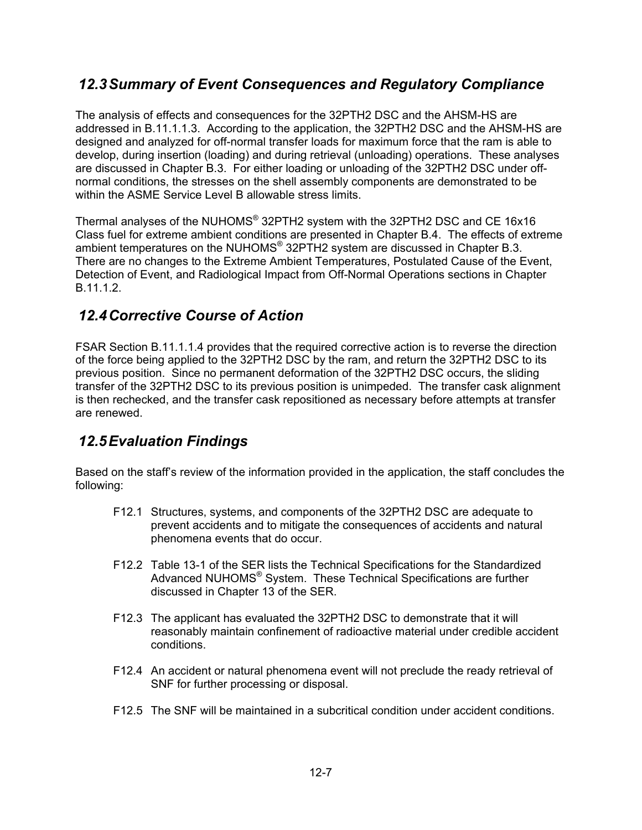#### *12.3 Summary of Event Consequences and Regulatory Compliance*

The analysis of effects and consequences for the 32PTH2 DSC and the AHSM-HS are addressed in B.11.1.1.3. According to the application, the 32PTH2 DSC and the AHSM-HS are designed and analyzed for off-normal transfer loads for maximum force that the ram is able to develop, during insertion (loading) and during retrieval (unloading) operations. These analyses are discussed in Chapter B.3. For either loading or unloading of the 32PTH2 DSC under offnormal conditions, the stresses on the shell assembly components are demonstrated to be within the ASME Service Level B allowable stress limits.

Thermal analyses of the NUHOMS® 32PTH2 system with the 32PTH2 DSC and CE 16x16 Class fuel for extreme ambient conditions are presented in Chapter B.4. The effects of extreme ambient temperatures on the NUHOMS<sup>®</sup> 32PTH2 system are discussed in Chapter B.3. There are no changes to the Extreme Ambient Temperatures, Postulated Cause of the Event, Detection of Event, and Radiological Impact from Off-Normal Operations sections in Chapter B.11.1.2.

### *12.4 Corrective Course of Action*

FSAR Section B.11.1.1.4 provides that the required corrective action is to reverse the direction of the force being applied to the 32PTH2 DSC by the ram, and return the 32PTH2 DSC to its previous position. Since no permanent deformation of the 32PTH2 DSC occurs, the sliding transfer of the 32PTH2 DSC to its previous position is unimpeded. The transfer cask alignment is then rechecked, and the transfer cask repositioned as necessary before attempts at transfer are renewed.

#### *12.5 Evaluation Findings*

Based on the staff's review of the information provided in the application, the staff concludes the following:

- F12.1 Structures, systems, and components of the 32PTH2 DSC are adequate to prevent accidents and to mitigate the consequences of accidents and natural phenomena events that do occur.
- F12.2 Table 13-1 of the SER lists the Technical Specifications for the Standardized Advanced NUHOMS® System. These Technical Specifications are further discussed in Chapter 13 of the SER.
- F12.3 The applicant has evaluated the 32PTH2 DSC to demonstrate that it will reasonably maintain confinement of radioactive material under credible accident conditions.
- F12.4 An accident or natural phenomena event will not preclude the ready retrieval of SNF for further processing or disposal.
- F12.5 The SNF will be maintained in a subcritical condition under accident conditions.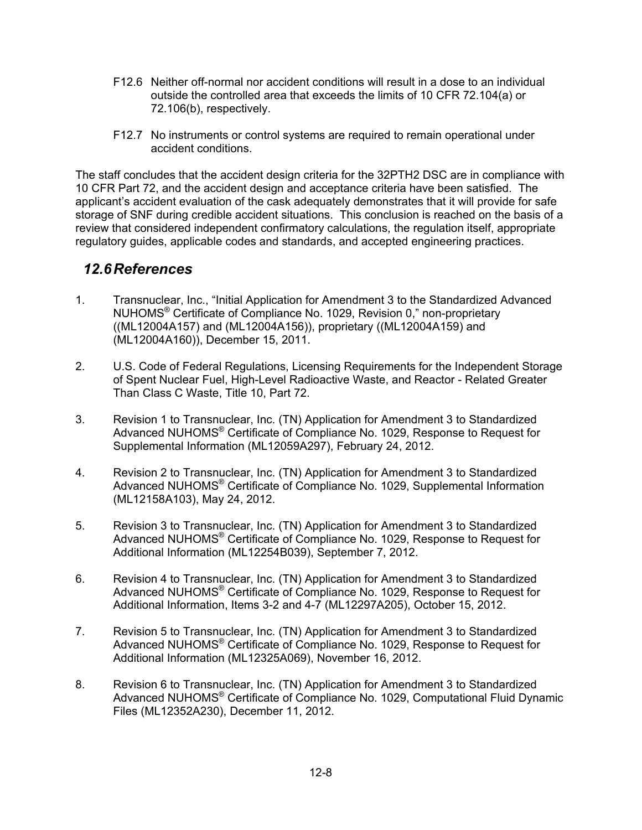- F12.6 Neither off-normal nor accident conditions will result in a dose to an individual outside the controlled area that exceeds the limits of 10 CFR 72.104(a) or 72.106(b), respectively.
- F12.7 No instruments or control systems are required to remain operational under accident conditions.

The staff concludes that the accident design criteria for the 32PTH2 DSC are in compliance with 10 CFR Part 72, and the accident design and acceptance criteria have been satisfied. The applicant's accident evaluation of the cask adequately demonstrates that it will provide for safe storage of SNF during credible accident situations. This conclusion is reached on the basis of a review that considered independent confirmatory calculations, the regulation itself, appropriate regulatory guides, applicable codes and standards, and accepted engineering practices.

#### *12.6 References*

- 1. Transnuclear, Inc., "Initial Application for Amendment 3 to the Standardized Advanced NUHOMS® Certificate of Compliance No. 1029, Revision 0," non-proprietary ((ML12004A157) and (ML12004A156)), proprietary ((ML12004A159) and (ML12004A160)), December 15, 2011.
- 2. U.S. Code of Federal Regulations, Licensing Requirements for the Independent Storage of Spent Nuclear Fuel, High-Level Radioactive Waste, and Reactor - Related Greater Than Class C Waste, Title 10, Part 72.
- 3. Revision 1 to Transnuclear, Inc. (TN) Application for Amendment 3 to Standardized Advanced NUHOMS<sup>®</sup> Certificate of Compliance No. 1029, Response to Request for Supplemental Information (ML12059A297), February 24, 2012.
- 4. Revision 2 to Transnuclear, Inc. (TN) Application for Amendment 3 to Standardized Advanced NUHOMS® Certificate of Compliance No. 1029, Supplemental Information (ML12158A103), May 24, 2012.
- 5. Revision 3 to Transnuclear, Inc. (TN) Application for Amendment 3 to Standardized Advanced NUHOMS® Certificate of Compliance No. 1029, Response to Request for Additional Information (ML12254B039), September 7, 2012.
- 6. Revision 4 to Transnuclear, Inc. (TN) Application for Amendment 3 to Standardized Advanced NUHOMS® Certificate of Compliance No. 1029, Response to Request for Additional Information, Items 3-2 and 4-7 (ML12297A205), October 15, 2012.
- 7. Revision 5 to Transnuclear, Inc. (TN) Application for Amendment 3 to Standardized Advanced NUHOMS® Certificate of Compliance No. 1029, Response to Request for Additional Information (ML12325A069), November 16, 2012.
- 8. Revision 6 to Transnuclear, Inc. (TN) Application for Amendment 3 to Standardized Advanced NUHOMS® Certificate of Compliance No. 1029, Computational Fluid Dynamic Files (ML12352A230), December 11, 2012.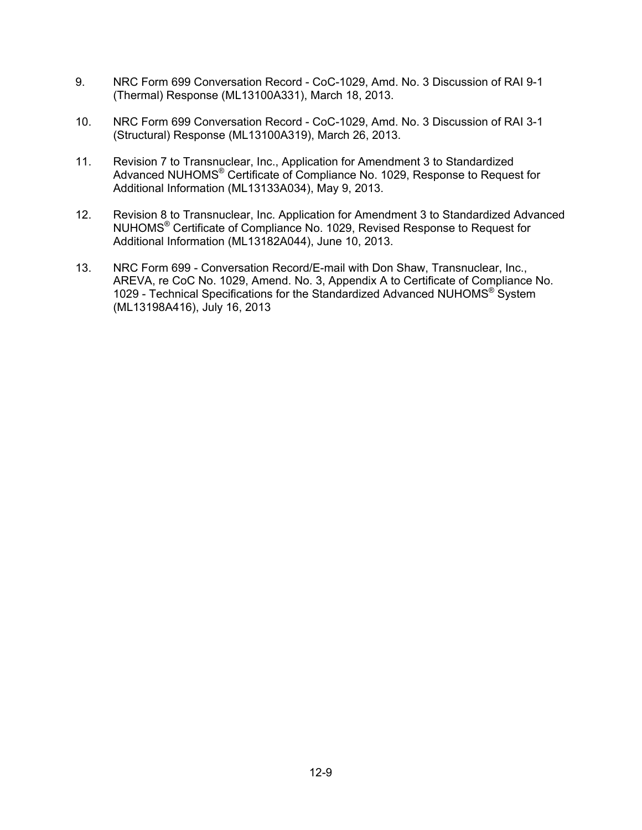- 9. NRC Form 699 Conversation Record CoC-1029, Amd. No. 3 Discussion of RAI 9-1 (Thermal) Response (ML13100A331), March 18, 2013.
- 10. NRC Form 699 Conversation Record CoC-1029, Amd. No. 3 Discussion of RAI 3-1 (Structural) Response (ML13100A319), March 26, 2013.
- 11. Revision 7 to Transnuclear, Inc., Application for Amendment 3 to Standardized Advanced NUHOMS® Certificate of Compliance No. 1029, Response to Request for Additional Information (ML13133A034), May 9, 2013.
- 12. Revision 8 to Transnuclear, Inc. Application for Amendment 3 to Standardized Advanced NUHOMS® Certificate of Compliance No. 1029, Revised Response to Request for Additional Information (ML13182A044), June 10, 2013.
- 13. NRC Form 699 Conversation Record/E-mail with Don Shaw, Transnuclear, Inc., AREVA, re CoC No. 1029, Amend. No. 3, Appendix A to Certificate of Compliance No. 1029 - Technical Specifications for the Standardized Advanced NUHOMS® System (ML13198A416), July 16, 2013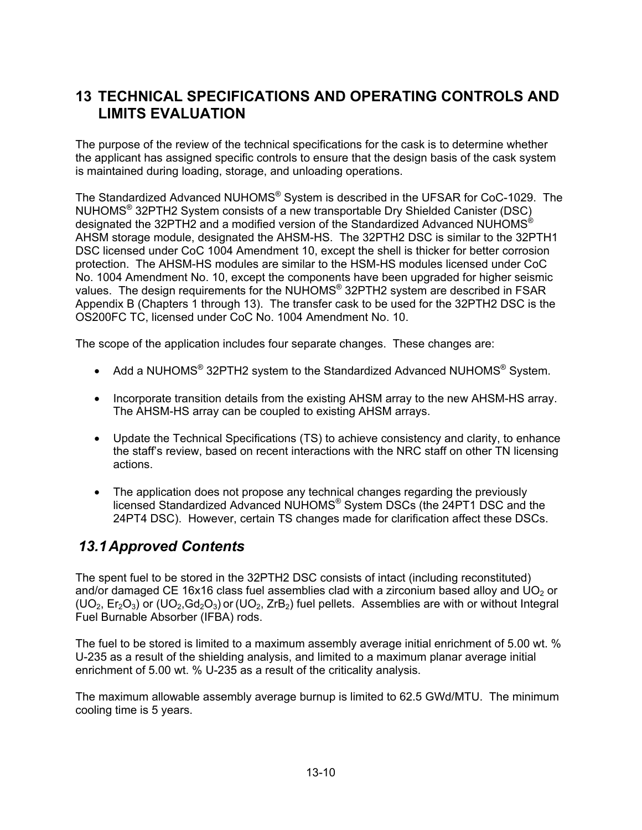## **13 TECHNICAL SPECIFICATIONS AND OPERATING CONTROLS AND LIMITS EVALUATION**

The purpose of the review of the technical specifications for the cask is to determine whether the applicant has assigned specific controls to ensure that the design basis of the cask system is maintained during loading, storage, and unloading operations.

The Standardized Advanced NUHOMS® System is described in the UFSAR for CoC-1029. The NUHOMS® 32PTH2 System consists of a new transportable Dry Shielded Canister (DSC) designated the 32PTH2 and a modified version of the Standardized Advanced NUHOMS<sup>®</sup> AHSM storage module, designated the AHSM-HS. The 32PTH2 DSC is similar to the 32PTH1 DSC licensed under CoC 1004 Amendment 10, except the shell is thicker for better corrosion protection. The AHSM-HS modules are similar to the HSM-HS modules licensed under CoC No. 1004 Amendment No. 10, except the components have been upgraded for higher seismic values. The design requirements for the NUHOMS<sup>®</sup> 32PTH2 system are described in FSAR Appendix B (Chapters 1 through 13). The transfer cask to be used for the 32PTH2 DSC is the OS200FC TC, licensed under CoC No. 1004 Amendment No. 10.

The scope of the application includes four separate changes. These changes are:

- Add a NUHOMS® 32PTH2 system to the Standardized Advanced NUHOMS® System.
- Incorporate transition details from the existing AHSM array to the new AHSM-HS array. The AHSM-HS array can be coupled to existing AHSM arrays.
- Update the Technical Specifications (TS) to achieve consistency and clarity, to enhance the staff's review, based on recent interactions with the NRC staff on other TN licensing actions.
- The application does not propose any technical changes regarding the previously licensed Standardized Advanced NUHOMS® System DSCs (the 24PT1 DSC and the 24PT4 DSC). However, certain TS changes made for clarification affect these DSCs.

#### *13.1 Approved Contents*

The spent fuel to be stored in the 32PTH2 DSC consists of intact (including reconstituted) and/or damaged CE 16x16 class fuel assemblies clad with a zirconium based alloy and  $UO<sub>2</sub>$  or  $(UD_2, Er_2O_3)$  or  $(UD_2, Gd_2O_3)$  or  $(UD_2, TrB_2)$  fuel pellets. Assemblies are with or without Integral Fuel Burnable Absorber (IFBA) rods.

The fuel to be stored is limited to a maximum assembly average initial enrichment of 5.00 wt. % U-235 as a result of the shielding analysis, and limited to a maximum planar average initial enrichment of 5.00 wt. % U-235 as a result of the criticality analysis.

The maximum allowable assembly average burnup is limited to 62.5 GWd/MTU. The minimum cooling time is 5 years.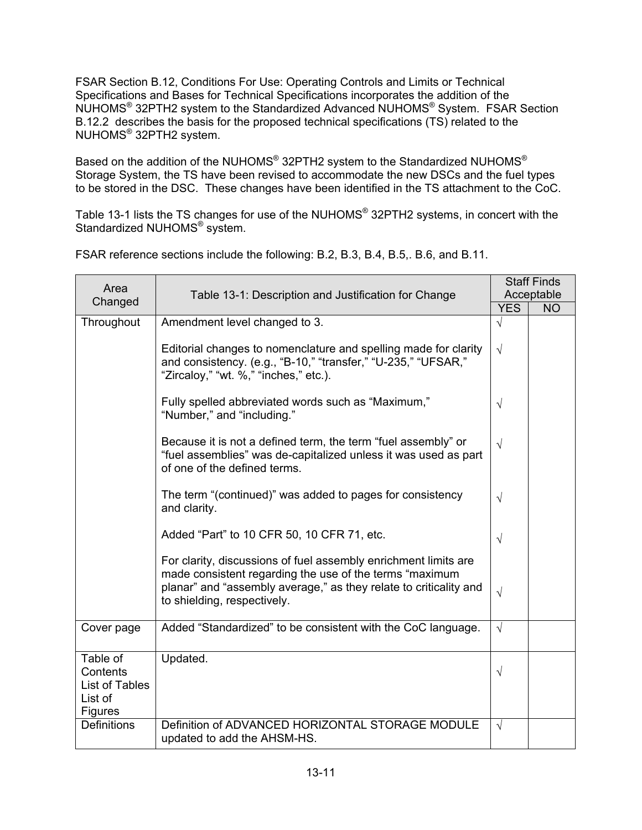FSAR Section B.12, Conditions For Use: Operating Controls and Limits or Technical Specifications and Bases for Technical Specifications incorporates the addition of the NUHOMS® 32PTH2 system to the Standardized Advanced NUHOMS® System. FSAR Section B.12.2 describes the basis for the proposed technical specifications (TS) related to the NUHOMS® 32PTH2 system.

Based on the addition of the NUHOMS® 32PTH2 system to the Standardized NUHOMS® Storage System, the TS have been revised to accommodate the new DSCs and the fuel types to be stored in the DSC. These changes have been identified in the TS attachment to the CoC.

Table 13-1 lists the TS changes for use of the NUHOMS<sup>®</sup> 32PTH2 systems, in concert with the Standardized NUHOMS<sup>®</sup> system.

| Area       | Table 13-1: Description and Justification for Change                                                                                                                                             |            | <b>Staff Finds</b><br>Acceptable |
|------------|--------------------------------------------------------------------------------------------------------------------------------------------------------------------------------------------------|------------|----------------------------------|
| Changed    |                                                                                                                                                                                                  | YES.       | NO                               |
| Throughout | Amendment level changed to 3.                                                                                                                                                                    | V          |                                  |
|            | Editorial changes to nomenclature and spelling made for clarity<br>and consistency. (e.g., "B-10," "transfer," "U-235," "UFSAR,"<br>"Zircaloy," "wt. %," "inches," etc.).                        | $\sqrt{ }$ |                                  |
|            | Fully spelled abbreviated words such as "Maximum,"<br>"Number," and "including."                                                                                                                 | V          |                                  |
|            | Because it is not a defined term, the term "fuel assembly" or<br>"fuel assemblies" was de-capitalized unless it was used as part<br>of one of the defined terms.                                 | $\sqrt{ }$ |                                  |
|            | The term "(continued)" was added to pages for consistency<br>and clarity.                                                                                                                        | $\sqrt{}$  |                                  |
|            | Added "Part" to 10 CFR 50, 10 CFR 71, etc.                                                                                                                                                       | V          |                                  |
|            | For clarity, discussions of fuel assembly enrichment limits are<br>made consistent regarding the use of the terms "maximum"<br>planar" and "assembly average," as they relate to criticality and |            |                                  |

to shielding, respectively.

updated to add the AHSM-HS.

Updated.

Table of Contents List of Tables

List of **Figures** 

FSAR reference sections include the following: B.2, B.3, B.4, B.5,. B.6, and B.11.

Cover page  $\Box$  Added "Standardized" to be consistent with the CoC language.  $\Box$ 

Definitions Definition of ADVANCED HORIZONTAL STORAGE MODULE

√

√

√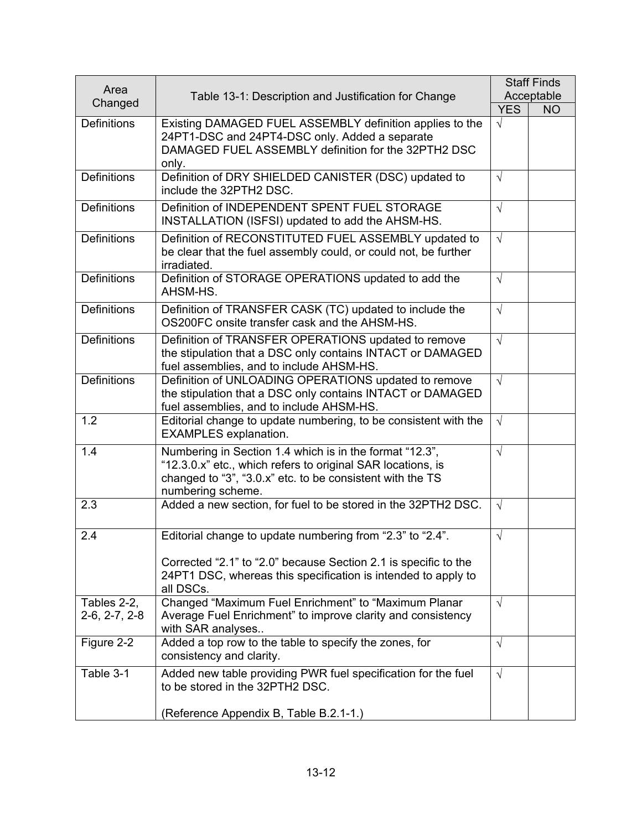| Area                           |                                                                                                                                                                                                            |            | <b>Staff Finds</b> |
|--------------------------------|------------------------------------------------------------------------------------------------------------------------------------------------------------------------------------------------------------|------------|--------------------|
| Changed                        | Table 13-1: Description and Justification for Change                                                                                                                                                       |            | Acceptable         |
|                                |                                                                                                                                                                                                            | <b>YES</b> | <b>NO</b>          |
| <b>Definitions</b>             | Existing DAMAGED FUEL ASSEMBLY definition applies to the<br>24PT1-DSC and 24PT4-DSC only. Added a separate<br>DAMAGED FUEL ASSEMBLY definition for the 32PTH2 DSC<br>only.                                 | $\sqrt{ }$ |                    |
| <b>Definitions</b>             | Definition of DRY SHIELDED CANISTER (DSC) updated to<br>include the 32PTH2 DSC.                                                                                                                            | $\sqrt{ }$ |                    |
| <b>Definitions</b>             | Definition of INDEPENDENT SPENT FUEL STORAGE<br>INSTALLATION (ISFSI) updated to add the AHSM-HS.                                                                                                           | $\sqrt{ }$ |                    |
| <b>Definitions</b>             | Definition of RECONSTITUTED FUEL ASSEMBLY updated to<br>be clear that the fuel assembly could, or could not, be further<br>irradiated.                                                                     | $\sqrt{ }$ |                    |
| <b>Definitions</b>             | Definition of STORAGE OPERATIONS updated to add the<br>AHSM-HS.                                                                                                                                            | $\sqrt{}$  |                    |
| <b>Definitions</b>             | Definition of TRANSFER CASK (TC) updated to include the<br>OS200FC onsite transfer cask and the AHSM-HS.                                                                                                   | $\sqrt{ }$ |                    |
| <b>Definitions</b>             | Definition of TRANSFER OPERATIONS updated to remove<br>the stipulation that a DSC only contains INTACT or DAMAGED<br>fuel assemblies, and to include AHSM-HS.                                              | $\sqrt{ }$ |                    |
| <b>Definitions</b>             | Definition of UNLOADING OPERATIONS updated to remove<br>the stipulation that a DSC only contains INTACT or DAMAGED<br>fuel assemblies, and to include AHSM-HS.                                             | $\sqrt{ }$ |                    |
| 1.2                            | Editorial change to update numbering, to be consistent with the<br><b>EXAMPLES</b> explanation.                                                                                                            | $\sqrt{ }$ |                    |
| 1.4                            | Numbering in Section 1.4 which is in the format "12.3",<br>"12.3.0.x" etc., which refers to original SAR locations, is<br>changed to "3", "3.0.x" etc. to be consistent with the TS<br>numbering scheme.   | $\sqrt{}$  |                    |
| 2.3                            | Added a new section, for fuel to be stored in the 32PTH2 DSC.                                                                                                                                              | $\sqrt{ }$ |                    |
| 2.4                            | Editorial change to update numbering from "2.3" to "2.4".<br>Corrected "2.1" to "2.0" because Section 2.1 is specific to the<br>24PT1 DSC, whereas this specification is intended to apply to<br>all DSCs. | $\sqrt{}$  |                    |
| Tables 2-2,<br>$2-6, 2-7, 2-8$ | Changed "Maximum Fuel Enrichment" to "Maximum Planar<br>Average Fuel Enrichment" to improve clarity and consistency<br>with SAR analyses                                                                   | $\sqrt{ }$ |                    |
| Figure 2-2                     | Added a top row to the table to specify the zones, for<br>consistency and clarity.                                                                                                                         | $\sqrt{ }$ |                    |
| Table 3-1                      | Added new table providing PWR fuel specification for the fuel<br>to be stored in the 32PTH2 DSC.                                                                                                           | $\sqrt{ }$ |                    |
|                                | (Reference Appendix B, Table B.2.1-1.)                                                                                                                                                                     |            |                    |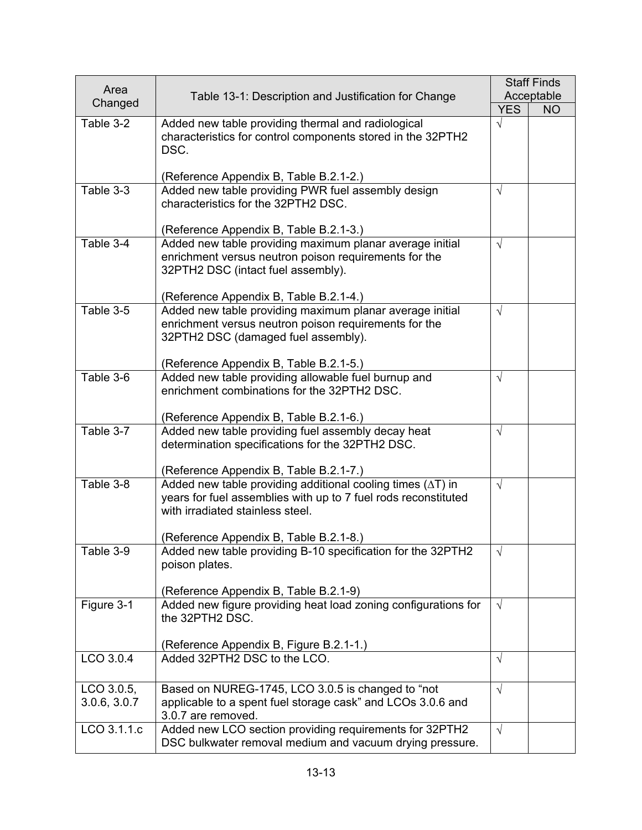|                            |                                                                                                                                                                                                                    |            | <b>Staff Finds</b> |
|----------------------------|--------------------------------------------------------------------------------------------------------------------------------------------------------------------------------------------------------------------|------------|--------------------|
| Area                       | Table 13-1: Description and Justification for Change                                                                                                                                                               |            | Acceptable         |
| Changed                    |                                                                                                                                                                                                                    | <b>YES</b> | <b>NO</b>          |
| Table 3-2                  | Added new table providing thermal and radiological<br>characteristics for control components stored in the 32PTH2<br>DSC.                                                                                          | $\sqrt{}$  |                    |
|                            | (Reference Appendix B, Table B.2.1-2.)                                                                                                                                                                             |            |                    |
| Table 3-3                  | Added new table providing PWR fuel assembly design<br>characteristics for the 32PTH2 DSC.                                                                                                                          | $\sqrt{}$  |                    |
|                            | (Reference Appendix B, Table B.2.1-3.)                                                                                                                                                                             |            |                    |
| Table 3-4                  | Added new table providing maximum planar average initial<br>enrichment versus neutron poison requirements for the<br>32PTH2 DSC (intact fuel assembly).                                                            | $\sqrt{ }$ |                    |
|                            | (Reference Appendix B, Table B.2.1-4.)                                                                                                                                                                             |            |                    |
| Table 3-5                  | Added new table providing maximum planar average initial<br>enrichment versus neutron poison requirements for the<br>32PTH2 DSC (damaged fuel assembly).                                                           | $\sqrt{}$  |                    |
|                            | (Reference Appendix B, Table B.2.1-5.)                                                                                                                                                                             |            |                    |
| Table 3-6                  | Added new table providing allowable fuel burnup and<br>enrichment combinations for the 32PTH2 DSC.<br>(Reference Appendix B, Table B.2.1-6.)                                                                       | $\sqrt{}$  |                    |
| Table 3-7                  | Added new table providing fuel assembly decay heat                                                                                                                                                                 | $\sqrt{ }$ |                    |
|                            | determination specifications for the 32PTH2 DSC.<br>(Reference Appendix B, Table B.2.1-7.)                                                                                                                         |            |                    |
| Table 3-8                  | Added new table providing additional cooling times $(\Delta T)$ in<br>years for fuel assemblies with up to 7 fuel rods reconstituted<br>with irradiated stainless steel.<br>(Reference Appendix B, Table B.2.1-8.) | $\sqrt{}$  |                    |
| Table 3-9                  | Added new table providing B-10 specification for the 32PTH2                                                                                                                                                        | $\sqrt{}$  |                    |
|                            | poison plates.<br>(Reference Appendix B, Table B.2.1-9)                                                                                                                                                            |            |                    |
| Figure 3-1                 | Added new figure providing heat load zoning configurations for<br>the 32PTH2 DSC.                                                                                                                                  | $\sqrt{ }$ |                    |
|                            | (Reference Appendix B, Figure B.2.1-1.)                                                                                                                                                                            |            |                    |
| LCO 3.0.4                  | Added 32PTH2 DSC to the LCO.                                                                                                                                                                                       | $\sqrt{ }$ |                    |
| LCO 3.0.5,<br>3.0.6, 3.0.7 | Based on NUREG-1745, LCO 3.0.5 is changed to "not<br>applicable to a spent fuel storage cask" and LCOs 3.0.6 and<br>3.0.7 are removed.                                                                             | $\sqrt{ }$ |                    |
| LCO 3.1.1.c                | Added new LCO section providing requirements for 32PTH2<br>DSC bulkwater removal medium and vacuum drying pressure.                                                                                                | $\sqrt{ }$ |                    |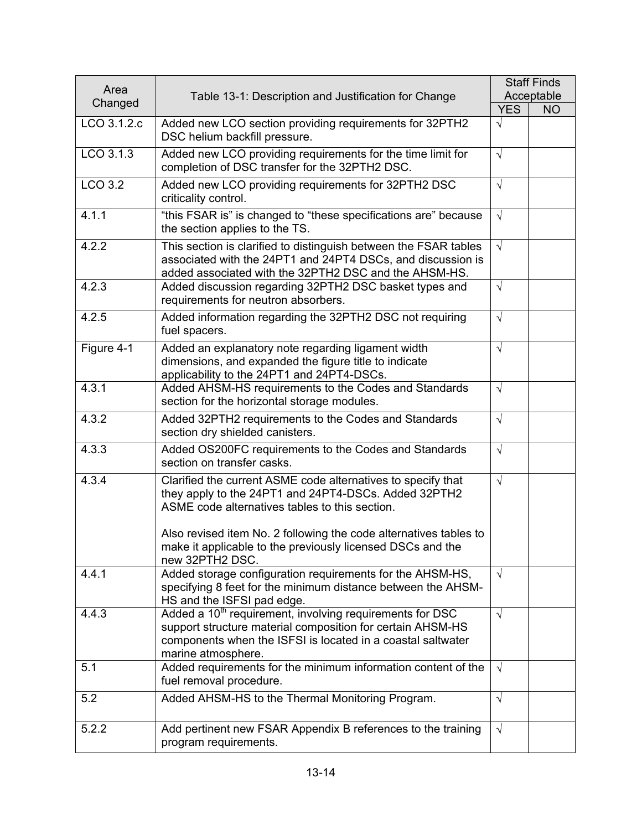| Area        |                                                                                                                                                                                                                                                                                                           | <b>Staff Finds</b> |            |
|-------------|-----------------------------------------------------------------------------------------------------------------------------------------------------------------------------------------------------------------------------------------------------------------------------------------------------------|--------------------|------------|
| Changed     | Table 13-1: Description and Justification for Change                                                                                                                                                                                                                                                      |                    | Acceptable |
|             |                                                                                                                                                                                                                                                                                                           | <b>YES</b>         | <b>NO</b>  |
| LCO 3.1.2.c | Added new LCO section providing requirements for 32PTH2<br>DSC helium backfill pressure.                                                                                                                                                                                                                  | $\sqrt{}$          |            |
| $LCD$ 3.1.3 | Added new LCO providing requirements for the time limit for<br>completion of DSC transfer for the 32PTH2 DSC.                                                                                                                                                                                             | $\sqrt{}$          |            |
| LCO 3.2     | Added new LCO providing requirements for 32PTH2 DSC<br>criticality control.                                                                                                                                                                                                                               | $\sqrt{ }$         |            |
| 4.1.1       | "this FSAR is" is changed to "these specifications are" because<br>the section applies to the TS.                                                                                                                                                                                                         | $\sqrt{ }$         |            |
| 4.2.2       | This section is clarified to distinguish between the FSAR tables<br>associated with the 24PT1 and 24PT4 DSCs, and discussion is<br>added associated with the 32PTH2 DSC and the AHSM-HS.                                                                                                                  | $\sqrt{ }$         |            |
| 4.2.3       | Added discussion regarding 32PTH2 DSC basket types and<br>requirements for neutron absorbers.                                                                                                                                                                                                             | $\sqrt{ }$         |            |
| 4.2.5       | Added information regarding the 32PTH2 DSC not requiring<br>fuel spacers.                                                                                                                                                                                                                                 | $\sqrt{ }$         |            |
| Figure 4-1  | Added an explanatory note regarding ligament width<br>dimensions, and expanded the figure title to indicate<br>applicability to the 24PT1 and 24PT4-DSCs.                                                                                                                                                 | $\sqrt{ }$         |            |
| 4.3.1       | Added AHSM-HS requirements to the Codes and Standards<br>section for the horizontal storage modules.                                                                                                                                                                                                      | $\sqrt{ }$         |            |
| 4.3.2       | Added 32PTH2 requirements to the Codes and Standards<br>section dry shielded canisters.                                                                                                                                                                                                                   | $\sqrt{ }$         |            |
| 4.3.3       | Added OS200FC requirements to the Codes and Standards<br>section on transfer casks.                                                                                                                                                                                                                       | $\sqrt{ }$         |            |
| 4.3.4       | Clarified the current ASME code alternatives to specify that<br>they apply to the 24PT1 and 24PT4-DSCs. Added 32PTH2<br>ASME code alternatives tables to this section.<br>Also revised item No. 2 following the code alternatives tables to<br>make it applicable to the previously licensed DSCs and the | $\sqrt{}$          |            |
| 4.4.1       | new 32PTH2 DSC.<br>Added storage configuration requirements for the AHSM-HS,<br>specifying 8 feet for the minimum distance between the AHSM-<br>HS and the ISFSI pad edge.                                                                                                                                | $\sqrt{ }$         |            |
| 4.4.3       | Added a 10 <sup>th</sup> requirement, involving requirements for DSC<br>support structure material composition for certain AHSM-HS<br>components when the ISFSI is located in a coastal saltwater<br>marine atmosphere.                                                                                   | $\sqrt{ }$         |            |
| 5.1         | Added requirements for the minimum information content of the<br>fuel removal procedure.                                                                                                                                                                                                                  | $\sqrt{ }$         |            |
| 5.2         | Added AHSM-HS to the Thermal Monitoring Program.                                                                                                                                                                                                                                                          | $\sqrt{}$          |            |
| 5.2.2       | Add pertinent new FSAR Appendix B references to the training<br>program requirements.                                                                                                                                                                                                                     | $\sqrt{ }$         |            |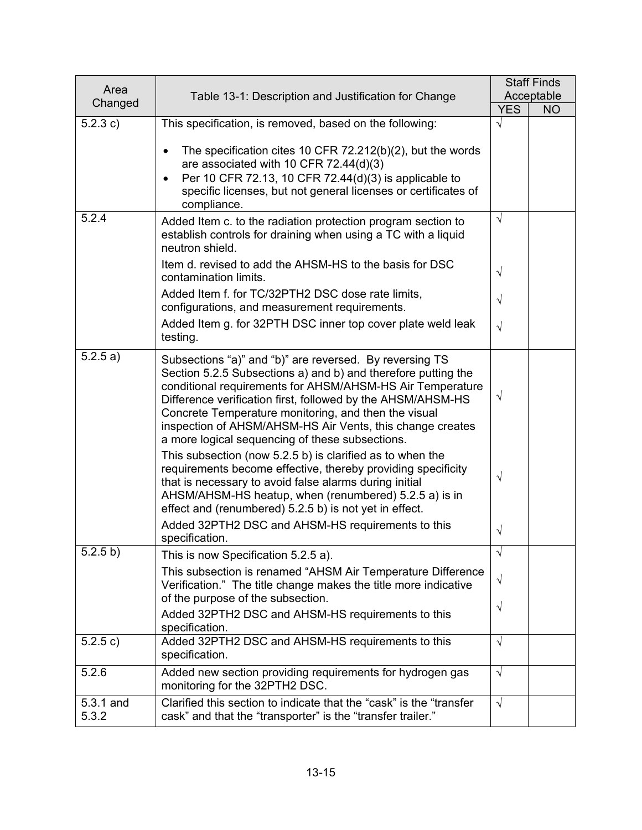| Area               |                                                                                                                                                                                                                                                                                                                                                                                                                              |            | <b>Staff Finds</b> |
|--------------------|------------------------------------------------------------------------------------------------------------------------------------------------------------------------------------------------------------------------------------------------------------------------------------------------------------------------------------------------------------------------------------------------------------------------------|------------|--------------------|
| Changed            | Table 13-1: Description and Justification for Change                                                                                                                                                                                                                                                                                                                                                                         |            | Acceptable         |
|                    |                                                                                                                                                                                                                                                                                                                                                                                                                              | <b>YES</b> | <b>NO</b>          |
| 5.2.3 c)           | This specification, is removed, based on the following:                                                                                                                                                                                                                                                                                                                                                                      | $\sqrt{}$  |                    |
|                    | The specification cites 10 CFR 72.212(b)(2), but the words<br>are associated with 10 CFR 72.44(d)(3)                                                                                                                                                                                                                                                                                                                         |            |                    |
|                    | Per 10 CFR 72.13, 10 CFR 72.44(d)(3) is applicable to<br>$\bullet$<br>specific licenses, but not general licenses or certificates of<br>compliance.                                                                                                                                                                                                                                                                          |            |                    |
| 5.2.4              | Added Item c. to the radiation protection program section to<br>establish controls for draining when using a TC with a liquid<br>neutron shield.                                                                                                                                                                                                                                                                             | $\sqrt{ }$ |                    |
|                    | Item d. revised to add the AHSM-HS to the basis for DSC<br>contamination limits.                                                                                                                                                                                                                                                                                                                                             | $\sqrt{}$  |                    |
|                    | Added Item f. for TC/32PTH2 DSC dose rate limits,<br>configurations, and measurement requirements.                                                                                                                                                                                                                                                                                                                           | $\sqrt{}$  |                    |
|                    | Added Item g. for 32PTH DSC inner top cover plate weld leak<br>testing.                                                                                                                                                                                                                                                                                                                                                      | $\sqrt{}$  |                    |
| 5.2.5 a)           | Subsections "a)" and "b)" are reversed. By reversing TS<br>Section 5.2.5 Subsections a) and b) and therefore putting the<br>conditional requirements for AHSM/AHSM-HS Air Temperature<br>Difference verification first, followed by the AHSM/AHSM-HS<br>Concrete Temperature monitoring, and then the visual<br>inspection of AHSM/AHSM-HS Air Vents, this change creates<br>a more logical sequencing of these subsections. | $\sqrt{}$  |                    |
|                    | This subsection (now 5.2.5 b) is clarified as to when the<br>requirements become effective, thereby providing specificity<br>that is necessary to avoid false alarms during initial<br>AHSM/AHSM-HS heatup, when (renumbered) 5.2.5 a) is in<br>effect and (renumbered) 5.2.5 b) is not yet in effect.                                                                                                                       | $\sqrt{}$  |                    |
|                    | Added 32PTH2 DSC and AHSM-HS requirements to this<br>specification.                                                                                                                                                                                                                                                                                                                                                          | $\sqrt{}$  |                    |
| 5.2.5 b)           | This is now Specification 5.2.5 a).                                                                                                                                                                                                                                                                                                                                                                                          | $\sqrt{}$  |                    |
|                    | This subsection is renamed "AHSM Air Temperature Difference<br>Verification." The title change makes the title more indicative<br>of the purpose of the subsection.                                                                                                                                                                                                                                                          | $\sqrt{}$  |                    |
|                    | Added 32PTH2 DSC and AHSM-HS requirements to this<br>specification.                                                                                                                                                                                                                                                                                                                                                          | $\sqrt{}$  |                    |
| 5.2.5 c)           | Added 32PTH2 DSC and AHSM-HS requirements to this<br>specification.                                                                                                                                                                                                                                                                                                                                                          | $\sqrt{}$  |                    |
| 5.2.6              | Added new section providing requirements for hydrogen gas<br>monitoring for the 32PTH2 DSC.                                                                                                                                                                                                                                                                                                                                  | $\sqrt{ }$ |                    |
| 5.3.1 and<br>5.3.2 | Clarified this section to indicate that the "cask" is the "transfer<br>cask" and that the "transporter" is the "transfer trailer."                                                                                                                                                                                                                                                                                           | $\sqrt{ }$ |                    |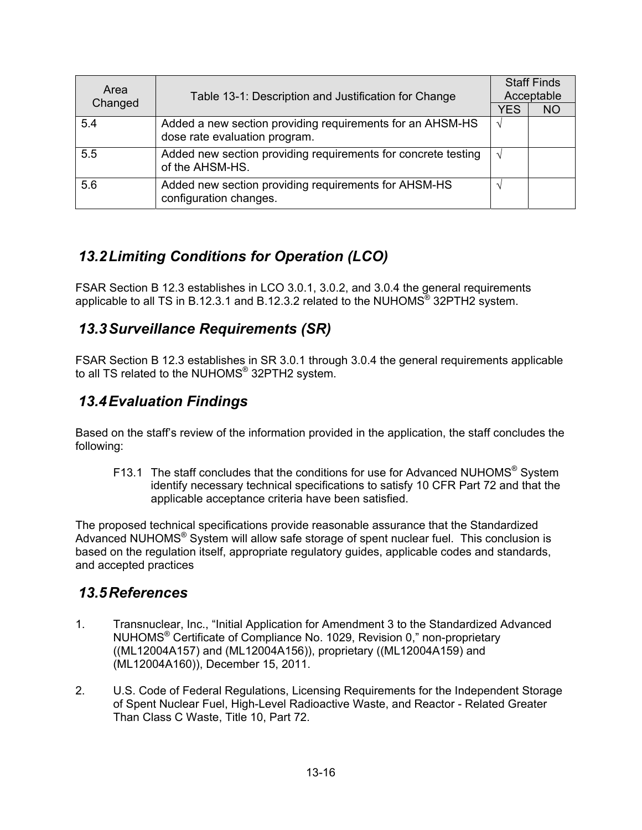| Area    | Table 13-1: Description and Justification for Change                                       | <b>Staff Finds</b><br>Acceptable |           |
|---------|--------------------------------------------------------------------------------------------|----------------------------------|-----------|
| Changed |                                                                                            | <b>YES</b>                       | <b>NO</b> |
| 5.4     | Added a new section providing requirements for an AHSM-HS<br>dose rate evaluation program. | V                                |           |
| 5.5     | Added new section providing requirements for concrete testing<br>of the AHSM-HS.           | $\sqrt{ }$                       |           |
| 5.6     | Added new section providing requirements for AHSM-HS<br>configuration changes.             | $\mathcal{N}$                    |           |

## *13.2 Limiting Conditions for Operation (LCO)*

FSAR Section B 12.3 establishes in LCO 3.0.1, 3.0.2, and 3.0.4 the general requirements applicable to all TS in B.12.3.1 and B.12.3.2 related to the NUHOMS® 32PTH2 system.

### *13.3 Surveillance Requirements (SR)*

FSAR Section B 12.3 establishes in SR 3.0.1 through 3.0.4 the general requirements applicable to all TS related to the NUHOMS® 32PTH2 system.

## *13.4 Evaluation Findings*

Based on the staff's review of the information provided in the application, the staff concludes the following:

F13.1 The staff concludes that the conditions for use for Advanced NUHOMS<sup>®</sup> System identify necessary technical specifications to satisfy 10 CFR Part 72 and that the applicable acceptance criteria have been satisfied.

The proposed technical specifications provide reasonable assurance that the Standardized Advanced NUHOMS® System will allow safe storage of spent nuclear fuel. This conclusion is based on the regulation itself, appropriate regulatory guides, applicable codes and standards, and accepted practices

#### *13.5 References*

- 1. Transnuclear, Inc., "Initial Application for Amendment 3 to the Standardized Advanced NUHOMS® Certificate of Compliance No. 1029, Revision 0," non-proprietary ((ML12004A157) and (ML12004A156)), proprietary ((ML12004A159) and (ML12004A160)), December 15, 2011.
- 2. U.S. Code of Federal Regulations, Licensing Requirements for the Independent Storage of Spent Nuclear Fuel, High-Level Radioactive Waste, and Reactor - Related Greater Than Class C Waste, Title 10, Part 72.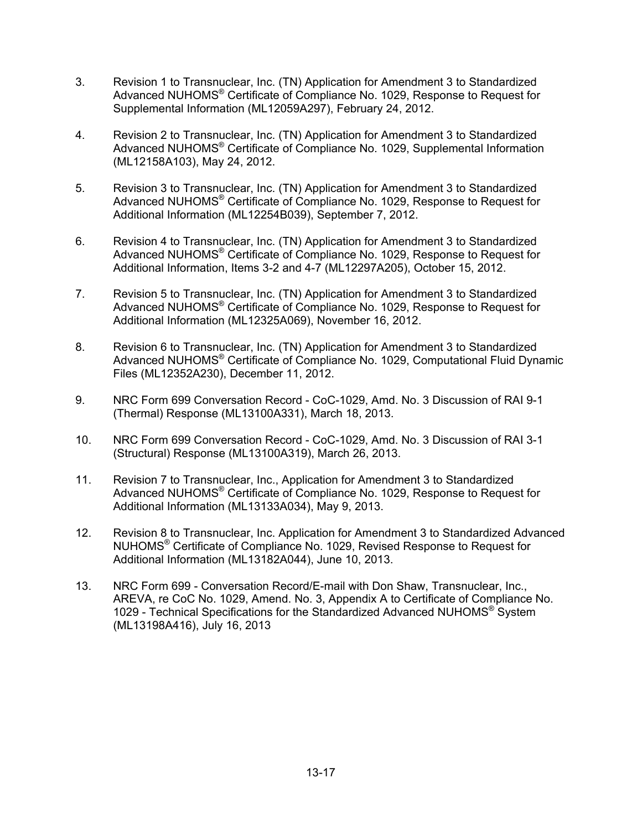- 3. Revision 1 to Transnuclear, Inc. (TN) Application for Amendment 3 to Standardized Advanced NUHOMS® Certificate of Compliance No. 1029, Response to Request for Supplemental Information (ML12059A297), February 24, 2012.
- 4. Revision 2 to Transnuclear, Inc. (TN) Application for Amendment 3 to Standardized Advanced NUHOMS® Certificate of Compliance No. 1029, Supplemental Information (ML12158A103), May 24, 2012.
- 5. Revision 3 to Transnuclear, Inc. (TN) Application for Amendment 3 to Standardized Advanced NUHOMS® Certificate of Compliance No. 1029, Response to Request for Additional Information (ML12254B039), September 7, 2012.
- 6. Revision 4 to Transnuclear, Inc. (TN) Application for Amendment 3 to Standardized Advanced NUHOMS® Certificate of Compliance No. 1029, Response to Request for Additional Information, Items 3-2 and 4-7 (ML12297A205), October 15, 2012.
- 7. Revision 5 to Transnuclear, Inc. (TN) Application for Amendment 3 to Standardized Advanced NUHOMS® Certificate of Compliance No. 1029, Response to Request for Additional Information (ML12325A069), November 16, 2012.
- 8. Revision 6 to Transnuclear, Inc. (TN) Application for Amendment 3 to Standardized Advanced NUHOMS® Certificate of Compliance No. 1029, Computational Fluid Dynamic Files (ML12352A230), December 11, 2012.
- 9. NRC Form 699 Conversation Record CoC-1029, Amd. No. 3 Discussion of RAI 9-1 (Thermal) Response (ML13100A331), March 18, 2013.
- 10. NRC Form 699 Conversation Record CoC-1029, Amd. No. 3 Discussion of RAI 3-1 (Structural) Response (ML13100A319), March 26, 2013.
- 11. Revision 7 to Transnuclear, Inc., Application for Amendment 3 to Standardized Advanced NUHOMS® Certificate of Compliance No. 1029, Response to Request for Additional Information (ML13133A034), May 9, 2013.
- 12. Revision 8 to Transnuclear, Inc. Application for Amendment 3 to Standardized Advanced NUHOMS® Certificate of Compliance No. 1029, Revised Response to Request for Additional Information (ML13182A044), June 10, 2013.
- 13. NRC Form 699 Conversation Record/E-mail with Don Shaw, Transnuclear, Inc., AREVA, re CoC No. 1029, Amend. No. 3, Appendix A to Certificate of Compliance No. 1029 - Technical Specifications for the Standardized Advanced NUHOMS® System (ML13198A416), July 16, 2013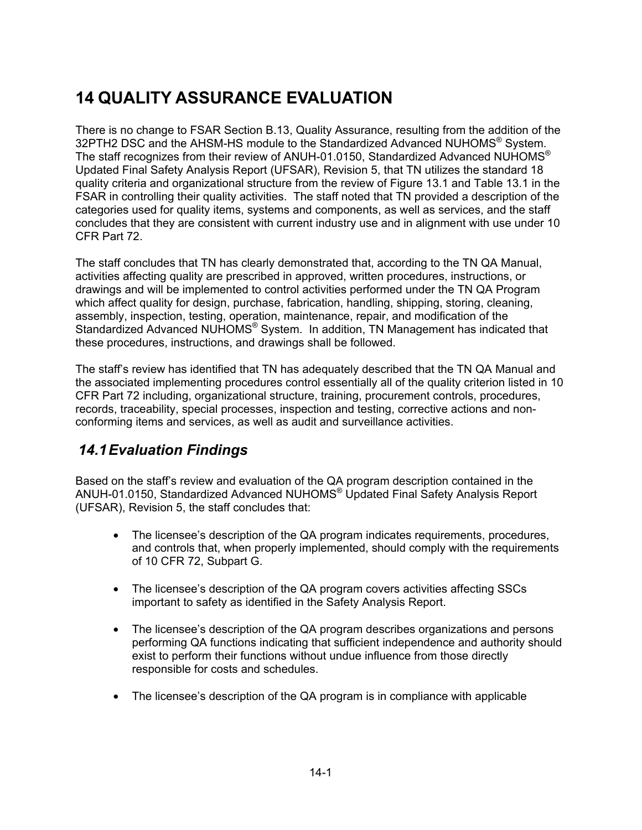# **14 QUALITY ASSURANCE EVALUATION**

There is no change to FSAR Section B.13, Quality Assurance, resulting from the addition of the 32PTH2 DSC and the AHSM-HS module to the Standardized Advanced NUHOMS<sup>®</sup> System. The staff recognizes from their review of ANUH-01.0150, Standardized Advanced NUHOMS<sup>®</sup> Updated Final Safety Analysis Report (UFSAR), Revision 5, that TN utilizes the standard 18 quality criteria and organizational structure from the review of Figure 13.1 and Table 13.1 in the FSAR in controlling their quality activities. The staff noted that TN provided a description of the categories used for quality items, systems and components, as well as services, and the staff concludes that they are consistent with current industry use and in alignment with use under 10 CFR Part 72.

The staff concludes that TN has clearly demonstrated that, according to the TN QA Manual, activities affecting quality are prescribed in approved, written procedures, instructions, or drawings and will be implemented to control activities performed under the TN QA Program which affect quality for design, purchase, fabrication, handling, shipping, storing, cleaning, assembly, inspection, testing, operation, maintenance, repair, and modification of the Standardized Advanced NUHOMS<sup>®</sup> System. In addition, TN Management has indicated that these procedures, instructions, and drawings shall be followed.

The staff's review has identified that TN has adequately described that the TN QA Manual and the associated implementing procedures control essentially all of the quality criterion listed in 10 CFR Part 72 including, organizational structure, training, procurement controls, procedures, records, traceability, special processes, inspection and testing, corrective actions and nonconforming items and services, as well as audit and surveillance activities.

# *14.1 Evaluation Findings*

Based on the staff's review and evaluation of the QA program description contained in the ANUH-01.0150, Standardized Advanced NUHOMS® Updated Final Safety Analysis Report (UFSAR), Revision 5, the staff concludes that:

- The licensee's description of the QA program indicates requirements, procedures, and controls that, when properly implemented, should comply with the requirements of 10 CFR 72, Subpart G.
- The licensee's description of the QA program covers activities affecting SSCs important to safety as identified in the Safety Analysis Report.
- The licensee's description of the QA program describes organizations and persons performing QA functions indicating that sufficient independence and authority should exist to perform their functions without undue influence from those directly responsible for costs and schedules.
- The licensee's description of the QA program is in compliance with applicable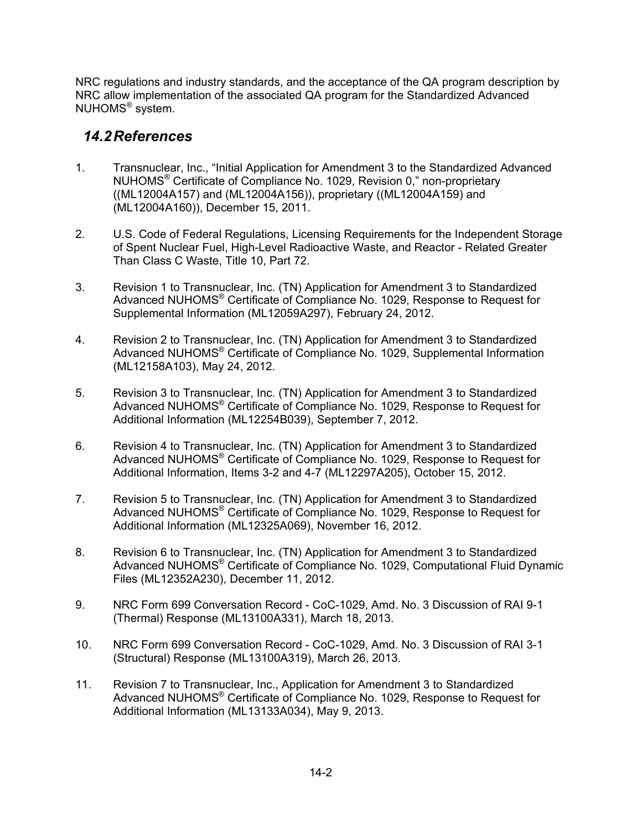NRC regulations and industry standards, and the acceptance of the QA program description by NRC allow implementation of the associated QA program for the Standardized Advanced NUHOMS® system.

#### *14.2 References*

- 1. Transnuclear, Inc., "Initial Application for Amendment 3 to the Standardized Advanced NUHOMS® Certificate of Compliance No. 1029, Revision 0," non-proprietary ((ML12004A157) and (ML12004A156)), proprietary ((ML12004A159) and (ML12004A160)), December 15, 2011.
- 2. U.S. Code of Federal Regulations, Licensing Requirements for the Independent Storage of Spent Nuclear Fuel, High-Level Radioactive Waste, and Reactor - Related Greater Than Class C Waste, Title 10, Part 72.
- 3. Revision 1 to Transnuclear, Inc. (TN) Application for Amendment 3 to Standardized Advanced NUHOMS® Certificate of Compliance No. 1029, Response to Request for Supplemental Information (ML12059A297), February 24, 2012.
- 4. Revision 2 to Transnuclear, Inc. (TN) Application for Amendment 3 to Standardized Advanced NUHOMS® Certificate of Compliance No. 1029, Supplemental Information (ML12158A103), May 24, 2012.
- 5. Revision 3 to Transnuclear, Inc. (TN) Application for Amendment 3 to Standardized Advanced NUHOMS® Certificate of Compliance No. 1029, Response to Request for Additional Information (ML12254B039), September 7, 2012.
- 6. Revision 4 to Transnuclear, Inc. (TN) Application for Amendment 3 to Standardized Advanced NUHOMS® Certificate of Compliance No. 1029, Response to Request for Additional Information, Items 3-2 and 4-7 (ML12297A205), October 15, 2012.
- 7. Revision 5 to Transnuclear, Inc. (TN) Application for Amendment 3 to Standardized Advanced NUHOMS® Certificate of Compliance No. 1029, Response to Request for Additional Information (ML12325A069), November 16, 2012.
- 8. Revision 6 to Transnuclear, Inc. (TN) Application for Amendment 3 to Standardized Advanced NUHOMS® Certificate of Compliance No. 1029, Computational Fluid Dynamic Files (ML12352A230), December 11, 2012.
- 9. NRC Form 699 Conversation Record CoC-1029, Amd. No. 3 Discussion of RAI 9-1 (Thermal) Response (ML13100A331), March 18, 2013.
- 10. NRC Form 699 Conversation Record CoC-1029, Amd. No. 3 Discussion of RAI 3-1 (Structural) Response (ML13100A319), March 26, 2013.
- 11. Revision 7 to Transnuclear, Inc., Application for Amendment 3 to Standardized Advanced NUHOMS® Certificate of Compliance No. 1029, Response to Request for Additional Information (ML13133A034), May 9, 2013.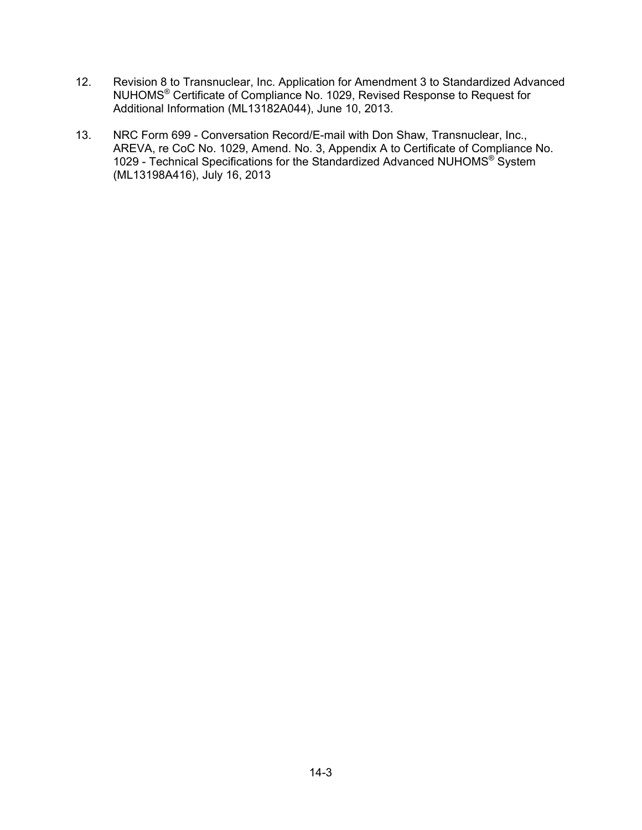- 12. Revision 8 to Transnuclear, Inc. Application for Amendment 3 to Standardized Advanced NUHOMS® Certificate of Compliance No. 1029, Revised Response to Request for Additional Information (ML13182A044), June 10, 2013.
- 13. NRC Form 699 Conversation Record/E-mail with Don Shaw, Transnuclear, Inc., AREVA, re CoC No. 1029, Amend. No. 3, Appendix A to Certificate of Compliance No. 1029 - Technical Specifications for the Standardized Advanced NUHOMS® System (ML13198A416), July 16, 2013